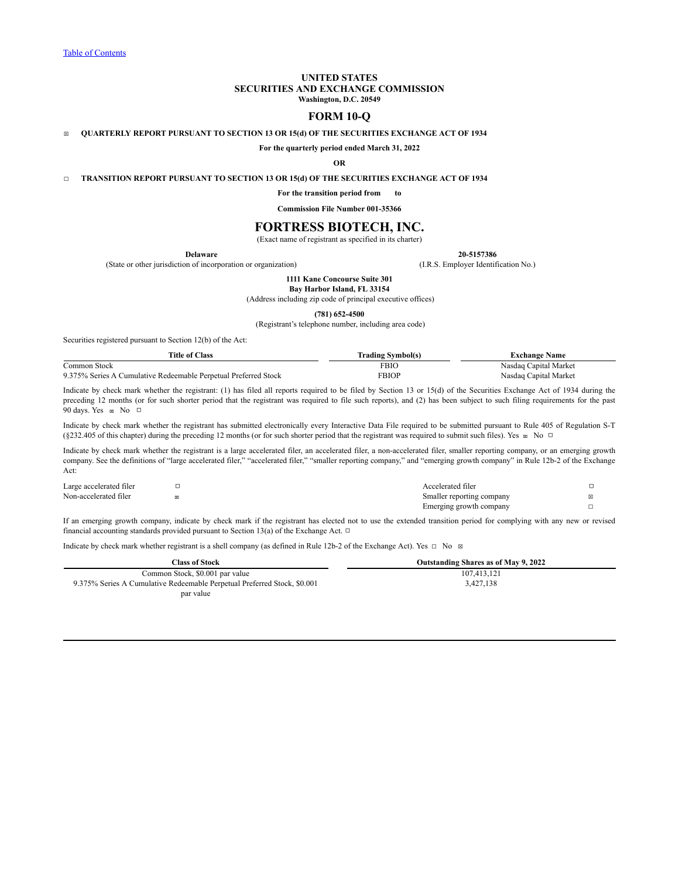Table of [Contents](#page-1-0)

### **UNITED STATES SECURITIES AND EXCHANGE COMMISSION Washington, D.C. 20549**

# **FORM 10-Q**

☒ **QUARTERLY REPORT PURSUANT TO SECTION 13 OR 15(d) OF THE SECURITIES EXCHANGE ACT OF 1934**

**For the quarterly period ended March 31, 2022**

### **OR**

☐ **TRANSITION REPORT PURSUANT TO SECTION 13 OR 15(d) OF THE SECURITIES EXCHANGE ACT OF 1934**

**For the transition period from to**

**Commission File Number 001-35366**

# **FORTRESS BIOTECH, INC.**

(Exact name of registrant as specified in its charter)

(State or other jurisdiction of incorporation or organization) (I.R.S. Employer Identification No.)

**Delaware 20-5157386**

**1111 Kane Concourse Suite 301**

**Bay Harbor Island, FL 33154**

(Address including zip code of principal executive offices)

**(781) 652-4500**

(Registrant's telephone number, including area code)

Securities registered pursuant to Section 12(b) of the Act:

| <b>Title of Class</b>                                           | <b>Trading Symbol(s)</b> | <b>Exchange Name</b>  |
|-----------------------------------------------------------------|--------------------------|-----------------------|
| Common Stock                                                    | FBIC                     | Nasdaq Capital Market |
| 9.375% Series A Cumulative Redeemable Perpetual Preferred Stock | FBIOP                    | Nasdaq Capital Market |

Indicate by check mark whether the registrant: (1) has filed all reports required to be filed by Section 13 or 15(d) of the Securities Exchange Act of 1934 during the preceding 12 months (or for such shorter period that the registrant was required to file such reports), and (2) has been subject to such filing requirements for the past 90 days. Yes  $\boxtimes$  No  $\Box$ 

Indicate by check mark whether the registrant has submitted electronically every Interactive Data File required to be submitted pursuant to Rule 405 of Regulation S-T (§232.405 of this chapter) during the preceding 12 months (or for such shorter period that the registrant was required to submit such files). Yes ∞ No □

Indicate by check mark whether the registrant is a large accelerated filer, an accelerated filer, a non-accelerated filer, smaller reporting company, or an emerging growth company. See the definitions of "large accelerated filer," "accelerated filer," "smaller reporting company," and "emerging growth company" in Rule 12b-2 of the Exchange Act:

| Large accelerated filer | Accelerated filer         |  |
|-------------------------|---------------------------|--|
| Non-accelerated filer   | Smaller reporting company |  |
|                         | Emerging growth company   |  |

If an emerging growth company, indicate by check mark if the registrant has elected not to use the extended transition period for complying with any new or revised financial accounting standards provided pursuant to Section 13(a) of the Exchange Act.  $\Box$ 

Indicate by check mark whether registrant is a shell company (as defined in Rule 12b-2 of the Exchange Act). Yes □ No ⊠

| Class of Stock-                                                          | Outstanding Shares as of May 9, 2022 |
|--------------------------------------------------------------------------|--------------------------------------|
| Common Stock, \$0.001 par value                                          | 107.413.121                          |
| 9.375% Series A Cumulative Redeemable Perpetual Preferred Stock, \$0.001 | 3,427,138                            |
| par value                                                                |                                      |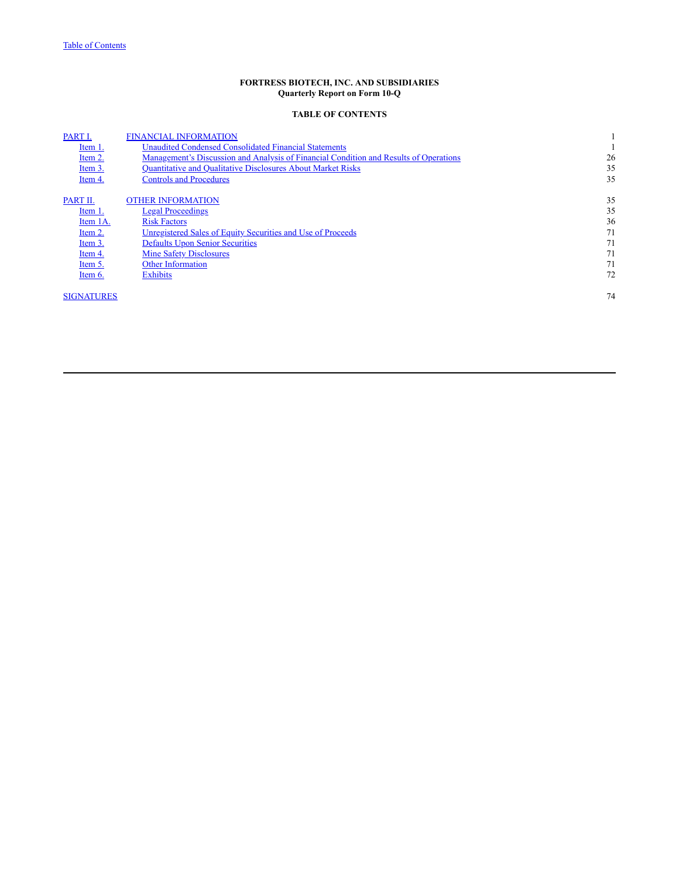# **FORTRESS BIOTECH, INC. AND SUBSIDIARIES Quarterly Report on Form 10-Q**

# **TABLE OF CONTENTS**

<span id="page-1-0"></span>

| PART I.           | <b>FINANCIAL INFORMATION</b>                                                          |    |
|-------------------|---------------------------------------------------------------------------------------|----|
| Item 1.           | <b>Unaudited Condensed Consolidated Financial Statements</b>                          |    |
| Item 2.           | Management's Discussion and Analysis of Financial Condition and Results of Operations | 26 |
| Item 3.           | Quantitative and Qualitative Disclosures About Market Risks                           | 35 |
| Item 4.           | <b>Controls and Procedures</b>                                                        | 35 |
| PART II.          | <b>OTHER INFORMATION</b>                                                              | 35 |
| Item 1.           | <b>Legal Proceedings</b>                                                              | 35 |
| Item 1A.          | <b>Risk Factors</b>                                                                   | 36 |
| Item 2.           | <u>Unregistered Sales of Equity Securities and Use of Proceeds</u>                    | 71 |
| Item 3.           | <b>Defaults Upon Senior Securities</b>                                                | 71 |
| Item 4.           | <b>Mine Safety Disclosures</b>                                                        | 71 |
| Item 5.           | <b>Other Information</b>                                                              | 71 |
| Item $6.$         | Exhibits                                                                              | 72 |
| <b>SIGNATURES</b> |                                                                                       | 74 |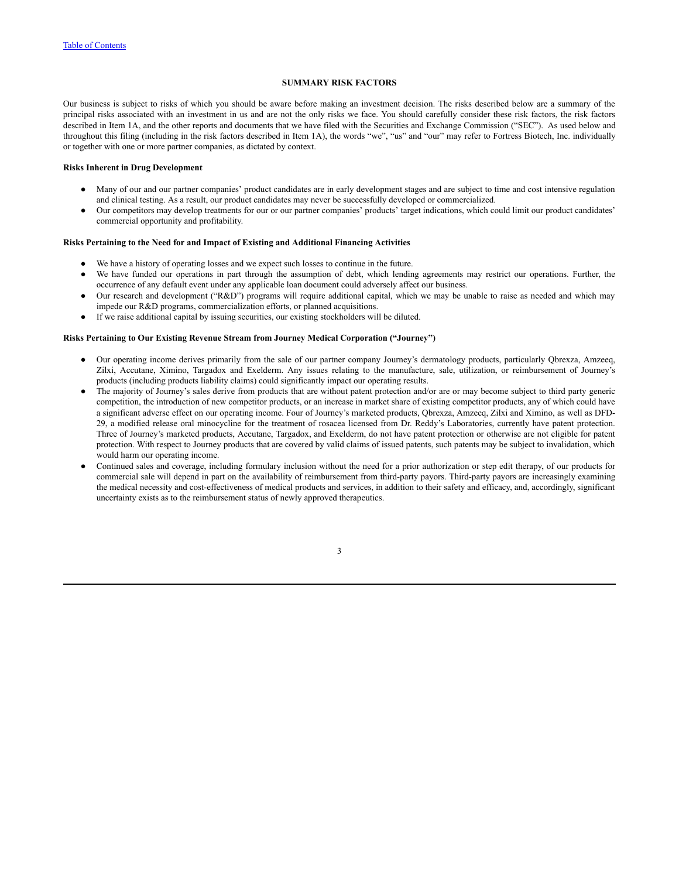### **SUMMARY RISK FACTORS**

Our business is subject to risks of which you should be aware before making an investment decision. The risks described below are a summary of the principal risks associated with an investment in us and are not the only risks we face. You should carefully consider these risk factors, the risk factors described in Item 1A, and the other reports and documents that we have filed with the Securities and Exchange Commission ("SEC"). As used below and throughout this filing (including in the risk factors described in Item 1A), the words "we", "us" and "our" may refer to Fortress Biotech, Inc. individually or together with one or more partner companies, as dictated by context.

### **Risks Inherent in Drug Development**

- Many of our and our partner companies' product candidates are in early development stages and are subject to time and cost intensive regulation and clinical testing. As a result, our product candidates may never be successfully developed or commercialized.
- Our competitors may develop treatments for our or our partner companies' products' target indications, which could limit our product candidates' commercial opportunity and profitability.

### **Risks Pertaining to the Need for and Impact of Existing and Additional Financing Activities**

- We have a history of operating losses and we expect such losses to continue in the future.
- We have funded our operations in part through the assumption of debt, which lending agreements may restrict our operations. Further, the occurrence of any default event under any applicable loan document could adversely affect our business.
- Our research and development ("R&D") programs will require additional capital, which we may be unable to raise as needed and which may impede our R&D programs, commercialization efforts, or planned acquisitions.
- If we raise additional capital by issuing securities, our existing stockholders will be diluted.

### **Risks Pertaining to Our Existing Revenue Stream from Journey Medical Corporation ("Journey")**

- Our operating income derives primarily from the sale of our partner company Journey's dermatology products, particularly Qbrexza, Amzeeq, Zilxi, Accutane, Ximino, Targadox and Exelderm. Any issues relating to the manufacture, sale, utilization, or reimbursement of Journey's products (including products liability claims) could significantly impact our operating results.
- The majority of Journey's sales derive from products that are without patent protection and/or are or may become subject to third party generic competition, the introduction of new competitor products, or an increase in market share of existing competitor products, any of which could have a significant adverse effect on our operating income. Four of Journey's marketed products, Qbrexza, Amzeeq, Zilxi and Ximino, as well as DFD-29, a modified release oral minocycline for the treatment of rosacea licensed from Dr. Reddy's Laboratories, currently have patent protection. Three of Journey's marketed products, Accutane, Targadox, and Exelderm, do not have patent protection or otherwise are not eligible for patent protection. With respect to Journey products that are covered by valid claims of issued patents, such patents may be subject to invalidation, which would harm our operating income.
- Continued sales and coverage, including formulary inclusion without the need for a prior authorization or step edit therapy, of our products for commercial sale will depend in part on the availability of reimbursement from third-party payors. Third-party payors are increasingly examining the medical necessity and cost-effectiveness of medical products and services, in addition to their safety and efficacy, and, accordingly, significant uncertainty exists as to the reimbursement status of newly approved therapeutics.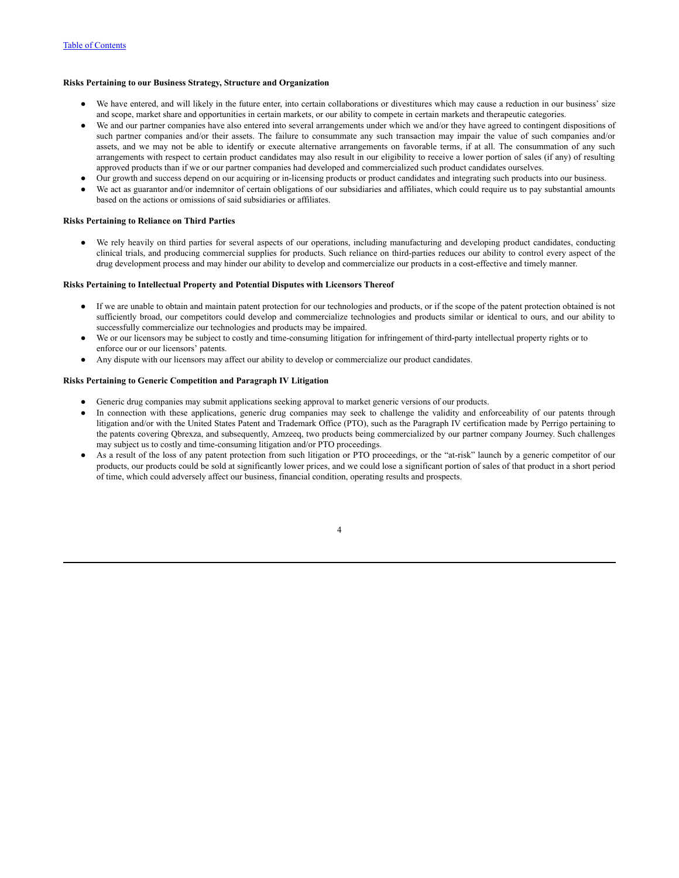### **Risks Pertaining to our Business Strategy, Structure and Organization**

- We have entered, and will likely in the future enter, into certain collaborations or divestitures which may cause a reduction in our business' size and scope, market share and opportunities in certain markets, or our ability to compete in certain markets and therapeutic categories.
- We and our partner companies have also entered into several arrangements under which we and/or they have agreed to contingent dispositions of such partner companies and/or their assets. The failure to consummate any such transaction may impair the value of such companies and/or assets, and we may not be able to identify or execute alternative arrangements on favorable terms, if at all. The consummation of any such arrangements with respect to certain product candidates may also result in our eligibility to receive a lower portion of sales (if any) of resulting approved products than if we or our partner companies had developed and commercialized such product candidates ourselves.
	- Our growth and success depend on our acquiring or in-licensing products or product candidates and integrating such products into our business.
- We act as guarantor and/or indemnitor of certain obligations of our subsidiaries and affiliates, which could require us to pay substantial amounts based on the actions or omissions of said subsidiaries or affiliates.

### **Risks Pertaining to Reliance on Third Parties**

We rely heavily on third parties for several aspects of our operations, including manufacturing and developing product candidates, conducting clinical trials, and producing commercial supplies for products. Such reliance on third-parties reduces our ability to control every aspect of the drug development process and may hinder our ability to develop and commercialize our products in a cost-effective and timely manner.

### **Risks Pertaining to Intellectual Property and Potential Disputes with Licensors Thereof**

- If we are unable to obtain and maintain patent protection for our technologies and products, or if the scope of the patent protection obtained is not sufficiently broad, our competitors could develop and commercialize technologies and products similar or identical to ours, and our ability to successfully commercialize our technologies and products may be impaired.
- We or our licensors may be subject to costly and time-consuming litigation for infringement of third-party intellectual property rights or to enforce our or our licensors' patents.
- Any dispute with our licensors may affect our ability to develop or commercialize our product candidates.

#### **Risks Pertaining to Generic Competition and Paragraph IV Litigation**

- Generic drug companies may submit applications seeking approval to market generic versions of our products.
- In connection with these applications, generic drug companies may seek to challenge the validity and enforceability of our patents through litigation and/or with the United States Patent and Trademark Office (PTO), such as the Paragraph IV certification made by Perrigo pertaining to the patents covering Qbrexza, and subsequently, Amzeeq, two products being commercialized by our partner company Journey. Such challenges may subject us to costly and time-consuming litigation and/or PTO proceedings.
- As a result of the loss of any patent protection from such litigation or PTO proceedings, or the "at-risk" launch by a generic competitor of our products, our products could be sold at significantly lower prices, and we could lose a significant portion of sales of that product in a short period of time, which could adversely affect our business, financial condition, operating results and prospects.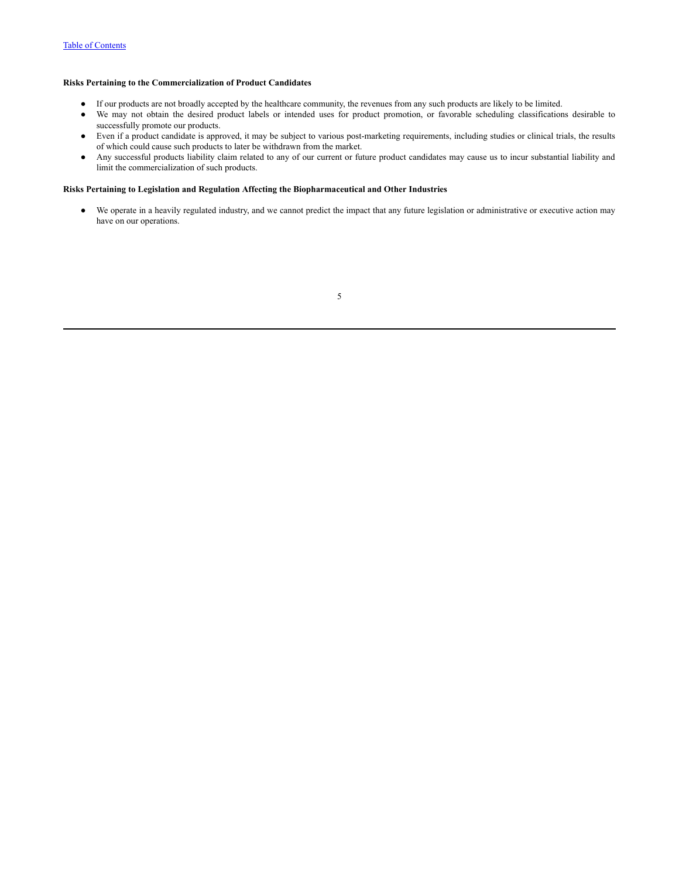# **Risks Pertaining to the Commercialization of Product Candidates**

- If our products are not broadly accepted by the healthcare community, the revenues from any such products are likely to be limited.
- We may not obtain the desired product labels or intended uses for product promotion, or favorable scheduling classifications desirable to successfully promote our products.
- Even if a product candidate is approved, it may be subject to various post-marketing requirements, including studies or clinical trials, the results of which could cause such products to later be withdrawn from the market.
- Any successful products liability claim related to any of our current or future product candidates may cause us to incur substantial liability and limit the commercialization of such products.

# **Risks Pertaining to Legislation and Regulation Affecting the Biopharmaceutical and Other Industries**

● We operate in a heavily regulated industry, and we cannot predict the impact that any future legislation or administrative or executive action may have on our operations.

| I<br>I<br>٠<br>۰. |  |
|-------------------|--|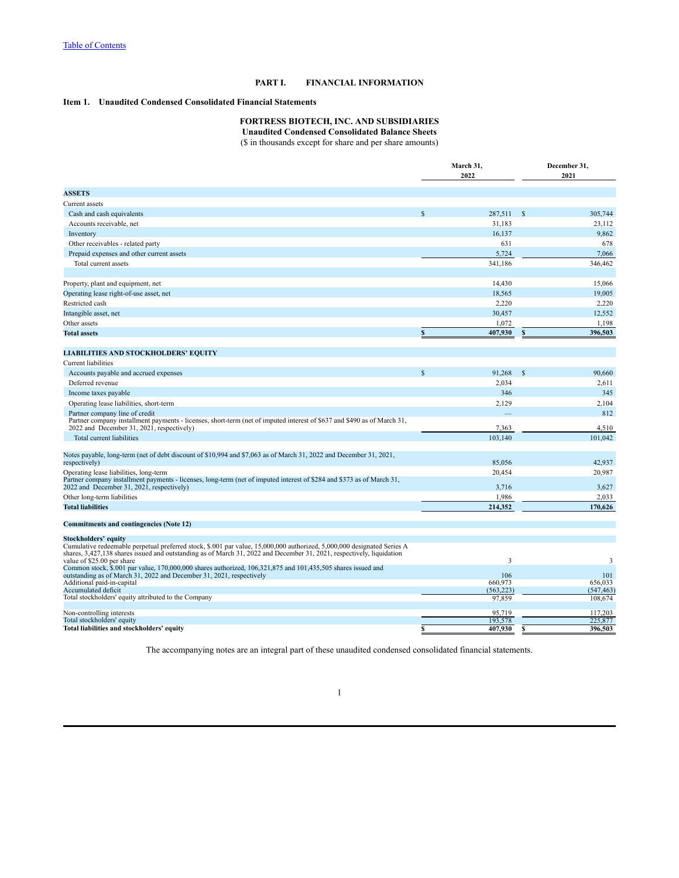# **PART I. FINANCIAL INFORMATION**

### <span id="page-5-1"></span><span id="page-5-0"></span>**Item 1. Unaudited Condensed Consolidated Financial Statements**

# **FORTRESS BIOTECH, INC. AND SUBSIDIARIES**

**Unaudited Condensed Consolidated Balance Sheets**

(\$ in thousands except for share and per share amounts)

|                                                                                                                                                                      |                    | March 31,<br>2022       | December 31,<br>2021 |                       |  |
|----------------------------------------------------------------------------------------------------------------------------------------------------------------------|--------------------|-------------------------|----------------------|-----------------------|--|
|                                                                                                                                                                      |                    |                         |                      |                       |  |
| <b>ASSETS</b>                                                                                                                                                        |                    |                         |                      |                       |  |
| Current assets                                                                                                                                                       |                    |                         |                      |                       |  |
| Cash and cash equivalents                                                                                                                                            | $\mathbf S$        | 287,511                 | <sup>\$</sup>        | 305,744               |  |
| Accounts receivable, net                                                                                                                                             |                    | 31,183                  |                      | 23,112                |  |
| Inventory                                                                                                                                                            |                    | 16,137                  |                      | 9,862                 |  |
| Other receivables - related party                                                                                                                                    |                    | 631                     |                      | 678                   |  |
| Prepaid expenses and other current assets                                                                                                                            |                    | 5,724                   |                      | 7,066                 |  |
| Total current assets                                                                                                                                                 |                    | 341,186                 |                      | 346,462               |  |
|                                                                                                                                                                      |                    |                         |                      |                       |  |
| Property, plant and equipment, net                                                                                                                                   |                    | 14,430                  |                      | 15,066                |  |
| Operating lease right-of-use asset, net                                                                                                                              |                    | 18,565                  |                      | 19,005                |  |
| Restricted cash                                                                                                                                                      |                    | 2,220                   |                      | 2,220                 |  |
| Intangible asset, net                                                                                                                                                |                    | 30,457                  |                      | 12,552                |  |
| Other assets                                                                                                                                                         |                    | 1,072                   |                      | 1,198                 |  |
| <b>Total assets</b>                                                                                                                                                  |                    | 407,930                 | $\mathbf{s}$         | 396.503               |  |
|                                                                                                                                                                      |                    |                         |                      |                       |  |
| <b>LIABILITIES AND STOCKHOLDERS' EQUITY</b>                                                                                                                          |                    |                         |                      |                       |  |
| Current liabilities                                                                                                                                                  |                    |                         |                      |                       |  |
| Accounts payable and accrued expenses                                                                                                                                | $\mathbf{\hat{s}}$ | 91,268                  | <sup>\$</sup>        | 90,660                |  |
| Deferred revenue                                                                                                                                                     |                    | 2,034                   |                      | 2,611                 |  |
| Income taxes payable                                                                                                                                                 |                    | 346                     |                      | 345                   |  |
| Operating lease liabilities, short-term                                                                                                                              |                    | 2,129                   |                      | 2,104                 |  |
| Partner company line of credit                                                                                                                                       |                    |                         |                      | 812                   |  |
| Partner company installment payments - licenses, short-term (net of imputed interest of \$637 and \$490 as of March 31,<br>2022 and December 31, 2021, respectively) |                    | 7,363                   |                      | 4,510                 |  |
| Total current liabilities                                                                                                                                            |                    | 103,140                 |                      | 101,042               |  |
|                                                                                                                                                                      |                    |                         |                      |                       |  |
| Notes payable, long-term (net of debt discount of \$10,994 and \$7,063 as of March 31, 2022 and December 31, 2021,                                                   |                    |                         |                      |                       |  |
| respectively)                                                                                                                                                        |                    | 85,056                  |                      | 42,937                |  |
| Operating lease liabilities, long-term<br>Partner company installment payments - licenses, long-term (net of imputed interest of \$284 and \$373 as of March 31,     |                    | 20,454                  |                      | 20,987                |  |
| 2022 and December 31, 2021, respectively)                                                                                                                            |                    | 3,716                   |                      | 3,627                 |  |
| Other long-term liabilities                                                                                                                                          |                    | 1,986                   |                      | 2,033                 |  |
| <b>Total liabilities</b>                                                                                                                                             |                    | 214,352                 |                      | 170,626               |  |
|                                                                                                                                                                      |                    |                         |                      |                       |  |
| <b>Commitments and contingencies (Note 12)</b>                                                                                                                       |                    |                         |                      |                       |  |
| Stockholders' equity                                                                                                                                                 |                    |                         |                      |                       |  |
| Cumulative redeemable perpetual preferred stock, \$.001 par value, 15,000,000 authorized, 5,000,000 designated Series A                                              |                    |                         |                      |                       |  |
| shares, 3,427,138 shares issued and outstanding as of March 31, 2022 and December 31, 2021, respectively, liquidation<br>value of \$25.00 per share                  |                    | $\overline{\mathbf{3}}$ |                      | 3                     |  |
| Common stock, \$.001 par value, 170,000,000 shares authorized, 106,321,875 and 101,435,505 shares issued and                                                         |                    |                         |                      |                       |  |
| outstanding as of March 31, 2022 and December 31, 2021, respectively                                                                                                 |                    | 106                     |                      | 101                   |  |
| Additional paid-in-capital<br>Accumulated deficit                                                                                                                    |                    | 660.973<br>(563, 223)   |                      | 656.033<br>(547, 463) |  |
| Total stockholders' equity attributed to the Company                                                                                                                 |                    | 97,859                  |                      | 108.674               |  |
|                                                                                                                                                                      |                    |                         |                      |                       |  |
| Non-controlling interests<br>Total stockholders' equity                                                                                                              |                    | 95.719<br>193.578       |                      | 117.203<br>225.877    |  |
| Total liabilities and stockholders' equity                                                                                                                           | S                  | 407,930                 |                      | 396,503               |  |
|                                                                                                                                                                      |                    |                         |                      |                       |  |

The accompanying notes are an integral part of these unaudited condensed consolidated financial statements.

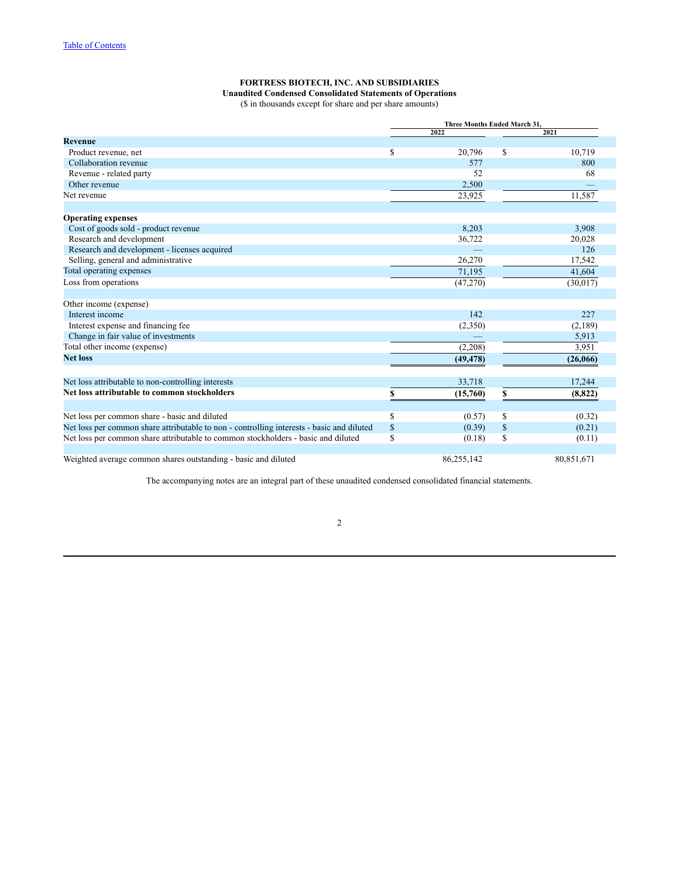# **FORTRESS BIOTECH, INC. AND SUBSIDIARIES**

**Unaudited Condensed Consolidated Statements of Operations**

(\$ in thousands except for share and per share amounts)

|                                                                                           | Three Months Ended March 31,<br>2022                                  |                     |    |            |
|-------------------------------------------------------------------------------------------|-----------------------------------------------------------------------|---------------------|----|------------|
|                                                                                           |                                                                       | 2021                |    |            |
| Revenue                                                                                   |                                                                       |                     |    |            |
| Product revenue, net                                                                      | \$                                                                    | 20,796              | \$ | 10,719     |
| Collaboration revenue                                                                     |                                                                       | 577                 |    | 800        |
| Revenue - related party                                                                   |                                                                       | 52                  |    | 68         |
| Other revenue                                                                             |                                                                       | 2,500               |    |            |
| Net revenue                                                                               |                                                                       | 23,925              |    | 11,587     |
|                                                                                           |                                                                       |                     |    |            |
| <b>Operating expenses</b>                                                                 |                                                                       |                     |    |            |
| Cost of goods sold - product revenue                                                      |                                                                       | 8,203               |    | 3,908      |
| Research and development                                                                  |                                                                       | 36,722              |    | 20,028     |
| Research and development - licenses acquired                                              |                                                                       |                     |    | 126        |
| Selling, general and administrative                                                       |                                                                       | 26,270              |    | 17,542     |
| Total operating expenses                                                                  |                                                                       | $\overline{71,195}$ |    | 41,604     |
| Loss from operations                                                                      |                                                                       | (47,270)            |    | (30,017)   |
|                                                                                           |                                                                       |                     |    |            |
| Other income (expense)                                                                    |                                                                       |                     |    |            |
| Interest income                                                                           |                                                                       | 142                 |    | 227        |
| Interest expense and financing fee                                                        |                                                                       | (2,350)             |    | (2,189)    |
| Change in fair value of investments                                                       |                                                                       |                     |    | 5,913      |
| Total other income (expense)                                                              |                                                                       | (2,208)             |    | 3,951      |
| <b>Net loss</b>                                                                           |                                                                       | (49, 478)           |    | (26,066)   |
|                                                                                           |                                                                       |                     |    |            |
| Net loss attributable to non-controlling interests                                        |                                                                       | 33,718              |    | 17,244     |
| Net loss attributable to common stockholders                                              | \$                                                                    | (15,760)            | \$ | (8, 822)   |
|                                                                                           |                                                                       |                     |    |            |
| Net loss per common share - basic and diluted                                             | \$                                                                    | (0.57)              | \$ | (0.32)     |
| Net loss per common share attributable to non - controlling interests - basic and diluted | $\mathbb{S}% _{t}\left( t\right) \equiv\mathbb{S}_{t}\left( t\right)$ | (0.39)              | \$ | (0.21)     |
| Net loss per common share attributable to common stockholders - basic and diluted         | \$                                                                    | (0.18)              | \$ | (0.11)     |
|                                                                                           |                                                                       |                     |    |            |
| Weighted average common shares outstanding - basic and diluted                            |                                                                       | 86.255.142          |    | 80.851.671 |

The accompanying notes are an integral part of these unaudited condensed consolidated financial statements.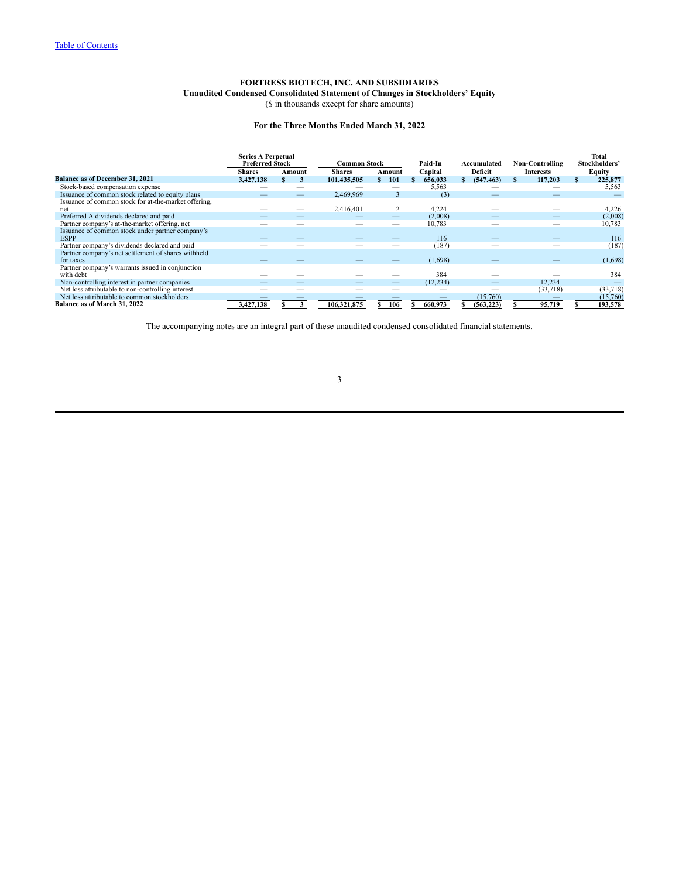# **FORTRESS BIOTECH, INC. AND SUBSIDIARIES**

**Unaudited Condensed Consolidated Statement of Changes in Stockholders' Equity**

(\$ in thousands except for share amounts)

### **For the Three Months Ended March 31, 2022**

|                                                      | <b>Series A Perpetual</b><br><b>Preferred Stock</b> |        | <b>Common Stock</b> |        | Paid-In   | Accumulated | <b>Non-Controlling</b> | Total<br>Stockholders' |
|------------------------------------------------------|-----------------------------------------------------|--------|---------------------|--------|-----------|-------------|------------------------|------------------------|
|                                                      | <b>Shares</b>                                       | Amount | <b>Shares</b>       | Amount | Capital   | Deficit     | <b>Interests</b>       | Equity                 |
| <b>Balance as of December 31, 2021</b>               | 3,427,138                                           |        | 101.435.505         | 101    | 656.033   | (547, 463)  | 117.203                | 225,877                |
| Stock-based compensation expense                     |                                                     | _      |                     |        | 5,563     |             |                        | 5,563                  |
| Issuance of common stock related to equity plans     |                                                     |        | 2.469.969           |        | (3)       |             |                        |                        |
| Issuance of common stock for at-the-market offering, |                                                     |        |                     |        |           |             |                        |                        |
| net                                                  |                                                     |        | 2,416,401           |        | 4,224     |             |                        | 4,226                  |
| Preferred A dividends declared and paid              |                                                     |        |                     |        | (2,008)   |             |                        | (2,008)                |
| Partner company's at-the-market offering, net        |                                                     |        |                     |        | 10,783    |             |                        | 10,783                 |
| Issuance of common stock under partner company's     |                                                     |        |                     |        |           |             |                        |                        |
| <b>ESPP</b>                                          |                                                     |        |                     |        | 116       |             |                        | 116                    |
| Partner company's dividends declared and paid        |                                                     |        |                     |        | (187)     |             |                        | (187)                  |
| Partner company's net settlement of shares withheld  |                                                     |        |                     |        |           |             |                        |                        |
| for taxes                                            |                                                     |        |                     |        | (1,698)   |             |                        | (1,698)                |
| Partner company's warrants issued in conjunction     |                                                     |        |                     |        |           |             |                        |                        |
| with debt                                            |                                                     |        |                     |        | 384       |             |                        | 384                    |
| Non-controlling interest in partner companies        |                                                     |        |                     |        | (12, 234) |             | 12,234                 |                        |
| Net loss attributable to non-controlling interest    |                                                     |        |                     |        |           |             | (33,718)               | (33, 718)              |
| Net loss attributable to common stockholders         |                                                     |        |                     |        |           | (15,760)    |                        | (15,760)               |
| <b>Balance as of March 31, 2022</b>                  | 3.427.138                                           |        | 106.321.875         | 106    | 660,973   | (563, 223)  | 95,719                 | 193,578                |

The accompanying notes are an integral part of these unaudited condensed consolidated financial statements.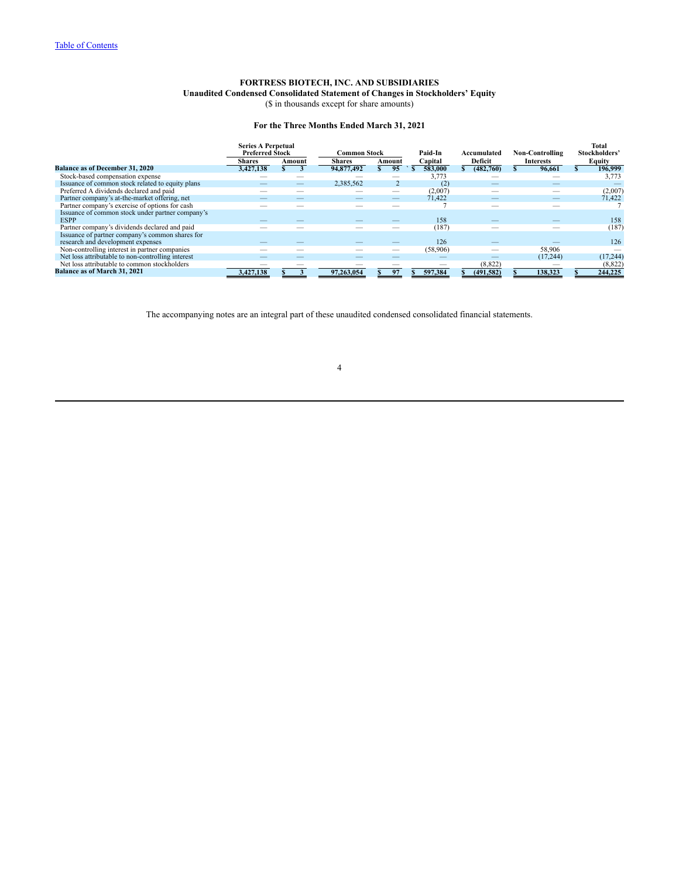# **FORTRESS BIOTECH, INC. AND SUBSIDIARIES**

**Unaudited Condensed Consolidated Statement of Changes in Stockholders' Equity**

(\$ in thousands except for share amounts)

### **For the Three Months Ended March 31, 2021**

|                                                   | <b>Series A Perpetual</b><br><b>Preferred Stock</b> |        | <b>Common Stock</b> |        | Paid-In  | Accumulated | <b>Non-Controlling</b> | Total<br>Stockholders' |
|---------------------------------------------------|-----------------------------------------------------|--------|---------------------|--------|----------|-------------|------------------------|------------------------|
|                                                   | <b>Shares</b>                                       | Amount | <b>Shares</b>       | Amount | Capital  | Deficit     | <b>Interests</b>       | Equity                 |
| <b>Balance as of December 31, 2020</b>            | 3.427.138                                           |        | 94,877,492          | 95     | 583,000  | (482,760)   | 96.661                 | 196,999                |
| Stock-based compensation expense                  |                                                     | _      |                     |        | 3,773    |             |                        | 3,773                  |
| Issuance of common stock related to equity plans  |                                                     |        | 2,385,562           |        | (2)      |             |                        |                        |
| Preferred A dividends declared and paid           |                                                     |        |                     |        | (2,007)  |             |                        | (2,007)                |
| Partner company's at-the-market offering, net     |                                                     | __     |                     |        | 71.422   |             |                        | 71,422                 |
| Partner company's exercise of options for cash    |                                                     |        |                     |        |          |             |                        |                        |
| Issuance of common stock under partner company's  |                                                     |        |                     |        |          |             |                        |                        |
| <b>ESPP</b>                                       |                                                     |        |                     |        | 158      |             |                        | 158                    |
| Partner company's dividends declared and paid     |                                                     |        |                     |        | (187)    |             |                        | (187)                  |
| Issuance of partner company's common shares for   |                                                     |        |                     |        |          |             |                        |                        |
| research and development expenses                 |                                                     |        |                     |        | 126      |             |                        | 126                    |
| Non-controlling interest in partner companies     |                                                     |        |                     |        | (58,906) |             | 58,906                 |                        |
| Net loss attributable to non-controlling interest |                                                     |        |                     |        |          |             | (17, 244)              | (17, 244)              |
| Net loss attributable to common stockholders      |                                                     |        |                     |        |          | (8, 822)    |                        | (8, 822)               |
| <b>Balance as of March 31, 2021</b>               | 3.427.138                                           |        | 97,263,054          | 97     | 597.384  | (491, 582)  | 138,323                | 244,225                |

The accompanying notes are an integral part of these unaudited condensed consolidated financial statements.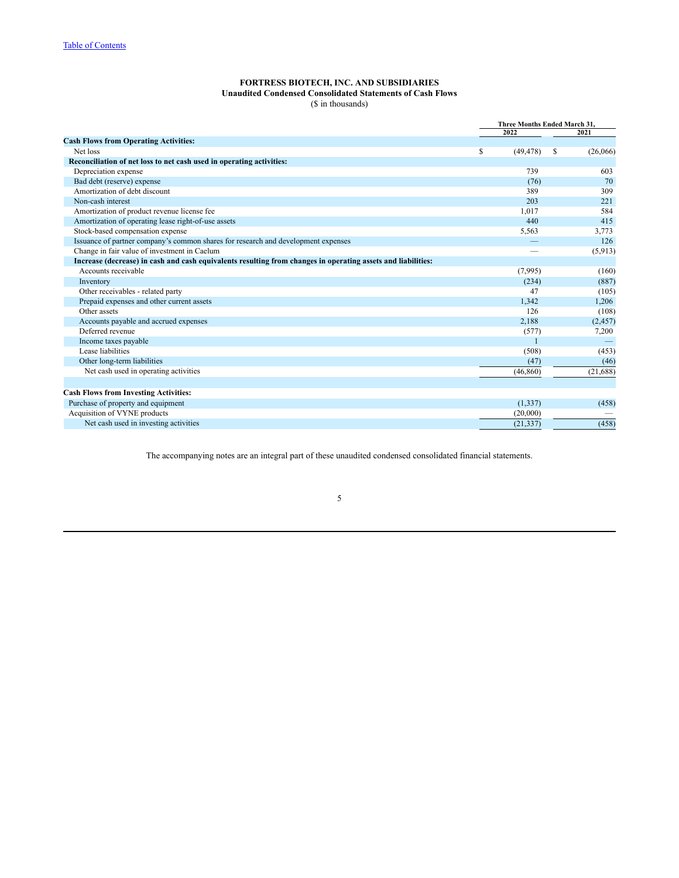### **FORTRESS BIOTECH, INC. AND SUBSIDIARIES Unaudited Condensed Consolidated Statements of Cash Flows**

(\$ in thousands)

|                                                                                                              |   | Three Months Ended March 31,<br>2022 | 2021 |          |
|--------------------------------------------------------------------------------------------------------------|---|--------------------------------------|------|----------|
| <b>Cash Flows from Operating Activities:</b>                                                                 |   |                                      |      |          |
| Net loss                                                                                                     | S | (49, 478)                            | -S   | (26,066) |
| Reconciliation of net loss to net cash used in operating activities:                                         |   |                                      |      |          |
| Depreciation expense                                                                                         |   | 739                                  |      | 603      |
| Bad debt (reserve) expense                                                                                   |   | (76)                                 |      | 70       |
| Amortization of debt discount                                                                                |   | 389                                  |      | 309      |
| Non-cash interest                                                                                            |   | 203                                  |      | 221      |
| Amortization of product revenue license fee                                                                  |   | 1,017                                |      | 584      |
| Amortization of operating lease right-of-use assets                                                          |   | 440                                  |      | 415      |
| Stock-based compensation expense                                                                             |   | 5,563                                |      | 3,773    |
| Issuance of partner company's common shares for research and development expenses                            |   |                                      |      | 126      |
| Change in fair value of investment in Caelum                                                                 |   |                                      |      | (5, 913) |
| Increase (decrease) in cash and cash equivalents resulting from changes in operating assets and liabilities: |   |                                      |      |          |
| Accounts receivable                                                                                          |   | (7,995)                              |      | (160)    |
| Inventory                                                                                                    |   | (234)                                |      | (887)    |
| Other receivables - related party                                                                            |   | 47                                   |      | (105)    |
| Prepaid expenses and other current assets                                                                    |   | 1,342                                |      | 1,206    |
| Other assets                                                                                                 |   | 126                                  |      | (108)    |
| Accounts payable and accrued expenses                                                                        |   | 2,188                                |      | (2, 457) |
| Deferred revenue                                                                                             |   | (577)                                |      | 7,200    |
| Income taxes payable                                                                                         |   |                                      |      |          |
| Lease liabilities                                                                                            |   | (508)                                |      | (453)    |
| Other long-term liabilities                                                                                  |   | (47)                                 |      | (46)     |
| Net cash used in operating activities                                                                        |   | (46, 860)                            |      | (21,688) |
|                                                                                                              |   |                                      |      |          |
| <b>Cash Flows from Investing Activities:</b>                                                                 |   |                                      |      |          |
| Purchase of property and equipment                                                                           |   | (1, 337)                             |      | (458)    |
| Acquisition of VYNE products                                                                                 |   | (20,000)                             |      |          |
| Net cash used in investing activities                                                                        |   | (21, 337)                            |      | (458)    |

The accompanying notes are an integral part of these unaudited condensed consolidated financial statements.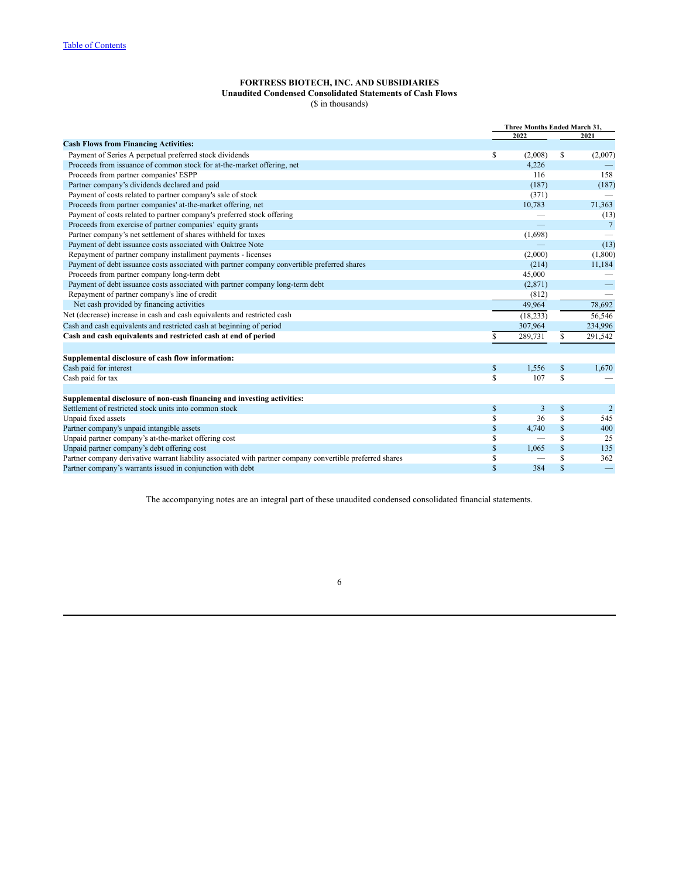#### **FORTRESS BIOTECH, INC. AND SUBSIDIARIES Unaudited Condensed Consolidated Statements of Cash Flows**

(\$ in thousands)

|                                                                                                           | Three Months Ended March 31, |               |         |  |
|-----------------------------------------------------------------------------------------------------------|------------------------------|---------------|---------|--|
|                                                                                                           | 2022                         |               | 2021    |  |
| <b>Cash Flows from Financing Activities:</b>                                                              |                              |               |         |  |
| Payment of Series A perpetual preferred stock dividends                                                   | \$<br>(2,008)                | \$            | (2,007) |  |
| Proceeds from issuance of common stock for at-the-market offering, net                                    | 4,226                        |               |         |  |
| Proceeds from partner companies' ESPP                                                                     | 116                          |               | 158     |  |
| Partner company's dividends declared and paid                                                             | (187)                        |               | (187)   |  |
| Payment of costs related to partner company's sale of stock                                               | (371)                        |               |         |  |
| Proceeds from partner companies' at-the-market offering, net                                              | 10,783                       |               | 71,363  |  |
| Payment of costs related to partner company's preferred stock offering                                    |                              |               | (13)    |  |
| Proceeds from exercise of partner companies' equity grants                                                |                              |               | $\tau$  |  |
| Partner company's net settlement of shares withheld for taxes                                             | (1,698)                      |               |         |  |
| Payment of debt issuance costs associated with Oaktree Note                                               |                              |               | (13)    |  |
| Repayment of partner company installment payments - licenses                                              | (2,000)                      |               | (1,800) |  |
| Payment of debt issuance costs associated with partner company convertible preferred shares               | (214)                        |               | 11,184  |  |
| Proceeds from partner company long-term debt                                                              | 45,000                       |               |         |  |
| Payment of debt issuance costs associated with partner company long-term debt                             | (2,871)                      |               |         |  |
| Repayment of partner company's line of credit                                                             | (812)                        |               |         |  |
| Net cash provided by financing activities                                                                 | 49.964                       |               | 78,692  |  |
| Net (decrease) increase in cash and cash equivalents and restricted cash                                  | (18, 233)                    |               | 56,546  |  |
| Cash and cash equivalents and restricted cash at beginning of period                                      | 307,964                      |               | 234,996 |  |
| Cash and cash equivalents and restricted cash at end of period                                            | \$<br>289,731                | \$            | 291,542 |  |
| Supplemental disclosure of cash flow information:                                                         |                              |               |         |  |
| Cash paid for interest                                                                                    | \$<br>1,556                  | \$            | 1,670   |  |
| Cash paid for tax                                                                                         | \$<br>107                    | S             |         |  |
| Supplemental disclosure of non-cash financing and investing activities:                                   |                              |               |         |  |
| Settlement of restricted stock units into common stock                                                    | \$<br>3                      | $\mathsf{\$}$ | 2       |  |
| Unpaid fixed assets                                                                                       | \$<br>36                     | S             | 545     |  |
| Partner company's unpaid intangible assets                                                                | \$<br>4,740                  | \$            | 400     |  |
| Unpaid partner company's at-the-market offering cost                                                      | \$                           | S             | 25      |  |
| Unpaid partner company's debt offering cost                                                               | \$<br>1,065                  | \$            | 135     |  |
| Partner company derivative warrant liability associated with partner company convertible preferred shares | \$                           | S             | 362     |  |
| Partner company's warrants issued in conjunction with debt                                                | \$<br>384                    | \$            |         |  |

The accompanying notes are an integral part of these unaudited condensed consolidated financial statements.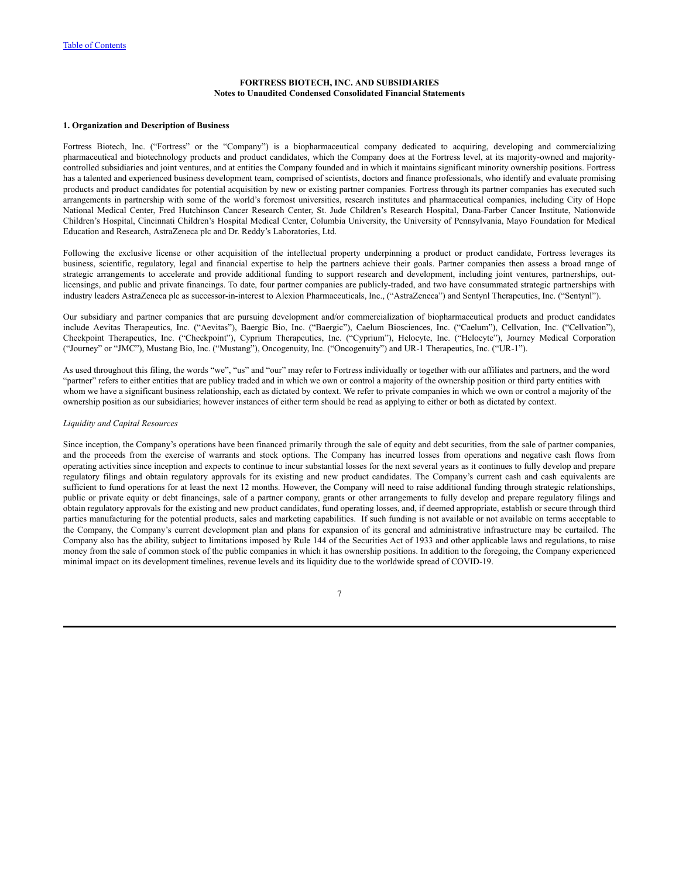#### **1. Organization and Description of Business**

Fortress Biotech, Inc. ("Fortress" or the "Company") is a biopharmaceutical company dedicated to acquiring, developing and commercializing pharmaceutical and biotechnology products and product candidates, which the Company does at the Fortress level, at its majority-owned and majoritycontrolled subsidiaries and joint ventures, and at entities the Company founded and in which it maintains significant minority ownership positions. Fortress has a talented and experienced business development team, comprised of scientists, doctors and finance professionals, who identify and evaluate promising products and product candidates for potential acquisition by new or existing partner companies. Fortress through its partner companies has executed such arrangements in partnership with some of the world's foremost universities, research institutes and pharmaceutical companies, including City of Hope National Medical Center, Fred Hutchinson Cancer Research Center, St. Jude Children's Research Hospital, Dana-Farber Cancer Institute, Nationwide Children's Hospital, Cincinnati Children's Hospital Medical Center, Columbia University, the University of Pennsylvania, Mayo Foundation for Medical Education and Research, AstraZeneca plc and Dr. Reddy's Laboratories, Ltd.

Following the exclusive license or other acquisition of the intellectual property underpinning a product or product candidate, Fortress leverages its business, scientific, regulatory, legal and financial expertise to help the partners achieve their goals. Partner companies then assess a broad range of strategic arrangements to accelerate and provide additional funding to support research and development, including joint ventures, partnerships, outlicensings, and public and private financings. To date, four partner companies are publicly-traded, and two have consummated strategic partnerships with industry leaders AstraZeneca plc as successor-in-interest to Alexion Pharmaceuticals, Inc., ("AstraZeneca") and Sentynl Therapeutics, Inc. ("Sentynl").

Our subsidiary and partner companies that are pursuing development and/or commercialization of biopharmaceutical products and product candidates include Aevitas Therapeutics, Inc. ("Aevitas"), Baergic Bio, Inc. ("Baergic"), Caelum Biosciences, Inc. ("Caelum"), Cellvation, Inc. ("Cellvation"), Checkpoint Therapeutics, Inc. ("Checkpoint"), Cyprium Therapeutics, Inc. ("Cyprium"), Helocyte, Inc. ("Helocyte"), Journey Medical Corporation ("Journey" or "JMC"), Mustang Bio, Inc. ("Mustang"), Oncogenuity, Inc. ("Oncogenuity") and UR-1 Therapeutics, Inc. ("UR-1").

As used throughout this filing, the words "we", "us" and "our" may refer to Fortress individually or together with our affiliates and partners, and the word "partner" refers to either entities that are publicy traded and in which we own or control a majority of the ownership position or third party entities with whom we have a significant business relationship, each as dictated by context. We refer to private companies in which we own or control a majority of the ownership position as our subsidiaries; however instances of either term should be read as applying to either or both as dictated by context.

#### *Liquidity and Capital Resources*

Since inception, the Company's operations have been financed primarily through the sale of equity and debt securities, from the sale of partner companies, and the proceeds from the exercise of warrants and stock options. The Company has incurred losses from operations and negative cash flows from operating activities since inception and expects to continue to incur substantial losses for the next several years as it continues to fully develop and prepare regulatory filings and obtain regulatory approvals for its existing and new product candidates. The Company's current cash and cash equivalents are sufficient to fund operations for at least the next 12 months. However, the Company will need to raise additional funding through strategic relationships, public or private equity or debt financings, sale of a partner company, grants or other arrangements to fully develop and prepare regulatory filings and obtain regulatory approvals for the existing and new product candidates, fund operating losses, and, if deemed appropriate, establish or secure through third parties manufacturing for the potential products, sales and marketing capabilities. If such funding is not available or not available on terms acceptable to the Company, the Company's current development plan and plans for expansion of its general and administrative infrastructure may be curtailed. The Company also has the ability, subject to limitations imposed by Rule 144 of the Securities Act of 1933 and other applicable laws and regulations, to raise money from the sale of common stock of the public companies in which it has ownership positions. In addition to the foregoing, the Company experienced minimal impact on its development timelines, revenue levels and its liquidity due to the worldwide spread of COVID-19.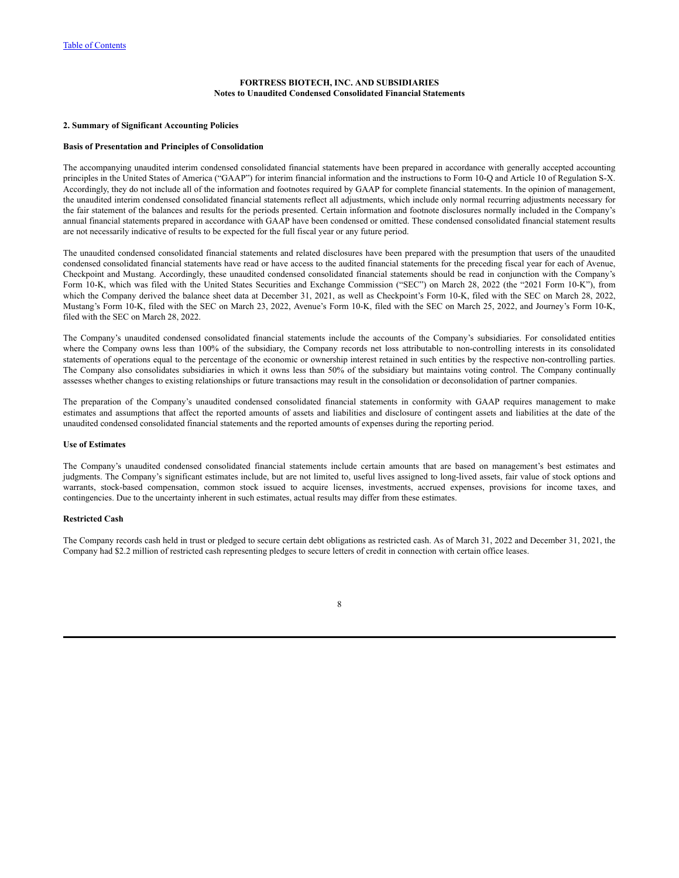#### **2. Summary of Significant Accounting Policies**

### **Basis of Presentation and Principles of Consolidation**

The accompanying unaudited interim condensed consolidated financial statements have been prepared in accordance with generally accepted accounting principles in the United States of America ("GAAP") for interim financial information and the instructions to Form 10-Q and Article 10 of Regulation S-X. Accordingly, they do not include all of the information and footnotes required by GAAP for complete financial statements. In the opinion of management, the unaudited interim condensed consolidated financial statements reflect all adjustments, which include only normal recurring adjustments necessary for the fair statement of the balances and results for the periods presented. Certain information and footnote disclosures normally included in the Company's annual financial statements prepared in accordance with GAAP have been condensed or omitted. These condensed consolidated financial statement results are not necessarily indicative of results to be expected for the full fiscal year or any future period.

The unaudited condensed consolidated financial statements and related disclosures have been prepared with the presumption that users of the unaudited condensed consolidated financial statements have read or have access to the audited financial statements for the preceding fiscal year for each of Avenue, Checkpoint and Mustang. Accordingly, these unaudited condensed consolidated financial statements should be read in conjunction with the Company's Form 10-K, which was filed with the United States Securities and Exchange Commission ("SEC") on March 28, 2022 (the "2021 Form 10-K"), from which the Company derived the balance sheet data at December 31, 2021, as well as Checkpoint's Form 10-K, filed with the SEC on March 28, 2022, Mustang's Form 10-K, filed with the SEC on March 23, 2022, Avenue's Form 10-K, filed with the SEC on March 25, 2022, and Journey's Form 10-K, filed with the SEC on March 28, 2022.

The Company's unaudited condensed consolidated financial statements include the accounts of the Company's subsidiaries. For consolidated entities where the Company owns less than 100% of the subsidiary, the Company records net loss attributable to non-controlling interests in its consolidated statements of operations equal to the percentage of the economic or ownership interest retained in such entities by the respective non-controlling parties. The Company also consolidates subsidiaries in which it owns less than 50% of the subsidiary but maintains voting control. The Company continually assesses whether changes to existing relationships or future transactions may result in the consolidation or deconsolidation of partner companies.

The preparation of the Company's unaudited condensed consolidated financial statements in conformity with GAAP requires management to make estimates and assumptions that affect the reported amounts of assets and liabilities and disclosure of contingent assets and liabilities at the date of the unaudited condensed consolidated financial statements and the reported amounts of expenses during the reporting period.

### **Use of Estimates**

The Company's unaudited condensed consolidated financial statements include certain amounts that are based on management's best estimates and judgments. The Company's significant estimates include, but are not limited to, useful lives assigned to long-lived assets, fair value of stock options and warrants, stock-based compensation, common stock issued to acquire licenses, investments, accrued expenses, provisions for income taxes, and contingencies. Due to the uncertainty inherent in such estimates, actual results may differ from these estimates.

### **Restricted Cash**

The Company records cash held in trust or pledged to secure certain debt obligations as restricted cash. As of March 31, 2022 and December 31, 2021, the Company had \$2.2 million of restricted cash representing pledges to secure letters of credit in connection with certain office leases.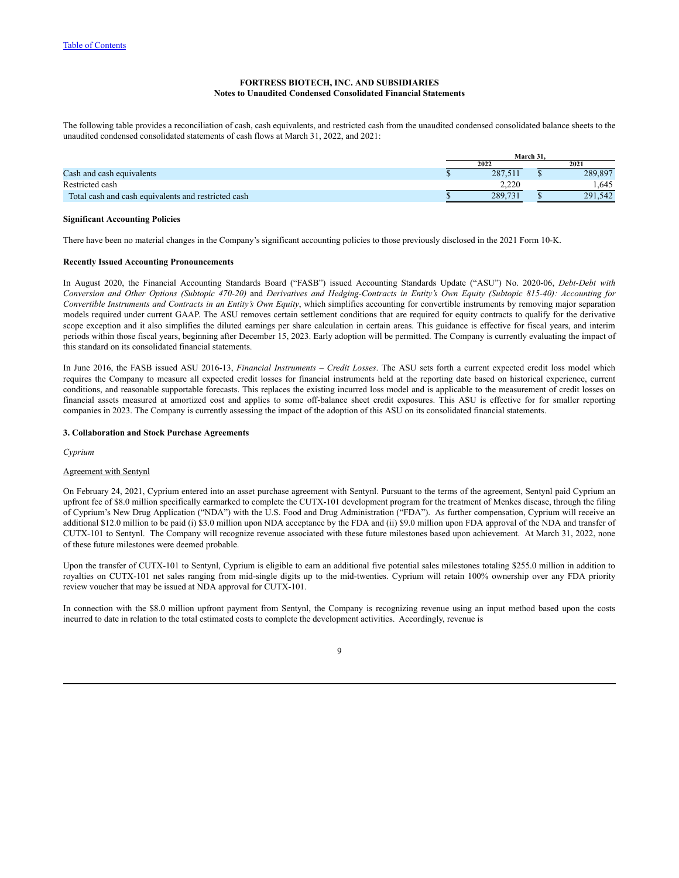The following table provides a reconciliation of cash, cash equivalents, and restricted cash from the unaudited condensed consolidated balance sheets to the unaudited condensed consolidated statements of cash flows at March 31, 2022, and 2021:

|                                                     |         | <b>March 31</b> |         |
|-----------------------------------------------------|---------|-----------------|---------|
|                                                     | 2022    |                 | 2021    |
| Cash and cash equivalents                           | 287.51  |                 | 289,897 |
| Restricted cash                                     | 2.220   |                 | .645    |
| Total cash and cash equivalents and restricted cash | 289.731 |                 | 291.542 |

### **Significant Accounting Policies**

There have been no material changes in the Company's significant accounting policies to those previously disclosed in the 2021 Form 10-K.

### **Recently Issued Accounting Pronouncements**

In August 2020, the Financial Accounting Standards Board ("FASB") issued Accounting Standards Update ("ASU") No. 2020-06, *Debt-Debt with* Conversion and Other Options (Subtopic 470-20) and Derivatives and Hedging-Contracts in Entity's Own Equity (Subtopic 815-40): Accounting for *Convertible Instruments and Contracts in an Entity's Own Equity*, which simplifies accounting for convertible instruments by removing major separation models required under current GAAP. The ASU removes certain settlement conditions that are required for equity contracts to qualify for the derivative scope exception and it also simplifies the diluted earnings per share calculation in certain areas. This guidance is effective for fiscal years, and interim periods within those fiscal years, beginning after December 15, 2023. Early adoption will be permitted. The Company is currently evaluating the impact of this standard on its consolidated financial statements.

In June 2016, the FASB issued ASU 2016-13, *Financial Instruments – Credit Losses*. The ASU sets forth a current expected credit loss model which requires the Company to measure all expected credit losses for financial instruments held at the reporting date based on historical experience, current conditions, and reasonable supportable forecasts. This replaces the existing incurred loss model and is applicable to the measurement of credit losses on financial assets measured at amortized cost and applies to some off-balance sheet credit exposures. This ASU is effective for for smaller reporting companies in 2023. The Company is currently assessing the impact of the adoption of this ASU on its consolidated financial statements.

### **3. Collaboration and Stock Purchase Agreements**

*Cyprium*

### Agreement with Sentynl

On February 24, 2021, Cyprium entered into an asset purchase agreement with Sentynl. Pursuant to the terms of the agreement, Sentynl paid Cyprium an upfront fee of \$8.0 million specifically earmarked to complete the CUTX-101 development program for the treatment of Menkes disease, through the filing of Cyprium's New Drug Application ("NDA") with the U.S. Food and Drug Administration ("FDA"). As further compensation, Cyprium will receive an additional \$12.0 million to be paid (i) \$3.0 million upon NDA acceptance by the FDA and (ii) \$9.0 million upon FDA approval of the NDA and transfer of CUTX-101 to Sentynl. The Company will recognize revenue associated with these future milestones based upon achievement. At March 31, 2022, none of these future milestones were deemed probable.

Upon the transfer of CUTX-101 to Sentynl, Cyprium is eligible to earn an additional five potential sales milestones totaling \$255.0 million in addition to royalties on CUTX-101 net sales ranging from mid-single digits up to the mid-twenties. Cyprium will retain 100% ownership over any FDA priority review voucher that may be issued at NDA approval for CUTX-101.

In connection with the \$8.0 million upfront payment from Sentynl, the Company is recognizing revenue using an input method based upon the costs incurred to date in relation to the total estimated costs to complete the development activities. Accordingly, revenue is

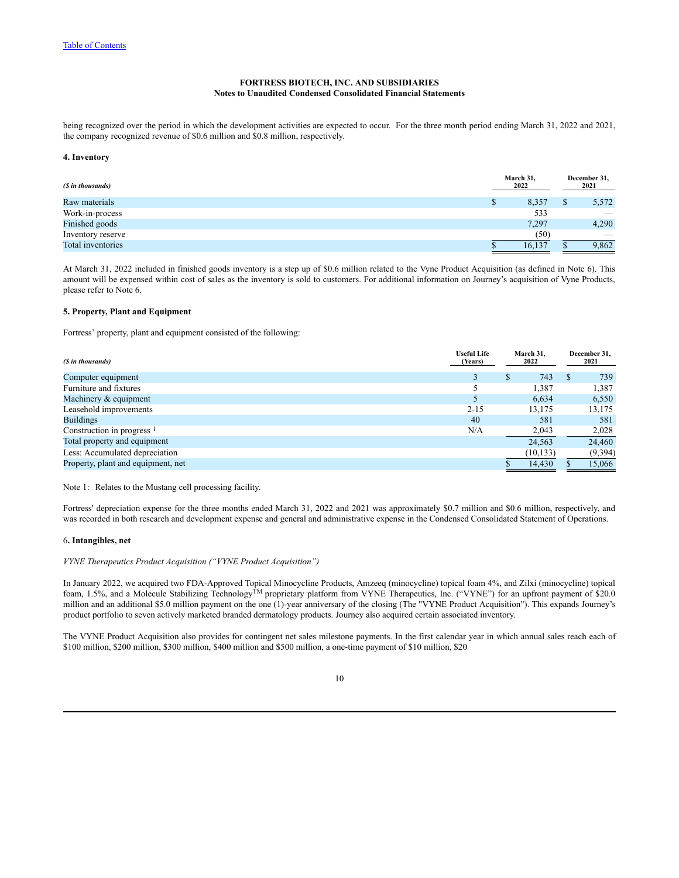being recognized over the period in which the development activities are expected to occur. For the three month period ending March 31, 2022 and 2021, the company recognized revenue of \$0.6 million and \$0.8 million, respectively.

#### **4. Inventory**

| (\$ in thousands) | March 31,<br>2022 | December 31,<br>2021 |       |  |
|-------------------|-------------------|----------------------|-------|--|
| Raw materials     | 8,357             |                      | 5,572 |  |
| Work-in-process   | 533               |                      |       |  |
| Finished goods    | 7,297             |                      | 4,290 |  |
| Inventory reserve | (50)              |                      |       |  |
| Total inventories | 16,137            |                      | 9,862 |  |

At March 31, 2022 included in finished goods inventory is a step up of \$0.6 million related to the Vyne Product Acquisition (as defined in Note 6). This amount will be expensed within cost of sales as the inventory is sold to customers. For additional information on Journey's acquisition of Vyne Products, please refer to Note 6.

# **5. Property, Plant and Equipment**

Fortress' property, plant and equipment consisted of the following:

| (S in thousands)                      | <b>Useful Life</b><br>(Years) | March 31.<br>2022 |   | December 31.<br>2021 |
|---------------------------------------|-------------------------------|-------------------|---|----------------------|
| Computer equipment                    |                               | 743               | S | 739                  |
| Furniture and fixtures                |                               | 1,387             |   | 1,387                |
| Machinery & equipment                 |                               | 6,634             |   | 6,550                |
| Leasehold improvements                | $2 - 15$                      | 13.175            |   | 13,175               |
| <b>Buildings</b>                      | 40                            | 581               |   | 581                  |
| Construction in progress <sup>1</sup> | N/A                           | 2,043             |   | 2,028                |
| Total property and equipment          |                               | 24.563            |   | 24,460               |
| Less: Accumulated depreciation        |                               | (10, 133)         |   | (9,394)              |
| Property, plant and equipment, net    |                               | 14.430            |   | 15,066               |

Note 1: Relates to the Mustang cell processing facility.

Fortress' depreciation expense for the three months ended March 31, 2022 and 2021 was approximately \$0.7 million and \$0.6 million, respectively, and was recorded in both research and development expense and general and administrative expense in the Condensed Consolidated Statement of Operations.

### 6**. Intangibles, net**

*VYNE Therapeutics Product Acquisition ("VYNE Product Acquisition")*

In January 2022, we acquired two FDA-Approved Topical Minocycline Products, Amzeeq (minocycline) topical foam 4%, and Zilxi (minocycline) topical foam, 1.5%, and a Molecule Stabilizing Technology<sup>TM</sup> proprietary platform from VYNE Therapeutics, Inc. ("VYNE") for an upfront payment of \$20.0 million and an additional \$5.0 million payment on the one (1)-year anniversary of the closing (The "VYNE Product Acquisition"). This expands Journey's product portfolio to seven actively marketed branded dermatology products. Journey also acquired certain associated inventory.

The VYNE Product Acquisition also provides for contingent net sales milestone payments. In the first calendar year in which annual sales reach each of \$100 million, \$200 million, \$300 million, \$400 million and \$500 million, a one-time payment of \$10 million, \$20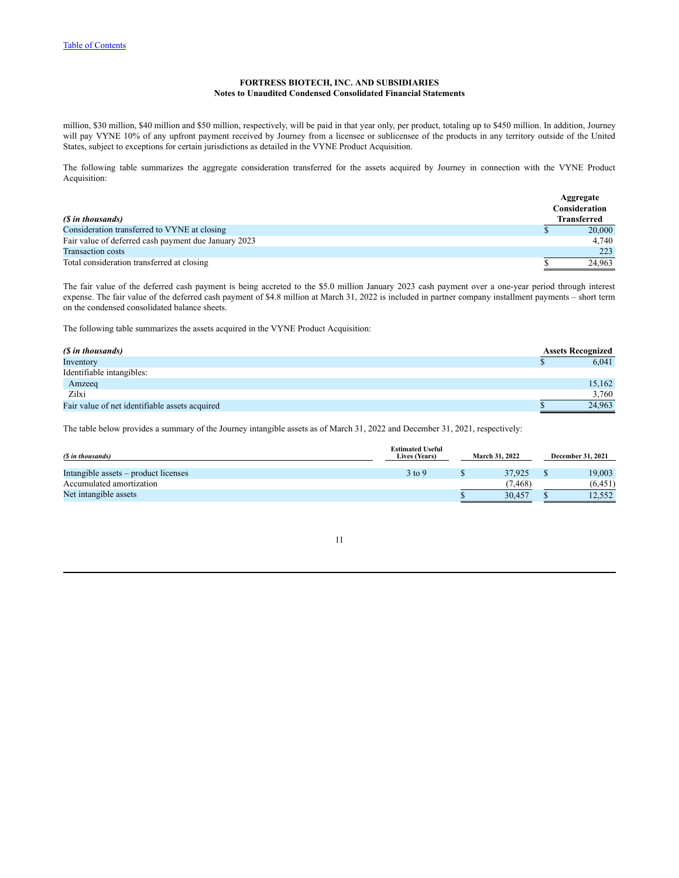million, \$30 million, \$40 million and \$50 million, respectively, will be paid in that year only, per product, totaling up to \$450 million. In addition, Journey will pay VYNE 10% of any upfront payment received by Journey from a licensee or sublicensee of the products in any territory outside of the United States, subject to exceptions for certain jurisdictions as detailed in the VYNE Product Acquisition.

The following table summarizes the aggregate consideration transferred for the assets acquired by Journey in connection with the VYNE Product Acquisition:

|                                                      | Aggregate          |
|------------------------------------------------------|--------------------|
|                                                      | Consideration      |
| (S in thousands)                                     | <b>Transferred</b> |
| Consideration transferred to VYNE at closing         | 20,000             |
| Fair value of deferred cash payment due January 2023 | 4.740              |
| <b>Transaction costs</b>                             | 223                |
| Total consideration transferred at closing           | 24.963             |

The fair value of the deferred cash payment is being accreted to the \$5.0 million January 2023 cash payment over a one-year period through interest expense. The fair value of the deferred cash payment of \$4.8 million at March 31, 2022 is included in partner company installment payments – short term on the condensed consolidated balance sheets.

The following table summarizes the assets acquired in the VYNE Product Acquisition:

| (S in thousands)                               | <b>Assets Recognized</b> |
|------------------------------------------------|--------------------------|
| Inventory                                      | 6.041                    |
| Identifiable intangibles:                      |                          |
| Amzeeg                                         | 15,162                   |
| Zilxi                                          | 3,760                    |
| Fair value of net identifiable assets acquired | 24.963                   |

The table below provides a summary of the Journey intangible assets as of March 31, 2022 and December 31, 2021, respectively:

| (\$ in thousands)                    | Estimated Useful<br>Lives (Years) | <b>March 31, 2022</b> | <b>December 31, 2021</b> |
|--------------------------------------|-----------------------------------|-----------------------|--------------------------|
| Intangible assets – product licenses | $3$ to 9                          | 37.925                | 19,003                   |
| Accumulated amortization             |                                   | (7.468)               | (6, 451)                 |
| Net intangible assets                |                                   | 30.457                | 12.552                   |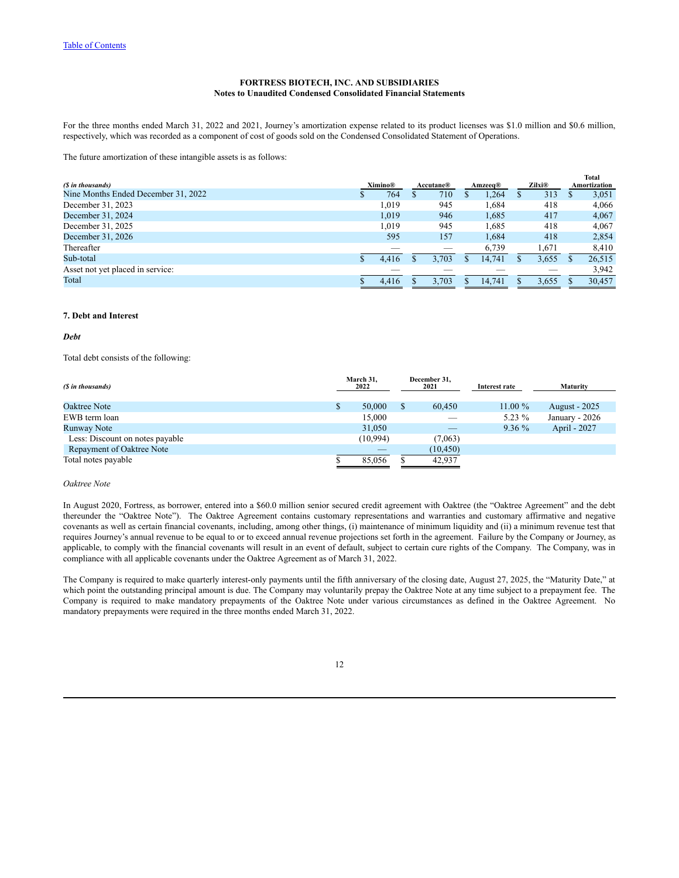For the three months ended March 31, 2022 and 2021, Journey's amortization expense related to its product licenses was \$1.0 million and \$0.6 million, respectively, which was recorded as a component of cost of goods sold on the Condensed Consolidated Statement of Operations.

The future amortization of these intangible assets is as follows:

|                                                                 |                    | <b>Total</b>        |  |
|-----------------------------------------------------------------|--------------------|---------------------|--|
| <b>Ximino®</b><br>(\$ in thousands)<br>Amzeeq®<br>Accutane®     | Zilxi <sup>®</sup> | <b>Amortization</b> |  |
| Nine Months Ended December 31, 2022<br>710<br>764<br>1,264<br>D | 313                | 3,051               |  |
| 1,019<br>945<br>December 31, 2023<br>1,684                      | 418                | 4,066               |  |
| 1,019<br>946<br>December 31, 2024<br>1,685                      | 417                | 4,067               |  |
| 1.019<br>945<br>December 31, 2025<br>1,685                      | 418                | 4,067               |  |
| December 31, 2026<br>595<br>157<br>1,684                        | 418                | 2,854               |  |
| 6.739<br>Thereafter                                             | .671               | 8,410               |  |
| Sub-total<br>3,703<br>14.741<br>4.416<br>Ф                      | 3.655              | 26,515              |  |
| Asset not yet placed in service:                                |                    | 3,942               |  |
| Total<br>14.741<br>3.703<br>4.416                               | 3,655              | 30,457              |  |

#### **7. Debt and Interest**

### *Debt*

Total debt consists of the following:

| (\$ in thousands)               | March 31.<br>2022 | December 31.<br>2021 |           |           |                      | Interest rate | <b>Maturity</b> |
|---------------------------------|-------------------|----------------------|-----------|-----------|----------------------|---------------|-----------------|
| Oaktree Note                    | 50,000            |                      | 60.450    | $11.00\%$ | <b>August</b> - 2025 |               |                 |
| EWB term loan                   | 15,000            |                      |           | 5.23 $%$  | January - 2026       |               |                 |
| Runway Note                     | 31,050            |                      |           | $9.36\%$  | April - 2027         |               |                 |
| Less: Discount on notes payable | (10,994)          |                      | (7,063)   |           |                      |               |                 |
| Repayment of Oaktree Note       |                   |                      | (10, 450) |           |                      |               |                 |
| Total notes payable             | 85.056            |                      | 42,937    |           |                      |               |                 |

### *Oaktree Note*

In August 2020, Fortress, as borrower, entered into a \$60.0 million senior secured credit agreement with Oaktree (the "Oaktree Agreement" and the debt thereunder the "Oaktree Note"). The Oaktree Agreement contains customary representations and warranties and customary affirmative and negative covenants as well as certain financial covenants, including, among other things, (i) maintenance of minimum liquidity and (ii) a minimum revenue test that requires Journey's annual revenue to be equal to or to exceed annual revenue projections set forth in the agreement. Failure by the Company or Journey, as applicable, to comply with the financial covenants will result in an event of default, subject to certain cure rights of the Company. The Company, was in compliance with all applicable covenants under the Oaktree Agreement as of March 31, 2022.

The Company is required to make quarterly interest-only payments until the fifth anniversary of the closing date, August 27, 2025, the "Maturity Date," at which point the outstanding principal amount is due. The Company may voluntarily prepay the Oaktree Note at any time subject to a prepayment fee. The Company is required to make mandatory prepayments of the Oaktree Note under various circumstances as defined in the Oaktree Agreement. No mandatory prepayments were required in the three months ended March 31, 2022.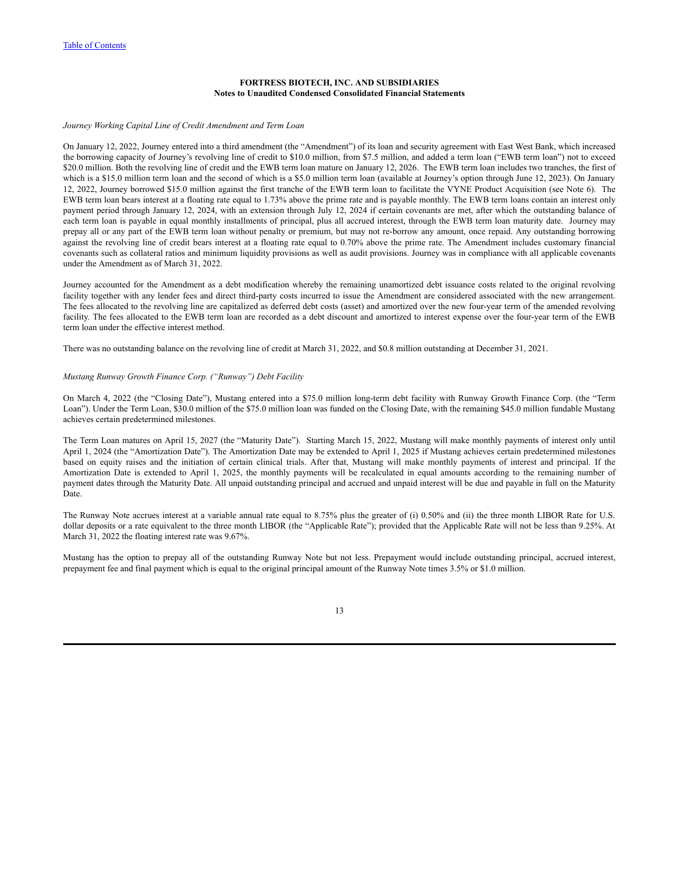#### *Journey Working Capital Line of Credit Amendment and Term Loan*

On January 12, 2022, Journey entered into a third amendment (the "Amendment") of its loan and security agreement with East West Bank, which increased the borrowing capacity of Journey's revolving line of credit to \$10.0 million, from \$7.5 million, and added a term loan ("EWB term loan") not to exceed \$20.0 million. Both the revolving line of credit and the EWB term loan mature on January 12, 2026. The EWB term loan includes two tranches, the first of which is a \$15.0 million term loan and the second of which is a \$5.0 million term loan (available at Journey's option through June 12, 2023). On January 12, 2022, Journey borrowed \$15.0 million against the first tranche of the EWB term loan to facilitate the VYNE Product Acquisition (see Note 6). The EWB term loan bears interest at a floating rate equal to 1.73% above the prime rate and is payable monthly. The EWB term loans contain an interest only payment period through January 12, 2024, with an extension through July 12, 2024 if certain covenants are met, after which the outstanding balance of each term loan is payable in equal monthly installments of principal, plus all accrued interest, through the EWB term loan maturity date. Journey may prepay all or any part of the EWB term loan without penalty or premium, but may not re-borrow any amount, once repaid. Any outstanding borrowing against the revolving line of credit bears interest at a floating rate equal to 0.70% above the prime rate. The Amendment includes customary financial covenants such as collateral ratios and minimum liquidity provisions as well as audit provisions. Journey was in compliance with all applicable covenants under the Amendment as of March 31, 2022.

Journey accounted for the Amendment as a debt modification whereby the remaining unamortized debt issuance costs related to the original revolving facility together with any lender fees and direct third-party costs incurred to issue the Amendment are considered associated with the new arrangement. The fees allocated to the revolving line are capitalized as deferred debt costs (asset) and amortized over the new four-year term of the amended revolving facility. The fees allocated to the EWB term loan are recorded as a debt discount and amortized to interest expense over the four-year term of the EWB term loan under the effective interest method.

There was no outstanding balance on the revolving line of credit at March 31, 2022, and \$0.8 million outstanding at December 31, 2021.

### *Mustang Runway Growth Finance Corp. ("Runway") Debt Facility*

On March 4, 2022 (the "Closing Date"), Mustang entered into a \$75.0 million long-term debt facility with Runway Growth Finance Corp. (the "Term Loan"). Under the Term Loan, \$30.0 million of the \$75.0 million loan was funded on the Closing Date, with the remaining \$45.0 million fundable Mustang achieves certain predetermined milestones.

The Term Loan matures on April 15, 2027 (the "Maturity Date"). Starting March 15, 2022, Mustang will make monthly payments of interest only until April 1, 2024 (the "Amortization Date"). The Amortization Date may be extended to April 1, 2025 if Mustang achieves certain predetermined milestones based on equity raises and the initiation of certain clinical trials. After that, Mustang will make monthly payments of interest and principal. If the Amortization Date is extended to April 1, 2025, the monthly payments will be recalculated in equal amounts according to the remaining number of payment dates through the Maturity Date. All unpaid outstanding principal and accrued and unpaid interest will be due and payable in full on the Maturity Date.

The Runway Note accrues interest at a variable annual rate equal to 8.75% plus the greater of (i) 0.50% and (ii) the three month LIBOR Rate for U.S. dollar deposits or a rate equivalent to the three month LIBOR (the "Applicable Rate"); provided that the Applicable Rate will not be less than 9.25%. At March 31, 2022 the floating interest rate was 9.67%.

Mustang has the option to prepay all of the outstanding Runway Note but not less. Prepayment would include outstanding principal, accrued interest, prepayment fee and final payment which is equal to the original principal amount of the Runway Note times 3.5% or \$1.0 million.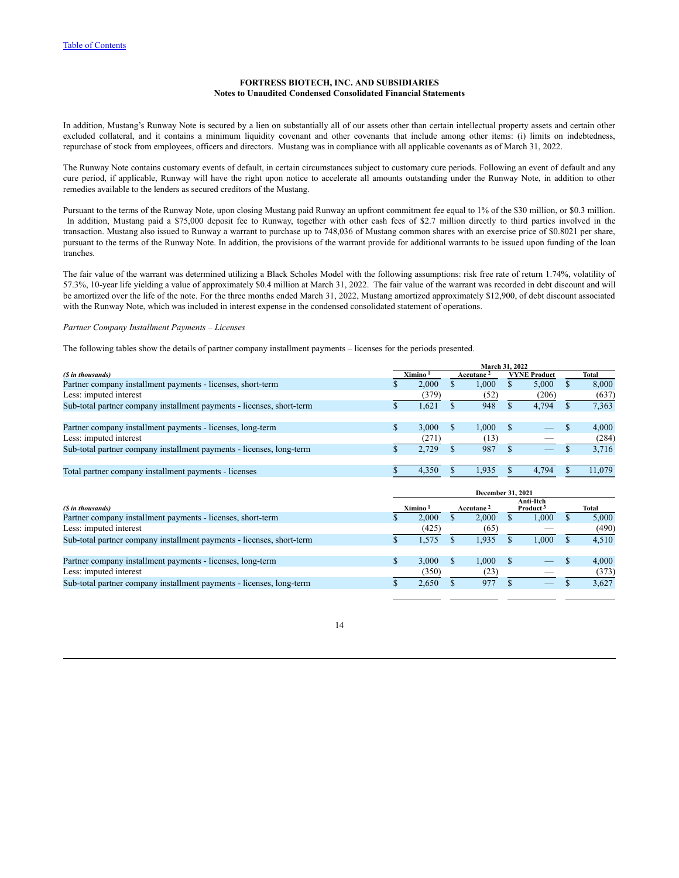In addition, Mustang's Runway Note is secured by a lien on substantially all of our assets other than certain intellectual property assets and certain other excluded collateral, and it contains a minimum liquidity covenant and other covenants that include among other items: (i) limits on indebtedness, repurchase of stock from employees, officers and directors. Mustang was in compliance with all applicable covenants as of March 31, 2022.

The Runway Note contains customary events of default, in certain circumstances subject to customary cure periods. Following an event of default and any cure period, if applicable, Runway will have the right upon notice to accelerate all amounts outstanding under the Runway Note, in addition to other remedies available to the lenders as secured creditors of the Mustang.

Pursuant to the terms of the Runway Note, upon closing Mustang paid Runway an upfront commitment fee equal to 1% of the \$30 million, or \$0.3 million. In addition, Mustang paid a \$75,000 deposit fee to Runway, together with other cash fees of \$2.7 million directly to third parties involved in the transaction. Mustang also issued to Runway a warrant to purchase up to 748,036 of Mustang common shares with an exercise price of \$0.8021 per share, pursuant to the terms of the Runway Note. In addition, the provisions of the warrant provide for additional warrants to be issued upon funding of the loan tranches.

The fair value of the warrant was determined utilizing a Black Scholes Model with the following assumptions: risk free rate of return 1.74%, volatility of 57.3%, 10-year life yielding a value of approximately \$0.4 million at March 31, 2022. The fair value of the warrant was recorded in debt discount and will be amortized over the life of the note. For the three months ended March 31, 2022, Mustang amortized approximately \$12,900, of debt discount associated with the Runway Note, which was included in interest expense in the condensed consolidated statement of operations.

### *Partner Company Installment Payments – Licenses*

The following tables show the details of partner company installment payments – licenses for the periods presented.

|                                                                       | March 31, 2022      |       |                       |                          |  |           |       |        |
|-----------------------------------------------------------------------|---------------------|-------|-----------------------|--------------------------|--|-----------|-------|--------|
| (\$ in thousands)                                                     | Ximino <sup>1</sup> |       | Accutane <sup>2</sup> | <b>VYNE Product</b>      |  |           | Total |        |
| Partner company installment payments - licenses, short-term           |                     | 2.000 |                       | 1,000                    |  | 5,000     |       | 8,000  |
| Less: imputed interest                                                |                     | (379) |                       | (52)                     |  | (206)     |       | (637)  |
| Sub-total partner company installment payments - licenses, short-term |                     | 1.621 |                       | 948                      |  | 4,794     |       | 7,363  |
| Partner company installment payments - licenses, long-term            |                     | 3.000 |                       | 1.000                    |  |           |       | 4,000  |
| Less: imputed interest                                                |                     | (271) |                       | (13)                     |  |           |       | (284)  |
| Sub-total partner company installment payments - licenses, long-term  |                     | 2.729 |                       | 987                      |  |           |       | 3,716  |
| Total partner company installment payments - licenses                 |                     | 4,350 |                       | 1.935                    |  | 4.794     |       | 11,079 |
|                                                                       |                     |       |                       | <b>December 31, 2021</b> |  |           |       |        |
|                                                                       |                     |       |                       |                          |  | Anti_Itch |       |        |

| (S in thousands)                                                      |  | Ximino <sup>1</sup><br>Accutane <sup>2</sup> |  |       |  | Anti-Itch<br>Product <sup>3</sup> | Total |       |  |
|-----------------------------------------------------------------------|--|----------------------------------------------|--|-------|--|-----------------------------------|-------|-------|--|
| Partner company installment payments - licenses, short-term           |  | 2.000                                        |  | 2.000 |  | 1,000                             |       | 5,000 |  |
| Less: imputed interest                                                |  | (425)                                        |  | (65)  |  |                                   |       | (490) |  |
| Sub-total partner company installment payments - licenses, short-term |  | .575                                         |  | 1.935 |  | 1.000                             |       | 4,510 |  |
|                                                                       |  |                                              |  |       |  |                                   |       |       |  |
| Partner company installment payments - licenses, long-term            |  | 3.000                                        |  | 1.000 |  |                                   |       | 4.000 |  |
| Less: imputed interest                                                |  | (350)                                        |  | (23)  |  |                                   |       | (373) |  |
| Sub-total partner company installment payments - licenses, long-term  |  | 2.650                                        |  | 977   |  | –                                 |       | 3,627 |  |
|                                                                       |  |                                              |  |       |  |                                   |       |       |  |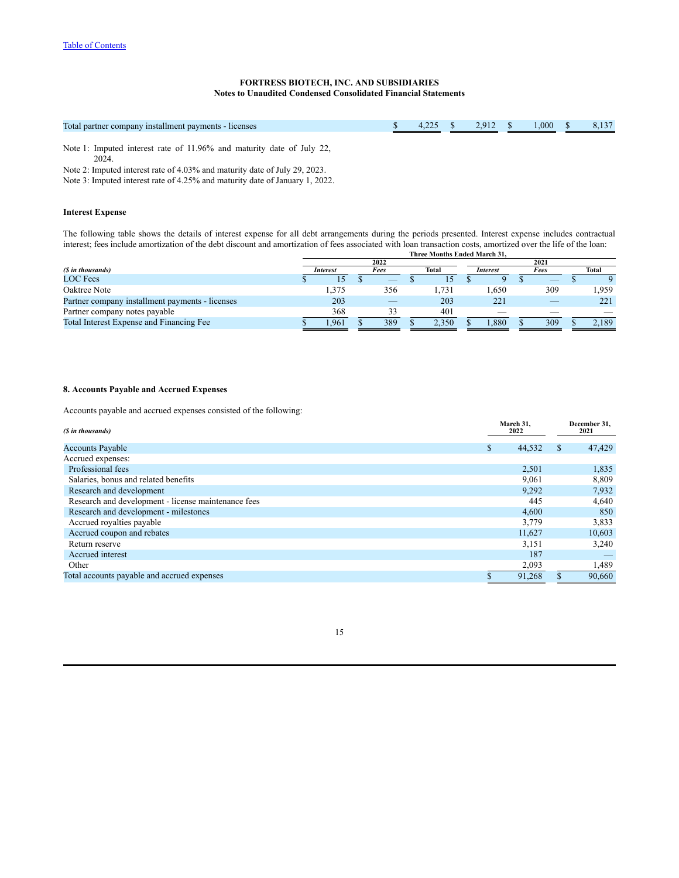| Total partner company installment payments - licenses                 |  |  | $\text{\$}$ 4,225 \$ 2,912 \$ 1,000 \$ 8,137 |  |
|-----------------------------------------------------------------------|--|--|----------------------------------------------|--|
| Note 1: Imputed interest rate of 11.96% and maturity date of July 22, |  |  |                                              |  |

2024.

Note 2: Imputed interest rate of 4.03% and maturity date of July 29, 2023.

Note 3: Imputed interest rate of 4.25% and maturity date of January 1, 2022.

# **Interest Expense**

The following table shows the details of interest expense for all debt arrangements during the periods presented. Interest expense includes contractual interest; fees include amortization of the debt discount and amortization of fees associated with loan transaction costs, amortized over the life of the loan: **Three Months Ended March 31,**

| 2022 |       |                 |      |  |       | 2021 |       |                 |                              |  |       |
|------|-------|-----------------|------|--|-------|------|-------|-----------------|------------------------------|--|-------|
|      |       |                 | Fees |  | Total |      |       |                 | Fees                         |  | Total |
|      |       |                 |      |  |       |      |       |                 |                              |  |       |
|      | 1,375 |                 | 356  |  | .731  |      | .650  |                 | 309                          |  | 1.959 |
|      | 203   |                 |      |  | 203   |      | 221   |                 |                              |  | 221   |
|      | 368   |                 | 33   |  | 401   |      |       |                 |                              |  |       |
|      | .961  |                 | 389  |  | 2.350 |      | .,880 |                 | 309                          |  | 2,189 |
|      |       | <i>Interest</i> |      |  |       |      |       | <i>Interest</i> | Three Months Ended March 31. |  |       |

# **8. Accounts Payable and Accrued Expenses**

Accounts payable and accrued expenses consisted of the following:

| (\$ in thousands)                                   | March 31,<br>2022 |   | December 31,<br>2021 |  |  |  |  |
|-----------------------------------------------------|-------------------|---|----------------------|--|--|--|--|
| <b>Accounts Payable</b>                             | \$<br>44,532      | S | 47,429               |  |  |  |  |
| Accrued expenses:                                   |                   |   |                      |  |  |  |  |
| Professional fees                                   | 2,501             |   | 1,835                |  |  |  |  |
| Salaries, bonus and related benefits                | 9,061             |   | 8,809                |  |  |  |  |
| Research and development                            | 9,292             |   | 7,932                |  |  |  |  |
| Research and development - license maintenance fees | 445               |   | 4,640                |  |  |  |  |
| Research and development - milestones               | 4,600             |   | 850                  |  |  |  |  |
| Accrued royalties payable                           | 3,779             |   | 3,833                |  |  |  |  |
| Accrued coupon and rebates                          | 11,627            |   | 10,603               |  |  |  |  |
| Return reserve                                      | 3,151             |   | 3,240                |  |  |  |  |
| Accrued interest                                    | 187               |   |                      |  |  |  |  |
| Other                                               | 2,093             |   | 1,489                |  |  |  |  |
| Total accounts payable and accrued expenses         | 91,268            |   | 90,660               |  |  |  |  |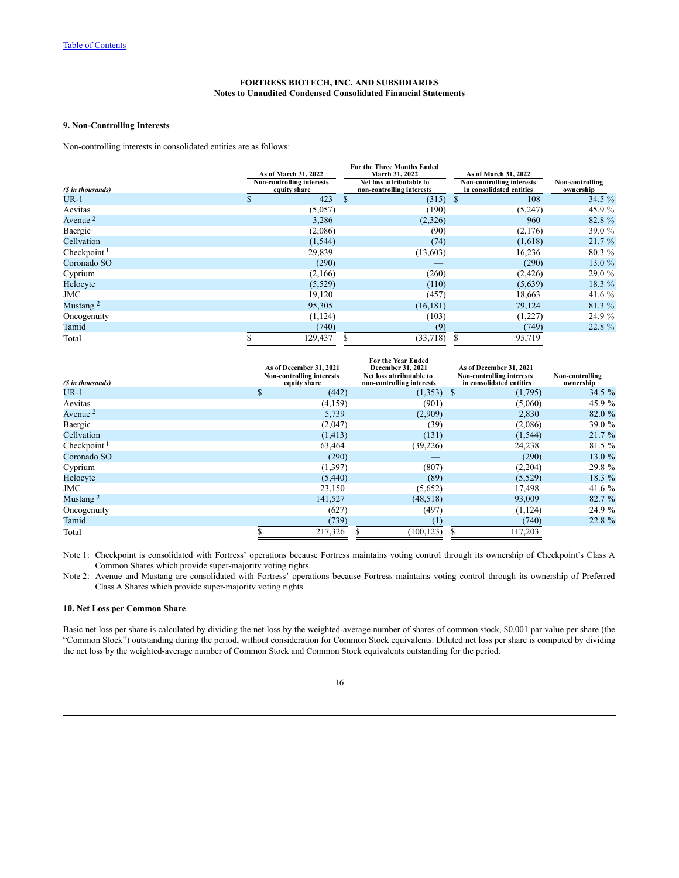### **9. Non-Controlling Interests**

Non-controlling interests in consolidated entities are as follows:

| (\$ in thousands)       | As of March 31, 2022<br>Non-controlling interests<br>equity share | <b>For the Three Months Ended</b><br>March 31, 2022<br>Net loss attributable to<br>non-controlling interests | As of March 31, 2022<br><b>Non-controlling interests</b><br>in consolidated entities | Non-controlling<br>ownership |
|-------------------------|-------------------------------------------------------------------|--------------------------------------------------------------------------------------------------------------|--------------------------------------------------------------------------------------|------------------------------|
| UR-1                    | 423                                                               | (315)<br>S                                                                                                   | 108<br><sup>\$</sup>                                                                 | 34.5 %                       |
| Aevitas                 | (5,057)                                                           | (190)                                                                                                        | (5,247)                                                                              | 45.9%                        |
| Avenue $2$              | 3,286                                                             | (2,326)                                                                                                      | 960                                                                                  | 82.8%                        |
| Baergic                 | (2,086)                                                           | (90)                                                                                                         | (2,176)                                                                              | 39.0 %                       |
| Cellvation              | (1, 544)                                                          | (74)                                                                                                         | (1,618)                                                                              | 21.7%                        |
| Checkpoint <sup>1</sup> | 29,839                                                            | (13,603)                                                                                                     | 16,236                                                                               | 80.3 %                       |
| Coronado SO             | (290)                                                             |                                                                                                              | (290)                                                                                | 13.0 %                       |
| Cyprium                 | (2,166)                                                           | (260)                                                                                                        | (2,426)                                                                              | 29.0 %                       |
| Helocyte                | (5,529)                                                           | (110)                                                                                                        | (5,639)                                                                              | 18.3 %                       |
| JMC.                    | 19,120                                                            | (457)                                                                                                        | 18,663                                                                               | 41.6 $%$                     |
| Mustang <sup>2</sup>    | 95,305                                                            | (16, 181)                                                                                                    | 79,124                                                                               | 81.3 %                       |
| Oncogenuity             | (1, 124)                                                          | (103)                                                                                                        | (1,227)                                                                              | 24.9 %                       |
| Tamid                   | (740)                                                             | (9)                                                                                                          | (749)                                                                                | 22.8 %                       |
| Total                   | 129,437                                                           | (33, 718)                                                                                                    | 95,719                                                                               |                              |

|                         |                                                             | <b>For the Year Ended</b>                     |                                                      |                 |
|-------------------------|-------------------------------------------------------------|-----------------------------------------------|------------------------------------------------------|-----------------|
|                         | As of December 31, 2021<br><b>Non-controlling interests</b> | December 31, 2021<br>Net loss attributable to | As of December 31, 2021<br>Non-controlling interests | Non-controlling |
| (\$ in thousands)       | equity share                                                | non-controlling interests                     | in consolidated entities                             | ownership       |
| UR-1                    | (442)<br>S                                                  | $(1,353)$ \$                                  | (1,795)                                              | 34.5 %          |
| Aevitas                 | (4,159)                                                     | (901)                                         | (5,060)                                              | 45.9 %          |
| Avenue $2$              | 5,739                                                       | (2,909)                                       | 2,830                                                | 82.0 %          |
| Baergic                 | (2,047)                                                     | (39)                                          | (2,086)                                              | 39.0 %          |
| Cellvation              | (1, 413)                                                    | (131)                                         | (1, 544)                                             | 21.7%           |
| Checkpoint <sup>1</sup> | 63,464                                                      | (39, 226)                                     | 24,238                                               | 81.5 %          |
| Coronado SO             | (290)                                                       |                                               | (290)                                                | 13.0%           |
| Cyprium                 | (1, 397)                                                    | (807)                                         | (2,204)                                              | 29.8%           |
| Helocyte                | (5,440)                                                     | (89)                                          | (5,529)                                              | 18.3 %          |
| JMC                     | 23,150                                                      | (5,652)                                       | 17,498                                               | 41.6 $%$        |
| Mustang $2$             | 141,527                                                     | (48,518)                                      | 93,009                                               | 82.7 %          |
| Oncogenuity             | (627)                                                       | (497)                                         | (1, 124)                                             | 24.9 %          |
| Tamid                   | (739)                                                       | (1)                                           | (740)                                                | 22.8 %          |
| Total                   | 217,326                                                     | (100, 123)                                    | 117,203                                              |                 |

Note 1: Checkpoint is consolidated with Fortress' operations because Fortress maintains voting control through its ownership of Checkpoint's Class A Common Shares which provide super-majority voting rights.

Note 2: Avenue and Mustang are consolidated with Fortress' operations because Fortress maintains voting control through its ownership of Preferred Class A Shares which provide super-majority voting rights.

# **10. Net Loss per Common Share**

Basic net loss per share is calculated by dividing the net loss by the weighted-average number of shares of common stock, \$0.001 par value per share (the "Common Stock") outstanding during the period, without consideration for Common Stock equivalents. Diluted net loss per share is computed by dividing the net loss by the weighted-average number of Common Stock and Common Stock equivalents outstanding for the period.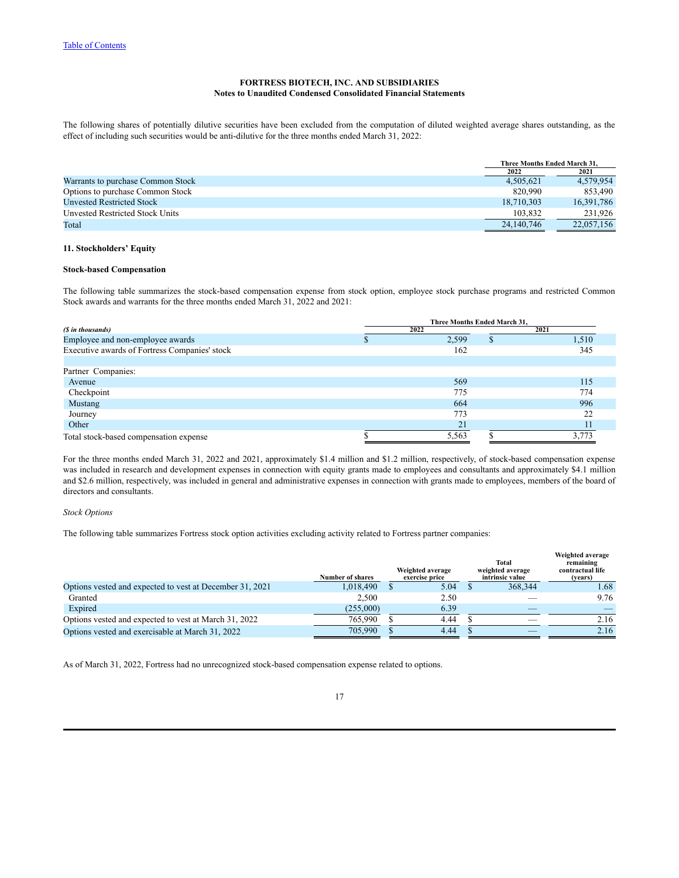The following shares of potentially dilutive securities have been excluded from the computation of diluted weighted average shares outstanding, as the effect of including such securities would be anti-dilutive for the three months ended March 31, 2022:

|                                   | Three Months Ended March 31. |            |  |
|-----------------------------------|------------------------------|------------|--|
|                                   | 2022                         | 2021       |  |
| Warrants to purchase Common Stock | 4.505.621                    | 4.579.954  |  |
| Options to purchase Common Stock  | 820.990                      | 853.490    |  |
| <b>Unvested Restricted Stock</b>  | 18,710,303                   | 16,391,786 |  |
| Unvested Restricted Stock Units   | 103.832                      | 231.926    |  |
| Total                             | 24.140.746                   | 22,057,156 |  |

### **11. Stockholders' Equity**

# **Stock-based Compensation**

The following table summarizes the stock-based compensation expense from stock option, employee stock purchase programs and restricted Common Stock awards and warrants for the three months ended March 31, 2022 and 2021:

|                                               | Three Months Ended March 31. |     |       |  |  |  |
|-----------------------------------------------|------------------------------|-----|-------|--|--|--|
| (\$ in thousands)                             | 2022                         |     | 2021  |  |  |  |
| Employee and non-employee awards              | 2,599                        |     | 1,510 |  |  |  |
| Executive awards of Fortress Companies' stock |                              | 162 | 345   |  |  |  |
|                                               |                              |     |       |  |  |  |
| Partner Companies:                            |                              |     |       |  |  |  |
| Avenue                                        |                              | 569 | 115   |  |  |  |
| Checkpoint                                    |                              | 775 | 774   |  |  |  |
| Mustang                                       |                              | 664 | 996   |  |  |  |
| Journey                                       |                              | 773 | 22    |  |  |  |
| Other                                         |                              | 21  |       |  |  |  |
| Total stock-based compensation expense        | 5,563                        |     | 3.773 |  |  |  |

For the three months ended March 31, 2022 and 2021, approximately \$1.4 million and \$1.2 million, respectively, of stock-based compensation expense was included in research and development expenses in connection with equity grants made to employees and consultants and approximately \$4.1 million and \$2.6 million, respectively, was included in general and administrative expenses in connection with grants made to employees, members of the board of directors and consultants.

# *Stock Options*

The following table summarizes Fortress stock option activities excluding activity related to Fortress partner companies:

|                                                          | <b>Number of shares</b> | Weighted average<br>exercise price | Total<br>weighted average<br>intrinsic value | <b>Weighted average</b><br>remaining<br>contractual life<br>(vears) |
|----------------------------------------------------------|-------------------------|------------------------------------|----------------------------------------------|---------------------------------------------------------------------|
| Options vested and expected to vest at December 31, 2021 | 1.018.490               | 5.04                               | 368.344                                      | 1.68                                                                |
| Granted                                                  | 2.500                   | 2.50                               |                                              | 9.76                                                                |
| Expired                                                  | (255.000)               | 6.39                               |                                              |                                                                     |
| Options vested and expected to vest at March 31, 2022    | 765.990                 | 4.44                               |                                              | 2.16                                                                |
| Options vested and exercisable at March 31, 2022         | 705.990                 | 4.44                               |                                              | 2.16                                                                |

As of March 31, 2022, Fortress had no unrecognized stock-based compensation expense related to options.

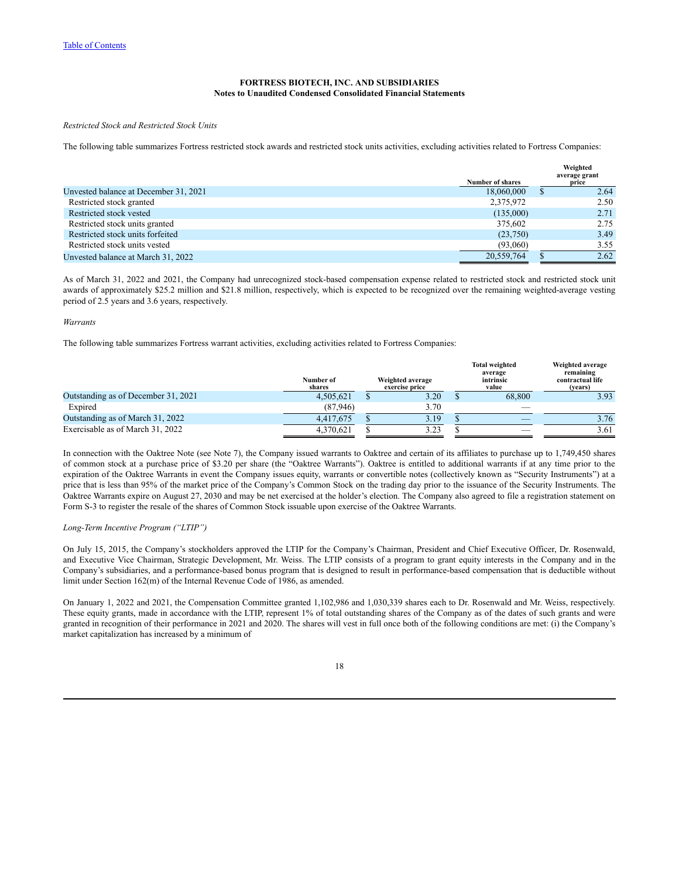*Restricted Stock and Restricted Stock Units*

The following table summarizes Fortress restricted stock awards and restricted stock units activities, excluding activities related to Fortress Companies:

|                                       |                         | Weighted<br>average grant |
|---------------------------------------|-------------------------|---------------------------|
|                                       | <b>Number of shares</b> | price                     |
| Unvested balance at December 31, 2021 | 18,060,000              | 2.64                      |
| Restricted stock granted              | 2,375,972               | 2.50                      |
| Restricted stock vested               | (135,000)               | 2.71                      |
| Restricted stock units granted        | 375,602                 | 2.75                      |
| Restricted stock units forfeited      | (23,750)                | 3.49                      |
| Restricted stock units vested         | (93,060)                | 3.55                      |
| Unvested balance at March 31, 2022    | 20,559,764              | 2.62                      |

As of March 31, 2022 and 2021, the Company had unrecognized stock-based compensation expense related to restricted stock and restricted stock unit awards of approximately \$25.2 million and \$21.8 million, respectively, which is expected to be recognized over the remaining weighted-average vesting period of 2.5 years and 3.6 years, respectively.

#### *Warrants*

The following table summarizes Fortress warrant activities, excluding activities related to Fortress Companies:

|                                     | Number of<br>shares | Weighted average<br>exercise price |      | <b>Total weighted</b><br>average<br>intrinsic<br>value | Weighted average<br>remaining<br>contractual life<br>(vears) |  |
|-------------------------------------|---------------------|------------------------------------|------|--------------------------------------------------------|--------------------------------------------------------------|--|
| Outstanding as of December 31, 2021 | 4,505,621           |                                    | 3.20 | 68.800                                                 | 3.93                                                         |  |
| Expired                             | (87.946)            |                                    | 3.70 |                                                        |                                                              |  |
| Outstanding as of March 31, 2022    | 4.417.675           |                                    | 3.19 |                                                        | 3.76                                                         |  |
| Exercisable as of March 31, 2022    | 4.370.621           |                                    | 3.23 |                                                        | 3.61                                                         |  |

In connection with the Oaktree Note (see Note 7), the Company issued warrants to Oaktree and certain of its affiliates to purchase up to 1,749,450 shares of common stock at a purchase price of \$3.20 per share (the "Oaktree Warrants"). Oaktree is entitled to additional warrants if at any time prior to the expiration of the Oaktree Warrants in event the Company issues equity, warrants or convertible notes (collectively known as "Security Instruments") at a price that is less than 95% of the market price of the Company's Common Stock on the trading day prior to the issuance of the Security Instruments. The Oaktree Warrants expire on August 27, 2030 and may be net exercised at the holder's election. The Company also agreed to file a registration statement on Form S-3 to register the resale of the shares of Common Stock issuable upon exercise of the Oaktree Warrants.

### *Long-Term Incentive Program ("LTIP")*

On July 15, 2015, the Company's stockholders approved the LTIP for the Company's Chairman, President and Chief Executive Officer, Dr. Rosenwald, and Executive Vice Chairman, Strategic Development, Mr. Weiss. The LTIP consists of a program to grant equity interests in the Company and in the Company's subsidiaries, and a performance-based bonus program that is designed to result in performance-based compensation that is deductible without limit under Section 162(m) of the Internal Revenue Code of 1986, as amended.

On January 1, 2022 and 2021, the Compensation Committee granted 1,102,986 and 1,030,339 shares each to Dr. Rosenwald and Mr. Weiss, respectively. These equity grants, made in accordance with the LTIP, represent 1% of total outstanding shares of the Company as of the dates of such grants and were granted in recognition of their performance in 2021 and 2020. The shares will vest in full once both of the following conditions are met: (i) the Company's market capitalization has increased by a minimum of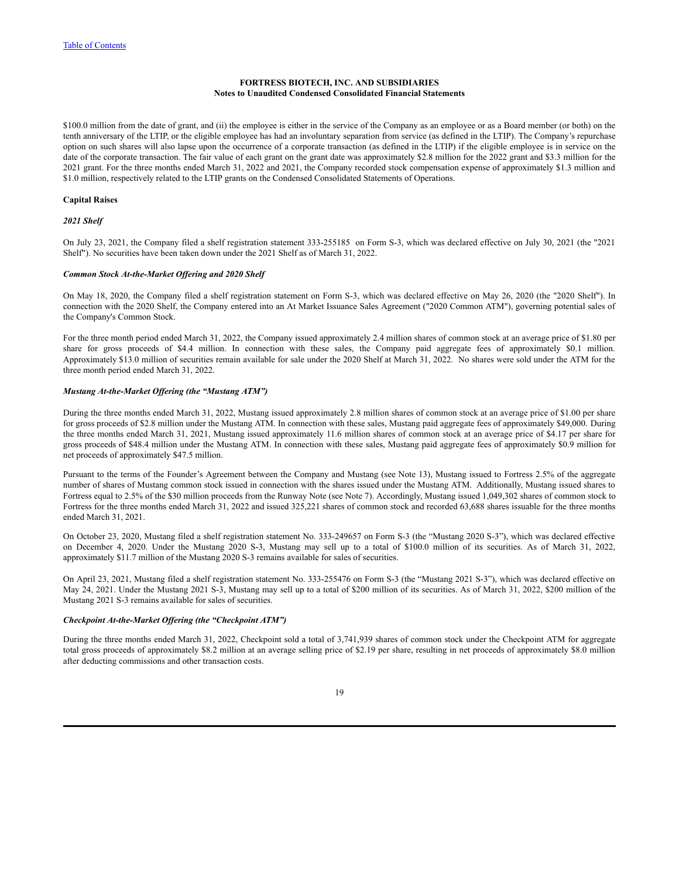\$100.0 million from the date of grant, and (ii) the employee is either in the service of the Company as an employee or as a Board member (or both) on the tenth anniversary of the LTIP, or the eligible employee has had an involuntary separation from service (as defined in the LTIP). The Company's repurchase option on such shares will also lapse upon the occurrence of a corporate transaction (as defined in the LTIP) if the eligible employee is in service on the date of the corporate transaction. The fair value of each grant on the grant date was approximately \$2.8 million for the 2022 grant and \$3.3 million for the 2021 grant. For the three months ended March 31, 2022 and 2021, the Company recorded stock compensation expense of approximately \$1.3 million and \$1.0 million, respectively related to the LTIP grants on the Condensed Consolidated Statements of Operations.

#### **Capital Raises**

### *2021 Shelf*

On July 23, 2021, the Company filed a shelf registration statement 333-255185 on Form S-3, which was declared effective on July 30, 2021 (the "2021 Shelf"). No securities have been taken down under the 2021 Shelf as of March 31, 2022.

### *Common Stock At-the-Market Of ering and 2020 Shelf*

On May 18, 2020, the Company filed a shelf registration statement on Form S-3, which was declared effective on May 26, 2020 (the "2020 Shelf"). In connection with the 2020 Shelf, the Company entered into an At Market Issuance Sales Agreement ("2020 Common ATM"), governing potential sales of the Company's Common Stock.

For the three month period ended March 31, 2022, the Company issued approximately 2.4 million shares of common stock at an average price of \$1.80 per share for gross proceeds of \$4.4 million. In connection with these sales, the Company paid aggregate fees of approximately \$0.1 million. Approximately \$13.0 million of securities remain available for sale under the 2020 Shelf at March 31, 2022. No shares were sold under the ATM for the three month period ended March 31, 2022.

#### *Mustang At-the-Market Of ering (the "Mustang ATM")*

During the three months ended March 31, 2022, Mustang issued approximately 2.8 million shares of common stock at an average price of \$1.00 per share for gross proceeds of \$2.8 million under the Mustang ATM. In connection with these sales, Mustang paid aggregate fees of approximately \$49,000. During the three months ended March 31, 2021, Mustang issued approximately 11.6 million shares of common stock at an average price of \$4.17 per share for gross proceeds of \$48.4 million under the Mustang ATM. In connection with these sales, Mustang paid aggregate fees of approximately \$0.9 million for net proceeds of approximately \$47.5 million.

Pursuant to the terms of the Founder's Agreement between the Company and Mustang (see Note 13), Mustang issued to Fortress 2.5% of the aggregate number of shares of Mustang common stock issued in connection with the shares issued under the Mustang ATM. Additionally, Mustang issued shares to Fortress equal to 2.5% of the \$30 million proceeds from the Runway Note (see Note 7). Accordingly, Mustang issued 1,049,302 shares of common stock to Fortress for the three months ended March 31, 2022 and issued 325,221 shares of common stock and recorded 63,688 shares issuable for the three months ended March 31, 2021.

On October 23, 2020, Mustang filed a shelf registration statement No. 333-249657 on Form S-3 (the "Mustang 2020 S-3"), which was declared effective on December 4, 2020. Under the Mustang 2020 S-3, Mustang may sell up to a total of \$100.0 million of its securities. As of March 31, 2022, approximately \$11.7 million of the Mustang 2020 S-3 remains available for sales of securities.

On April 23, 2021, Mustang filed a shelf registration statement No. 333-255476 on Form S-3 (the "Mustang 2021 S-3"), which was declared effective on May 24, 2021. Under the Mustang 2021 S-3, Mustang may sell up to a total of \$200 million of its securities. As of March 31, 2022, \$200 million of the Mustang 2021 S-3 remains available for sales of securities.

### *Checkpoint At-the-Market Of ering (the "Checkpoint ATM")*

During the three months ended March 31, 2022, Checkpoint sold a total of 3,741,939 shares of common stock under the Checkpoint ATM for aggregate total gross proceeds of approximately \$8.2 million at an average selling price of \$2.19 per share, resulting in net proceeds of approximately \$8.0 million after deducting commissions and other transaction costs.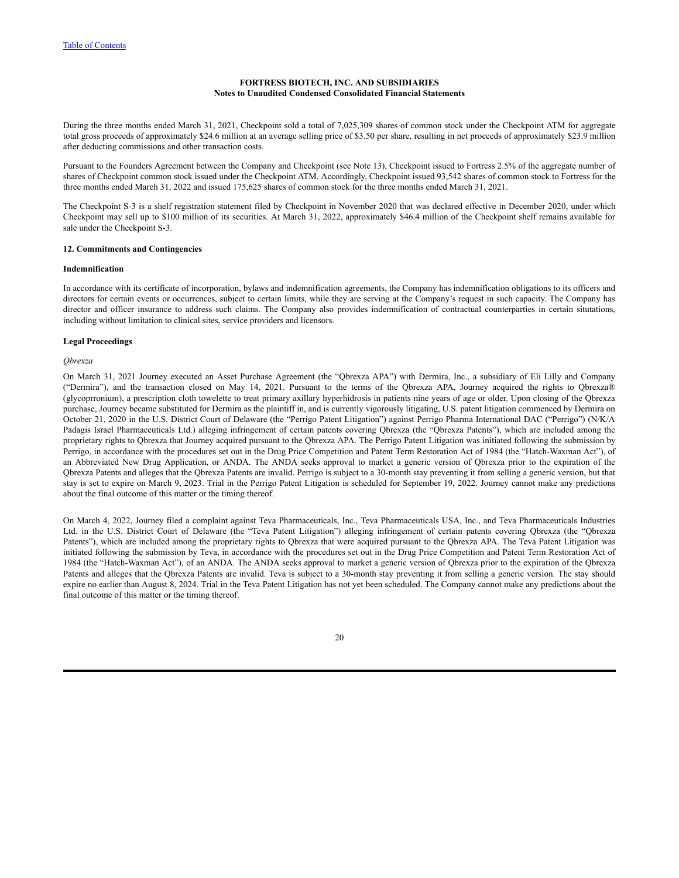During the three months ended March 31, 2021, Checkpoint sold a total of 7,025,309 shares of common stock under the Checkpoint ATM for aggregate total gross proceeds of approximately \$24.6 million at an average selling price of \$3.50 per share, resulting in net proceeds of approximately \$23.9 million after deducting commissions and other transaction costs.

Pursuant to the Founders Agreement between the Company and Checkpoint (see Note 13), Checkpoint issued to Fortress 2.5% of the aggregate number of shares of Checkpoint common stock issued under the Checkpoint ATM. Accordingly, Checkpoint issued 93,542 shares of common stock to Fortress for the three months ended March 31, 2022 and issued 175,625 shares of common stock for the three months ended March 31, 2021.

The Checkpoint S-3 is a shelf registration statement filed by Checkpoint in November 2020 that was declared effective in December 2020, under which Checkpoint may sell up to \$100 million of its securities. At March 31, 2022, approximately \$46.4 million of the Checkpoint shelf remains available for sale under the Checkpoint S-3.

### **12. Commitments and Contingencies**

### **Indemnification**

In accordance with its certificate of incorporation, bylaws and indemnification agreements, the Company has indemnification obligations to its officers and directors for certain events or occurrences, subject to certain limits, while they are serving at the Company's request in such capacity. The Company has director and officer insurance to address such claims. The Company also provides indemnification of contractual counterparties in certain situtations, including without limitation to clinical sites, service providers and licensors.

#### **Legal Proceedings**

### *Qbrexza*

On March 31, 2021 Journey executed an Asset Purchase Agreement (the "Qbrexza APA") with Dermira, Inc., a subsidiary of Eli Lilly and Company ("Dermira"), and the transaction closed on May 14, 2021. Pursuant to the terms of the Qbrexza APA, Journey acquired the rights to Qbrexza® (glycoprronium), a prescription cloth towelette to treat primary axillary hyperhidrosis in patients nine years of age or older. Upon closing of the Qbrexza purchase, Journey became substituted for Dermira as the plaintiff in, and is currently vigorously litigating, U.S. patent litigation commenced by Dermira on October 21, 2020 in the U.S. District Court of Delaware (the "Perrigo Patent Litigation") against Perrigo Pharma International DAC ("Perrigo") (N/K/A Padagis Israel Pharmaceuticals Ltd.) alleging infringement of certain patents covering Qbrexza (the "Qbrexza Patents"), which are included among the proprietary rights to Qbrexza that Journey acquired pursuant to the Qbrexza APA. The Perrigo Patent Litigation was initiated following the submission by Perrigo, in accordance with the procedures set out in the Drug Price Competition and Patent Term Restoration Act of 1984 (the "Hatch-Waxman Act"), of an Abbreviated New Drug Application, or ANDA. The ANDA seeks approval to market a generic version of Qbrexza prior to the expiration of the Qbrexza Patents and alleges that the Qbrexza Patents are invalid. Perrigo is subject to a 30-month stay preventing it from selling a generic version, but that stay is set to expire on March 9, 2023. Trial in the Perrigo Patent Litigation is scheduled for September 19, 2022. Journey cannot make any predictions about the final outcome of this matter or the timing thereof.

On March 4, 2022, Journey filed a complaint against Teva Pharmaceuticals, Inc., Teva Pharmaceuticals USA, Inc., and Teva Pharmaceuticals Industries Ltd. in the U.S. District Court of Delaware (the "Teva Patent Litigation") alleging infringement of certain patents covering Qbrexza (the "Qbrexza Patents"), which are included among the proprietary rights to Qbrexza that were acquired pursuant to the Qbrexza APA. The Teva Patent Litigation was initiated following the submission by Teva, in accordance with the procedures set out in the Drug Price Competition and Patent Term Restoration Act of 1984 (the "Hatch-Waxman Act"), of an ANDA. The ANDA seeks approval to market a generic version of Qbrexza prior to the expiration of the Qbrexza Patents and alleges that the Qbrexza Patents are invalid. Teva is subject to a 30-month stay preventing it from selling a generic version. The stay should expire no earlier than August 8, 2024. Trial in the Teva Patent Litigation has not yet been scheduled. The Company cannot make any predictions about the final outcome of this matter or the timing thereof.

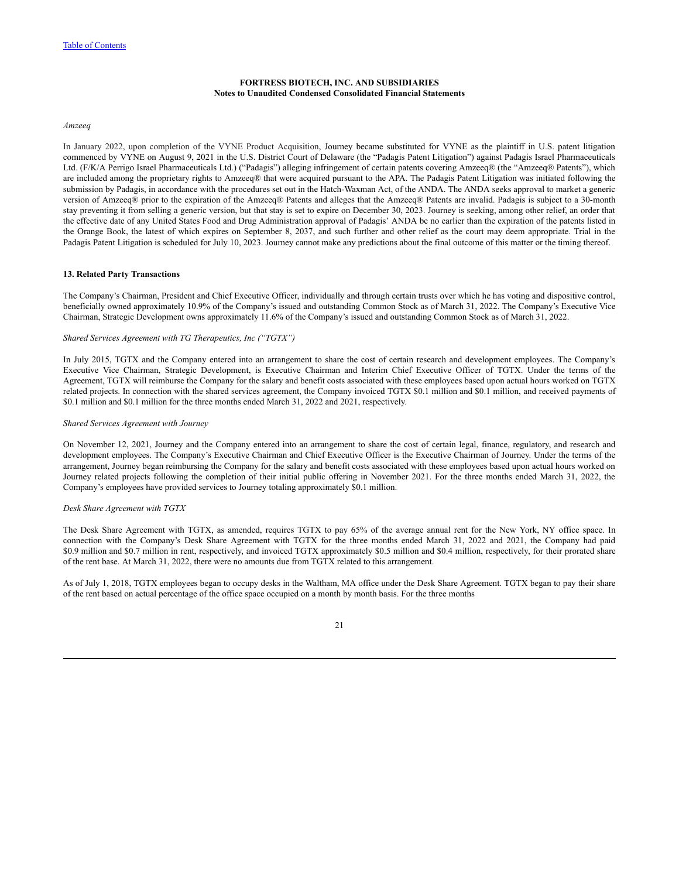#### *Amzeeq*

In January 2022, upon completion of the VYNE Product Acquisition, Journey became substituted for VYNE as the plaintiff in U.S. patent litigation commenced by VYNE on August 9, 2021 in the U.S. District Court of Delaware (the "Padagis Patent Litigation") against Padagis Israel Pharmaceuticals Ltd. (F/K/A Perrigo Israel Pharmaceuticals Ltd.) ("Padagis") alleging infringement of certain patents covering Amzeeq® (the "Amzeeq® Patents"), which are included among the proprietary rights to Amzeeq® that were acquired pursuant to the APA. The Padagis Patent Litigation was initiated following the submission by Padagis, in accordance with the procedures set out in the Hatch-Waxman Act, of the ANDA. The ANDA seeks approval to market a generic version of Amzeeq® prior to the expiration of the Amzeeq® Patents and alleges that the Amzeeq® Patents are invalid. Padagis is subject to a 30-month stay preventing it from selling a generic version, but that stay is set to expire on December 30, 2023. Journey is seeking, among other relief, an order that the effective date of any United States Food and Drug Administration approval of Padagis' ANDA be no earlier than the expiration of the patents listed in the Orange Book, the latest of which expires on September 8, 2037, and such further and other relief as the court may deem appropriate. Trial in the Padagis Patent Litigation is scheduled for July 10, 2023. Journey cannot make any predictions about the final outcome of this matter or the timing thereof.

#### **13. Related Party Transactions**

The Company's Chairman, President and Chief Executive Officer, individually and through certain trusts over which he has voting and dispositive control, beneficially owned approximately 10.9% of the Company's issued and outstanding Common Stock as of March 31, 2022. The Company's Executive Vice Chairman, Strategic Development owns approximately 11.6% of the Company's issued and outstanding Common Stock as of March 31, 2022.

### *Shared Services Agreement with TG Therapeutics, Inc ("TGTX")*

In July 2015, TGTX and the Company entered into an arrangement to share the cost of certain research and development employees. The Company's Executive Vice Chairman, Strategic Development, is Executive Chairman and Interim Chief Executive Officer of TGTX. Under the terms of the Agreement, TGTX will reimburse the Company for the salary and benefit costs associated with these employees based upon actual hours worked on TGTX related projects. In connection with the shared services agreement, the Company invoiced TGTX \$0.1 million and \$0.1 million, and received payments of \$0.1 million and \$0.1 million for the three months ended March 31, 2022 and 2021, respectively.

#### *Shared Services Agreement with Journey*

On November 12, 2021, Journey and the Company entered into an arrangement to share the cost of certain legal, finance, regulatory, and research and development employees. The Company's Executive Chairman and Chief Executive Officer is the Executive Chairman of Journey. Under the terms of the arrangement, Journey began reimbursing the Company for the salary and benefit costs associated with these employees based upon actual hours worked on Journey related projects following the completion of their initial public offering in November 2021. For the three months ended March 31, 2022, the Company's employees have provided services to Journey totaling approximately \$0.1 million.

#### *Desk Share Agreement with TGTX*

The Desk Share Agreement with TGTX, as amended, requires TGTX to pay 65% of the average annual rent for the New York, NY office space. In connection with the Company's Desk Share Agreement with TGTX for the three months ended March 31, 2022 and 2021, the Company had paid \$0.9 million and \$0.7 million in rent, respectively, and invoiced TGTX approximately \$0.5 million and \$0.4 million, respectively, for their prorated share of the rent base. At March 31, 2022, there were no amounts due from TGTX related to this arrangement.

As of July 1, 2018, TGTX employees began to occupy desks in the Waltham, MA office under the Desk Share Agreement. TGTX began to pay their share of the rent based on actual percentage of the office space occupied on a month by month basis. For the three months

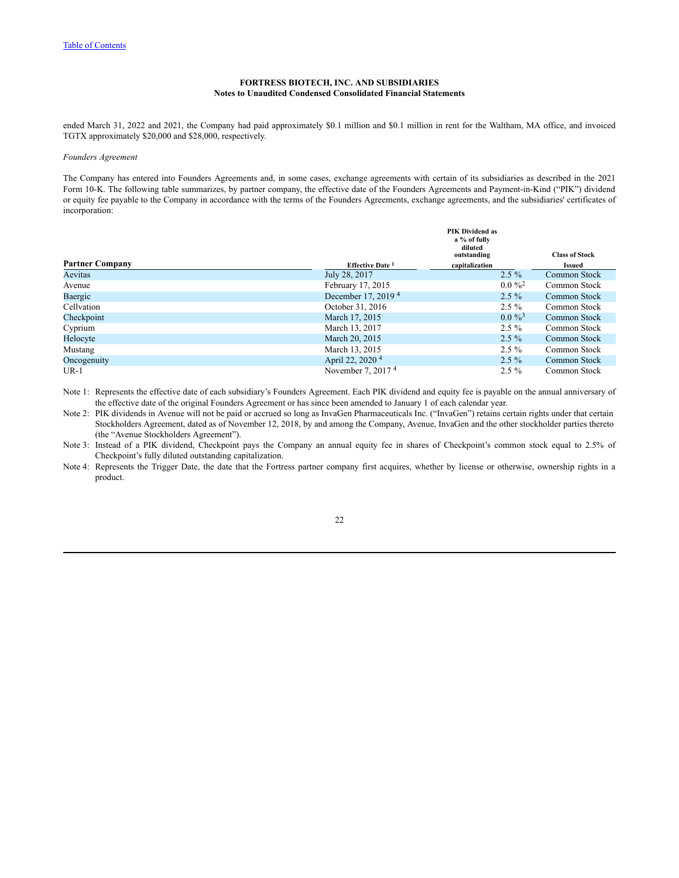ended March 31, 2022 and 2021, the Company had paid approximately \$0.1 million and \$0.1 million in rent for the Waltham, MA office, and invoiced TGTX approximately \$20,000 and \$28,000, respectively.

### *Founders Agreement*

The Company has entered into Founders Agreements and, in some cases, exchange agreements with certain of its subsidiaries as described in the 2021 Form 10-K. The following table summarizes, by partner company, the effective date of the Founders Agreements and Payment-in-Kind ("PIK") dividend or equity fee payable to the Company in accordance with the terms of the Founders Agreements, exchange agreements, and the subsidiaries' certificates of incorporation:

|                        |                                | <b>PIK Dividend as</b><br>a % of fully<br>diluted<br>outstanding | <b>Class of Stock</b> |
|------------------------|--------------------------------|------------------------------------------------------------------|-----------------------|
| <b>Partner Company</b> | <b>Effective Date 1</b>        | capitalization                                                   | <b>Issued</b>         |
| Aevitas                | July 28, 2017                  | $2.5\%$                                                          | Common Stock          |
| Avenue                 | February 17, 2015              | $0.0\%^{2}$                                                      | Common Stock          |
| Baergic                | December 17, 2019 <sup>4</sup> | $2.5\%$                                                          | Common Stock          |
| Cellvation             | October 31, 2016               | $2.5 \%$                                                         | Common Stock          |
| Checkpoint             | March 17, 2015                 | $0.0\%^{3}$                                                      | <b>Common Stock</b>   |
| Cyprium                | March 13, 2017                 | $2.5 \%$                                                         | Common Stock          |
| Helocyte               | March 20, 2015                 | $2.5\%$                                                          | Common Stock          |
| Mustang                | March 13, 2015                 | $2.5 \%$                                                         | Common Stock          |
| Oncogenuity            | April 22, 2020 <sup>4</sup>    | $2.5\%$                                                          | Common Stock          |
| $UR-1$                 | November 7, 2017 <sup>4</sup>  | $2.5\%$                                                          | Common Stock          |

Note 1: Represents the effective date of each subsidiary's Founders Agreement. Each PIK dividend and equity fee is payable on the annual anniversary of the effective date of the original Founders Agreement or has since been amended to January 1 of each calendar year.

Note 2: PIK dividends in Avenue will not be paid or accrued so long as InvaGen Pharmaceuticals Inc. ("InvaGen") retains certain rights under that certain Stockholders Agreement, dated as of November 12, 2018, by and among the Company, Avenue, InvaGen and the other stockholder parties thereto (the "Avenue Stockholders Agreement").

Note 3: Instead of a PIK dividend, Checkpoint pays the Company an annual equity fee in shares of Checkpoint's common stock equal to 2.5% of Checkpoint's fully diluted outstanding capitalization.

Note 4: Represents the Trigger Date, the date that the Fortress partner company first acquires, whether by license or otherwise, ownership rights in a product.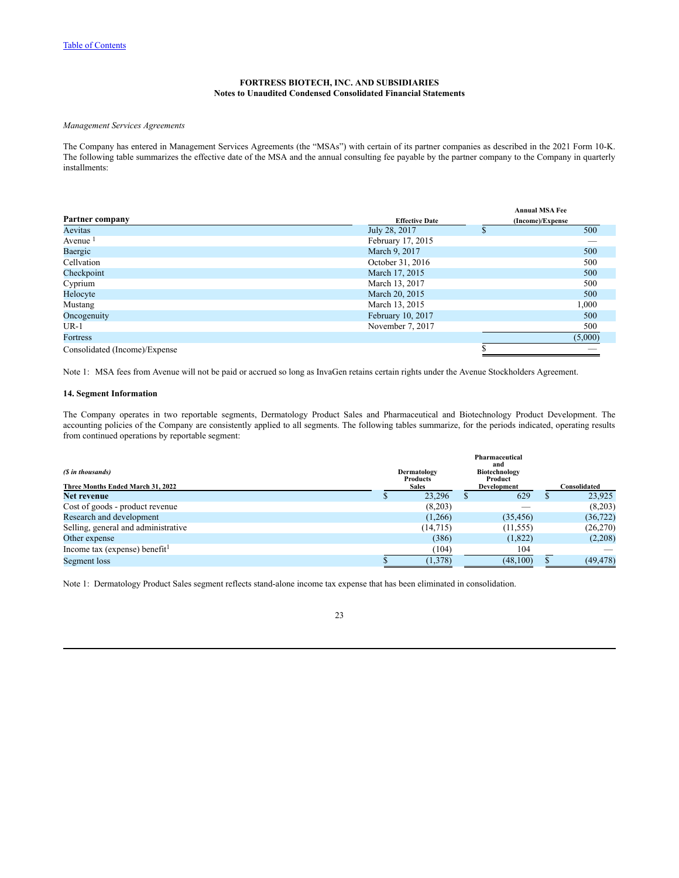#### *Management Services Agreements*

The Company has entered in Management Services Agreements (the "MSAs") with certain of its partner companies as described in the 2021 Form 10-K. The following table summarizes the effective date of the MSA and the annual consulting fee payable by the partner company to the Company in quarterly installments:

|                               |                       | <b>Annual MSA Fee</b> |         |
|-------------------------------|-----------------------|-----------------------|---------|
| Partner company               | <b>Effective Date</b> | (Income)/Expense      |         |
| Aevitas                       | July 28, 2017         | ъ                     | 500     |
| Avenue $1$                    | February 17, 2015     |                       |         |
| Baergic                       | March 9, 2017         |                       | 500     |
| Cellvation                    | October 31, 2016      |                       | 500     |
| Checkpoint                    | March 17, 2015        |                       | 500     |
| Cyprium                       | March 13, 2017        |                       | 500     |
| Helocyte                      | March 20, 2015        |                       | 500     |
| Mustang                       | March 13, 2015        |                       | 1,000   |
| Oncogenuity                   | February 10, 2017     |                       | 500     |
| $UR-1$                        | November 7, 2017      |                       | 500     |
| Fortress                      |                       |                       | (5,000) |
| Consolidated (Income)/Expense |                       |                       |         |

Note 1: MSA fees from Avenue will not be paid or accrued so long as InvaGen retains certain rights under the Avenue Stockholders Agreement.

### **14. Segment Information**

The Company operates in two reportable segments, Dermatology Product Sales and Pharmaceutical and Biotechnology Product Development. The accounting policies of the Company are consistently applied to all segments. The following tables summarize, for the periods indicated, operating results from continued operations by reportable segment:

| (S in thousands)                    |  | Dermatology<br><b>Products</b> |   | and<br>Biotechnology<br>Product |              |
|-------------------------------------|--|--------------------------------|---|---------------------------------|--------------|
| Three Months Ended March 31, 2022   |  | <b>Sales</b>                   |   | Development                     | Consolidated |
| Net revenue                         |  | 23,296                         | Ф | 629                             | 23,925       |
| Cost of goods - product revenue     |  | (8,203)                        |   |                                 | (8,203)      |
| Research and development            |  | (1,266)                        |   | (35, 456)                       | (36, 722)    |
| Selling, general and administrative |  | (14, 715)                      |   | (11, 555)                       | (26,270)     |
| Other expense                       |  | (386)                          |   | (1,822)                         | (2,208)      |
| Income tax (expense) benefit $l$    |  | (104)                          |   | 104                             |              |
| Segment loss                        |  | (1,378)                        |   | (48,100)                        | (49, 478)    |

Note 1: Dermatology Product Sales segment reflects stand-alone income tax expense that has been eliminated in consolidation.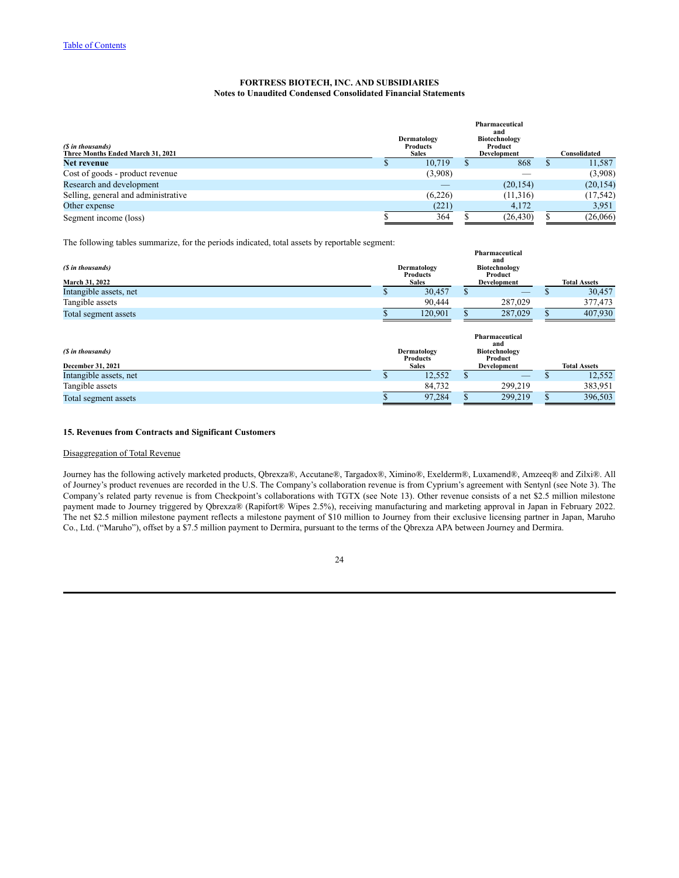| (S in thousands)                    | Dermatology<br><b>Products</b> | Pharmaceutical<br>and<br>Biotechnology<br>Product |              |
|-------------------------------------|--------------------------------|---------------------------------------------------|--------------|
| Three Months Ended March 31, 2021   | <b>Sales</b>                   | Development                                       | Consolidated |
| Net revenue                         | 10.719                         | 868                                               | 11,587       |
| Cost of goods - product revenue     | (3,908)                        |                                                   | (3,908)      |
| Research and development            |                                | (20, 154)                                         | (20, 154)    |
| Selling, general and administrative | (6,226)                        | (11,316)                                          | (17, 542)    |
| Other expense                       | (221)                          | 4,172                                             | 3,951        |
| Segment income (loss)               | 364                            | (26, 430)                                         | (26,066)     |

The following tables summarize, for the periods indicated, total assets by reportable segment:

| (\$ in thousands)<br>March 31, 2022    |    | Dermatology<br><b>Products</b><br><b>Sales</b> |    | and<br>Biotechnology<br>Product<br>Development                   | <b>Total Assets</b> |
|----------------------------------------|----|------------------------------------------------|----|------------------------------------------------------------------|---------------------|
| Intangible assets, net                 | .D | 30,457                                         | S. |                                                                  | 30,457              |
| Tangible assets                        |    | 90,444                                         |    | 287,029                                                          | 377,473             |
| Total segment assets                   |    | 120,901                                        |    | 287,029                                                          | 407,930             |
| (\$ in thousands)<br>December 31, 2021 |    | Dermatology<br><b>Products</b><br><b>Sales</b> |    | Pharmaceutical<br>and<br>Biotechnology<br>Product<br>Development | <b>Total Assets</b> |
| Intangible assets, net                 |    | 12,552                                         |    |                                                                  | 12,552              |
| Tangible assets                        |    | 84,732                                         |    | 299,219                                                          | 383,951             |
| Total segment assets                   |    | 97,284                                         |    | 299.219                                                          | 396,503             |

**Pharmaceutical**

# **15. Revenues from Contracts and Significant Customers**

#### Disaggregation of Total Revenue

Journey has the following actively marketed products, Qbrexza®, Accutane®, Targadox®, Ximino®, Exelderm®, Luxamend®, Amzeeq® and Zilxi®. All of Journey's product revenues are recorded in the U.S. The Company's collaboration revenue is from Cyprium's agreement with Sentynl (see Note 3). The Company's related party revenue is from Checkpoint's collaborations with TGTX (see Note 13). Other revenue consists of a net \$2.5 million milestone payment made to Journey triggered by Qbrexza® (Rapifort® Wipes 2.5%), receiving manufacturing and marketing approval in Japan in February 2022. The net \$2.5 million milestone payment reflects a milestone payment of \$10 million to Journey from their exclusive licensing partner in Japan, Maruho Co., Ltd. ("Maruho"), offset by a \$7.5 million payment to Dermira, pursuant to the terms of the Qbrexza APA between Journey and Dermira.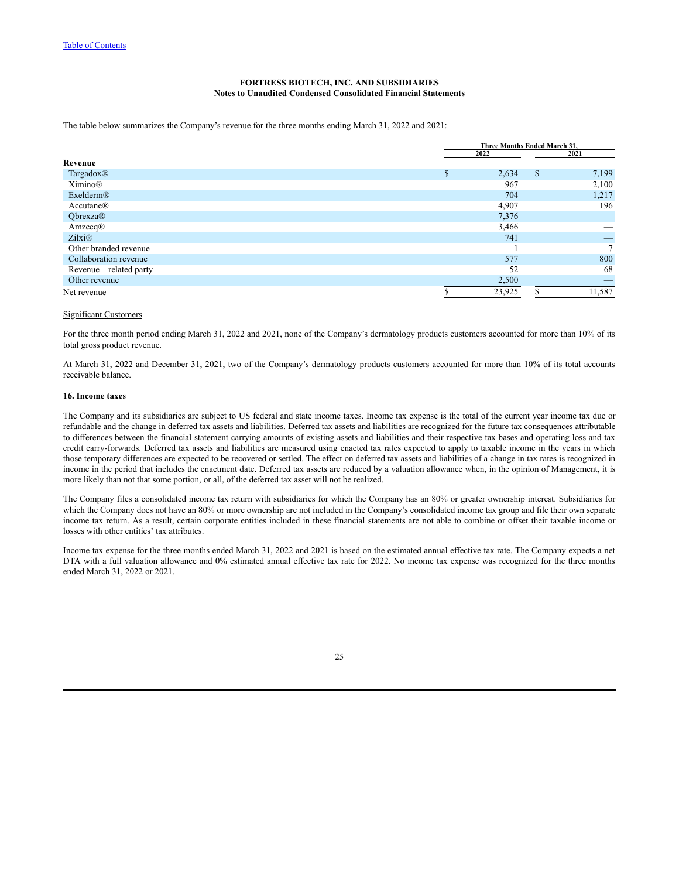The table below summarizes the Company's revenue for the three months ending March 31, 2022 and 2021:

|                         |    | Three Months Ended March 31, |              |                |  |  |  |
|-------------------------|----|------------------------------|--------------|----------------|--|--|--|
|                         |    | 2022                         | 2021         |                |  |  |  |
| Revenue                 |    |                              |              |                |  |  |  |
| Targadox®               | \$ | 2,634                        | $\mathbb{S}$ | 7,199          |  |  |  |
| Ximino®                 |    | 967                          |              | 2,100          |  |  |  |
| Exelderm®               |    | 704                          |              | 1,217          |  |  |  |
| Accutane®               |    | 4,907                        |              | 196            |  |  |  |
| Qbrexza®                |    | 7,376                        |              | —              |  |  |  |
| Amzeeq®                 |    | 3,466                        |              |                |  |  |  |
| Zilxi@                  |    | 741                          |              | _              |  |  |  |
| Other branded revenue   |    |                              |              | $\overline{7}$ |  |  |  |
| Collaboration revenue   |    | 577                          |              | 800            |  |  |  |
| Revenue – related party |    | 52                           |              | 68             |  |  |  |
| Other revenue           |    | 2,500                        |              |                |  |  |  |
| Net revenue             |    | 23,925                       |              | 11,587         |  |  |  |

#### Significant Customers

For the three month period ending March 31, 2022 and 2021, none of the Company's dermatology products customers accounted for more than 10% of its total gross product revenue.

At March 31, 2022 and December 31, 2021, two of the Company's dermatology products customers accounted for more than 10% of its total accounts receivable balance.

### **16. Income taxes**

The Company and its subsidiaries are subject to US federal and state income taxes. Income tax expense is the total of the current year income tax due or refundable and the change in deferred tax assets and liabilities. Deferred tax assets and liabilities are recognized for the future tax consequences attributable to differences between the financial statement carrying amounts of existing assets and liabilities and their respective tax bases and operating loss and tax credit carry-forwards. Deferred tax assets and liabilities are measured using enacted tax rates expected to apply to taxable income in the years in which those temporary differences are expected to be recovered or settled. The effect on deferred tax assets and liabilities of a change in tax rates is recognized in income in the period that includes the enactment date. Deferred tax assets are reduced by a valuation allowance when, in the opinion of Management, it is more likely than not that some portion, or all, of the deferred tax asset will not be realized.

The Company files a consolidated income tax return with subsidiaries for which the Company has an 80% or greater ownership interest. Subsidiaries for which the Company does not have an 80% or more ownership are not included in the Company's consolidated income tax group and file their own separate income tax return. As a result, certain corporate entities included in these financial statements are not able to combine or offset their taxable income or losses with other entities' tax attributes.

Income tax expense for the three months ended March 31, 2022 and 2021 is based on the estimated annual effective tax rate. The Company expects a net DTA with a full valuation allowance and 0% estimated annual effective tax rate for 2022. No income tax expense was recognized for the three months ended March 31, 2022 or 2021.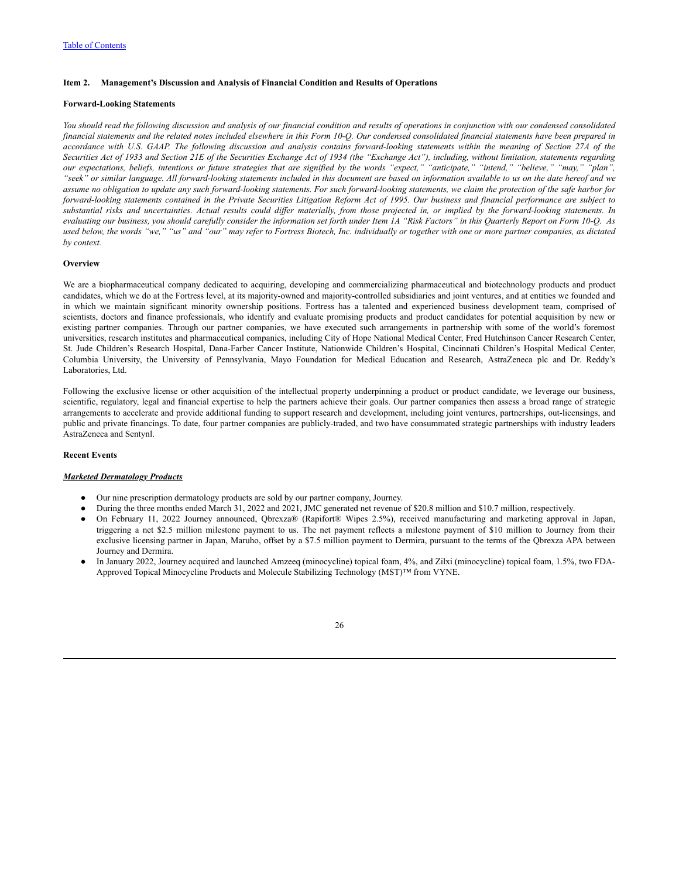### <span id="page-30-0"></span>**Item 2. Management's Discussion and Analysis of Financial Condition and Results of Operations**

#### **Forward-Looking Statements**

You should read the following discussion and analysis of our financial condition and results of operations in conjunction with our condensed consolidated financial statements and the related notes included elsewhere in this Form 10-O. Our condensed consolidated financial statements have been prepared in accordance with U.S. GAAP. The following discussion and analysis contains forward-looking statements within the meaning of Section 27A of the Securities Act of 1933 and Section 21E of the Securities Exchange Act of 1934 (the "Exchange Act"), including, without limitation, statements regarding our expectations, beliefs, intentions or future strategies that are signified by the words "expect," "anticipate," "intend," "believe," "may," "plan", "seek" or similar language. All forward-looking statements included in this document are based on information available to us on the date hereof and we assume no obligation to update any such forward-looking statements. For such forward-looking statements, we claim the protection of the safe harbor for forward-looking statements contained in the Private Securities Litigation Reform Act of 1995. Our business and financial performance are subject to substantial risks and uncertainties. Actual results could differ materially, from those projected in, or implied by the forward-looking statements. In evaluating our business, you should carefully consider the information set forth under Item 1A "Risk Factors" in this Quarterly Report on Form 10-O. As used below, the words "we," "us" and "our" may refer to Fortress Biotech, Inc. individually or together with one or more partner companies, as dictated *by context.*

### **Overview**

We are a biopharmaceutical company dedicated to acquiring, developing and commercializing pharmaceutical and biotechnology products and product candidates, which we do at the Fortress level, at its majority-owned and majority-controlled subsidiaries and joint ventures, and at entities we founded and in which we maintain significant minority ownership positions. Fortress has a talented and experienced business development team, comprised of scientists, doctors and finance professionals, who identify and evaluate promising products and product candidates for potential acquisition by new or existing partner companies. Through our partner companies, we have executed such arrangements in partnership with some of the world's foremost universities, research institutes and pharmaceutical companies, including City of Hope National Medical Center, Fred Hutchinson Cancer Research Center, St. Jude Children's Research Hospital, Dana-Farber Cancer Institute, Nationwide Children's Hospital, Cincinnati Children's Hospital Medical Center, Columbia University, the University of Pennsylvania, Mayo Foundation for Medical Education and Research, AstraZeneca plc and Dr. Reddy's Laboratories, Ltd.

Following the exclusive license or other acquisition of the intellectual property underpinning a product or product candidate, we leverage our business, scientific, regulatory, legal and financial expertise to help the partners achieve their goals. Our partner companies then assess a broad range of strategic arrangements to accelerate and provide additional funding to support research and development, including joint ventures, partnerships, out-licensings, and public and private financings. To date, four partner companies are publicly-traded, and two have consummated strategic partnerships with industry leaders AstraZeneca and Sentynl.

### **Recent Events**

### *Marketed Dermatology Products*

- Our nine prescription dermatology products are sold by our partner company, Journey.
- During the three months ended March 31, 2022 and 2021, JMC generated net revenue of \$20.8 million and \$10.7 million, respectively.
- On February 11, 2022 Journey announced, Qbrexza® (Rapifort® Wipes 2.5%), received manufacturing and marketing approval in Japan, triggering a net \$2.5 million milestone payment to us. The net payment reflects a milestone payment of \$10 million to Journey from their exclusive licensing partner in Japan, Maruho, offset by a \$7.5 million payment to Dermira, pursuant to the terms of the Qbrexza APA between Journey and Dermira.
- In January 2022, Journey acquired and launched Amzeeq (minocycline) topical foam, 4%, and Zilxi (minocycline) topical foam, 1.5%, two FDA-Approved Topical Minocycline Products and Molecule Stabilizing Technology (MST)™ from VYNE.

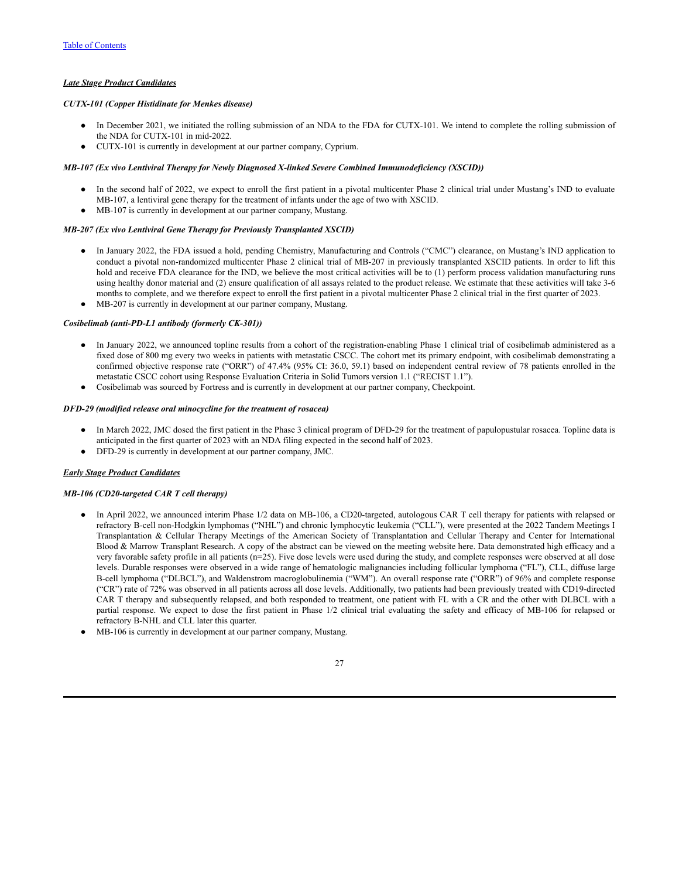### *Late Stage Product Candidates*

### *CUTX-101 (Copper Histidinate for Menkes disease)*

- In December 2021, we initiated the rolling submission of an NDA to the FDA for CUTX-101. We intend to complete the rolling submission of the NDA for CUTX-101 in mid-2022.
- CUTX-101 is currently in development at our partner company, Cyprium.

#### *MB-107 (Ex vivo Lentiviral Therapy for Newly Diagnosed X-linked Severe Combined Immunodeficiency (XSCID))*

- In the second half of 2022, we expect to enroll the first patient in a pivotal multicenter Phase 2 clinical trial under Mustang's IND to evaluate MB-107, a lentiviral gene therapy for the treatment of infants under the age of two with XSCID.
- MB-107 is currently in development at our partner company, Mustang.

### *MB-207 (Ex vivo Lentiviral Gene Therapy for Previously Transplanted XSCID)*

- In January 2022, the FDA issued a hold, pending Chemistry, Manufacturing and Controls ("CMC") clearance, on Mustang's IND application to conduct a pivotal non-randomized multicenter Phase 2 clinical trial of MB-207 in previously transplanted XSCID patients. In order to lift this hold and receive FDA clearance for the IND, we believe the most critical activities will be to (1) perform process validation manufacturing runs using healthy donor material and (2) ensure qualification of all assays related to the product release. We estimate that these activities will take 3-6 months to complete, and we therefore expect to enroll the first patient in a pivotal multicenter Phase 2 clinical trial in the first quarter of 2023.
- MB-207 is currently in development at our partner company, Mustang.

#### *Cosibelimab (anti-PD-L1 antibody (formerly CK-301))*

- In January 2022, we announced topline results from a cohort of the registration-enabling Phase 1 clinical trial of cosibelimab administered as a fixed dose of 800 mg every two weeks in patients with metastatic CSCC. The cohort met its primary endpoint, with cosibelimab demonstrating a confirmed objective response rate ("ORR") of 47.4% (95% CI: 36.0, 59.1) based on independent central review of 78 patients enrolled in the metastatic CSCC cohort using Response Evaluation Criteria in Solid Tumors version 1.1 ("RECIST 1.1").
- Cosibelimab was sourced by Fortress and is currently in development at our partner company, Checkpoint.

### *DFD-29 (modified release oral minocycline for the treatment of rosacea)*

- In March 2022, JMC dosed the first patient in the Phase 3 clinical program of DFD-29 for the treatment of papulopustular rosacea. Topline data is anticipated in the first quarter of 2023 with an NDA filing expected in the second half of 2023.
- DFD-29 is currently in development at our partner company, JMC.

#### *Early Stage Product Candidates*

### *MB-106 (CD20-targeted CAR T cell therapy)*

- In April 2022, we announced interim Phase 1/2 data on MB-106, a CD20-targeted, autologous CAR T cell therapy for patients with relapsed or refractory B-cell non-Hodgkin lymphomas ("NHL") and chronic lymphocytic leukemia ("CLL"), were presented at the 2022 Tandem Meetings I Transplantation & Cellular Therapy Meetings of the American Society of Transplantation and Cellular Therapy and Center for International Blood & Marrow Transplant Research. A copy of the abstract can be viewed on the meeting website here. Data demonstrated high efficacy and a very favorable safety profile in all patients (n=25). Five dose levels were used during the study, and complete responses were observed at all dose levels. Durable responses were observed in a wide range of hematologic malignancies including follicular lymphoma ("FL"), CLL, diffuse large B-cell lymphoma ("DLBCL"), and Waldenstrom macroglobulinemia ("WM"). An overall response rate ("ORR") of 96% and complete response ("CR") rate of 72% was observed in all patients across all dose levels. Additionally, two patients had been previously treated with CD19-directed CAR T therapy and subsequently relapsed, and both responded to treatment, one patient with FL with a CR and the other with DLBCL with a partial response. We expect to dose the first patient in Phase 1/2 clinical trial evaluating the safety and efficacy of MB-106 for relapsed or refractory B-NHL and CLL later this quarter.
- MB-106 is currently in development at our partner company, Mustang.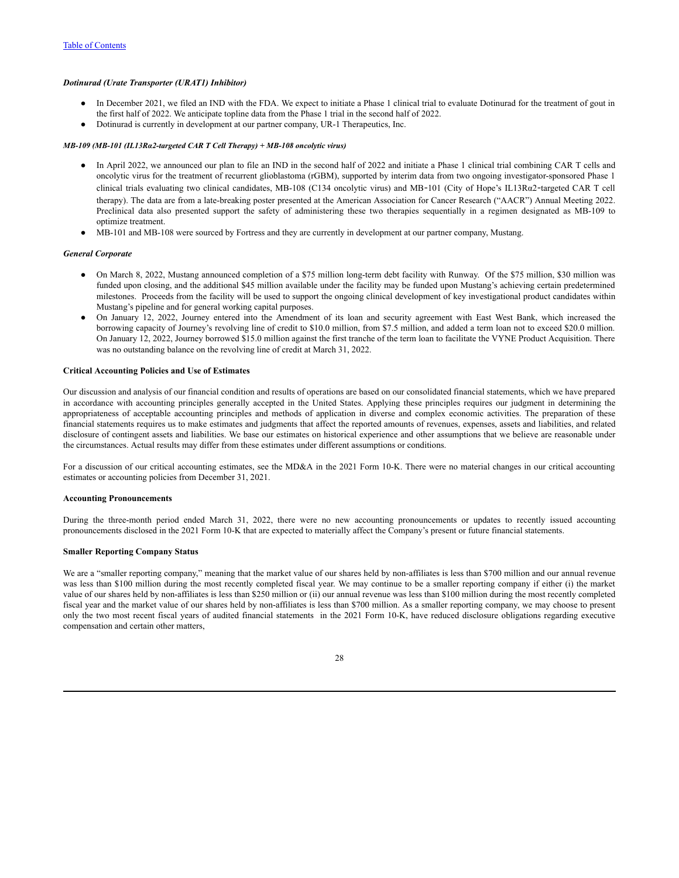### *Dotinurad (Urate Transporter (URAT1) Inhibitor)*

- In December 2021, we filed an IND with the FDA. We expect to initiate a Phase 1 clinical trial to evaluate Dotinurad for the treatment of gout in the first half of 2022. We anticipate topline data from the Phase 1 trial in the second half of 2022.
- Dotinurad is currently in development at our partner company, UR-1 Therapeutics, Inc.

### *MB-109 (MB-101 (IL13Rα2-targeted CAR T Cell Therapy) + MB-108 oncolytic virus)*

- In April 2022, we announced our plan to file an IND in the second half of 2022 and initiate a Phase 1 clinical trial combining CAR T cells and oncolytic virus for the treatment of recurrent glioblastoma (rGBM), supported by interim data from two ongoing investigator-sponsored Phase 1 clinical trials evaluating two clinical candidates, MB-108 (C134 oncolytic virus) and MB-101 (City of Hope's IL13Ra2-targeted CAR T cell therapy). The data are from a late-breaking poster presented at the American Association for Cancer Research ("AACR") Annual Meeting 2022. Preclinical data also presented support the safety of administering these two therapies sequentially in a regimen designated as MB-109 to optimize treatment.
- MB-101 and MB-108 were sourced by Fortress and they are currently in development at our partner company, Mustang.

#### *General Corporate*

- On March 8, 2022, Mustang announced completion of a \$75 million long-term debt facility with Runway. Of the \$75 million, \$30 million was funded upon closing, and the additional \$45 million available under the facility may be funded upon Mustang's achieving certain predetermined milestones. Proceeds from the facility will be used to support the ongoing clinical development of key investigational product candidates within Mustang's pipeline and for general working capital purposes.
- On January 12, 2022, Journey entered into the Amendment of its loan and security agreement with East West Bank, which increased the borrowing capacity of Journey's revolving line of credit to \$10.0 million, from \$7.5 million, and added a term loan not to exceed \$20.0 million. On January 12, 2022, Journey borrowed \$15.0 million against the first tranche of the term loan to facilitate the VYNE Product Acquisition. There was no outstanding balance on the revolving line of credit at March 31, 2022.

### **Critical Accounting Policies and Use of Estimates**

Our discussion and analysis of our financial condition and results of operations are based on our consolidated financial statements, which we have prepared in accordance with accounting principles generally accepted in the United States. Applying these principles requires our judgment in determining the appropriateness of acceptable accounting principles and methods of application in diverse and complex economic activities. The preparation of these financial statements requires us to make estimates and judgments that affect the reported amounts of revenues, expenses, assets and liabilities, and related disclosure of contingent assets and liabilities. We base our estimates on historical experience and other assumptions that we believe are reasonable under the circumstances. Actual results may differ from these estimates under different assumptions or conditions.

For a discussion of our critical accounting estimates, see the MD&A in the 2021 Form 10-K. There were no material changes in our critical accounting estimates or accounting policies from December 31, 2021.

### **Accounting Pronouncements**

During the three-month period ended March 31, 2022, there were no new accounting pronouncements or updates to recently issued accounting pronouncements disclosed in the 2021 Form 10-K that are expected to materially affect the Company's present or future financial statements.

#### **Smaller Reporting Company Status**

We are a "smaller reporting company," meaning that the market value of our shares held by non-affiliates is less than \$700 million and our annual revenue was less than \$100 million during the most recently completed fiscal year. We may continue to be a smaller reporting company if either (i) the market value of our shares held by non-affiliates is less than \$250 million or (ii) our annual revenue was less than \$100 million during the most recently completed fiscal year and the market value of our shares held by non-affiliates is less than \$700 million. As a smaller reporting company, we may choose to present only the two most recent fiscal years of audited financial statements in the 2021 Form 10-K, have reduced disclosure obligations regarding executive compensation and certain other matters,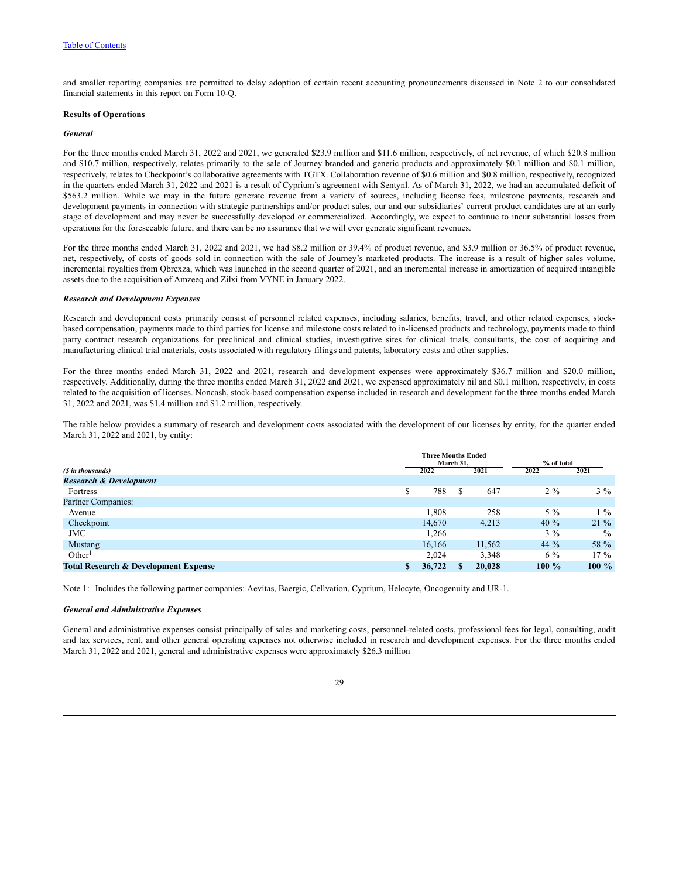and smaller reporting companies are permitted to delay adoption of certain recent accounting pronouncements discussed in Note 2 to our consolidated financial statements in this report on Form 10-Q.

### **Results of Operations**

### *General*

For the three months ended March 31, 2022 and 2021, we generated \$23.9 million and \$11.6 million, respectively, of net revenue, of which \$20.8 million and \$10.7 million, respectively, relates primarily to the sale of Journey branded and generic products and approximately \$0.1 million and \$0.1 million, respectively, relates to Checkpoint's collaborative agreements with TGTX. Collaboration revenue of \$0.6 million and \$0.8 million, respectively, recognized in the quarters ended March 31, 2022 and 2021 is a result of Cyprium's agreement with Sentynl. As of March 31, 2022, we had an accumulated deficit of \$563.2 million. While we may in the future generate revenue from a variety of sources, including license fees, milestone payments, research and development payments in connection with strategic partnerships and/or product sales, our and our subsidiaries' current product candidates are at an early stage of development and may never be successfully developed or commercialized. Accordingly, we expect to continue to incur substantial losses from operations for the foreseeable future, and there can be no assurance that we will ever generate significant revenues.

For the three months ended March 31, 2022 and 2021, we had \$8.2 million or 39.4% of product revenue, and \$3.9 million or 36.5% of product revenue, net, respectively, of costs of goods sold in connection with the sale of Journey's marketed products. The increase is a result of higher sales volume, incremental royalties from Qbrexza, which was launched in the second quarter of 2021, and an incremental increase in amortization of acquired intangible assets due to the acquisition of Amzeeq and Zilxi from VYNE in January 2022.

### *Research and Development Expenses*

Research and development costs primarily consist of personnel related expenses, including salaries, benefits, travel, and other related expenses, stockbased compensation, payments made to third parties for license and milestone costs related to in-licensed products and technology, payments made to third party contract research organizations for preclinical and clinical studies, investigative sites for clinical trials, consultants, the cost of acquiring and manufacturing clinical trial materials, costs associated with regulatory filings and patents, laboratory costs and other supplies.

For the three months ended March 31, 2022 and 2021, research and development expenses were approximately \$36.7 million and \$20.0 million, respectively. Additionally, during the three months ended March 31, 2022 and 2021, we expensed approximately nil and \$0.1 million, respectively, in costs related to the acquisition of licenses. Noncash, stock-based compensation expense included in research and development for the three months ended March 31, 2022 and 2021, was \$1.4 million and \$1.2 million, respectively.

The table below provides a summary of research and development costs associated with the development of our licenses by entity, for the quarter ended March 31, 2022 and 2021, by entity:

|                                                 | <b>Three Months Ended</b><br>March 31. |        |  |        | % of total |          |  |
|-------------------------------------------------|----------------------------------------|--------|--|--------|------------|----------|--|
| (S in thousands)                                |                                        | 2022   |  | 2021   | 2022       | 2021     |  |
| <b>Research &amp; Development</b>               |                                        |        |  |        |            |          |  |
| Fortress                                        | \$                                     | 788    |  | 647    | $2\%$      | $3\%$    |  |
| Partner Companies:                              |                                        |        |  |        |            |          |  |
| Avenue                                          |                                        | 1,808  |  | 258    | $5\%$      | $1\%$    |  |
| Checkpoint                                      |                                        | 14,670 |  | 4,213  | 40 $%$     | $21\%$   |  |
| <b>JMC</b>                                      |                                        | 1,266  |  |        | $3\%$      | $-$ %    |  |
| Mustang                                         |                                        | 16.166 |  | 11,562 | 44 $%$     | 58 %     |  |
| Other <sup>1</sup>                              |                                        | 2.024  |  | 3,348  | $6\%$      | $17\%$   |  |
| <b>Total Research &amp; Development Expense</b> | \$                                     | 36,722 |  | 20,028 | $100 \%$   | $100 \%$ |  |

Note 1: Includes the following partner companies: Aevitas, Baergic, Cellvation, Cyprium, Helocyte, Oncogenuity and UR-1.

#### *General and Administrative Expenses*

General and administrative expenses consist principally of sales and marketing costs, personnel-related costs, professional fees for legal, consulting, audit and tax services, rent, and other general operating expenses not otherwise included in research and development expenses. For the three months ended March 31, 2022 and 2021, general and administrative expenses were approximately \$26.3 million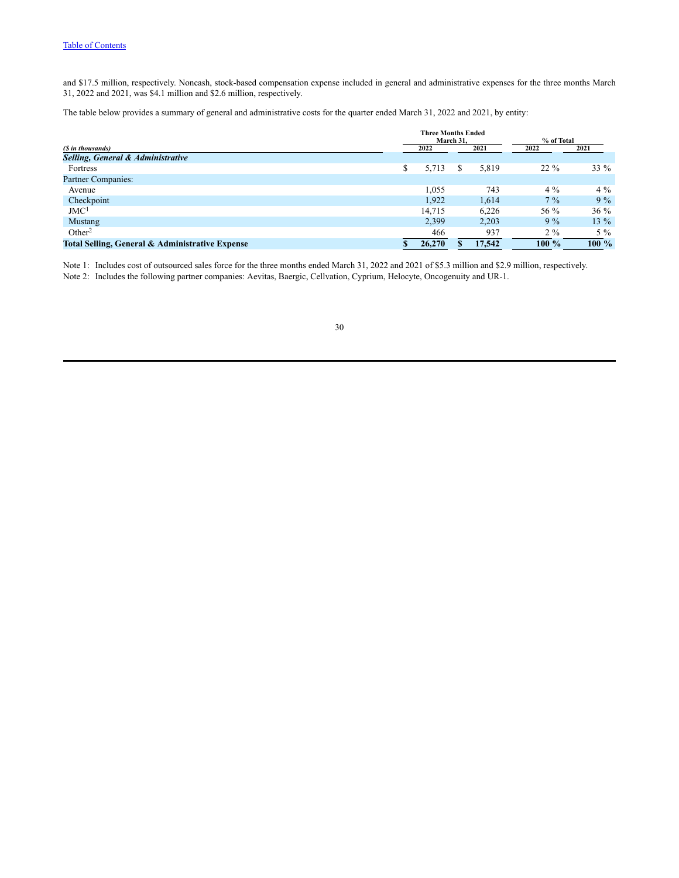and \$17.5 million, respectively. Noncash, stock-based compensation expense included in general and administrative expenses for the three months March 31, 2022 and 2021, was \$4.1 million and \$2.6 million, respectively.

The table below provides a summary of general and administrative costs for the quarter ended March 31, 2022 and 2021, by entity:

|                                                 |      | <b>Three Months Ended</b><br>March 31. |        | % of Total |          |  |
|-------------------------------------------------|------|----------------------------------------|--------|------------|----------|--|
| (\$ in thousands)                               | 2022 |                                        | 2021   | 2022       | 2021     |  |
| <b>Selling, General &amp; Administrative</b>    |      |                                        |        |            |          |  |
| Fortress                                        | \$   | 5.713                                  | 5,819  | $22\%$     | 33 %     |  |
| Partner Companies:                              |      |                                        |        |            |          |  |
| Avenue                                          |      | 1,055                                  | 743    | $4\%$      | $4\%$    |  |
| Checkpoint                                      |      | 1,922                                  | 1,614  | $7\%$      | $9\%$    |  |
| JMC <sup>1</sup>                                |      | 14,715                                 | 6,226  | 56 %       | $36\%$   |  |
| Mustang                                         |      | 2,399                                  | 2,203  | $9\%$      | $13\%$   |  |
| Other <sup>2</sup>                              |      | 466                                    | 937    | $2\%$      | $5\%$    |  |
| Total Selling, General & Administrative Expense |      | 26,270                                 | 17,542 | $100 \%$   | $100 \%$ |  |

Note 1: Includes cost of outsourced sales force for the three months ended March 31, 2022 and 2021 of \$5.3 million and \$2.9 million, respectively. Note 2: Includes the following partner companies: Aevitas, Baergic, Cellvation, Cyprium, Helocyte, Oncogenuity and UR-1.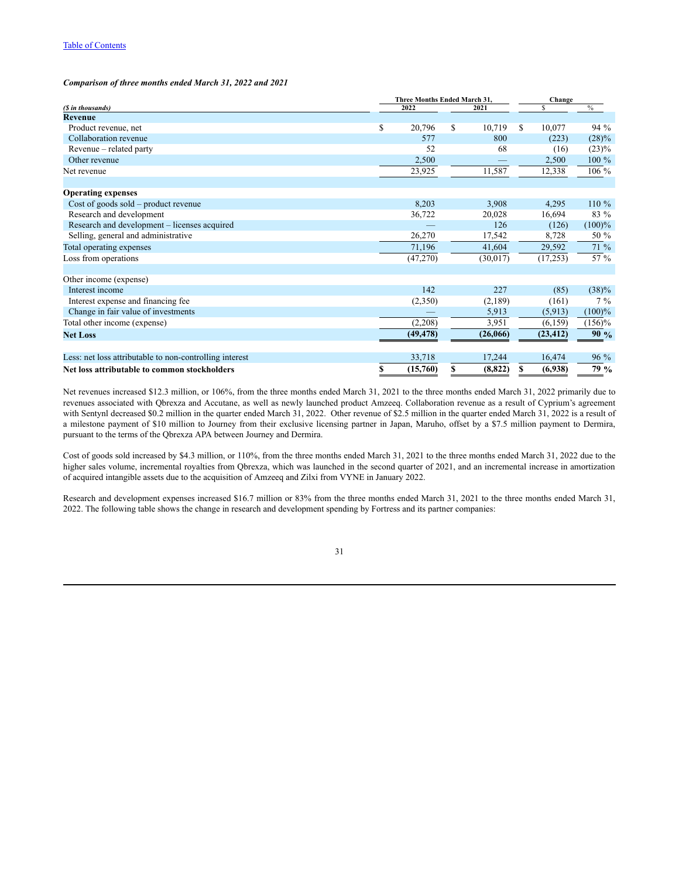### Table of [Contents](#page-1-0)

### *Comparison of three months ended March 31, 2022 and 2021*

|                                                         | Three Months Ended March 31, |           |    |           |     | Change    |           |  |  |
|---------------------------------------------------------|------------------------------|-----------|----|-----------|-----|-----------|-----------|--|--|
| (\$ in thousands)                                       |                              | 2022      |    | 2021      |     |           | $\%$      |  |  |
| <b>Revenue</b>                                          |                              |           |    |           |     |           |           |  |  |
| Product revenue, net                                    | \$                           | 20,796    | \$ | 10,719    | \$. | 10,077    | 94 %      |  |  |
| Collaboration revenue                                   |                              | 577       |    | 800       |     | (223)     | $(28)\%$  |  |  |
| Revenue – related party                                 |                              | 52        |    | 68        |     | (16)      | $(23)\%$  |  |  |
| Other revenue                                           |                              | 2,500     |    |           |     | 2,500     | 100 %     |  |  |
| Net revenue                                             |                              | 23,925    |    | 11,587    |     | 12,338    | 106 %     |  |  |
|                                                         |                              |           |    |           |     |           |           |  |  |
| <b>Operating expenses</b>                               |                              |           |    |           |     |           |           |  |  |
| Cost of goods $\text{ sold}$ – product revenue          |                              | 8,203     |    | 3,908     |     | 4,295     | 110 %     |  |  |
| Research and development                                |                              | 36,722    |    | 20,028    |     | 16,694    | 83 %      |  |  |
| Research and development – licenses acquired            |                              |           |    | 126       |     | (126)     | (100)%    |  |  |
| Selling, general and administrative                     |                              | 26,270    |    | 17,542    |     | 8,728     | 50 %      |  |  |
| Total operating expenses                                |                              | 71,196    |    | 41,604    |     | 29,592    | 71 %      |  |  |
| Loss from operations                                    |                              | (47,270)  |    | (30, 017) |     | (17,253)  | 57 %      |  |  |
|                                                         |                              |           |    |           |     |           |           |  |  |
| Other income (expense)                                  |                              |           |    |           |     |           |           |  |  |
| Interest income                                         |                              | 142       |    | 227       |     | (85)      | (38)%     |  |  |
| Interest expense and financing fee                      |                              | (2,350)   |    | (2,189)   |     | (161)     | $7\%$     |  |  |
| Change in fair value of investments                     |                              |           |    | 5,913     |     | (5,913)   | $(100)\%$ |  |  |
| Total other income (expense)                            |                              | (2,208)   |    | 3,951     |     | (6, 159)  | $(156)\%$ |  |  |
| <b>Net Loss</b>                                         |                              | (49, 478) |    | (26,066)  |     | (23, 412) | 90%       |  |  |
|                                                         |                              |           |    |           |     |           |           |  |  |
| Less: net loss attributable to non-controlling interest |                              | 33,718    |    | 17,244    |     | 16,474    | 96 %      |  |  |
| Net loss attributable to common stockholders            |                              | (15,760)  | S  | (8,822)   | S   | (6,938)   | 79 %      |  |  |

Net revenues increased \$12.3 million, or 106%, from the three months ended March 31, 2021 to the three months ended March 31, 2022 primarily due to revenues associated with Qbrexza and Accutane, as well as newly launched product Amzeeq. Collaboration revenue as a result of Cyprium's agreement with Sentynl decreased \$0.2 million in the quarter ended March 31, 2022. Other revenue of \$2.5 million in the quarter ended March 31, 2022 is a result of a milestone payment of \$10 million to Journey from their exclusive licensing partner in Japan, Maruho, offset by a \$7.5 million payment to Dermira, pursuant to the terms of the Qbrexza APA between Journey and Dermira.

Cost of goods sold increased by \$4.3 million, or 110%, from the three months ended March 31, 2021 to the three months ended March 31, 2022 due to the higher sales volume, incremental royalties from Qbrexza, which was launched in the second quarter of 2021, and an incremental increase in amortization of acquired intangible assets due to the acquisition of Amzeeq and Zilxi from VYNE in January 2022.

Research and development expenses increased \$16.7 million or 83% from the three months ended March 31, 2021 to the three months ended March 31, 2022. The following table shows the change in research and development spending by Fortress and its partner companies: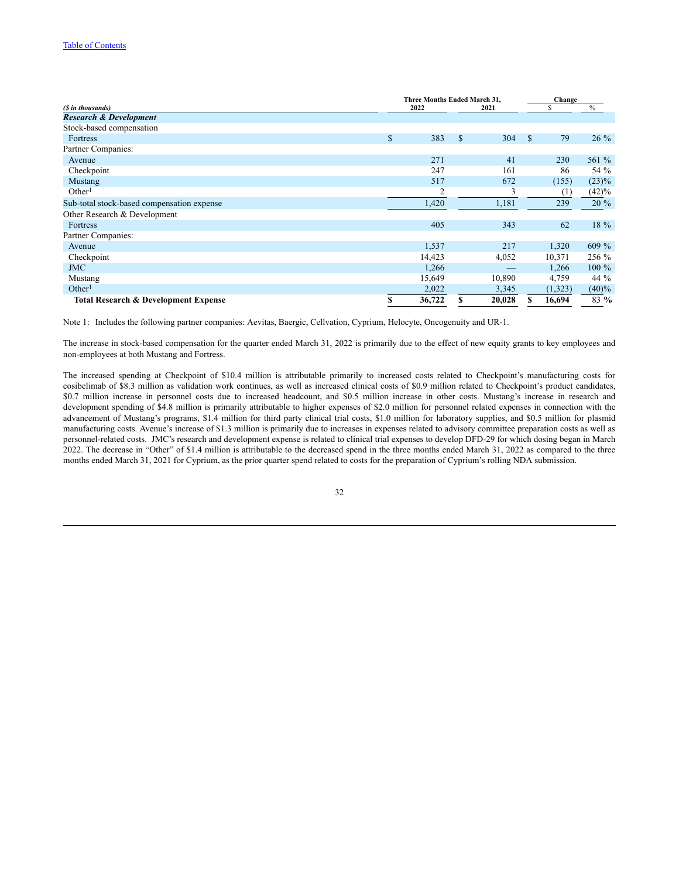|                                                 |    | Three Months Ended March 31, |    | Change |    |         |          |  |
|-------------------------------------------------|----|------------------------------|----|--------|----|---------|----------|--|
| (\$ in thousands)                               |    | 2022                         |    | 2021   |    |         | $\%$     |  |
| <b>Research &amp; Development</b>               |    |                              |    |        |    |         |          |  |
| Stock-based compensation                        |    |                              |    |        |    |         |          |  |
| Fortress                                        | \$ | 383                          | \$ | 304    | \$ | 79      | $26\%$   |  |
| Partner Companies:                              |    |                              |    |        |    |         |          |  |
| Avenue                                          |    | 271                          |    | 41     |    | 230     | 561 %    |  |
| Checkpoint                                      |    | 247                          |    | 161    |    | 86      | 54 %     |  |
| Mustang                                         |    | 517                          |    | 672    |    | (155)   | $(23)\%$ |  |
| Other <sup>1</sup>                              |    | 2                            |    | 3      |    | (1)     | (42)%    |  |
| Sub-total stock-based compensation expense      |    | 1,420                        |    | 1,181  |    | 239     | 20 %     |  |
| Other Research & Development                    |    |                              |    |        |    |         |          |  |
| Fortress                                        |    | 405                          |    | 343    |    | 62      | 18 %     |  |
| Partner Companies:                              |    |                              |    |        |    |         |          |  |
| Avenue                                          |    | 1,537                        |    | 217    |    | 1,320   | 609 %    |  |
| Checkpoint                                      |    | 14,423                       |    | 4,052  |    | 10,371  | 256 %    |  |
| <b>JMC</b>                                      |    | 1,266                        |    |        |    | 1,266   | 100 %    |  |
| Mustang                                         |    | 15,649                       |    | 10,890 |    | 4,759   | 44 %     |  |
| Other <sup>1</sup>                              |    | 2,022                        |    | 3,345  |    | (1,323) | (40)%    |  |
| <b>Total Research &amp; Development Expense</b> | S  | 36,722                       | S  | 20,028 | S  | 16,694  | 83 %     |  |

Note 1: Includes the following partner companies: Aevitas, Baergic, Cellvation, Cyprium, Helocyte, Oncogenuity and UR-1.

The increase in stock-based compensation for the quarter ended March 31, 2022 is primarily due to the effect of new equity grants to key employees and non-employees at both Mustang and Fortress.

The increased spending at Checkpoint of \$10.4 million is attributable primarily to increased costs related to Checkpoint's manufacturing costs for cosibelimab of \$8.3 million as validation work continues, as well as increased clinical costs of \$0.9 million related to Checkpoint's product candidates, \$0.7 million increase in personnel costs due to increased headcount, and \$0.5 million increase in other costs. Mustang's increase in research and development spending of \$4.8 million is primarily attributable to higher expenses of \$2.0 million for personnel related expenses in connection with the advancement of Mustang's programs, \$1.4 million for third party clinical trial costs, \$1.0 million for laboratory supplies, and \$0.5 million for plasmid manufacturing costs. Avenue's increase of \$1.3 million is primarily due to increases in expenses related to advisory committee preparation costs as well as personnel-related costs. JMC's research and development expense is related to clinical trial expenses to develop DFD-29 for which dosing began in March 2022. The decrease in "Other" of \$1.4 million is attributable to the decreased spend in the three months ended March 31, 2022 as compared to the three months ended March 31, 2021 for Cyprium, as the prior quarter spend related to costs for the preparation of Cyprium's rolling NDA submission.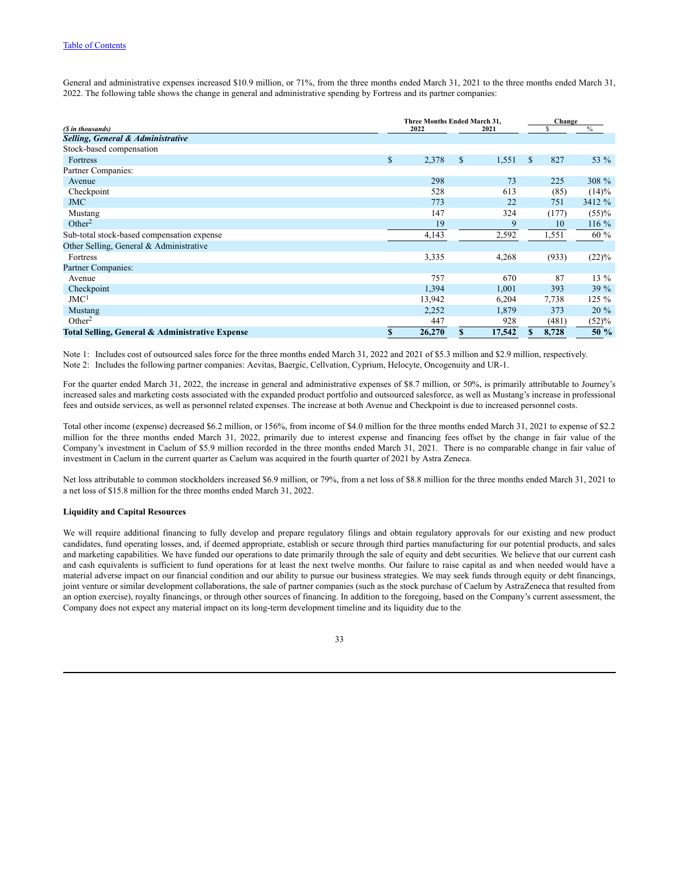General and administrative expenses increased \$10.9 million, or 71%, from the three months ended March 31, 2021 to the three months ended March 31, 2022. The following table shows the change in general and administrative spending by Fortress and its partner companies:

|                                                 | Three Months Ended March 31, |              | Change |    |       |          |
|-------------------------------------------------|------------------------------|--------------|--------|----|-------|----------|
| (\$ in thousands)                               | 2022                         |              | 2021   |    |       | $\%$     |
| Selling, General & Administrative               |                              |              |        |    |       |          |
| Stock-based compensation                        |                              |              |        |    |       |          |
| <b>Fortress</b>                                 | \$<br>2,378                  | $\mathbb{S}$ | 1,551  | \$ | 827   | 53 %     |
| Partner Companies:                              |                              |              |        |    |       |          |
| Avenue                                          | 298                          |              | 73     |    | 225   | 308 %    |
| Checkpoint                                      | 528                          |              | 613    |    | (85)  | $(14)\%$ |
| <b>JMC</b>                                      | 773                          |              | 22     |    | 751   | 3412 %   |
| Mustang                                         | 147                          |              | 324    |    | (177) | (55)%    |
| Other <sup>2</sup>                              | 19                           |              | 9      |    | 10    | $116\%$  |
| Sub-total stock-based compensation expense      | 4,143                        |              | 2,592  |    | 1,551 | 60 %     |
| Other Selling, General & Administrative         |                              |              |        |    |       |          |
| Fortress                                        | 3,335                        |              | 4,268  |    | (933) | $(22)\%$ |
| Partner Companies:                              |                              |              |        |    |       |          |
| Avenue                                          | 757                          |              | 670    |    | 87    | 13 %     |
| Checkpoint                                      | 1,394                        |              | 1,001  |    | 393   | 39 %     |
| JMC <sup>1</sup>                                | 13,942                       |              | 6,204  |    | 7,738 | 125 %    |
| Mustang                                         | 2,252                        |              | 1,879  |    | 373   | 20 %     |
| Other <sup>2</sup>                              | 447                          |              | 928    |    | (481) | (52)%    |
| Total Selling, General & Administrative Expense | \$<br>26,270                 | \$           | 17,542 | \$ | 8,728 | 50 %     |

Note 1: Includes cost of outsourced sales force for the three months ended March 31, 2022 and 2021 of \$5.3 million and \$2.9 million, respectively. Note 2: Includes the following partner companies: Aevitas, Baergic, Cellvation, Cyprium, Helocyte, Oncogenuity and UR-1.

For the quarter ended March 31, 2022, the increase in general and administrative expenses of \$8.7 million, or 50%, is primarily attributable to Journey's increased sales and marketing costs associated with the expanded product portfolio and outsourced salesforce, as well as Mustang's increase in professional fees and outside services, as well as personnel related expenses. The increase at both Avenue and Checkpoint is due to increased personnel costs.

Total other income (expense) decreased \$6.2 million, or 156%, from income of \$4.0 million for the three months ended March 31, 2021 to expense of \$2.2 million for the three months ended March 31, 2022, primarily due to interest expense and financing fees offset by the change in fair value of the Company's investment in Caelum of \$5.9 million recorded in the three months ended March 31, 2021. There is no comparable change in fair value of investment in Caelum in the current quarter as Caelum was acquired in the fourth quarter of 2021 by Astra Zeneca.

Net loss attributable to common stockholders increased \$6.9 million, or 79%, from a net loss of \$8.8 million for the three months ended March 31, 2021 to a net loss of \$15.8 million for the three months ended March 31, 2022.

### **Liquidity and Capital Resources**

We will require additional financing to fully develop and prepare regulatory filings and obtain regulatory approvals for our existing and new product candidates, fund operating losses, and, if deemed appropriate, establish or secure through third parties manufacturing for our potential products, and sales and marketing capabilities. We have funded our operations to date primarily through the sale of equity and debt securities. We believe that our current cash and cash equivalents is sufficient to fund operations for at least the next twelve months. Our failure to raise capital as and when needed would have a material adverse impact on our financial condition and our ability to pursue our business strategies. We may seek funds through equity or debt financings, joint venture or similar development collaborations, the sale of partner companies (such as the stock purchase of Caelum by AstraZeneca that resulted from an option exercise), royalty financings, or through other sources of financing. In addition to the foregoing, based on the Company's current assessment, the Company does not expect any material impact on its long-term development timeline and its liquidity due to the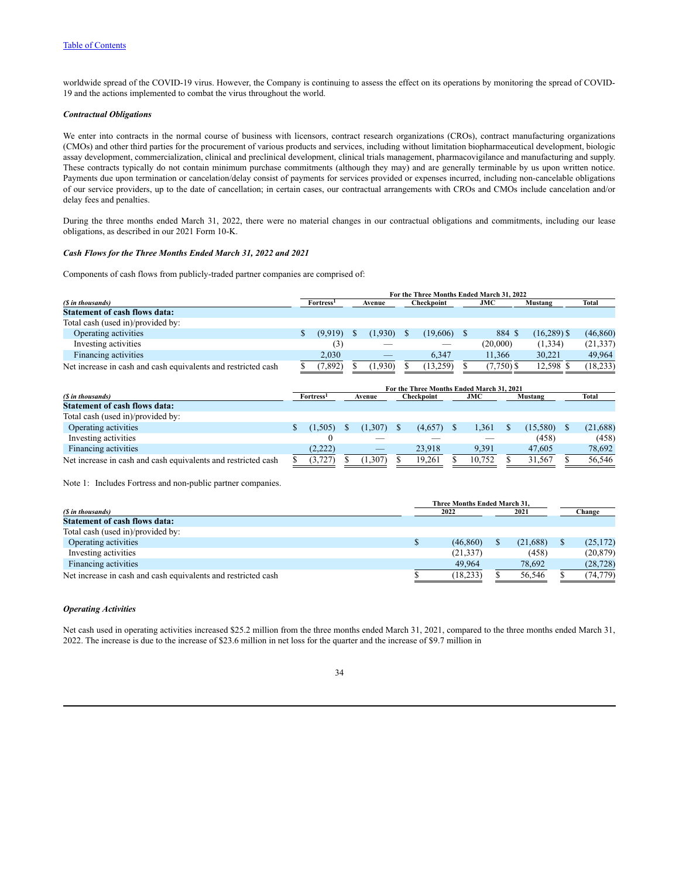worldwide spread of the COVID-19 virus. However, the Company is continuing to assess the effect on its operations by monitoring the spread of COVID-19 and the actions implemented to combat the virus throughout the world.

#### *Contractual Obligations*

We enter into contracts in the normal course of business with licensors, contract research organizations (CROs), contract manufacturing organizations (CMOs) and other third parties for the procurement of various products and services, including without limitation biopharmaceutical development, biologic assay development, commercialization, clinical and preclinical development, clinical trials management, pharmacovigilance and manufacturing and supply. These contracts typically do not contain minimum purchase commitments (although they may) and are generally terminable by us upon written notice. Payments due upon termination or cancelation/delay consist of payments for services provided or expenses incurred, including non-cancelable obligations of our service providers, up to the date of cancellation; in certain cases, our contractual arrangements with CROs and CMOs include cancelation and/or delay fees and penalties.

During the three months ended March 31, 2022, there were no material changes in our contractual obligations and commitments, including our lease obligations, as described in our 2021 Form 10-K.

#### *Cash Flows for the Three Months Ended March 31, 2022 and 2021*

Components of cash flows from publicly-traded partner companies are comprised of:

|                                                               | For the Three Months Ended March 31, 2022 |                       |  |         |  |            |  |              |                |           |
|---------------------------------------------------------------|-------------------------------------------|-----------------------|--|---------|--|------------|--|--------------|----------------|-----------|
| (S in thousands)                                              |                                           | Fortress <sup>1</sup> |  | Avenue  |  | Checkpoint |  | JMC          | Mustang        | Total     |
| <b>Statement of cash flows data:</b>                          |                                           |                       |  |         |  |            |  |              |                |           |
| Total cash (used in)/provided by:                             |                                           |                       |  |         |  |            |  |              |                |           |
| Operating activities                                          |                                           | (9.919)               |  | 1.930)  |  | (19,606)   |  | 884 \$       | $(16, 289)$ \$ | (46, 860) |
| Investing activities                                          |                                           | (3)                   |  |         |  |            |  | (20,000)     | (1, 334)       | (21, 337) |
| Financing activities                                          |                                           | 2,030                 |  |         |  | 6.347      |  | 11.366       | 30.221         | 49,964    |
| Net increase in cash and cash equivalents and restricted cash |                                           | 7,892                 |  | (1,930) |  | (13.259)   |  | $(7,750)$ \$ | 12.598 \$      | (18, 233) |

|                                                               | For the Three Months Ended March 31, 2021 |         |            |         |     |         |         |        |  |          |  |           |
|---------------------------------------------------------------|-------------------------------------------|---------|------------|---------|-----|---------|---------|--------|--|----------|--|-----------|
| (S in thousands)                                              | Fortress'<br>Avenue                       |         | Checkpoint |         | JMC |         | Mustang |        |  | Total    |  |           |
| <b>Statement of cash flows data:</b>                          |                                           |         |            |         |     |         |         |        |  |          |  |           |
| Total cash (used in)/provided by:                             |                                           |         |            |         |     |         |         |        |  |          |  |           |
| Operating activities                                          |                                           | (1,505) |            | (1.307) |     | (4,657) |         | l.361  |  | (15,580) |  | (21, 688) |
| Investing activities                                          |                                           |         |            |         |     |         |         |        |  | (458)    |  | (458)     |
| Financing activities                                          |                                           | (2,222) |            |         |     | 23.918  |         | 9.391  |  | 47.605   |  | 78,692    |
| Net increase in cash and cash equivalents and restricted cash |                                           | 3,727   |            | 1,307   |     | 19.261  |         | 10.752 |  | 31.567   |  | 56,546    |

Note 1: Includes Fortress and non-public partner companies.

|                                                               | Three Months Ended March 31. |           |          |           |  |
|---------------------------------------------------------------|------------------------------|-----------|----------|-----------|--|
| (S in thousands)                                              | 2022                         |           | 2021     | Change    |  |
| <b>Statement of cash flows data:</b>                          |                              |           |          |           |  |
| Total cash (used in)/provided by:                             |                              |           |          |           |  |
| Operating activities                                          | S                            | (46, 860) | (21,688) | (25, 172) |  |
| Investing activities                                          |                              | (21, 337) | (458)    | (20, 879) |  |
| Financing activities                                          |                              | 49.964    | 78.692   | (28, 728) |  |
| Net increase in cash and cash equivalents and restricted cash |                              | (18.233)  | 56,546   | (74, 779) |  |

# *Operating Activities*

Net cash used in operating activities increased \$25.2 million from the three months ended March 31, 2021, compared to the three months ended March 31, 2022. The increase is due to the increase of \$23.6 million in net loss for the quarter and the increase of \$9.7 million in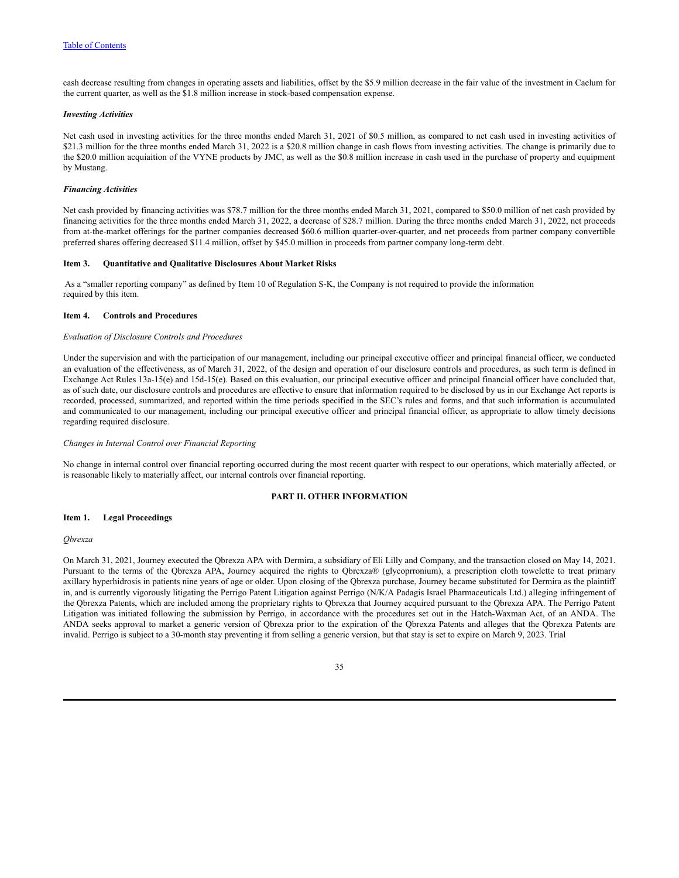cash decrease resulting from changes in operating assets and liabilities, offset by the \$5.9 million decrease in the fair value of the investment in Caelum for the current quarter, as well as the \$1.8 million increase in stock-based compensation expense.

#### *Investing Activities*

Net cash used in investing activities for the three months ended March 31, 2021 of \$0.5 million, as compared to net cash used in investing activities of \$21.3 million for the three months ended March 31, 2022 is a \$20.8 million change in cash flows from investing activities. The change is primarily due to the \$20.0 million acquiaition of the VYNE products by JMC, as well as the \$0.8 million increase in cash used in the purchase of property and equipment by Mustang.

#### *Financing Activities*

Net cash provided by financing activities was \$78.7 million for the three months ended March 31, 2021, compared to \$50.0 million of net cash provided by financing activities for the three months ended March 31, 2022, a decrease of \$28.7 million. During the three months ended March 31, 2022, net proceeds from at-the-market offerings for the partner companies decreased \$60.6 million quarter-over-quarter, and net proceeds from partner company convertible preferred shares offering decreased \$11.4 million, offset by \$45.0 million in proceeds from partner company long-term debt.

### **Item 3. Quantitative and Qualitative Disclosures About Market Risks**

As a "smaller reporting company" as defined by Item 10 of Regulation S-K, the Company is not required to provide the information required by this item.

### **Item 4. Controls and Procedures**

## *Evaluation of Disclosure Controls and Procedures*

Under the supervision and with the participation of our management, including our principal executive officer and principal financial officer, we conducted an evaluation of the effectiveness, as of March 31, 2022, of the design and operation of our disclosure controls and procedures, as such term is defined in Exchange Act Rules 13a-15(e) and 15d-15(e). Based on this evaluation, our principal executive officer and principal financial officer have concluded that, as of such date, our disclosure controls and procedures are effective to ensure that information required to be disclosed by us in our Exchange Act reports is recorded, processed, summarized, and reported within the time periods specified in the SEC's rules and forms, and that such information is accumulated and communicated to our management, including our principal executive officer and principal financial officer, as appropriate to allow timely decisions regarding required disclosure.

### *Changes in Internal Control over Financial Reporting*

No change in internal control over financial reporting occurred during the most recent quarter with respect to our operations, which materially affected, or is reasonable likely to materially affect, our internal controls over financial reporting.

#### **PART II. OTHER INFORMATION**

#### **Item 1. Legal Proceedings**

## *Qbrexza*

On March 31, 2021, Journey executed the Qbrexza APA with Dermira, a subsidiary of Eli Lilly and Company, and the transaction closed on May 14, 2021. Pursuant to the terms of the Qbrexza APA, Journey acquired the rights to Qbrexza® (glycoprronium), a prescription cloth towelette to treat primary axillary hyperhidrosis in patients nine years of age or older. Upon closing of the Qbrexza purchase, Journey became substituted for Dermira as the plaintiff in, and is currently vigorously litigating the Perrigo Patent Litigation against Perrigo (N/K/A Padagis Israel Pharmaceuticals Ltd.) alleging infringement of the Qbrexza Patents, which are included among the proprietary rights to Qbrexza that Journey acquired pursuant to the Qbrexza APA. The Perrigo Patent Litigation was initiated following the submission by Perrigo, in accordance with the procedures set out in the Hatch-Waxman Act, of an ANDA. The ANDA seeks approval to market a generic version of Qbrexza prior to the expiration of the Qbrexza Patents and alleges that the Qbrexza Patents are invalid. Perrigo is subject to a 30-month stay preventing it from selling a generic version, but that stay is set to expire on March 9, 2023. Trial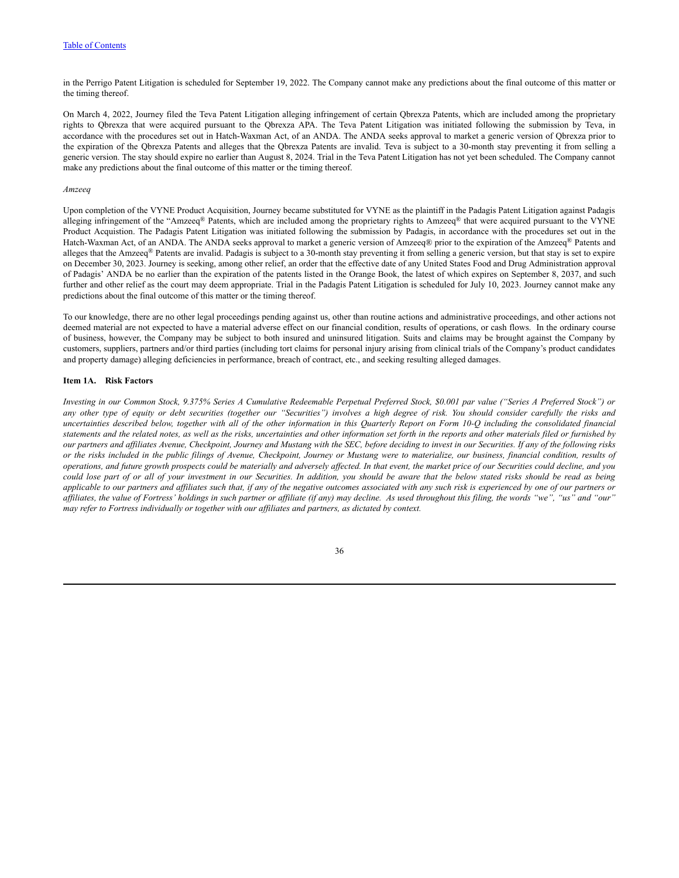in the Perrigo Patent Litigation is scheduled for September 19, 2022. The Company cannot make any predictions about the final outcome of this matter or the timing thereof.

On March 4, 2022, Journey filed the Teva Patent Litigation alleging infringement of certain Qbrexza Patents, which are included among the proprietary rights to Qbrexza that were acquired pursuant to the Qbrexza APA. The Teva Patent Litigation was initiated following the submission by Teva, in accordance with the procedures set out in Hatch-Waxman Act, of an ANDA. The ANDA seeks approval to market a generic version of Qbrexza prior to the expiration of the Qbrexza Patents and alleges that the Qbrexza Patents are invalid. Teva is subject to a 30-month stay preventing it from selling a generic version. The stay should expire no earlier than August 8, 2024. Trial in the Teva Patent Litigation has not yet been scheduled. The Company cannot make any predictions about the final outcome of this matter or the timing thereof.

#### *Amzeeq*

Upon completion of the VYNE Product Acquisition, Journey became substituted for VYNE as the plaintiff in the Padagis Patent Litigation against Padagis alleging infringement of the "Amzeeq® Patents, which are included among the proprietary rights to Amzeeq® that were acquired pursuant to the VYNE Product Acquistion. The Padagis Patent Litigation was initiated following the submission by Padagis, in accordance with the procedures set out in the Hatch-Waxman Act, of an ANDA. The ANDA seeks approval to market a generic version of Amzeeq® prior to the expiration of the Amzeeq® Patents and alleges that the Amzeeq<sup>®</sup> Patents are invalid. Padagis is subject to a 30-month stay preventing it from selling a generic version, but that stay is set to expire on December 30, 2023. Journey is seeking, among other relief, an order that the effective date of any United States Food and Drug Administration approval of Padagis' ANDA be no earlier than the expiration of the patents listed in the Orange Book, the latest of which expires on September 8, 2037, and such further and other relief as the court may deem appropriate. Trial in the Padagis Patent Litigation is scheduled for July 10, 2023. Journey cannot make any predictions about the final outcome of this matter or the timing thereof.

To our knowledge, there are no other legal proceedings pending against us, other than routine actions and administrative proceedings, and other actions not deemed material are not expected to have a material adverse effect on our financial condition, results of operations, or cash flows. In the ordinary course of business, however, the Company may be subject to both insured and uninsured litigation. Suits and claims may be brought against the Company by customers, suppliers, partners and/or third parties (including tort claims for personal injury arising from clinical trials of the Company's product candidates and property damage) alleging deficiencies in performance, breach of contract, etc., and seeking resulting alleged damages.

#### **Item 1A. Risk Factors**

Investing in our Common Stock, 9.375% Series A Cumulative Redeemable Perpetual Preferred Stock, \$0.001 par value ("Series A Preferred Stock") or any other type of equity or debt securities (together our "Securities") involves a high degree of risk. You should consider carefully the risks and uncertainties described below, together with all of the other information in this Quarterly Report on Form 10-Q including the consolidated financial statements and the related notes, as well as the risks, uncertainties and other information set forth in the reports and other materials filed or furnished by our partners and affiliates Avenue, Checkpoint, Journey and Mustang with the SEC, before deciding to invest in our Securities. If any of the following risks or the risks included in the public filings of Avenue, Checkpoint, Journey or Mustang were to materialize, our business, financial condition, results of operations, and future growth prospects could be materially and adversely affected. In that event, the market price of our Securities could decline, and you could lose part of or all of your investment in our Securities. In addition, you should be aware that the below stated risks should be read as being applicable to our partners and affiliates such that, if any of the negative outcomes associated with any such risk is experienced by one of our partners or affiliates, the value of Fortress' holdings in such partner or affiliate (if any) may decline. As used throughout this filing, the words "we", "us" and "our' *may refer to Fortress individually or together with our af iliates and partners, as dictated by context.*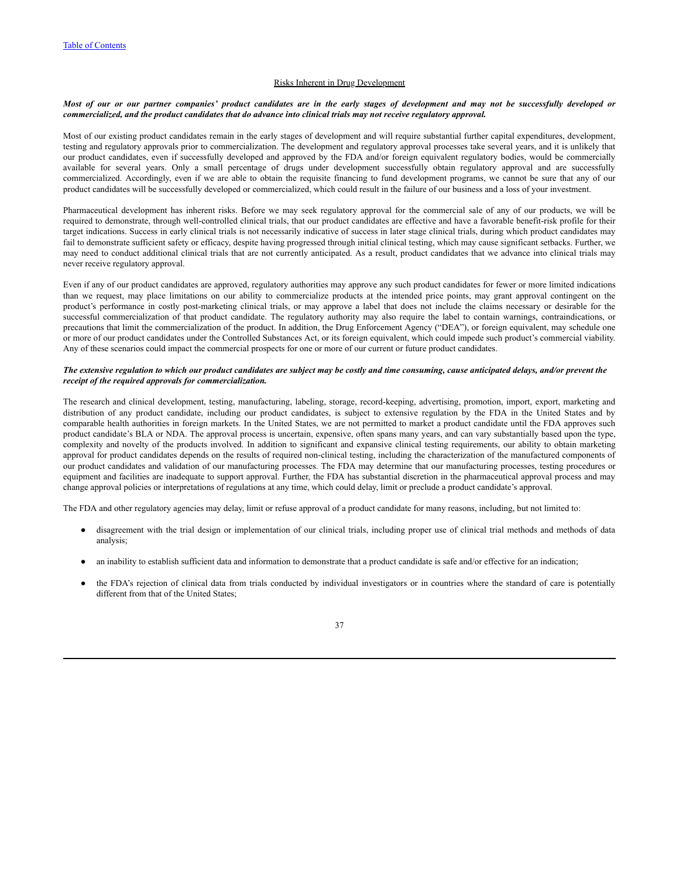### Risks Inherent in Drug Development

#### Most of our or our partner companies' product candidates are in the early stages of development and may not be successfully developed or commercialized, and the product candidates that do advance into clinical trials may not receive regulatory approval.

Most of our existing product candidates remain in the early stages of development and will require substantial further capital expenditures, development, testing and regulatory approvals prior to commercialization. The development and regulatory approval processes take several years, and it is unlikely that our product candidates, even if successfully developed and approved by the FDA and/or foreign equivalent regulatory bodies, would be commercially available for several years. Only a small percentage of drugs under development successfully obtain regulatory approval and are successfully commercialized. Accordingly, even if we are able to obtain the requisite financing to fund development programs, we cannot be sure that any of our product candidates will be successfully developed or commercialized, which could result in the failure of our business and a loss of your investment.

Pharmaceutical development has inherent risks. Before we may seek regulatory approval for the commercial sale of any of our products, we will be required to demonstrate, through well-controlled clinical trials, that our product candidates are effective and have a favorable benefit-risk profile for their target indications. Success in early clinical trials is not necessarily indicative of success in later stage clinical trials, during which product candidates may fail to demonstrate sufficient safety or efficacy, despite having progressed through initial clinical testing, which may cause significant setbacks. Further, we may need to conduct additional clinical trials that are not currently anticipated. As a result, product candidates that we advance into clinical trials may never receive regulatory approval.

Even if any of our product candidates are approved, regulatory authorities may approve any such product candidates for fewer or more limited indications than we request, may place limitations on our ability to commercialize products at the intended price points, may grant approval contingent on the product's performance in costly post-marketing clinical trials, or may approve a label that does not include the claims necessary or desirable for the successful commercialization of that product candidate. The regulatory authority may also require the label to contain warnings, contraindications, or precautions that limit the commercialization of the product. In addition, the Drug Enforcement Agency ("DEA"), or foreign equivalent, may schedule one or more of our product candidates under the Controlled Substances Act, or its foreign equivalent, which could impede such product's commercial viability. Any of these scenarios could impact the commercial prospects for one or more of our current or future product candidates.

### The extensive regulation to which our product candidates are subject may be costly and time consuming, cause anticipated delays, and/or prevent the *receipt of the required approvals for commercialization.*

The research and clinical development, testing, manufacturing, labeling, storage, record-keeping, advertising, promotion, import, export, marketing and distribution of any product candidate, including our product candidates, is subject to extensive regulation by the FDA in the United States and by comparable health authorities in foreign markets. In the United States, we are not permitted to market a product candidate until the FDA approves such product candidate's BLA or NDA. The approval process is uncertain, expensive, often spans many years, and can vary substantially based upon the type, complexity and novelty of the products involved. In addition to significant and expansive clinical testing requirements, our ability to obtain marketing approval for product candidates depends on the results of required non-clinical testing, including the characterization of the manufactured components of our product candidates and validation of our manufacturing processes. The FDA may determine that our manufacturing processes, testing procedures or equipment and facilities are inadequate to support approval. Further, the FDA has substantial discretion in the pharmaceutical approval process and may change approval policies or interpretations of regulations at any time, which could delay, limit or preclude a product candidate's approval.

The FDA and other regulatory agencies may delay, limit or refuse approval of a product candidate for many reasons, including, but not limited to:

- disagreement with the trial design or implementation of our clinical trials, including proper use of clinical trial methods and methods of data analysis;
- an inability to establish sufficient data and information to demonstrate that a product candidate is safe and/or effective for an indication;
- the FDA's rejection of clinical data from trials conducted by individual investigators or in countries where the standard of care is potentially different from that of the United States;

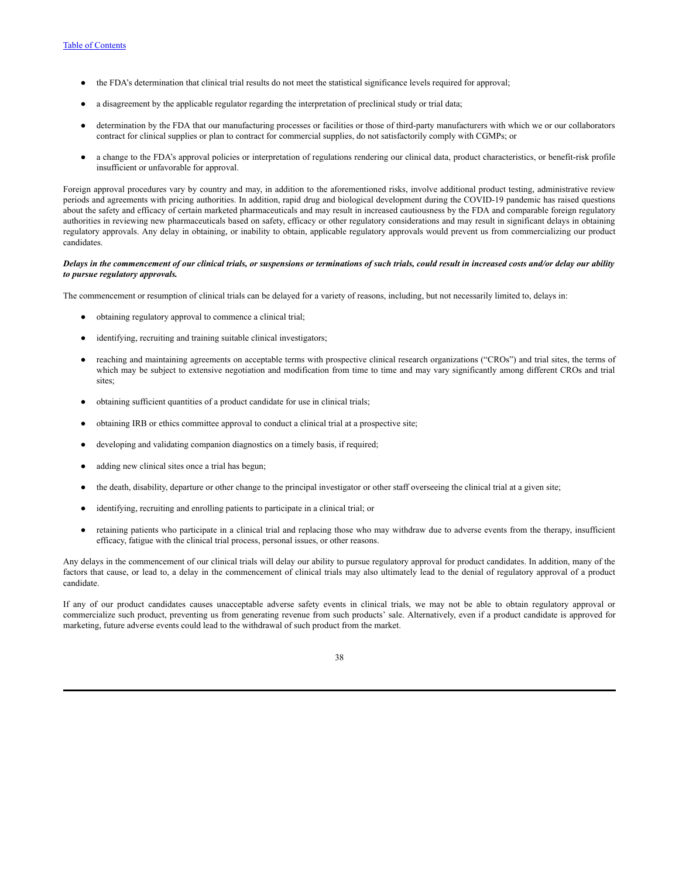- the FDA's determination that clinical trial results do not meet the statistical significance levels required for approval;
- a disagreement by the applicable regulator regarding the interpretation of preclinical study or trial data;
- determination by the FDA that our manufacturing processes or facilities or those of third-party manufacturers with which we or our collaborators contract for clinical supplies or plan to contract for commercial supplies, do not satisfactorily comply with CGMPs; or
- a change to the FDA's approval policies or interpretation of regulations rendering our clinical data, product characteristics, or benefit-risk profile insufficient or unfavorable for approval.

Foreign approval procedures vary by country and may, in addition to the aforementioned risks, involve additional product testing, administrative review periods and agreements with pricing authorities. In addition, rapid drug and biological development during the COVID-19 pandemic has raised questions about the safety and efficacy of certain marketed pharmaceuticals and may result in increased cautiousness by the FDA and comparable foreign regulatory authorities in reviewing new pharmaceuticals based on safety, efficacy or other regulatory considerations and may result in significant delays in obtaining regulatory approvals. Any delay in obtaining, or inability to obtain, applicable regulatory approvals would prevent us from commercializing our product candidates.

#### Delays in the commencement of our clinical trials, or suspensions or terminations of such trials, could result in increased costs and/or delay our ability *to pursue regulatory approvals.*

The commencement or resumption of clinical trials can be delayed for a variety of reasons, including, but not necessarily limited to, delays in:

- obtaining regulatory approval to commence a clinical trial;
- identifying, recruiting and training suitable clinical investigators;
- reaching and maintaining agreements on acceptable terms with prospective clinical research organizations ("CROs") and trial sites, the terms of which may be subject to extensive negotiation and modification from time to time and may vary significantly among different CROs and trial sites:
- obtaining sufficient quantities of a product candidate for use in clinical trials;
- obtaining IRB or ethics committee approval to conduct a clinical trial at a prospective site;
- developing and validating companion diagnostics on a timely basis, if required;
- adding new clinical sites once a trial has begun;
- the death, disability, departure or other change to the principal investigator or other staff overseeing the clinical trial at a given site;
- identifying, recruiting and enrolling patients to participate in a clinical trial; or
- retaining patients who participate in a clinical trial and replacing those who may withdraw due to adverse events from the therapy, insufficient efficacy, fatigue with the clinical trial process, personal issues, or other reasons.

Any delays in the commencement of our clinical trials will delay our ability to pursue regulatory approval for product candidates. In addition, many of the factors that cause, or lead to, a delay in the commencement of clinical trials may also ultimately lead to the denial of regulatory approval of a product candidate.

If any of our product candidates causes unacceptable adverse safety events in clinical trials, we may not be able to obtain regulatory approval or commercialize such product, preventing us from generating revenue from such products' sale. Alternatively, even if a product candidate is approved for marketing, future adverse events could lead to the withdrawal of such product from the market.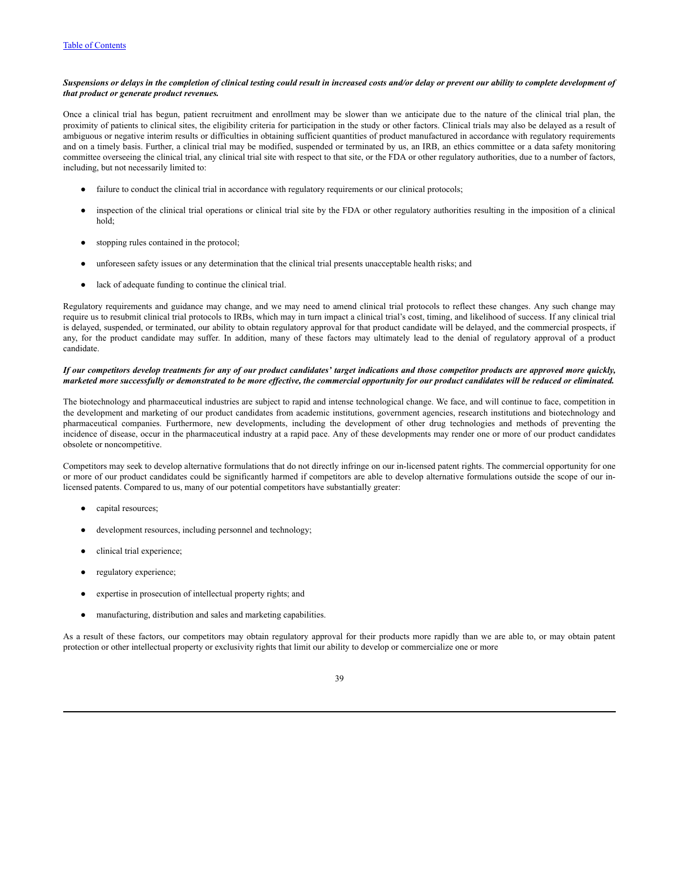## Suspensions or delays in the completion of clinical testing could result in increased costs and/or delay or prevent our ability to complete development of *that product or generate product revenues.*

Once a clinical trial has begun, patient recruitment and enrollment may be slower than we anticipate due to the nature of the clinical trial plan, the proximity of patients to clinical sites, the eligibility criteria for participation in the study or other factors. Clinical trials may also be delayed as a result of ambiguous or negative interim results or difficulties in obtaining sufficient quantities of product manufactured in accordance with regulatory requirements and on a timely basis. Further, a clinical trial may be modified, suspended or terminated by us, an IRB, an ethics committee or a data safety monitoring committee overseeing the clinical trial, any clinical trial site with respect to that site, or the FDA or other regulatory authorities, due to a number of factors, including, but not necessarily limited to:

- failure to conduct the clinical trial in accordance with regulatory requirements or our clinical protocols;
- inspection of the clinical trial operations or clinical trial site by the FDA or other regulatory authorities resulting in the imposition of a clinical hold;
- stopping rules contained in the protocol;
- unforeseen safety issues or any determination that the clinical trial presents unacceptable health risks; and
- lack of adequate funding to continue the clinical trial.

Regulatory requirements and guidance may change, and we may need to amend clinical trial protocols to reflect these changes. Any such change may require us to resubmit clinical trial protocols to IRBs, which may in turn impact a clinical trial's cost, timing, and likelihood of success. If any clinical trial is delayed, suspended, or terminated, our ability to obtain regulatory approval for that product candidate will be delayed, and the commercial prospects, if any, for the product candidate may suffer. In addition, many of these factors may ultimately lead to the denial of regulatory approval of a product candidate.

### If our competitors develop treatments for any of our product candidates' target indications and those competitor products are approved more quickly, marketed more successfully or demonstrated to be more effective, the commercial opportunity for our product candidates will be reduced or eliminated.

The biotechnology and pharmaceutical industries are subject to rapid and intense technological change. We face, and will continue to face, competition in the development and marketing of our product candidates from academic institutions, government agencies, research institutions and biotechnology and pharmaceutical companies. Furthermore, new developments, including the development of other drug technologies and methods of preventing the incidence of disease, occur in the pharmaceutical industry at a rapid pace. Any of these developments may render one or more of our product candidates obsolete or noncompetitive.

Competitors may seek to develop alternative formulations that do not directly infringe on our in-licensed patent rights. The commercial opportunity for one or more of our product candidates could be significantly harmed if competitors are able to develop alternative formulations outside the scope of our inlicensed patents. Compared to us, many of our potential competitors have substantially greater:

- capital resources;
- development resources, including personnel and technology;
- clinical trial experience:
- regulatory experience;
- expertise in prosecution of intellectual property rights; and
- manufacturing, distribution and sales and marketing capabilities.

As a result of these factors, our competitors may obtain regulatory approval for their products more rapidly than we are able to, or may obtain patent protection or other intellectual property or exclusivity rights that limit our ability to develop or commercialize one or more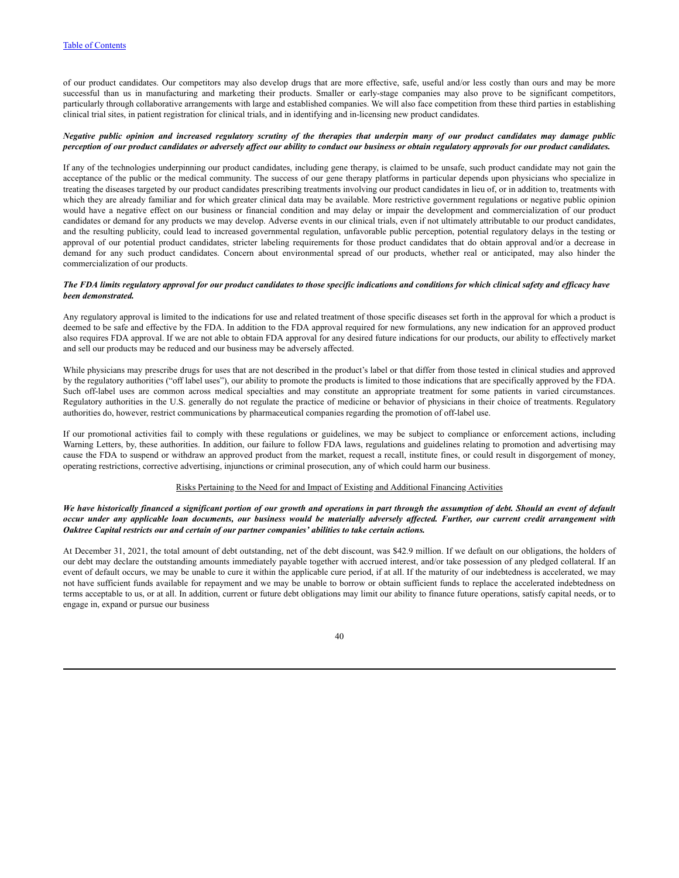of our product candidates. Our competitors may also develop drugs that are more effective, safe, useful and/or less costly than ours and may be more successful than us in manufacturing and marketing their products. Smaller or early-stage companies may also prove to be significant competitors, particularly through collaborative arrangements with large and established companies. We will also face competition from these third parties in establishing clinical trial sites, in patient registration for clinical trials, and in identifying and in-licensing new product candidates.

### Negative public opinion and increased regulatory scrutiny of the therapies that underpin many of our product candidates may damage public perception of our product candidates or adversely affect our ability to conduct our business or obtain regulatory approvals for our product candidates.

If any of the technologies underpinning our product candidates, including gene therapy, is claimed to be unsafe, such product candidate may not gain the acceptance of the public or the medical community. The success of our gene therapy platforms in particular depends upon physicians who specialize in treating the diseases targeted by our product candidates prescribing treatments involving our product candidates in lieu of, or in addition to, treatments with which they are already familiar and for which greater clinical data may be available. More restrictive government regulations or negative public opinion would have a negative effect on our business or financial condition and may delay or impair the development and commercialization of our product candidates or demand for any products we may develop. Adverse events in our clinical trials, even if not ultimately attributable to our product candidates, and the resulting publicity, could lead to increased governmental regulation, unfavorable public perception, potential regulatory delays in the testing or approval of our potential product candidates, stricter labeling requirements for those product candidates that do obtain approval and/or a decrease in demand for any such product candidates. Concern about environmental spread of our products, whether real or anticipated, may also hinder the commercialization of our products.

## The FDA limits regulatory approval for our product candidates to those specific indications and conditions for which clinical safety and efficacy have *been demonstrated.*

Any regulatory approval is limited to the indications for use and related treatment of those specific diseases set forth in the approval for which a product is deemed to be safe and effective by the FDA. In addition to the FDA approval required for new formulations, any new indication for an approved product also requires FDA approval. If we are not able to obtain FDA approval for any desired future indications for our products, our ability to effectively market and sell our products may be reduced and our business may be adversely affected.

While physicians may prescribe drugs for uses that are not described in the product's label or that differ from those tested in clinical studies and approved by the regulatory authorities ("off label uses"), our ability to promote the products is limited to those indications that are specifically approved by the FDA. Such off-label uses are common across medical specialties and may constitute an appropriate treatment for some patients in varied circumstances. Regulatory authorities in the U.S. generally do not regulate the practice of medicine or behavior of physicians in their choice of treatments. Regulatory authorities do, however, restrict communications by pharmaceutical companies regarding the promotion of off-label use.

If our promotional activities fail to comply with these regulations or guidelines, we may be subject to compliance or enforcement actions, including Warning Letters, by, these authorities. In addition, our failure to follow FDA laws, regulations and guidelines relating to promotion and advertising may cause the FDA to suspend or withdraw an approved product from the market, request a recall, institute fines, or could result in disgorgement of money, operating restrictions, corrective advertising, injunctions or criminal prosecution, any of which could harm our business.

### Risks Pertaining to the Need for and Impact of Existing and Additional Financing Activities

### We have historically financed a significant portion of our growth and operations in part through the assumption of debt. Should an event of default occur under any applicable loan documents, our business would be materially adversely affected. Further, our current credit arrangement with *Oaktree Capital restricts our and certain of our partner companies' abilities to take certain actions.*

At December 31, 2021, the total amount of debt outstanding, net of the debt discount, was \$42.9 million. If we default on our obligations, the holders of our debt may declare the outstanding amounts immediately payable together with accrued interest, and/or take possession of any pledged collateral. If an event of default occurs, we may be unable to cure it within the applicable cure period, if at all. If the maturity of our indebtedness is accelerated, we may not have sufficient funds available for repayment and we may be unable to borrow or obtain sufficient funds to replace the accelerated indebtedness on terms acceptable to us, or at all. In addition, current or future debt obligations may limit our ability to finance future operations, satisfy capital needs, or to engage in, expand or pursue our business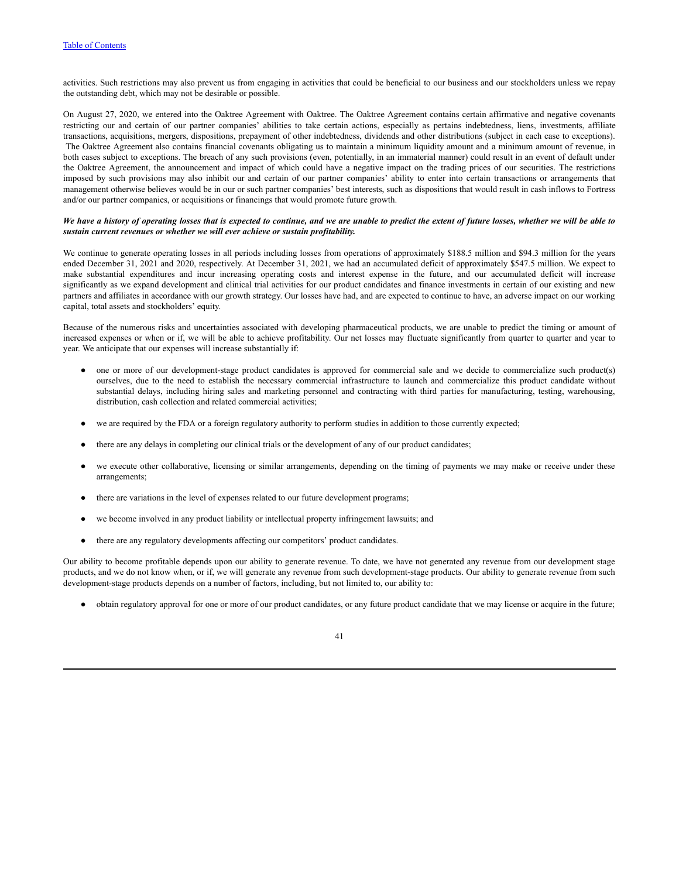activities. Such restrictions may also prevent us from engaging in activities that could be beneficial to our business and our stockholders unless we repay the outstanding debt, which may not be desirable or possible.

On August 27, 2020, we entered into the Oaktree Agreement with Oaktree. The Oaktree Agreement contains certain affirmative and negative covenants restricting our and certain of our partner companies' abilities to take certain actions, especially as pertains indebtedness, liens, investments, affiliate transactions, acquisitions, mergers, dispositions, prepayment of other indebtedness, dividends and other distributions (subject in each case to exceptions). The Oaktree Agreement also contains financial covenants obligating us to maintain a minimum liquidity amount and a minimum amount of revenue, in both cases subject to exceptions. The breach of any such provisions (even, potentially, in an immaterial manner) could result in an event of default under the Oaktree Agreement, the announcement and impact of which could have a negative impact on the trading prices of our securities. The restrictions imposed by such provisions may also inhibit our and certain of our partner companies' ability to enter into certain transactions or arrangements that management otherwise believes would be in our or such partner companies' best interests, such as dispositions that would result in cash inflows to Fortress and/or our partner companies, or acquisitions or financings that would promote future growth.

### We have a history of operating losses that is expected to continue, and we are unable to predict the extent of future losses, whether we will be able to *sustain current revenues or whether we will ever achieve or sustain profitability.*

We continue to generate operating losses in all periods including losses from operations of approximately \$188.5 million and \$94.3 million for the years ended December 31, 2021 and 2020, respectively. At December 31, 2021, we had an accumulated deficit of approximately \$547.5 million. We expect to make substantial expenditures and incur increasing operating costs and interest expense in the future, and our accumulated deficit will increase significantly as we expand development and clinical trial activities for our product candidates and finance investments in certain of our existing and new partners and affiliates in accordance with our growth strategy. Our losses have had, and are expected to continue to have, an adverse impact on our working capital, total assets and stockholders' equity.

Because of the numerous risks and uncertainties associated with developing pharmaceutical products, we are unable to predict the timing or amount of increased expenses or when or if, we will be able to achieve profitability. Our net losses may fluctuate significantly from quarter to quarter and year to year. We anticipate that our expenses will increase substantially if:

- one or more of our development-stage product candidates is approved for commercial sale and we decide to commercialize such product(s) ourselves, due to the need to establish the necessary commercial infrastructure to launch and commercialize this product candidate without substantial delays, including hiring sales and marketing personnel and contracting with third parties for manufacturing, testing, warehousing, distribution, cash collection and related commercial activities;
- we are required by the FDA or a foreign regulatory authority to perform studies in addition to those currently expected;
- there are any delays in completing our clinical trials or the development of any of our product candidates;
- we execute other collaborative, licensing or similar arrangements, depending on the timing of payments we may make or receive under these arrangements;
- there are variations in the level of expenses related to our future development programs;
- we become involved in any product liability or intellectual property infringement lawsuits; and
- there are any regulatory developments affecting our competitors' product candidates.

Our ability to become profitable depends upon our ability to generate revenue. To date, we have not generated any revenue from our development stage products, and we do not know when, or if, we will generate any revenue from such development-stage products. Our ability to generate revenue from such development-stage products depends on a number of factors, including, but not limited to, our ability to:

obtain regulatory approval for one or more of our product candidates, or any future product candidate that we may license or acquire in the future;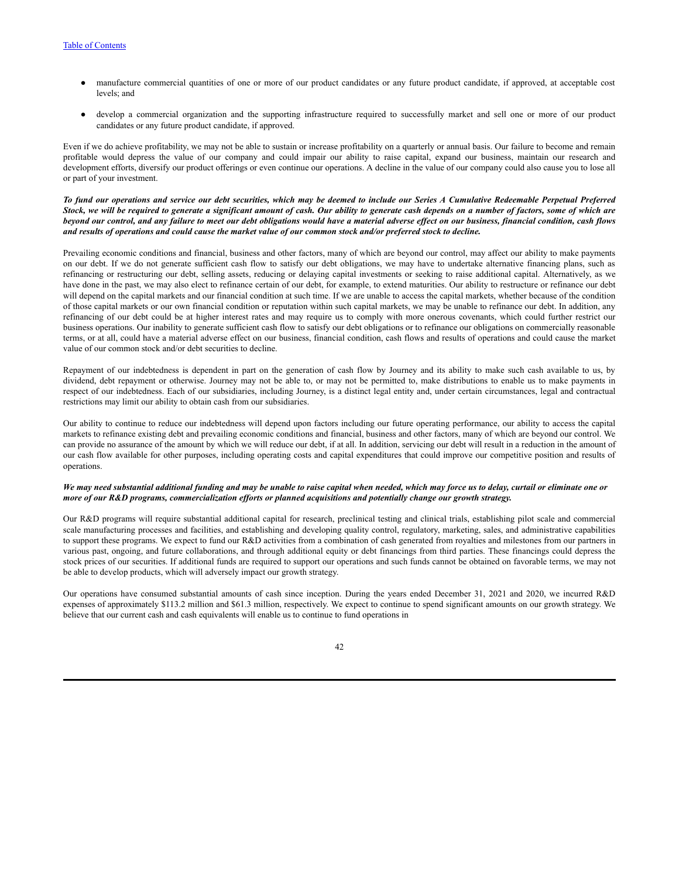- manufacture commercial quantities of one or more of our product candidates or any future product candidate, if approved, at acceptable cost levels; and
- develop a commercial organization and the supporting infrastructure required to successfully market and sell one or more of our product candidates or any future product candidate, if approved.

Even if we do achieve profitability, we may not be able to sustain or increase profitability on a quarterly or annual basis. Our failure to become and remain profitable would depress the value of our company and could impair our ability to raise capital, expand our business, maintain our research and development efforts, diversify our product offerings or even continue our operations. A decline in the value of our company could also cause you to lose all or part of your investment.

### To fund our operations and service our debt securities, which may be deemed to include our Series A Cumulative Redeemable Perpetual Preferred Stock, we will be required to generate a significant amount of cash. Our ability to generate cash depends on a number of factors, some of which are beyond our control, and any failure to meet our debt obligations would have a material adverse effect on our business, financial condition, cash flows and results of operations and could cause the market value of our common stock and/or preferred stock to decline.

Prevailing economic conditions and financial, business and other factors, many of which are beyond our control, may affect our ability to make payments on our debt. If we do not generate sufficient cash flow to satisfy our debt obligations, we may have to undertake alternative financing plans, such as refinancing or restructuring our debt, selling assets, reducing or delaying capital investments or seeking to raise additional capital. Alternatively, as we have done in the past, we may also elect to refinance certain of our debt, for example, to extend maturities. Our ability to restructure or refinance our debt will depend on the capital markets and our financial condition at such time. If we are unable to access the capital markets, whether because of the condition of those capital markets or our own financial condition or reputation within such capital markets, we may be unable to refinance our debt. In addition, any refinancing of our debt could be at higher interest rates and may require us to comply with more onerous covenants, which could further restrict our business operations. Our inability to generate sufficient cash flow to satisfy our debt obligations or to refinance our obligations on commercially reasonable terms, or at all, could have a material adverse effect on our business, financial condition, cash flows and results of operations and could cause the market value of our common stock and/or debt securities to decline.

Repayment of our indebtedness is dependent in part on the generation of cash flow by Journey and its ability to make such cash available to us, by dividend, debt repayment or otherwise. Journey may not be able to, or may not be permitted to, make distributions to enable us to make payments in respect of our indebtedness. Each of our subsidiaries, including Journey, is a distinct legal entity and, under certain circumstances, legal and contractual restrictions may limit our ability to obtain cash from our subsidiaries.

Our ability to continue to reduce our indebtedness will depend upon factors including our future operating performance, our ability to access the capital markets to refinance existing debt and prevailing economic conditions and financial, business and other factors, many of which are beyond our control. We can provide no assurance of the amount by which we will reduce our debt, if at all. In addition, servicing our debt will result in a reduction in the amount of our cash flow available for other purposes, including operating costs and capital expenditures that could improve our competitive position and results of operations.

### We may need substantial additional funding and may be unable to raise capital when needed, which may force us to delay, curtail or eliminate one or more of our R&D programs, commercialization efforts or planned acquisitions and potentially change our growth strategy.

Our R&D programs will require substantial additional capital for research, preclinical testing and clinical trials, establishing pilot scale and commercial scale manufacturing processes and facilities, and establishing and developing quality control, regulatory, marketing, sales, and administrative capabilities to support these programs. We expect to fund our R&D activities from a combination of cash generated from royalties and milestones from our partners in various past, ongoing, and future collaborations, and through additional equity or debt financings from third parties. These financings could depress the stock prices of our securities. If additional funds are required to support our operations and such funds cannot be obtained on favorable terms, we may not be able to develop products, which will adversely impact our growth strategy.

Our operations have consumed substantial amounts of cash since inception. During the years ended December 31, 2021 and 2020, we incurred R&D expenses of approximately \$113.2 million and \$61.3 million, respectively. We expect to continue to spend significant amounts on our growth strategy. We believe that our current cash and cash equivalents will enable us to continue to fund operations in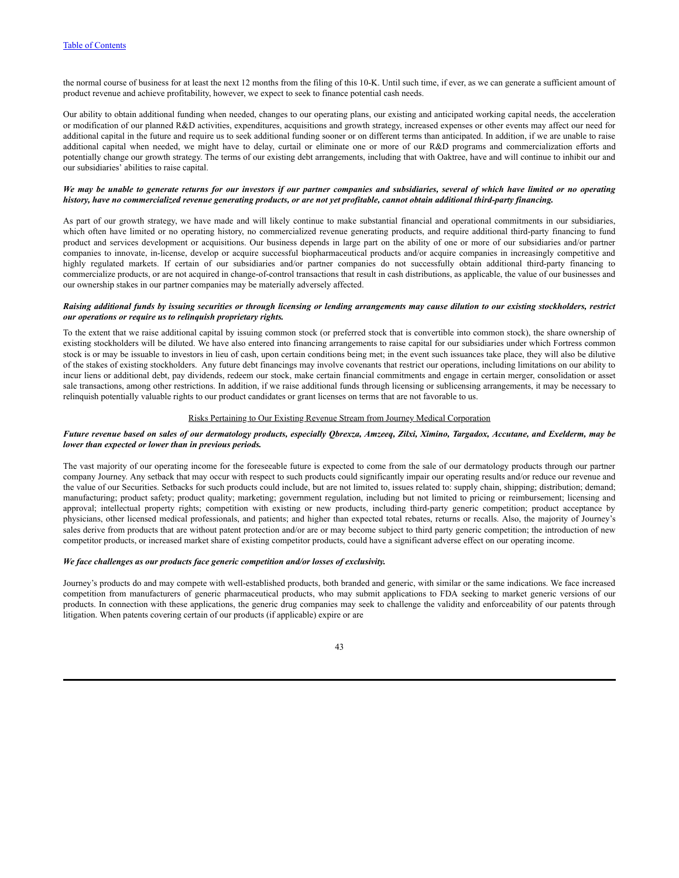the normal course of business for at least the next 12 months from the filing of this 10-K. Until such time, if ever, as we can generate a sufficient amount of product revenue and achieve profitability, however, we expect to seek to finance potential cash needs.

Our ability to obtain additional funding when needed, changes to our operating plans, our existing and anticipated working capital needs, the acceleration or modification of our planned R&D activities, expenditures, acquisitions and growth strategy, increased expenses or other events may affect our need for additional capital in the future and require us to seek additional funding sooner or on different terms than anticipated. In addition, if we are unable to raise additional capital when needed, we might have to delay, curtail or eliminate one or more of our R&D programs and commercialization efforts and potentially change our growth strategy. The terms of our existing debt arrangements, including that with Oaktree, have and will continue to inhibit our and our subsidiaries' abilities to raise capital.

## We may be unable to generate returns for our investors if our partner companies and subsidiaries, several of which have limited or no operating history, have no commercialized revenue generating products, or are not yet profitable, cannot obtain additional third-party financing.

As part of our growth strategy, we have made and will likely continue to make substantial financial and operational commitments in our subsidiaries, which often have limited or no operating history, no commercialized revenue generating products, and require additional third-party financing to fund product and services development or acquisitions. Our business depends in large part on the ability of one or more of our subsidiaries and/or partner companies to innovate, in-license, develop or acquire successful biopharmaceutical products and/or acquire companies in increasingly competitive and highly regulated markets. If certain of our subsidiaries and/or partner companies do not successfully obtain additional third-party financing to commercialize products, or are not acquired in change-of-control transactions that result in cash distributions, as applicable, the value of our businesses and our ownership stakes in our partner companies may be materially adversely affected.

#### Raising additional funds by issuing securities or through licensing or lending arrangements may cause dilution to our existing stockholders, restrict *our operations or require us to relinquish proprietary rights.*

To the extent that we raise additional capital by issuing common stock (or preferred stock that is convertible into common stock), the share ownership of existing stockholders will be diluted. We have also entered into financing arrangements to raise capital for our subsidiaries under which Fortress common stock is or may be issuable to investors in lieu of cash, upon certain conditions being met; in the event such issuances take place, they will also be dilutive of the stakes of existing stockholders. Any future debt financings may involve covenants that restrict our operations, including limitations on our ability to incur liens or additional debt, pay dividends, redeem our stock, make certain financial commitments and engage in certain merger, consolidation or asset sale transactions, among other restrictions. In addition, if we raise additional funds through licensing or sublicensing arrangements, it may be necessary to relinquish potentially valuable rights to our product candidates or grant licenses on terms that are not favorable to us.

### Risks Pertaining to Our Existing Revenue Stream from Journey Medical Corporation

## Future revenue based on sales of our dermatology products, especially Qbrexza, Amzeeq, Zilxi, Ximino, Targadox, Accutane, and Exelderm, may be *lower than expected or lower than in previous periods.*

The vast majority of our operating income for the foreseeable future is expected to come from the sale of our dermatology products through our partner company Journey. Any setback that may occur with respect to such products could significantly impair our operating results and/or reduce our revenue and the value of our Securities. Setbacks for such products could include, but are not limited to, issues related to: supply chain, shipping; distribution; demand; manufacturing; product safety; product quality; marketing; government regulation, including but not limited to pricing or reimbursement; licensing and approval; intellectual property rights; competition with existing or new products, including third-party generic competition; product acceptance by physicians, other licensed medical professionals, and patients; and higher than expected total rebates, returns or recalls. Also, the majority of Journey's sales derive from products that are without patent protection and/or are or may become subject to third party generic competition; the introduction of new competitor products, or increased market share of existing competitor products, could have a significant adverse effect on our operating income.

### *We face challenges as our products face generic competition and/or losses of exclusivity.*

Journey's products do and may compete with well-established products, both branded and generic, with similar or the same indications. We face increased competition from manufacturers of generic pharmaceutical products, who may submit applications to FDA seeking to market generic versions of our products. In connection with these applications, the generic drug companies may seek to challenge the validity and enforceability of our patents through litigation. When patents covering certain of our products (if applicable) expire or are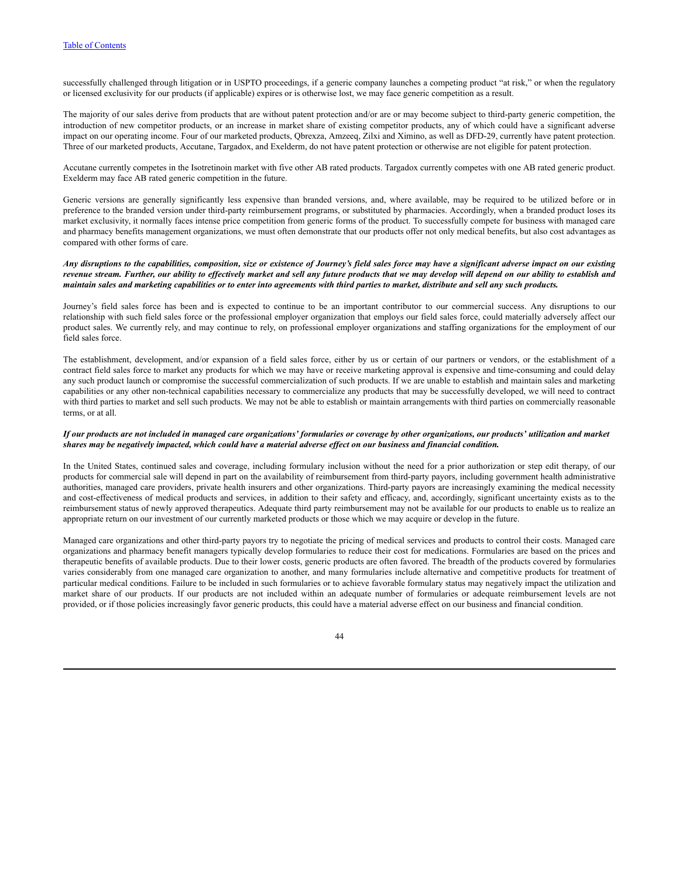successfully challenged through litigation or in USPTO proceedings, if a generic company launches a competing product "at risk," or when the regulatory or licensed exclusivity for our products (if applicable) expires or is otherwise lost, we may face generic competition as a result.

The majority of our sales derive from products that are without patent protection and/or are or may become subject to third-party generic competition, the introduction of new competitor products, or an increase in market share of existing competitor products, any of which could have a significant adverse impact on our operating income. Four of our marketed products, Qbrexza, Amzeeq, Zilxi and Ximino, as well as DFD-29, currently have patent protection. Three of our marketed products, Accutane, Targadox, and Exelderm, do not have patent protection or otherwise are not eligible for patent protection.

Accutane currently competes in the Isotretinoin market with five other AB rated products. Targadox currently competes with one AB rated generic product. Exelderm may face AB rated generic competition in the future.

Generic versions are generally significantly less expensive than branded versions, and, where available, may be required to be utilized before or in preference to the branded version under third-party reimbursement programs, or substituted by pharmacies. Accordingly, when a branded product loses its market exclusivity, it normally faces intense price competition from generic forms of the product. To successfully compete for business with managed care and pharmacy benefits management organizations, we must often demonstrate that our products offer not only medical benefits, but also cost advantages as compared with other forms of care.

### Any disruptions to the capabilities, composition, size or existence of Journey's field sales force may have a significant adverse impact on our existing revenue stream. Further, our ability to effectively market and sell any future products that we may develop will depend on our ability to establish and maintain sales and marketing capabilities or to enter into agreements with third parties to market, distribute and sell any such products.

Journey's field sales force has been and is expected to continue to be an important contributor to our commercial success. Any disruptions to our relationship with such field sales force or the professional employer organization that employs our field sales force, could materially adversely affect our product sales. We currently rely, and may continue to rely, on professional employer organizations and staffing organizations for the employment of our field sales force.

The establishment, development, and/or expansion of a field sales force, either by us or certain of our partners or vendors, or the establishment of a contract field sales force to market any products for which we may have or receive marketing approval is expensive and time-consuming and could delay any such product launch or compromise the successful commercialization of such products. If we are unable to establish and maintain sales and marketing capabilities or any other non-technical capabilities necessary to commercialize any products that may be successfully developed, we will need to contract with third parties to market and sell such products. We may not be able to establish or maintain arrangements with third parties on commercially reasonable terms, or at all.

### If our products are not included in managed care organizations' formularies or coverage by other organizations, our products' utilization and market shares may be negatively impacted, which could have a material adverse effect on our business and financial condition.

In the United States, continued sales and coverage, including formulary inclusion without the need for a prior authorization or step edit therapy, of our products for commercial sale will depend in part on the availability of reimbursement from third-party payors, including government health administrative authorities, managed care providers, private health insurers and other organizations. Third-party payors are increasingly examining the medical necessity and cost-effectiveness of medical products and services, in addition to their safety and efficacy, and, accordingly, significant uncertainty exists as to the reimbursement status of newly approved therapeutics. Adequate third party reimbursement may not be available for our products to enable us to realize an appropriate return on our investment of our currently marketed products or those which we may acquire or develop in the future.

Managed care organizations and other third-party payors try to negotiate the pricing of medical services and products to control their costs. Managed care organizations and pharmacy benefit managers typically develop formularies to reduce their cost for medications. Formularies are based on the prices and therapeutic benefits of available products. Due to their lower costs, generic products are often favored. The breadth of the products covered by formularies varies considerably from one managed care organization to another, and many formularies include alternative and competitive products for treatment of particular medical conditions. Failure to be included in such formularies or to achieve favorable formulary status may negatively impact the utilization and market share of our products. If our products are not included within an adequate number of formularies or adequate reimbursement levels are not provided, or if those policies increasingly favor generic products, this could have a material adverse effect on our business and financial condition.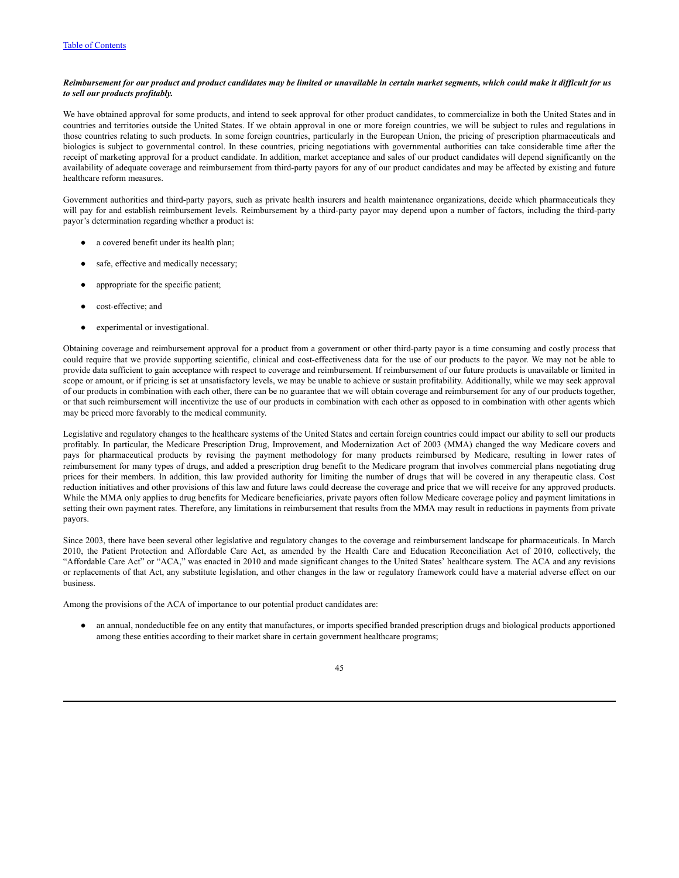### Reimbursement for our product and product candidates may be limited or unavailable in certain market segments, which could make it difficult for us *to sell our products profitably.*

We have obtained approval for some products, and intend to seek approval for other product candidates, to commercialize in both the United States and in countries and territories outside the United States. If we obtain approval in one or more foreign countries, we will be subject to rules and regulations in those countries relating to such products. In some foreign countries, particularly in the European Union, the pricing of prescription pharmaceuticals and biologics is subject to governmental control. In these countries, pricing negotiations with governmental authorities can take considerable time after the receipt of marketing approval for a product candidate. In addition, market acceptance and sales of our product candidates will depend significantly on the availability of adequate coverage and reimbursement from third-party payors for any of our product candidates and may be affected by existing and future healthcare reform measures.

Government authorities and third-party payors, such as private health insurers and health maintenance organizations, decide which pharmaceuticals they will pay for and establish reimbursement levels. Reimbursement by a third-party payor may depend upon a number of factors, including the third-party payor's determination regarding whether a product is:

- a covered benefit under its health plan;
- safe, effective and medically necessary;
- appropriate for the specific patient;
- cost-effective; and
- experimental or investigational.

Obtaining coverage and reimbursement approval for a product from a government or other third-party payor is a time consuming and costly process that could require that we provide supporting scientific, clinical and cost-effectiveness data for the use of our products to the payor. We may not be able to provide data sufficient to gain acceptance with respect to coverage and reimbursement. If reimbursement of our future products is unavailable or limited in scope or amount, or if pricing is set at unsatisfactory levels, we may be unable to achieve or sustain profitability. Additionally, while we may seek approval of our products in combination with each other, there can be no guarantee that we will obtain coverage and reimbursement for any of our products together, or that such reimbursement will incentivize the use of our products in combination with each other as opposed to in combination with other agents which may be priced more favorably to the medical community.

Legislative and regulatory changes to the healthcare systems of the United States and certain foreign countries could impact our ability to sell our products profitably. In particular, the Medicare Prescription Drug, Improvement, and Modernization Act of 2003 (MMA) changed the way Medicare covers and pays for pharmaceutical products by revising the payment methodology for many products reimbursed by Medicare, resulting in lower rates of reimbursement for many types of drugs, and added a prescription drug benefit to the Medicare program that involves commercial plans negotiating drug prices for their members. In addition, this law provided authority for limiting the number of drugs that will be covered in any therapeutic class. Cost reduction initiatives and other provisions of this law and future laws could decrease the coverage and price that we will receive for any approved products. While the MMA only applies to drug benefits for Medicare beneficiaries, private payors often follow Medicare coverage policy and payment limitations in setting their own payment rates. Therefore, any limitations in reimbursement that results from the MMA may result in reductions in payments from private payors.

Since 2003, there have been several other legislative and regulatory changes to the coverage and reimbursement landscape for pharmaceuticals. In March 2010, the Patient Protection and Affordable Care Act, as amended by the Health Care and Education Reconciliation Act of 2010, collectively, the "Affordable Care Act" or "ACA," was enacted in 2010 and made significant changes to the United States' healthcare system. The ACA and any revisions or replacements of that Act, any substitute legislation, and other changes in the law or regulatory framework could have a material adverse effect on our business.

Among the provisions of the ACA of importance to our potential product candidates are:

an annual, nondeductible fee on any entity that manufactures, or imports specified branded prescription drugs and biological products apportioned among these entities according to their market share in certain government healthcare programs;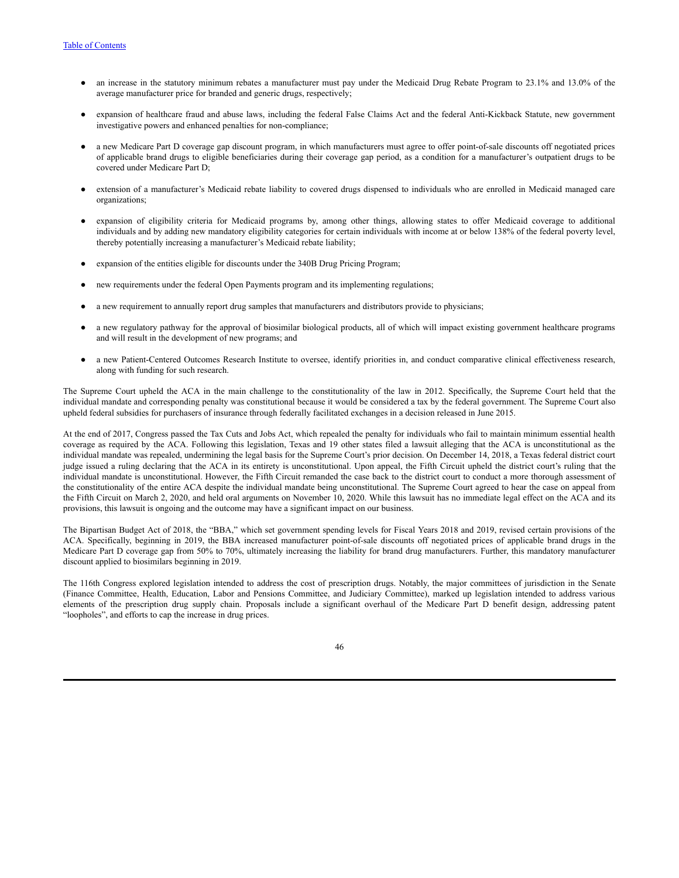- an increase in the statutory minimum rebates a manufacturer must pay under the Medicaid Drug Rebate Program to 23.1% and 13.0% of the average manufacturer price for branded and generic drugs, respectively;
- expansion of healthcare fraud and abuse laws, including the federal False Claims Act and the federal Anti-Kickback Statute, new government investigative powers and enhanced penalties for non-compliance;
- a new Medicare Part D coverage gap discount program, in which manufacturers must agree to offer point-of-sale discounts off negotiated prices of applicable brand drugs to eligible beneficiaries during their coverage gap period, as a condition for a manufacturer's outpatient drugs to be covered under Medicare Part D;
- extension of a manufacturer's Medicaid rebate liability to covered drugs dispensed to individuals who are enrolled in Medicaid managed care organizations;
- expansion of eligibility criteria for Medicaid programs by, among other things, allowing states to offer Medicaid coverage to additional individuals and by adding new mandatory eligibility categories for certain individuals with income at or below 138% of the federal poverty level, thereby potentially increasing a manufacturer's Medicaid rebate liability;
- expansion of the entities eligible for discounts under the 340B Drug Pricing Program;
- new requirements under the federal Open Payments program and its implementing regulations;
- a new requirement to annually report drug samples that manufacturers and distributors provide to physicians;
- a new regulatory pathway for the approval of biosimilar biological products, all of which will impact existing government healthcare programs and will result in the development of new programs; and
- a new Patient-Centered Outcomes Research Institute to oversee, identify priorities in, and conduct comparative clinical effectiveness research, along with funding for such research.

The Supreme Court upheld the ACA in the main challenge to the constitutionality of the law in 2012. Specifically, the Supreme Court held that the individual mandate and corresponding penalty was constitutional because it would be considered a tax by the federal government. The Supreme Court also upheld federal subsidies for purchasers of insurance through federally facilitated exchanges in a decision released in June 2015.

At the end of 2017, Congress passed the Tax Cuts and Jobs Act, which repealed the penalty for individuals who fail to maintain minimum essential health coverage as required by the ACA. Following this legislation, Texas and 19 other states filed a lawsuit alleging that the ACA is unconstitutional as the individual mandate was repealed, undermining the legal basis for the Supreme Court's prior decision. On December 14, 2018, a Texas federal district court judge issued a ruling declaring that the ACA in its entirety is unconstitutional. Upon appeal, the Fifth Circuit upheld the district court's ruling that the individual mandate is unconstitutional. However, the Fifth Circuit remanded the case back to the district court to conduct a more thorough assessment of the constitutionality of the entire ACA despite the individual mandate being unconstitutional. The Supreme Court agreed to hear the case on appeal from the Fifth Circuit on March 2, 2020, and held oral arguments on November 10, 2020. While this lawsuit has no immediate legal effect on the ACA and its provisions, this lawsuit is ongoing and the outcome may have a significant impact on our business.

The Bipartisan Budget Act of 2018, the "BBA," which set government spending levels for Fiscal Years 2018 and 2019, revised certain provisions of the ACA. Specifically, beginning in 2019, the BBA increased manufacturer point-of-sale discounts off negotiated prices of applicable brand drugs in the Medicare Part D coverage gap from 50% to 70%, ultimately increasing the liability for brand drug manufacturers. Further, this mandatory manufacturer discount applied to biosimilars beginning in 2019.

The 116th Congress explored legislation intended to address the cost of prescription drugs. Notably, the major committees of jurisdiction in the Senate (Finance Committee, Health, Education, Labor and Pensions Committee, and Judiciary Committee), marked up legislation intended to address various elements of the prescription drug supply chain. Proposals include a significant overhaul of the Medicare Part D benefit design, addressing patent "loopholes", and efforts to cap the increase in drug prices.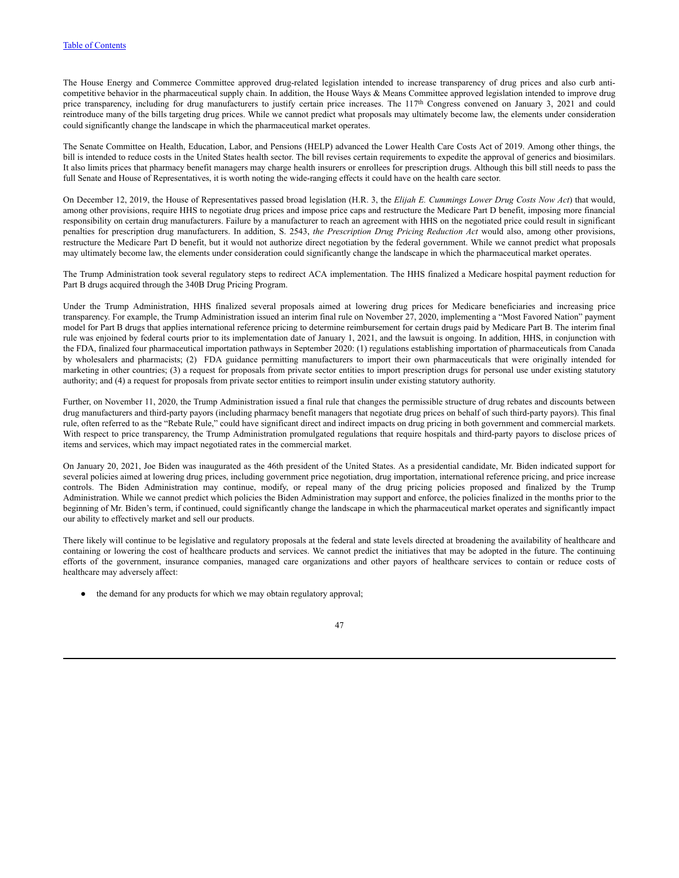The House Energy and Commerce Committee approved drug-related legislation intended to increase transparency of drug prices and also curb anticompetitive behavior in the pharmaceutical supply chain. In addition, the House Ways & Means Committee approved legislation intended to improve drug price transparency, including for drug manufacturers to justify certain price increases. The 117<sup>th</sup> Congress convened on January 3, 2021 and could reintroduce many of the bills targeting drug prices. While we cannot predict what proposals may ultimately become law, the elements under consideration could significantly change the landscape in which the pharmaceutical market operates.

The Senate Committee on Health, Education, Labor, and Pensions (HELP) advanced the Lower Health Care Costs Act of 2019. Among other things, the bill is intended to reduce costs in the United States health sector. The bill revises certain requirements to expedite the approval of generics and biosimilars. It also limits prices that pharmacy benefit managers may charge health insurers or enrollees for prescription drugs. Although this bill still needs to pass the full Senate and House of Representatives, it is worth noting the wide-ranging effects it could have on the health care sector.

On December 12, 2019, the House of Representatives passed broad legislation (H.R. 3, the *Elijah E. Cummings Lower Drug Costs Now Act*) that would, among other provisions, require HHS to negotiate drug prices and impose price caps and restructure the Medicare Part D benefit, imposing more financial responsibility on certain drug manufacturers. Failure by a manufacturer to reach an agreement with HHS on the negotiated price could result in significant penalties for prescription drug manufacturers. In addition, S. 2543, *the Prescription Drug Pricing Reduction Act* would also, among other provisions, restructure the Medicare Part D benefit, but it would not authorize direct negotiation by the federal government. While we cannot predict what proposals may ultimately become law, the elements under consideration could significantly change the landscape in which the pharmaceutical market operates.

The Trump Administration took several regulatory steps to redirect ACA implementation. The HHS finalized a Medicare hospital payment reduction for Part B drugs acquired through the 340B Drug Pricing Program.

Under the Trump Administration, HHS finalized several proposals aimed at lowering drug prices for Medicare beneficiaries and increasing price transparency. For example, the Trump Administration issued an interim final rule on November 27, 2020, implementing a "Most Favored Nation" payment model for Part B drugs that applies international reference pricing to determine reimbursement for certain drugs paid by Medicare Part B. The interim final rule was enjoined by federal courts prior to its implementation date of January 1, 2021, and the lawsuit is ongoing. In addition, HHS, in conjunction with the FDA, finalized four pharmaceutical importation pathways in September 2020: (1) regulations establishing importation of pharmaceuticals from Canada by wholesalers and pharmacists; (2) FDA guidance permitting manufacturers to import their own pharmaceuticals that were originally intended for marketing in other countries; (3) a request for proposals from private sector entities to import prescription drugs for personal use under existing statutory authority; and (4) a request for proposals from private sector entities to reimport insulin under existing statutory authority.

Further, on November 11, 2020, the Trump Administration issued a final rule that changes the permissible structure of drug rebates and discounts between drug manufacturers and third-party payors (including pharmacy benefit managers that negotiate drug prices on behalf of such third-party payors). This final rule, often referred to as the "Rebate Rule," could have significant direct and indirect impacts on drug pricing in both government and commercial markets. With respect to price transparency, the Trump Administration promulgated regulations that require hospitals and third-party payors to disclose prices of items and services, which may impact negotiated rates in the commercial market.

On January 20, 2021, Joe Biden was inaugurated as the 46th president of the United States. As a presidential candidate, Mr. Biden indicated support for several policies aimed at lowering drug prices, including government price negotiation, drug importation, international reference pricing, and price increase controls. The Biden Administration may continue, modify, or repeal many of the drug pricing policies proposed and finalized by the Trump Administration. While we cannot predict which policies the Biden Administration may support and enforce, the policies finalized in the months prior to the beginning of Mr. Biden's term, if continued, could significantly change the landscape in which the pharmaceutical market operates and significantly impact our ability to effectively market and sell our products.

There likely will continue to be legislative and regulatory proposals at the federal and state levels directed at broadening the availability of healthcare and containing or lowering the cost of healthcare products and services. We cannot predict the initiatives that may be adopted in the future. The continuing efforts of the government, insurance companies, managed care organizations and other payors of healthcare services to contain or reduce costs of healthcare may adversely affect:

the demand for any products for which we may obtain regulatory approval;

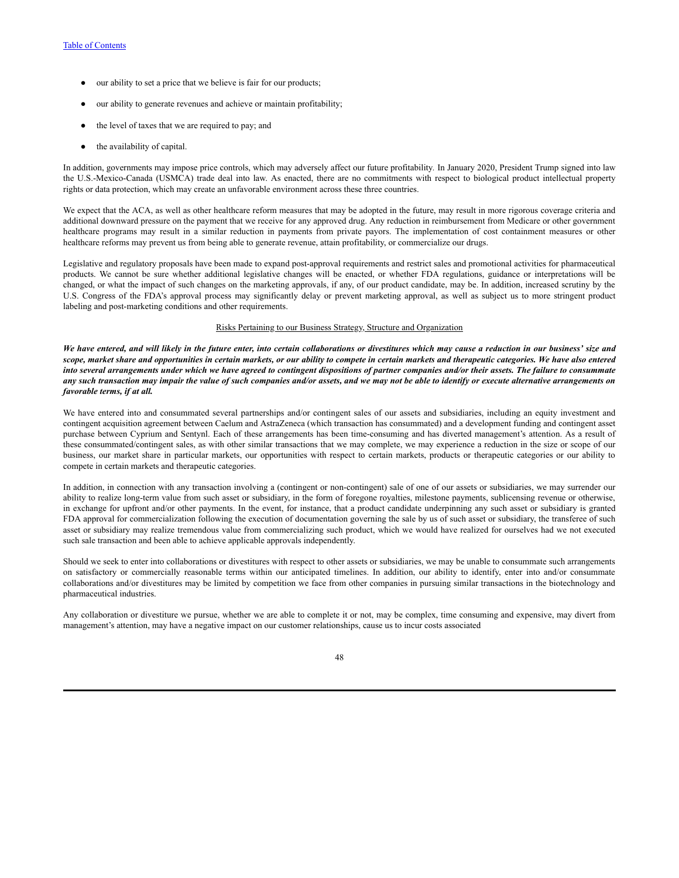- our ability to set a price that we believe is fair for our products;
- our ability to generate revenues and achieve or maintain profitability;
- the level of taxes that we are required to pay; and
- the availability of capital.

In addition, governments may impose price controls, which may adversely affect our future profitability*.* In January 2020, President Trump signed into law the U.S.-Mexico-Canada (USMCA) trade deal into law. As enacted, there are no commitments with respect to biological product intellectual property rights or data protection, which may create an unfavorable environment across these three countries.

We expect that the ACA, as well as other healthcare reform measures that may be adopted in the future, may result in more rigorous coverage criteria and additional downward pressure on the payment that we receive for any approved drug. Any reduction in reimbursement from Medicare or other government healthcare programs may result in a similar reduction in payments from private payors. The implementation of cost containment measures or other healthcare reforms may prevent us from being able to generate revenue, attain profitability, or commercialize our drugs.

Legislative and regulatory proposals have been made to expand post-approval requirements and restrict sales and promotional activities for pharmaceutical products. We cannot be sure whether additional legislative changes will be enacted, or whether FDA regulations, guidance or interpretations will be changed, or what the impact of such changes on the marketing approvals, if any, of our product candidate, may be. In addition, increased scrutiny by the U.S. Congress of the FDA's approval process may significantly delay or prevent marketing approval, as well as subject us to more stringent product labeling and post-marketing conditions and other requirements.

## Risks Pertaining to our Business Strategy, Structure and Organization

We have entered, and will likely in the future enter, into certain collaborations or divestitures which may cause a reduction in our business' size and scope, market share and opportunities in certain markets, or our ability to compete in certain markets and therapeutic categories. We have also entered into several arrangements under which we have agreed to contingent dispositions of partner companies and/or their assets. The failure to consummate any such transaction may impair the value of such companies and/or assets, and we may not be able to identify or execute alternative arrangements on *favorable terms, if at all.*

We have entered into and consummated several partnerships and/or contingent sales of our assets and subsidiaries, including an equity investment and contingent acquisition agreement between Caelum and AstraZeneca (which transaction has consummated) and a development funding and contingent asset purchase between Cyprium and Sentynl. Each of these arrangements has been time-consuming and has diverted management's attention. As a result of these consummated/contingent sales, as with other similar transactions that we may complete, we may experience a reduction in the size or scope of our business, our market share in particular markets, our opportunities with respect to certain markets, products or therapeutic categories or our ability to compete in certain markets and therapeutic categories.

In addition, in connection with any transaction involving a (contingent or non-contingent) sale of one of our assets or subsidiaries, we may surrender our ability to realize long-term value from such asset or subsidiary, in the form of foregone royalties, milestone payments, sublicensing revenue or otherwise, in exchange for upfront and/or other payments. In the event, for instance, that a product candidate underpinning any such asset or subsidiary is granted FDA approval for commercialization following the execution of documentation governing the sale by us of such asset or subsidiary, the transferee of such asset or subsidiary may realize tremendous value from commercializing such product, which we would have realized for ourselves had we not executed such sale transaction and been able to achieve applicable approvals independently.

Should we seek to enter into collaborations or divestitures with respect to other assets or subsidiaries, we may be unable to consummate such arrangements on satisfactory or commercially reasonable terms within our anticipated timelines. In addition, our ability to identify, enter into and/or consummate collaborations and/or divestitures may be limited by competition we face from other companies in pursuing similar transactions in the biotechnology and pharmaceutical industries.

Any collaboration or divestiture we pursue, whether we are able to complete it or not, may be complex, time consuming and expensive, may divert from management's attention, may have a negative impact on our customer relationships, cause us to incur costs associated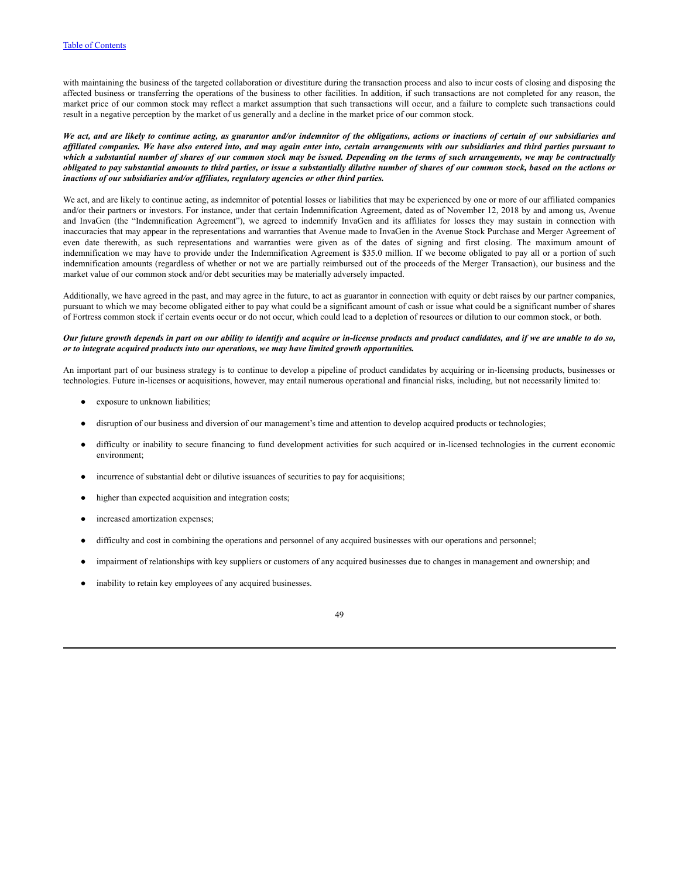with maintaining the business of the targeted collaboration or divestiture during the transaction process and also to incur costs of closing and disposing the affected business or transferring the operations of the business to other facilities. In addition, if such transactions are not completed for any reason, the market price of our common stock may reflect a market assumption that such transactions will occur, and a failure to complete such transactions could result in a negative perception by the market of us generally and a decline in the market price of our common stock.

We act, and are likely to continue acting, as guarantor and/or indemnitor of the obligations, actions or inactions of certain of our subsidiaries and affiliated companies. We have also entered into, and may again enter into, certain arrangements with our subsidiaries and third parties pursuant to which a substantial number of shares of our common stock may be issued. Depending on the terms of such arrangements, we may be contractually obligated to pay substantial amounts to third parties, or issue a substantially dilutive number of shares of our common stock, based on the actions or *inactions of our subsidiaries and/or af iliates, regulatory agencies or other third parties.*

We act, and are likely to continue acting, as indemnitor of potential losses or liabilities that may be experienced by one or more of our affiliated companies and/or their partners or investors. For instance, under that certain Indemnification Agreement, dated as of November 12, 2018 by and among us, Avenue and InvaGen (the "Indemnification Agreement"), we agreed to indemnify InvaGen and its affiliates for losses they may sustain in connection with inaccuracies that may appear in the representations and warranties that Avenue made to InvaGen in the Avenue Stock Purchase and Merger Agreement of even date therewith, as such representations and warranties were given as of the dates of signing and first closing. The maximum amount of indemnification we may have to provide under the Indemnification Agreement is \$35.0 million. If we become obligated to pay all or a portion of such indemnification amounts (regardless of whether or not we are partially reimbursed out of the proceeds of the Merger Transaction), our business and the market value of our common stock and/or debt securities may be materially adversely impacted.

Additionally, we have agreed in the past, and may agree in the future, to act as guarantor in connection with equity or debt raises by our partner companies, pursuant to which we may become obligated either to pay what could be a significant amount of cash or issue what could be a significant number of shares of Fortress common stock if certain events occur or do not occur, which could lead to a depletion of resources or dilution to our common stock, or both.

### Our future growth depends in part on our ability to identify and acquire or in-license products and product candidates, and if we are unable to do so, *or to integrate acquired products into our operations, we may have limited growth opportunities.*

An important part of our business strategy is to continue to develop a pipeline of product candidates by acquiring or in-licensing products, businesses or technologies. Future in-licenses or acquisitions, however, may entail numerous operational and financial risks, including, but not necessarily limited to:

- exposure to unknown liabilities;
- disruption of our business and diversion of our management's time and attention to develop acquired products or technologies;
- difficulty or inability to secure financing to fund development activities for such acquired or in-licensed technologies in the current economic environment;
- incurrence of substantial debt or dilutive issuances of securities to pay for acquisitions;
- higher than expected acquisition and integration costs;
- increased amortization expenses;
- difficulty and cost in combining the operations and personnel of any acquired businesses with our operations and personnel;
- impairment of relationships with key suppliers or customers of any acquired businesses due to changes in management and ownership; and
- inability to retain key employees of any acquired businesses.

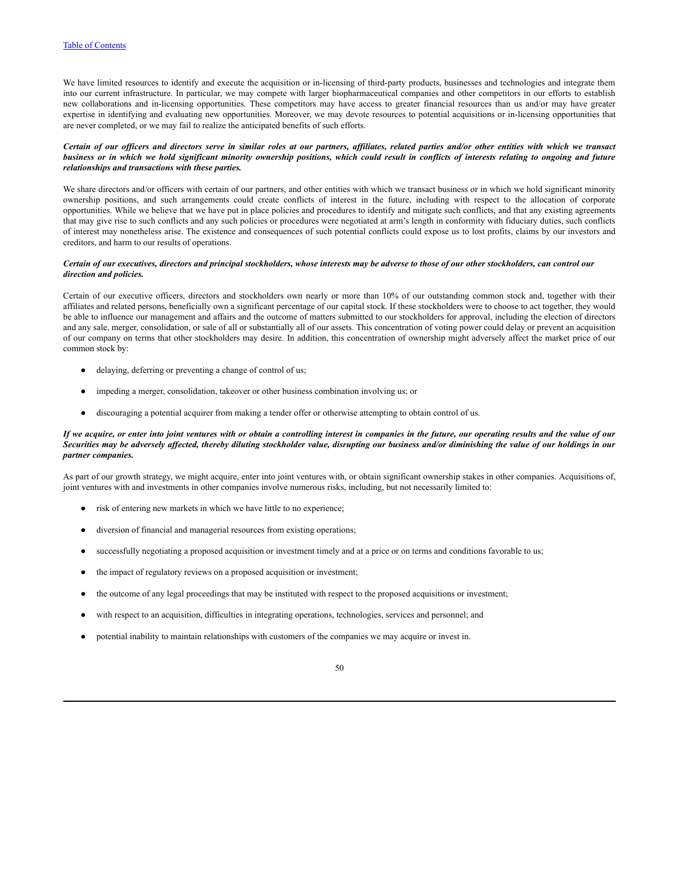We have limited resources to identify and execute the acquisition or in-licensing of third-party products, businesses and technologies and integrate them into our current infrastructure. In particular, we may compete with larger biopharmaceutical companies and other competitors in our efforts to establish new collaborations and in-licensing opportunities. These competitors may have access to greater financial resources than us and/or may have greater expertise in identifying and evaluating new opportunities. Moreover, we may devote resources to potential acquisitions or in-licensing opportunities that are never completed, or we may fail to realize the anticipated benefits of such efforts.

### Certain of our officers and directors serve in similar roles at our partners, affiliates, related parties and/or other entities with which we transact business or in which we hold significant minority ownership positions, which could result in conflicts of interests relating to ongoing and future *relationships and transactions with these parties.*

We share directors and/or officers with certain of our partners, and other entities with which we transact business or in which we hold significant minority ownership positions, and such arrangements could create conflicts of interest in the future, including with respect to the allocation of corporate opportunities. While we believe that we have put in place policies and procedures to identify and mitigate such conflicts, and that any existing agreements that may give rise to such conflicts and any such policies or procedures were negotiated at arm's length in conformity with fiduciary duties, such conflicts of interest may nonetheless arise. The existence and consequences of such potential conflicts could expose us to lost profits, claims by our investors and creditors, and harm to our results of operations.

### Certain of our executives, directors and principal stockholders, whose interests may be adverse to those of our other stockholders, can control our *direction and policies.*

Certain of our executive officers, directors and stockholders own nearly or more than 10% of our outstanding common stock and, together with their affiliates and related persons, beneficially own a significant percentage of our capital stock. If these stockholders were to choose to act together, they would be able to influence our management and affairs and the outcome of matters submitted to our stockholders for approval, including the election of directors and any sale, merger, consolidation, or sale of all or substantially all of our assets. This concentration of voting power could delay or prevent an acquisition of our company on terms that other stockholders may desire. In addition, this concentration of ownership might adversely affect the market price of our common stock by:

- delaying, deferring or preventing a change of control of us;
- impeding a merger, consolidation, takeover or other business combination involving us; or
- discouraging a potential acquirer from making a tender offer or otherwise attempting to obtain control of us.

### If we acquire, or enter into joint ventures with or obtain a controlling interest in companies in the future, our operating results and the value of our Securities may be adversely affected, thereby diluting stockholder value, disrupting our business and/or diminishing the value of our holdings in our *partner companies.*

As part of our growth strategy, we might acquire, enter into joint ventures with, or obtain significant ownership stakes in other companies. Acquisitions of, joint ventures with and investments in other companies involve numerous risks, including, but not necessarily limited to:

- risk of entering new markets in which we have little to no experience;
- diversion of financial and managerial resources from existing operations;
- successfully negotiating a proposed acquisition or investment timely and at a price or on terms and conditions favorable to us;
- the impact of regulatory reviews on a proposed acquisition or investment;
- the outcome of any legal proceedings that may be instituted with respect to the proposed acquisitions or investment;
- with respect to an acquisition, difficulties in integrating operations, technologies, services and personnel; and
- potential inability to maintain relationships with customers of the companies we may acquire or invest in.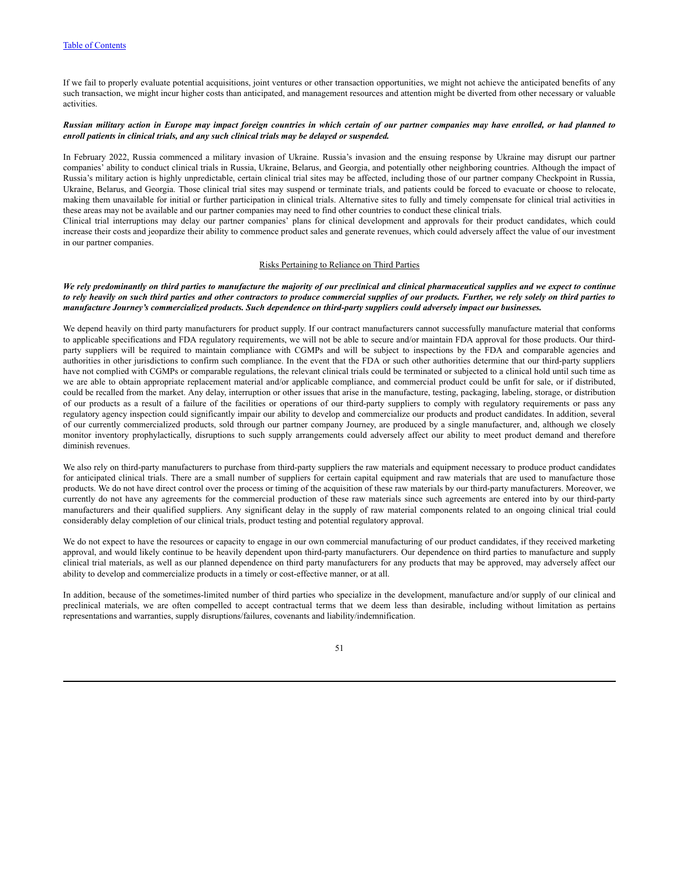If we fail to properly evaluate potential acquisitions, joint ventures or other transaction opportunities, we might not achieve the anticipated benefits of any such transaction, we might incur higher costs than anticipated, and management resources and attention might be diverted from other necessary or valuable activities.

### Russian military action in Europe may impact foreign countries in which certain of our partner companies may have enrolled, or had planned to *enroll patients in clinical trials, and any such clinical trials may be delayed or suspended.*

In February 2022, Russia commenced a military invasion of Ukraine. Russia's invasion and the ensuing response by Ukraine may disrupt our partner companies' ability to conduct clinical trials in Russia, Ukraine, Belarus, and Georgia, and potentially other neighboring countries. Although the impact of Russia's military action is highly unpredictable, certain clinical trial sites may be affected, including those of our partner company Checkpoint in Russia, Ukraine, Belarus, and Georgia. Those clinical trial sites may suspend or terminate trials, and patients could be forced to evacuate or choose to relocate, making them unavailable for initial or further participation in clinical trials. Alternative sites to fully and timely compensate for clinical trial activities in these areas may not be available and our partner companies may need to find other countries to conduct these clinical trials.

Clinical trial interruptions may delay our partner companies' plans for clinical development and approvals for their product candidates, which could increase their costs and jeopardize their ability to commence product sales and generate revenues, which could adversely affect the value of our investment in our partner companies.

### Risks Pertaining to Reliance on Third Parties

### We rely predominantly on third parties to manufacture the majority of our preclinical and clinical pharmaceutical supplies and we expect to continue to rely heavily on such third parties and other contractors to produce commercial supplies of our products. Further, we rely solely on third parties to *manufacture Journey's commercialized products. Such dependence on third-party suppliers could adversely impact our businesses.*

We depend heavily on third party manufacturers for product supply. If our contract manufacturers cannot successfully manufacture material that conforms to applicable specifications and FDA regulatory requirements, we will not be able to secure and/or maintain FDA approval for those products. Our thirdparty suppliers will be required to maintain compliance with CGMPs and will be subject to inspections by the FDA and comparable agencies and authorities in other jurisdictions to confirm such compliance. In the event that the FDA or such other authorities determine that our third-party suppliers have not complied with CGMPs or comparable regulations, the relevant clinical trials could be terminated or subjected to a clinical hold until such time as we are able to obtain appropriate replacement material and/or applicable compliance, and commercial product could be unfit for sale, or if distributed, could be recalled from the market. Any delay, interruption or other issues that arise in the manufacture, testing, packaging, labeling, storage, or distribution of our products as a result of a failure of the facilities or operations of our third-party suppliers to comply with regulatory requirements or pass any regulatory agency inspection could significantly impair our ability to develop and commercialize our products and product candidates. In addition, several of our currently commercialized products, sold through our partner company Journey, are produced by a single manufacturer, and, although we closely monitor inventory prophylactically, disruptions to such supply arrangements could adversely affect our ability to meet product demand and therefore diminish revenues.

We also rely on third-party manufacturers to purchase from third-party suppliers the raw materials and equipment necessary to produce product candidates for anticipated clinical trials. There are a small number of suppliers for certain capital equipment and raw materials that are used to manufacture those products. We do not have direct control over the process or timing of the acquisition of these raw materials by our third-party manufacturers. Moreover, we currently do not have any agreements for the commercial production of these raw materials since such agreements are entered into by our third-party manufacturers and their qualified suppliers. Any significant delay in the supply of raw material components related to an ongoing clinical trial could considerably delay completion of our clinical trials, product testing and potential regulatory approval.

We do not expect to have the resources or capacity to engage in our own commercial manufacturing of our product candidates, if they received marketing approval, and would likely continue to be heavily dependent upon third-party manufacturers. Our dependence on third parties to manufacture and supply clinical trial materials, as well as our planned dependence on third party manufacturers for any products that may be approved, may adversely affect our ability to develop and commercialize products in a timely or cost-effective manner, or at all.

In addition, because of the sometimes-limited number of third parties who specialize in the development, manufacture and/or supply of our clinical and preclinical materials, we are often compelled to accept contractual terms that we deem less than desirable, including without limitation as pertains representations and warranties, supply disruptions/failures, covenants and liability/indemnification.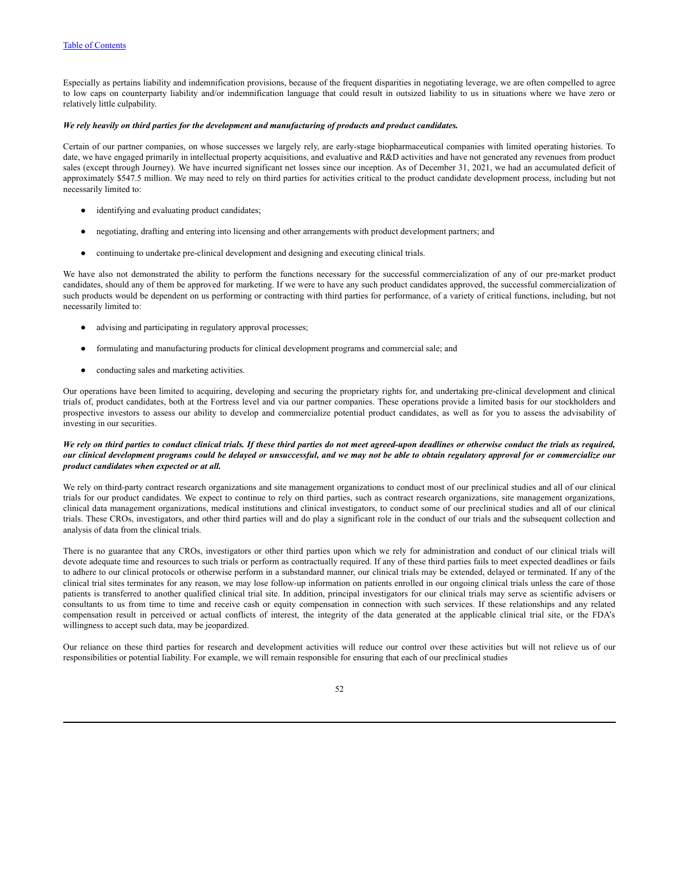Especially as pertains liability and indemnification provisions, because of the frequent disparities in negotiating leverage, we are often compelled to agree to low caps on counterparty liability and/or indemnification language that could result in outsized liability to us in situations where we have zero or relatively little culpability.

### *We rely heavily on third parties for the development and manufacturing of products and product candidates.*

Certain of our partner companies, on whose successes we largely rely, are early-stage biopharmaceutical companies with limited operating histories. To date, we have engaged primarily in intellectual property acquisitions, and evaluative and R&D activities and have not generated any revenues from product sales (except through Journey). We have incurred significant net losses since our inception. As of December 31, 2021, we had an accumulated deficit of approximately \$547.5 million. We may need to rely on third parties for activities critical to the product candidate development process, including but not necessarily limited to:

- identifying and evaluating product candidates;
- negotiating, drafting and entering into licensing and other arrangements with product development partners; and
- continuing to undertake pre-clinical development and designing and executing clinical trials.

We have also not demonstrated the ability to perform the functions necessary for the successful commercialization of any of our pre-market product candidates, should any of them be approved for marketing. If we were to have any such product candidates approved, the successful commercialization of such products would be dependent on us performing or contracting with third parties for performance, of a variety of critical functions, including, but not necessarily limited to:

- advising and participating in regulatory approval processes;
- formulating and manufacturing products for clinical development programs and commercial sale; and
- conducting sales and marketing activities.

Our operations have been limited to acquiring, developing and securing the proprietary rights for, and undertaking pre-clinical development and clinical trials of, product candidates, both at the Fortress level and via our partner companies. These operations provide a limited basis for our stockholders and prospective investors to assess our ability to develop and commercialize potential product candidates, as well as for you to assess the advisability of investing in our securities.

## We rely on third parties to conduct clinical trials. If these third parties do not meet agreed-upon deadlines or otherwise conduct the trials as required, our clinical development programs could be delayed or unsuccessful, and we may not be able to obtain regulatory approval for or commercialize our *product candidates when expected or at all.*

We rely on third-party contract research organizations and site management organizations to conduct most of our preclinical studies and all of our clinical trials for our product candidates. We expect to continue to rely on third parties, such as contract research organizations, site management organizations, clinical data management organizations, medical institutions and clinical investigators, to conduct some of our preclinical studies and all of our clinical trials. These CROs, investigators, and other third parties will and do play a significant role in the conduct of our trials and the subsequent collection and analysis of data from the clinical trials.

There is no guarantee that any CROs, investigators or other third parties upon which we rely for administration and conduct of our clinical trials will devote adequate time and resources to such trials or perform as contractually required. If any of these third parties fails to meet expected deadlines or fails to adhere to our clinical protocols or otherwise perform in a substandard manner, our clinical trials may be extended, delayed or terminated. If any of the clinical trial sites terminates for any reason, we may lose follow-up information on patients enrolled in our ongoing clinical trials unless the care of those patients is transferred to another qualified clinical trial site. In addition, principal investigators for our clinical trials may serve as scientific advisers or consultants to us from time to time and receive cash or equity compensation in connection with such services. If these relationships and any related compensation result in perceived or actual conflicts of interest, the integrity of the data generated at the applicable clinical trial site, or the FDA's willingness to accept such data, may be jeopardized.

Our reliance on these third parties for research and development activities will reduce our control over these activities but will not relieve us of our responsibilities or potential liability. For example, we will remain responsible for ensuring that each of our preclinical studies

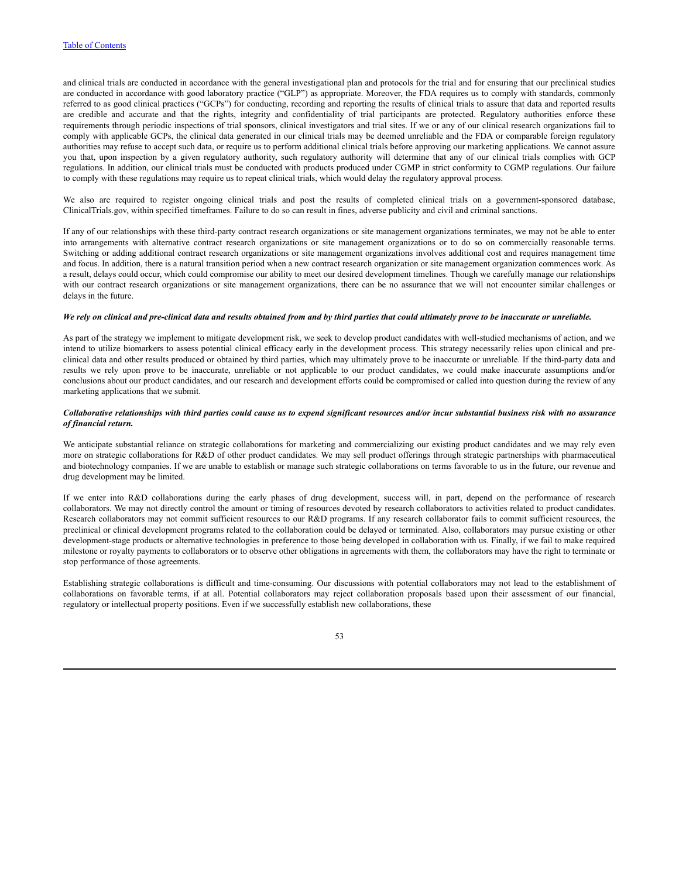and clinical trials are conducted in accordance with the general investigational plan and protocols for the trial and for ensuring that our preclinical studies are conducted in accordance with good laboratory practice ("GLP") as appropriate. Moreover, the FDA requires us to comply with standards, commonly referred to as good clinical practices ("GCPs") for conducting, recording and reporting the results of clinical trials to assure that data and reported results are credible and accurate and that the rights, integrity and confidentiality of trial participants are protected. Regulatory authorities enforce these requirements through periodic inspections of trial sponsors, clinical investigators and trial sites. If we or any of our clinical research organizations fail to comply with applicable GCPs, the clinical data generated in our clinical trials may be deemed unreliable and the FDA or comparable foreign regulatory authorities may refuse to accept such data, or require us to perform additional clinical trials before approving our marketing applications. We cannot assure you that, upon inspection by a given regulatory authority, such regulatory authority will determine that any of our clinical trials complies with GCP regulations. In addition, our clinical trials must be conducted with products produced under CGMP in strict conformity to CGMP regulations. Our failure to comply with these regulations may require us to repeat clinical trials, which would delay the regulatory approval process.

We also are required to register ongoing clinical trials and post the results of completed clinical trials on a government-sponsored database, ClinicalTrials.gov, within specified timeframes. Failure to do so can result in fines, adverse publicity and civil and criminal sanctions.

If any of our relationships with these third-party contract research organizations or site management organizations terminates, we may not be able to enter into arrangements with alternative contract research organizations or site management organizations or to do so on commercially reasonable terms. Switching or adding additional contract research organizations or site management organizations involves additional cost and requires management time and focus. In addition, there is a natural transition period when a new contract research organization or site management organization commences work. As a result, delays could occur, which could compromise our ability to meet our desired development timelines. Though we carefully manage our relationships with our contract research organizations or site management organizations, there can be no assurance that we will not encounter similar challenges or delays in the future.

#### We rely on clinical and pre-clinical data and results obtained from and by third parties that could ultimately prove to be inaccurate or unreliable.

As part of the strategy we implement to mitigate development risk, we seek to develop product candidates with well-studied mechanisms of action, and we intend to utilize biomarkers to assess potential clinical efficacy early in the development process. This strategy necessarily relies upon clinical and preclinical data and other results produced or obtained by third parties, which may ultimately prove to be inaccurate or unreliable. If the third-party data and results we rely upon prove to be inaccurate, unreliable or not applicable to our product candidates, we could make inaccurate assumptions and/or conclusions about our product candidates, and our research and development efforts could be compromised or called into question during the review of any marketing applications that we submit.

### Collaborative relationships with third parties could cause us to expend significant resources and/or incur substantial business risk with no assurance *of financial return.*

We anticipate substantial reliance on strategic collaborations for marketing and commercializing our existing product candidates and we may rely even more on strategic collaborations for R&D of other product candidates. We may sell product offerings through strategic partnerships with pharmaceutical and biotechnology companies. If we are unable to establish or manage such strategic collaborations on terms favorable to us in the future, our revenue and drug development may be limited.

If we enter into R&D collaborations during the early phases of drug development, success will, in part, depend on the performance of research collaborators. We may not directly control the amount or timing of resources devoted by research collaborators to activities related to product candidates. Research collaborators may not commit sufficient resources to our R&D programs. If any research collaborator fails to commit sufficient resources, the preclinical or clinical development programs related to the collaboration could be delayed or terminated. Also, collaborators may pursue existing or other development-stage products or alternative technologies in preference to those being developed in collaboration with us. Finally, if we fail to make required milestone or royalty payments to collaborators or to observe other obligations in agreements with them, the collaborators may have the right to terminate or stop performance of those agreements.

Establishing strategic collaborations is difficult and time-consuming. Our discussions with potential collaborators may not lead to the establishment of collaborations on favorable terms, if at all. Potential collaborators may reject collaboration proposals based upon their assessment of our financial, regulatory or intellectual property positions. Even if we successfully establish new collaborations, these

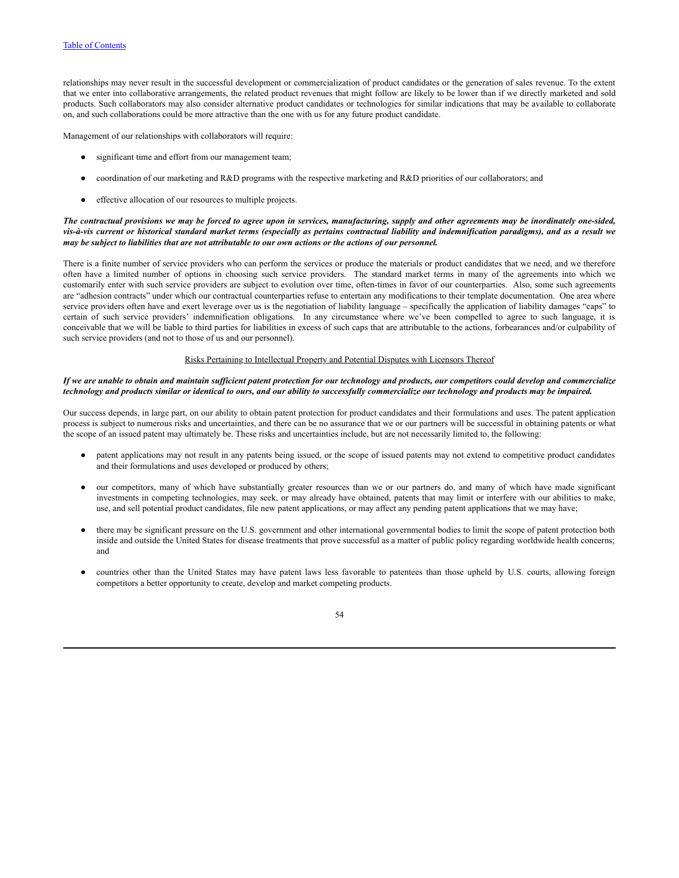relationships may never result in the successful development or commercialization of product candidates or the generation of sales revenue. To the extent that we enter into collaborative arrangements, the related product revenues that might follow are likely to be lower than if we directly marketed and sold products. Such collaborators may also consider alternative product candidates or technologies for similar indications that may be available to collaborate on, and such collaborations could be more attractive than the one with us for any future product candidate.

Management of our relationships with collaborators will require:

- significant time and effort from our management team;
- coordination of our marketing and R&D programs with the respective marketing and R&D priorities of our collaborators; and
- effective allocation of our resources to multiple projects.

### The contractual provisions we may be forced to agree upon in services, manufacturing, supply and other agreements may be inordinately one-sided, vis-à-vis current or historical standard market terms (especially as pertains contractual liability and indemnification paradigms), and as a result we may be subject to liabilities that are not attributable to our own actions or the actions of our personnel.

There is a finite number of service providers who can perform the services or produce the materials or product candidates that we need, and we therefore often have a limited number of options in choosing such service providers. The standard market terms in many of the agreements into which we customarily enter with such service providers are subject to evolution over time, often-times in favor of our counterparties. Also, some such agreements are "adhesion contracts" under which our contractual counterparties refuse to entertain any modifications to their template documentation. One area where service providers often have and exert leverage over us is the negotiation of liability language – specifically the application of liability damages "caps" to certain of such service providers' indemnification obligations. In any circumstance where we've been compelled to agree to such language, it is conceivable that we will be liable to third parties for liabilities in excess of such caps that are attributable to the actions, forbearances and/or culpability of such service providers (and not to those of us and our personnel).

#### Risks Pertaining to Intellectual Property and Potential Disputes with Licensors Thereof

### If we are unable to obtain and maintain sufficient patent protection for our technology and products, our competitors could develop and commercialize technology and products similar or identical to ours, and our ability to successfully commercialize our technology and products may be impaired.

Our success depends, in large part, on our ability to obtain patent protection for product candidates and their formulations and uses. The patent application process is subject to numerous risks and uncertainties, and there can be no assurance that we or our partners will be successful in obtaining patents or what the scope of an issued patent may ultimately be. These risks and uncertainties include, but are not necessarily limited to, the following:

- patent applications may not result in any patents being issued, or the scope of issued patents may not extend to competitive product candidates and their formulations and uses developed or produced by others;
- our competitors, many of which have substantially greater resources than we or our partners do, and many of which have made significant investments in competing technologies, may seek, or may already have obtained, patents that may limit or interfere with our abilities to make, use, and sell potential product candidates, file new patent applications, or may affect any pending patent applications that we may have;
- there may be significant pressure on the U.S. government and other international governmental bodies to limit the scope of patent protection both inside and outside the United States for disease treatments that prove successful as a matter of public policy regarding worldwide health concerns; and
- countries other than the United States may have patent laws less favorable to patentees than those upheld by U.S. courts, allowing foreign competitors a better opportunity to create, develop and market competing products.

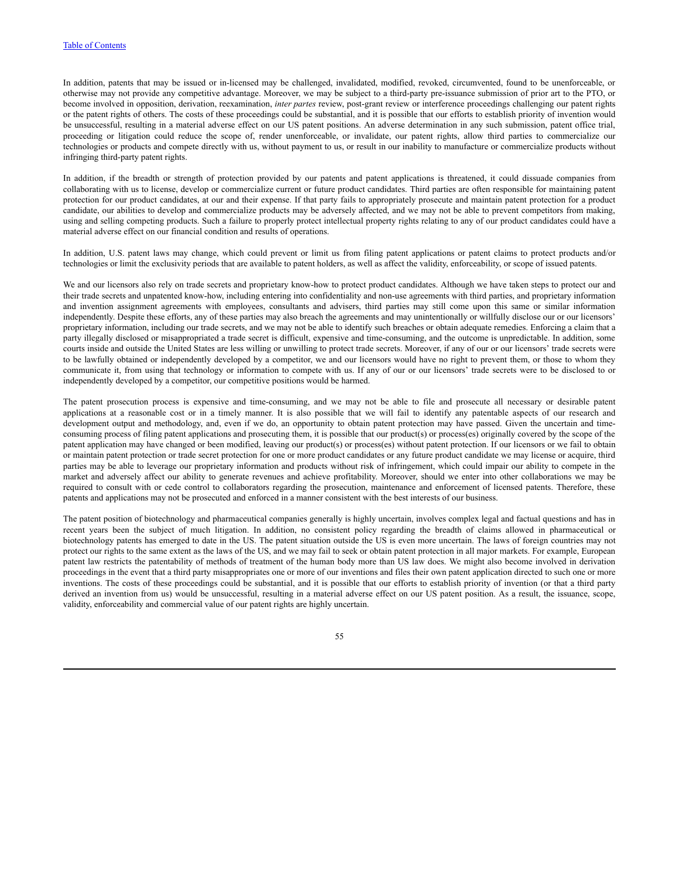In addition, patents that may be issued or in-licensed may be challenged, invalidated, modified, revoked, circumvented, found to be unenforceable, or otherwise may not provide any competitive advantage. Moreover, we may be subject to a third-party pre-issuance submission of prior art to the PTO, or become involved in opposition, derivation, reexamination, *inter partes* review, post-grant review or interference proceedings challenging our patent rights or the patent rights of others. The costs of these proceedings could be substantial, and it is possible that our efforts to establish priority of invention would be unsuccessful, resulting in a material adverse effect on our US patent positions. An adverse determination in any such submission, patent office trial, proceeding or litigation could reduce the scope of, render unenforceable, or invalidate, our patent rights, allow third parties to commercialize our technologies or products and compete directly with us, without payment to us, or result in our inability to manufacture or commercialize products without infringing third-party patent rights.

In addition, if the breadth or strength of protection provided by our patents and patent applications is threatened, it could dissuade companies from collaborating with us to license, develop or commercialize current or future product candidates. Third parties are often responsible for maintaining patent protection for our product candidates, at our and their expense. If that party fails to appropriately prosecute and maintain patent protection for a product candidate, our abilities to develop and commercialize products may be adversely affected, and we may not be able to prevent competitors from making, using and selling competing products. Such a failure to properly protect intellectual property rights relating to any of our product candidates could have a material adverse effect on our financial condition and results of operations.

In addition, U.S. patent laws may change, which could prevent or limit us from filing patent applications or patent claims to protect products and/or technologies or limit the exclusivity periods that are available to patent holders, as well as affect the validity, enforceability, or scope of issued patents.

We and our licensors also rely on trade secrets and proprietary know-how to protect product candidates. Although we have taken steps to protect our and their trade secrets and unpatented know-how, including entering into confidentiality and non-use agreements with third parties, and proprietary information and invention assignment agreements with employees, consultants and advisers, third parties may still come upon this same or similar information independently. Despite these efforts, any of these parties may also breach the agreements and may unintentionally or willfully disclose our or our licensors' proprietary information, including our trade secrets, and we may not be able to identify such breaches or obtain adequate remedies. Enforcing a claim that a party illegally disclosed or misappropriated a trade secret is difficult, expensive and time-consuming, and the outcome is unpredictable. In addition, some courts inside and outside the United States are less willing or unwilling to protect trade secrets. Moreover, if any of our or our licensors' trade secrets were to be lawfully obtained or independently developed by a competitor, we and our licensors would have no right to prevent them, or those to whom they communicate it, from using that technology or information to compete with us. If any of our or our licensors' trade secrets were to be disclosed to or independently developed by a competitor, our competitive positions would be harmed.

The patent prosecution process is expensive and time-consuming, and we may not be able to file and prosecute all necessary or desirable patent applications at a reasonable cost or in a timely manner. It is also possible that we will fail to identify any patentable aspects of our research and development output and methodology, and, even if we do, an opportunity to obtain patent protection may have passed. Given the uncertain and timeconsuming process of filing patent applications and prosecuting them, it is possible that our product(s) or process(es) originally covered by the scope of the patent application may have changed or been modified, leaving our product(s) or process(es) without patent protection. If our licensors or we fail to obtain or maintain patent protection or trade secret protection for one or more product candidates or any future product candidate we may license or acquire, third parties may be able to leverage our proprietary information and products without risk of infringement, which could impair our ability to compete in the market and adversely affect our ability to generate revenues and achieve profitability. Moreover, should we enter into other collaborations we may be required to consult with or cede control to collaborators regarding the prosecution, maintenance and enforcement of licensed patents. Therefore, these patents and applications may not be prosecuted and enforced in a manner consistent with the best interests of our business.

The patent position of biotechnology and pharmaceutical companies generally is highly uncertain, involves complex legal and factual questions and has in recent years been the subject of much litigation. In addition, no consistent policy regarding the breadth of claims allowed in pharmaceutical or biotechnology patents has emerged to date in the US. The patent situation outside the US is even more uncertain. The laws of foreign countries may not protect our rights to the same extent as the laws of the US, and we may fail to seek or obtain patent protection in all major markets. For example, European patent law restricts the patentability of methods of treatment of the human body more than US law does. We might also become involved in derivation proceedings in the event that a third party misappropriates one or more of our inventions and files their own patent application directed to such one or more inventions. The costs of these proceedings could be substantial, and it is possible that our efforts to establish priority of invention (or that a third party derived an invention from us) would be unsuccessful, resulting in a material adverse effect on our US patent position. As a result, the issuance, scope, validity, enforceability and commercial value of our patent rights are highly uncertain.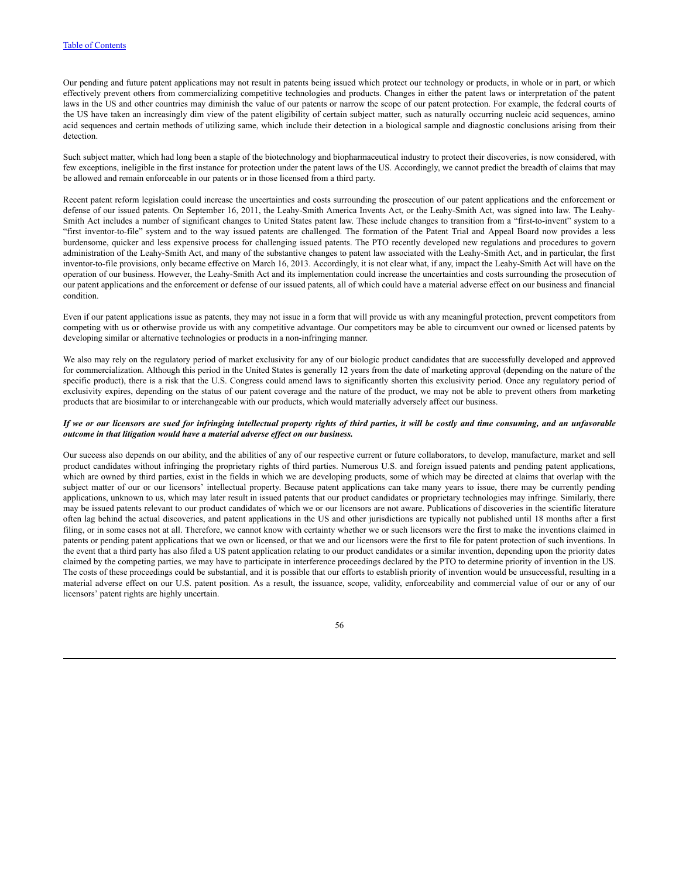Our pending and future patent applications may not result in patents being issued which protect our technology or products, in whole or in part, or which effectively prevent others from commercializing competitive technologies and products. Changes in either the patent laws or interpretation of the patent laws in the US and other countries may diminish the value of our patents or narrow the scope of our patent protection. For example, the federal courts of the US have taken an increasingly dim view of the patent eligibility of certain subject matter, such as naturally occurring nucleic acid sequences, amino acid sequences and certain methods of utilizing same, which include their detection in a biological sample and diagnostic conclusions arising from their detection.

Such subject matter, which had long been a staple of the biotechnology and biopharmaceutical industry to protect their discoveries, is now considered, with few exceptions, ineligible in the first instance for protection under the patent laws of the US. Accordingly, we cannot predict the breadth of claims that may be allowed and remain enforceable in our patents or in those licensed from a third party.

Recent patent reform legislation could increase the uncertainties and costs surrounding the prosecution of our patent applications and the enforcement or defense of our issued patents. On September 16, 2011, the Leahy-Smith America Invents Act, or the Leahy-Smith Act, was signed into law. The Leahy-Smith Act includes a number of significant changes to United States patent law. These include changes to transition from a "first-to-invent" system to a "first inventor-to-file" system and to the way issued patents are challenged. The formation of the Patent Trial and Appeal Board now provides a less burdensome, quicker and less expensive process for challenging issued patents. The PTO recently developed new regulations and procedures to govern administration of the Leahy-Smith Act, and many of the substantive changes to patent law associated with the Leahy-Smith Act, and in particular, the first inventor-to-file provisions, only became effective on March 16, 2013. Accordingly, it is not clear what, if any, impact the Leahy-Smith Act will have on the operation of our business. However, the Leahy-Smith Act and its implementation could increase the uncertainties and costs surrounding the prosecution of our patent applications and the enforcement or defense of our issued patents, all of which could have a material adverse effect on our business and financial condition.

Even if our patent applications issue as patents, they may not issue in a form that will provide us with any meaningful protection, prevent competitors from competing with us or otherwise provide us with any competitive advantage. Our competitors may be able to circumvent our owned or licensed patents by developing similar or alternative technologies or products in a non-infringing manner.

We also may rely on the regulatory period of market exclusivity for any of our biologic product candidates that are successfully developed and approved for commercialization. Although this period in the United States is generally 12 years from the date of marketing approval (depending on the nature of the specific product), there is a risk that the U.S. Congress could amend laws to significantly shorten this exclusivity period. Once any regulatory period of exclusivity expires, depending on the status of our patent coverage and the nature of the product, we may not be able to prevent others from marketing products that are biosimilar to or interchangeable with our products, which would materially adversely affect our business.

#### If we or our licensors are sued for infringing intellectual property rights of third parties, it will be costly and time consuming, and an unfavorable *outcome in that litigation would have a material adverse ef ect on our business.*

Our success also depends on our ability, and the abilities of any of our respective current or future collaborators, to develop, manufacture, market and sell product candidates without infringing the proprietary rights of third parties. Numerous U.S. and foreign issued patents and pending patent applications, which are owned by third parties, exist in the fields in which we are developing products, some of which may be directed at claims that overlap with the subject matter of our or our licensors' intellectual property. Because patent applications can take many years to issue, there may be currently pending applications, unknown to us, which may later result in issued patents that our product candidates or proprietary technologies may infringe. Similarly, there may be issued patents relevant to our product candidates of which we or our licensors are not aware. Publications of discoveries in the scientific literature often lag behind the actual discoveries, and patent applications in the US and other jurisdictions are typically not published until 18 months after a first filing, or in some cases not at all. Therefore, we cannot know with certainty whether we or such licensors were the first to make the inventions claimed in patents or pending patent applications that we own or licensed, or that we and our licensors were the first to file for patent protection of such inventions. In the event that a third party has also filed a US patent application relating to our product candidates or a similar invention, depending upon the priority dates claimed by the competing parties, we may have to participate in interference proceedings declared by the PTO to determine priority of invention in the US. The costs of these proceedings could be substantial, and it is possible that our efforts to establish priority of invention would be unsuccessful, resulting in a material adverse effect on our U.S. patent position. As a result, the issuance, scope, validity, enforceability and commercial value of our or any of our licensors' patent rights are highly uncertain.

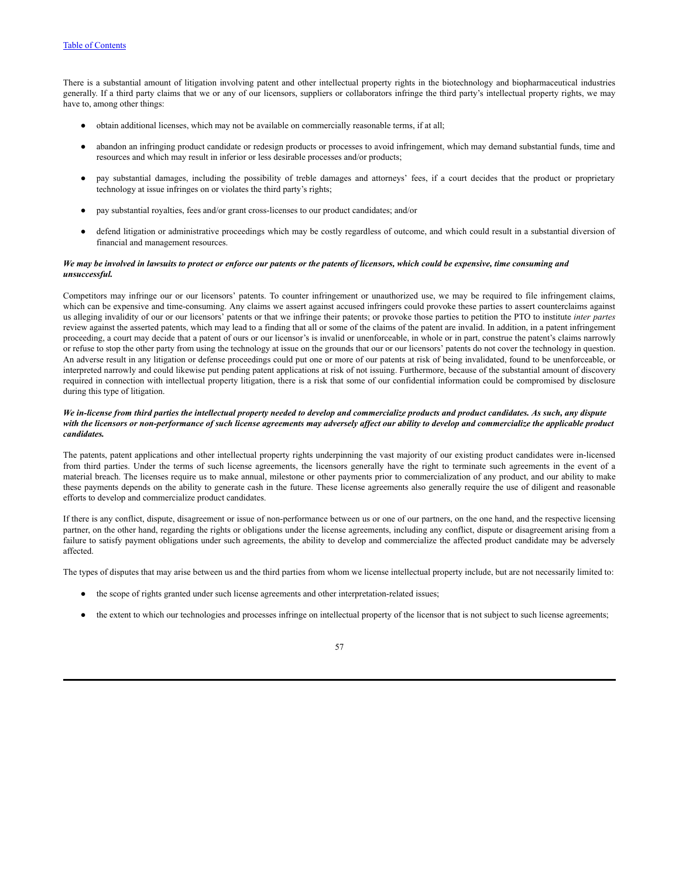There is a substantial amount of litigation involving patent and other intellectual property rights in the biotechnology and biopharmaceutical industries generally. If a third party claims that we or any of our licensors, suppliers or collaborators infringe the third party's intellectual property rights, we may have to, among other things:

- obtain additional licenses, which may not be available on commercially reasonable terms, if at all;
- abandon an infringing product candidate or redesign products or processes to avoid infringement, which may demand substantial funds, time and resources and which may result in inferior or less desirable processes and/or products;
- pay substantial damages, including the possibility of treble damages and attorneys' fees, if a court decides that the product or proprietary technology at issue infringes on or violates the third party's rights;
- pay substantial royalties, fees and/or grant cross-licenses to our product candidates; and/or
- defend litigation or administrative proceedings which may be costly regardless of outcome, and which could result in a substantial diversion of financial and management resources.

## We may be involved in lawsuits to protect or enforce our patents or the patents of licensors, which could be expensive, time consuming and *unsuccessful.*

Competitors may infringe our or our licensors' patents. To counter infringement or unauthorized use, we may be required to file infringement claims, which can be expensive and time-consuming. Any claims we assert against accused infringers could provoke these parties to assert counterclaims against us alleging invalidity of our or our licensors' patents or that we infringe their patents; or provoke those parties to petition the PTO to institute *inter partes* review against the asserted patents, which may lead to a finding that all or some of the claims of the patent are invalid. In addition, in a patent infringement proceeding, a court may decide that a patent of ours or our licensor's is invalid or unenforceable, in whole or in part, construe the patent's claims narrowly or refuse to stop the other party from using the technology at issue on the grounds that our or our licensors' patents do not cover the technology in question. An adverse result in any litigation or defense proceedings could put one or more of our patents at risk of being invalidated, found to be unenforceable, or interpreted narrowly and could likewise put pending patent applications at risk of not issuing. Furthermore, because of the substantial amount of discovery required in connection with intellectual property litigation, there is a risk that some of our confidential information could be compromised by disclosure during this type of litigation.

### We in-license from third parties the intellectual property needed to develop and commercialize products and product candidates. As such, any dispute with the licensors or non-performance of such license agreements may adversely affect our ability to develop and commercialize the applicable product *candidates.*

The patents, patent applications and other intellectual property rights underpinning the vast majority of our existing product candidates were in-licensed from third parties. Under the terms of such license agreements, the licensors generally have the right to terminate such agreements in the event of a material breach. The licenses require us to make annual, milestone or other payments prior to commercialization of any product, and our ability to make these payments depends on the ability to generate cash in the future. These license agreements also generally require the use of diligent and reasonable efforts to develop and commercialize product candidates.

If there is any conflict, dispute, disagreement or issue of non-performance between us or one of our partners, on the one hand, and the respective licensing partner, on the other hand, regarding the rights or obligations under the license agreements, including any conflict, dispute or disagreement arising from a failure to satisfy payment obligations under such agreements, the ability to develop and commercialize the affected product candidate may be adversely affected.

The types of disputes that may arise between us and the third parties from whom we license intellectual property include, but are not necessarily limited to:

- the scope of rights granted under such license agreements and other interpretation-related issues;
- the extent to which our technologies and processes infringe on intellectual property of the licensor that is not subject to such license agreements;

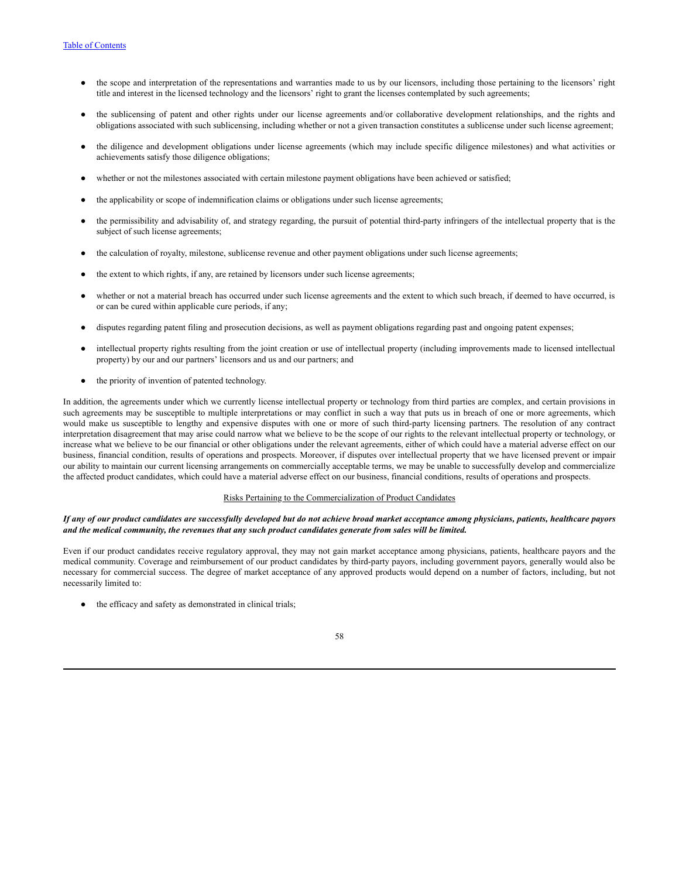- the scope and interpretation of the representations and warranties made to us by our licensors, including those pertaining to the licensors' right title and interest in the licensed technology and the licensors' right to grant the licenses contemplated by such agreements;
- the sublicensing of patent and other rights under our license agreements and/or collaborative development relationships, and the rights and obligations associated with such sublicensing, including whether or not a given transaction constitutes a sublicense under such license agreement;
- the diligence and development obligations under license agreements (which may include specific diligence milestones) and what activities or achievements satisfy those diligence obligations;
- whether or not the milestones associated with certain milestone payment obligations have been achieved or satisfied;
- the applicability or scope of indemnification claims or obligations under such license agreements;
- the permissibility and advisability of, and strategy regarding, the pursuit of potential third-party infringers of the intellectual property that is the subject of such license agreements;
- the calculation of royalty, milestone, sublicense revenue and other payment obligations under such license agreements;
- the extent to which rights, if any, are retained by licensors under such license agreements;
- whether or not a material breach has occurred under such license agreements and the extent to which such breach, if deemed to have occurred, is or can be cured within applicable cure periods, if any;
- disputes regarding patent filing and prosecution decisions, as well as payment obligations regarding past and ongoing patent expenses;
- intellectual property rights resulting from the joint creation or use of intellectual property (including improvements made to licensed intellectual property) by our and our partners' licensors and us and our partners; and
- the priority of invention of patented technology.

In addition, the agreements under which we currently license intellectual property or technology from third parties are complex, and certain provisions in such agreements may be susceptible to multiple interpretations or may conflict in such a way that puts us in breach of one or more agreements, which would make us susceptible to lengthy and expensive disputes with one or more of such third-party licensing partners. The resolution of any contract interpretation disagreement that may arise could narrow what we believe to be the scope of our rights to the relevant intellectual property or technology, or increase what we believe to be our financial or other obligations under the relevant agreements, either of which could have a material adverse effect on our business, financial condition, results of operations and prospects. Moreover, if disputes over intellectual property that we have licensed prevent or impair our ability to maintain our current licensing arrangements on commercially acceptable terms, we may be unable to successfully develop and commercialize the affected product candidates, which could have a material adverse effect on our business, financial conditions, results of operations and prospects.

#### Risks Pertaining to the Commercialization of Product Candidates

### If any of our product candidates are successfully developed but do not achieve broad market acceptance among physicians, patients, healthcare payors and the medical community, the revenues that any such product candidates generate from sales will be limited.

Even if our product candidates receive regulatory approval, they may not gain market acceptance among physicians, patients, healthcare payors and the medical community. Coverage and reimbursement of our product candidates by third-party payors, including government payors, generally would also be necessary for commercial success. The degree of market acceptance of any approved products would depend on a number of factors, including, but not necessarily limited to:

• the efficacy and safety as demonstrated in clinical trials;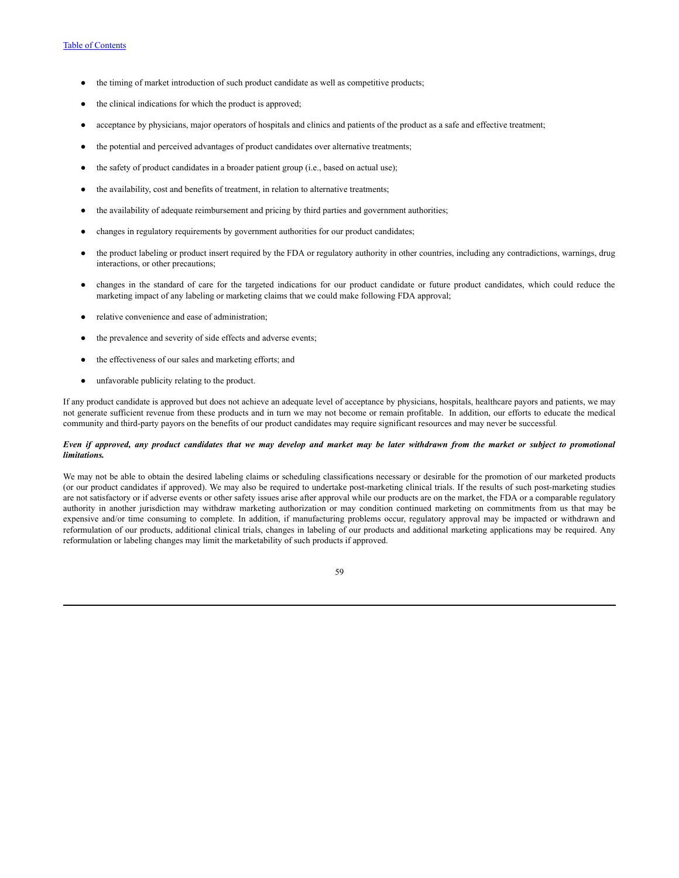- the timing of market introduction of such product candidate as well as competitive products;
- the clinical indications for which the product is approved;
- acceptance by physicians, major operators of hospitals and clinics and patients of the product as a safe and effective treatment;
- the potential and perceived advantages of product candidates over alternative treatments;
- the safety of product candidates in a broader patient group (i.e., based on actual use);
- the availability, cost and benefits of treatment, in relation to alternative treatments;
- the availability of adequate reimbursement and pricing by third parties and government authorities;
- changes in regulatory requirements by government authorities for our product candidates;
- the product labeling or product insert required by the FDA or regulatory authority in other countries, including any contradictions, warnings, drug interactions, or other precautions;
- changes in the standard of care for the targeted indications for our product candidate or future product candidates, which could reduce the marketing impact of any labeling or marketing claims that we could make following FDA approval;
- relative convenience and ease of administration;
- the prevalence and severity of side effects and adverse events;
- the effectiveness of our sales and marketing efforts; and
- unfavorable publicity relating to the product.

If any product candidate is approved but does not achieve an adequate level of acceptance by physicians, hospitals, healthcare payors and patients, we may not generate sufficient revenue from these products and in turn we may not become or remain profitable. In addition, our efforts to educate the medical community and third-party payors on the benefits of our product candidates may require significant resources and may never be successful.

## Even if approved, any product candidates that we may develop and market may be later withdrawn from the market or subject to promotional *limitations.*

We may not be able to obtain the desired labeling claims or scheduling classifications necessary or desirable for the promotion of our marketed products (or our product candidates if approved). We may also be required to undertake post-marketing clinical trials. If the results of such post-marketing studies are not satisfactory or if adverse events or other safety issues arise after approval while our products are on the market, the FDA or a comparable regulatory authority in another jurisdiction may withdraw marketing authorization or may condition continued marketing on commitments from us that may be expensive and/or time consuming to complete. In addition, if manufacturing problems occur, regulatory approval may be impacted or withdrawn and reformulation of our products, additional clinical trials, changes in labeling of our products and additional marketing applications may be required. Any reformulation or labeling changes may limit the marketability of such products if approved.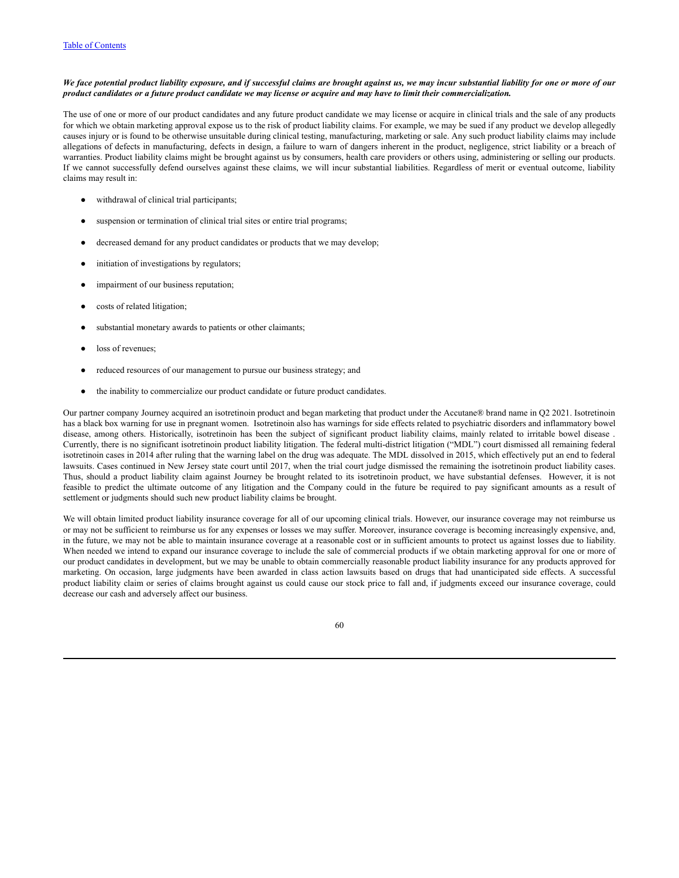## We face potential product liability exposure, and if successful claims are brought against us, we may incur substantial liability for one or more of our product candidates or a future product candidate we may license or acquire and may have to limit their commercialization.

The use of one or more of our product candidates and any future product candidate we may license or acquire in clinical trials and the sale of any products for which we obtain marketing approval expose us to the risk of product liability claims. For example, we may be sued if any product we develop allegedly causes injury or is found to be otherwise unsuitable during clinical testing, manufacturing, marketing or sale. Any such product liability claims may include allegations of defects in manufacturing, defects in design, a failure to warn of dangers inherent in the product, negligence, strict liability or a breach of warranties. Product liability claims might be brought against us by consumers, health care providers or others using, administering or selling our products. If we cannot successfully defend ourselves against these claims, we will incur substantial liabilities. Regardless of merit or eventual outcome, liability claims may result in:

- withdrawal of clinical trial participants;
- suspension or termination of clinical trial sites or entire trial programs;
- decreased demand for any product candidates or products that we may develop;
- initiation of investigations by regulators;
- impairment of our business reputation;
- costs of related litigation;
- substantial monetary awards to patients or other claimants;
- loss of revenues;
- reduced resources of our management to pursue our business strategy; and
- the inability to commercialize our product candidate or future product candidates.

Our partner company Journey acquired an isotretinoin product and began marketing that product under the Accutane® brand name in Q2 2021. Isotretinoin has a black box warning for use in pregnant women. Isotretinoin also has warnings for side effects related to psychiatric disorders and inflammatory bowel disease, among others. Historically, isotretinoin has been the subject of significant product liability claims, mainly related to irritable bowel disease . Currently, there is no significant isotretinoin product liability litigation. The federal multi-district litigation ("MDL") court dismissed all remaining federal isotretinoin cases in 2014 after ruling that the warning label on the drug was adequate. The MDL dissolved in 2015, which effectively put an end to federal lawsuits. Cases continued in New Jersey state court until 2017, when the trial court judge dismissed the remaining the isotretinoin product liability cases. Thus, should a product liability claim against Journey be brought related to its isotretinoin product, we have substantial defenses. However, it is not feasible to predict the ultimate outcome of any litigation and the Company could in the future be required to pay significant amounts as a result of settlement or judgments should such new product liability claims be brought.

We will obtain limited product liability insurance coverage for all of our upcoming clinical trials. However, our insurance coverage may not reimburse us or may not be sufficient to reimburse us for any expenses or losses we may suffer. Moreover, insurance coverage is becoming increasingly expensive, and, in the future, we may not be able to maintain insurance coverage at a reasonable cost or in sufficient amounts to protect us against losses due to liability. When needed we intend to expand our insurance coverage to include the sale of commercial products if we obtain marketing approval for one or more of our product candidates in development, but we may be unable to obtain commercially reasonable product liability insurance for any products approved for marketing. On occasion, large judgments have been awarded in class action lawsuits based on drugs that had unanticipated side effects. A successful product liability claim or series of claims brought against us could cause our stock price to fall and, if judgments exceed our insurance coverage, could decrease our cash and adversely affect our business.

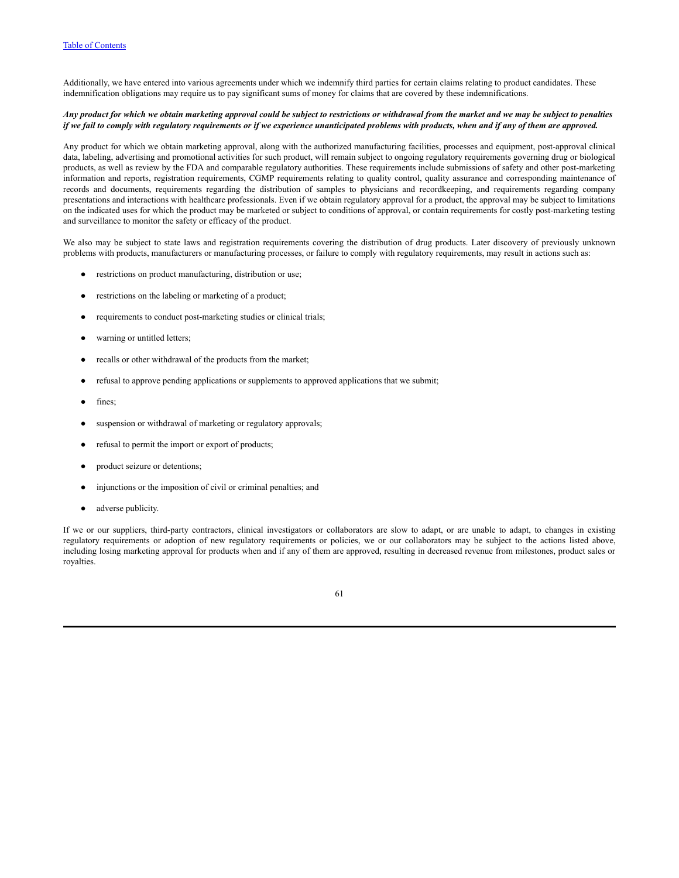Additionally, we have entered into various agreements under which we indemnify third parties for certain claims relating to product candidates. These indemnification obligations may require us to pay significant sums of money for claims that are covered by these indemnifications.

## Any product for which we obtain marketing approval could be subject to restrictions or withdrawal from the market and we may be subject to penalties if we fail to comply with regulatory requirements or if we experience unanticipated problems with products, when and if any of them are approved.

Any product for which we obtain marketing approval, along with the authorized manufacturing facilities, processes and equipment, post-approval clinical data, labeling, advertising and promotional activities for such product, will remain subject to ongoing regulatory requirements governing drug or biological products, as well as review by the FDA and comparable regulatory authorities. These requirements include submissions of safety and other post-marketing information and reports, registration requirements, CGMP requirements relating to quality control, quality assurance and corresponding maintenance of records and documents, requirements regarding the distribution of samples to physicians and recordkeeping, and requirements regarding company presentations and interactions with healthcare professionals. Even if we obtain regulatory approval for a product, the approval may be subject to limitations on the indicated uses for which the product may be marketed or subject to conditions of approval, or contain requirements for costly post-marketing testing and surveillance to monitor the safety or efficacy of the product.

We also may be subject to state laws and registration requirements covering the distribution of drug products. Later discovery of previously unknown problems with products, manufacturers or manufacturing processes, or failure to comply with regulatory requirements, may result in actions such as:

- restrictions on product manufacturing, distribution or use;
- restrictions on the labeling or marketing of a product;
- requirements to conduct post-marketing studies or clinical trials;
- warning or untitled letters;
- recalls or other withdrawal of the products from the market;
- refusal to approve pending applications or supplements to approved applications that we submit;
- fines:
- suspension or withdrawal of marketing or regulatory approvals;
- refusal to permit the import or export of products;
- product seizure or detentions;
- injunctions or the imposition of civil or criminal penalties; and
- adverse publicity.

If we or our suppliers, third-party contractors, clinical investigators or collaborators are slow to adapt, or are unable to adapt, to changes in existing regulatory requirements or adoption of new regulatory requirements or policies, we or our collaborators may be subject to the actions listed above, including losing marketing approval for products when and if any of them are approved, resulting in decreased revenue from milestones, product sales or royalties.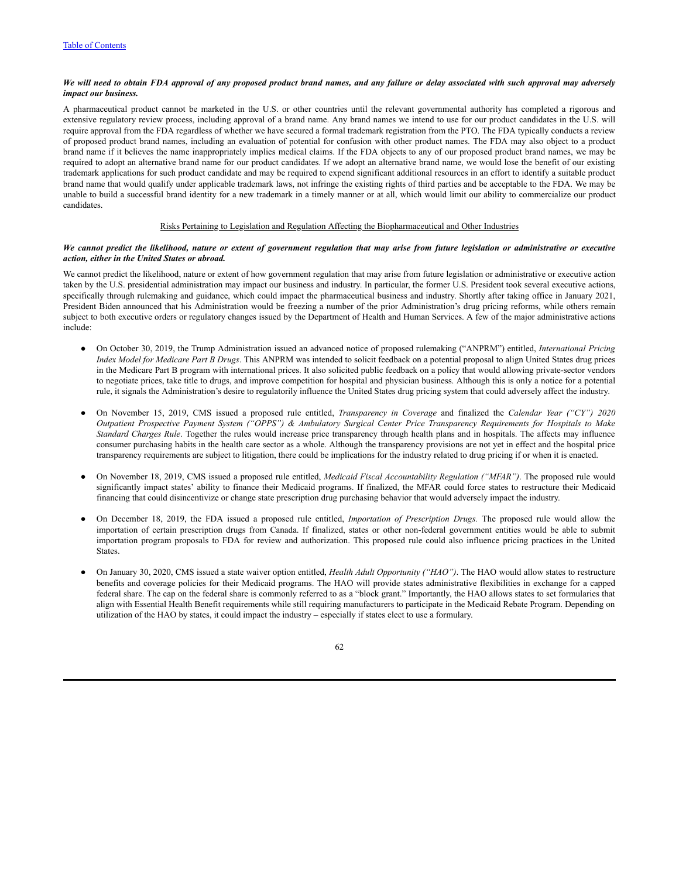## We will need to obtain FDA approval of any proposed product brand names, and any failure or delay associated with such approval may adversely *impact our business.*

A pharmaceutical product cannot be marketed in the U.S. or other countries until the relevant governmental authority has completed a rigorous and extensive regulatory review process, including approval of a brand name. Any brand names we intend to use for our product candidates in the U.S. will require approval from the FDA regardless of whether we have secured a formal trademark registration from the PTO. The FDA typically conducts a review of proposed product brand names, including an evaluation of potential for confusion with other product names. The FDA may also object to a product brand name if it believes the name inappropriately implies medical claims. If the FDA objects to any of our proposed product brand names, we may be required to adopt an alternative brand name for our product candidates. If we adopt an alternative brand name, we would lose the benefit of our existing trademark applications for such product candidate and may be required to expend significant additional resources in an effort to identify a suitable product brand name that would qualify under applicable trademark laws, not infringe the existing rights of third parties and be acceptable to the FDA. We may be unable to build a successful brand identity for a new trademark in a timely manner or at all, which would limit our ability to commercialize our product candidates.

# Risks Pertaining to Legislation and Regulation Affecting the Biopharmaceutical and Other Industries

### We cannot predict the likelihood, nature or extent of government regulation that may arise from future legislation or administrative or executive *action, either in the United States or abroad.*

We cannot predict the likelihood, nature or extent of how government regulation that may arise from future legislation or administrative or executive action taken by the U.S. presidential administration may impact our business and industry. In particular, the former U.S. President took several executive actions, specifically through rulemaking and guidance, which could impact the pharmaceutical business and industry. Shortly after taking office in January 2021, President Biden announced that his Administration would be freezing a number of the prior Administration's drug pricing reforms, while others remain subject to both executive orders or regulatory changes issued by the Department of Health and Human Services. A few of the major administrative actions include:

- On October 30, 2019, the Trump Administration issued an advanced notice of proposed rulemaking ("ANPRM") entitled, *International Pricing Index Model for Medicare Part B Drugs*. This ANPRM was intended to solicit feedback on a potential proposal to align United States drug prices in the Medicare Part B program with international prices. It also solicited public feedback on a policy that would allowing private-sector vendors to negotiate prices, take title to drugs, and improve competition for hospital and physician business. Although this is only a notice for a potential rule, it signals the Administration's desire to regulatorily influence the United States drug pricing system that could adversely affect the industry.
- On November 15, 2019, CMS issued a proposed rule entitled, *Transparency in Coverage* and finalized the *Calendar Year ("CY") 2020* Outpatient Prospective Payment System ("OPPS") & Ambulatory Surgical Center Price Transparency Requirements for Hospitals to Make *Standard Charges Rule*. Together the rules would increase price transparency through health plans and in hospitals. The affects may influence consumer purchasing habits in the health care sector as a whole. Although the transparency provisions are not yet in effect and the hospital price transparency requirements are subject to litigation, there could be implications for the industry related to drug pricing if or when it is enacted.
- On November 18, 2019, CMS issued a proposed rule entitled, *Medicaid Fiscal Accountability Regulation ("MFAR")*. The proposed rule would significantly impact states' ability to finance their Medicaid programs. If finalized, the MFAR could force states to restructure their Medicaid financing that could disincentivize or change state prescription drug purchasing behavior that would adversely impact the industry.
- On December 18, 2019, the FDA issued a proposed rule entitled, *Importation of Prescription Drugs.* The proposed rule would allow the importation of certain prescription drugs from Canada. If finalized, states or other non-federal government entities would be able to submit importation program proposals to FDA for review and authorization. This proposed rule could also influence pricing practices in the United States.
- On January 30, 2020, CMS issued a state waiver option entitled, *Health Adult Opportunity ("HAO")*. The HAO would allow states to restructure benefits and coverage policies for their Medicaid programs. The HAO will provide states administrative flexibilities in exchange for a capped federal share. The cap on the federal share is commonly referred to as a "block grant." Importantly, the HAO allows states to set formularies that align with Essential Health Benefit requirements while still requiring manufacturers to participate in the Medicaid Rebate Program. Depending on utilization of the HAO by states, it could impact the industry – especially if states elect to use a formulary.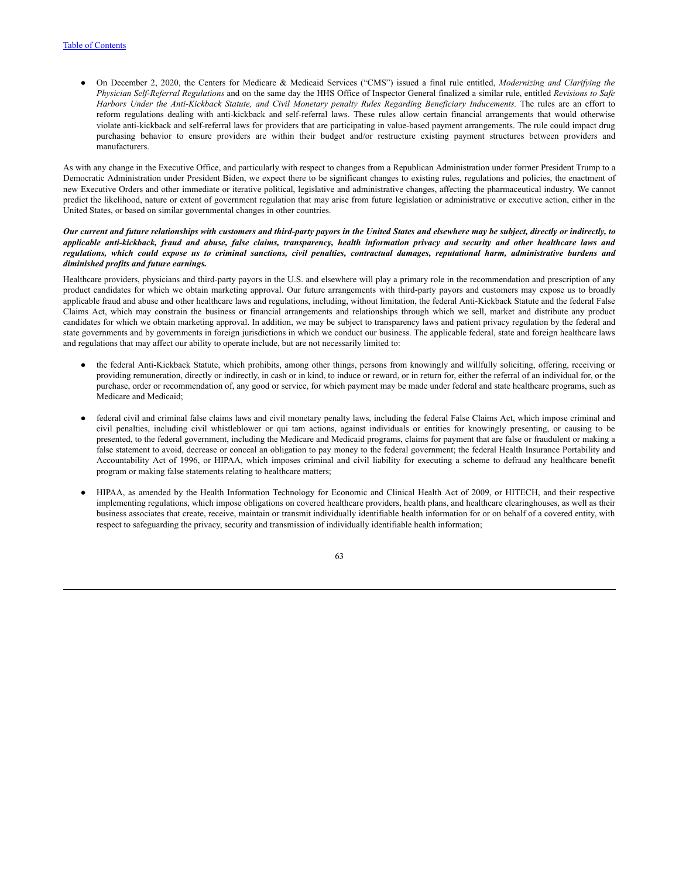● On December 2, 2020, the Centers for Medicare & Medicaid Services ("CMS") issued a final rule entitled, *Modernizing and Clarifying the Physician Self-Referral Regulations* and on the same day the HHS Office of Inspector General finalized a similar rule, entitled *Revisions to Safe* Harbors Under the Anti-Kickback Statute, and Civil Monetary penalty Rules Regarding Beneficiary Inducements. The rules are an effort to reform regulations dealing with anti-kickback and self-referral laws. These rules allow certain financial arrangements that would otherwise violate anti-kickback and self-referral laws for providers that are participating in value-based payment arrangements. The rule could impact drug purchasing behavior to ensure providers are within their budget and/or restructure existing payment structures between providers and manufacturers.

As with any change in the Executive Office, and particularly with respect to changes from a Republican Administration under former President Trump to a Democratic Administration under President Biden, we expect there to be significant changes to existing rules, regulations and policies, the enactment of new Executive Orders and other immediate or iterative political, legislative and administrative changes, affecting the pharmaceutical industry. We cannot predict the likelihood, nature or extent of government regulation that may arise from future legislation or administrative or executive action, either in the United States, or based on similar governmental changes in other countries.

### Our current and future relationships with customers and third-party payors in the United States and elsewhere may be subject, directly or indirectly, to applicable anti-kickback, fraud and abuse, false claims, transparency, health information privacy and security and other healthcare laws and regulations, which could expose us to criminal sanctions, civil penalties, contractual damages, reputational harm, administrative burdens and *diminished profits and future earnings.*

Healthcare providers, physicians and third-party payors in the U.S. and elsewhere will play a primary role in the recommendation and prescription of any product candidates for which we obtain marketing approval. Our future arrangements with third-party payors and customers may expose us to broadly applicable fraud and abuse and other healthcare laws and regulations, including, without limitation, the federal Anti-Kickback Statute and the federal False Claims Act, which may constrain the business or financial arrangements and relationships through which we sell, market and distribute any product candidates for which we obtain marketing approval. In addition, we may be subject to transparency laws and patient privacy regulation by the federal and state governments and by governments in foreign jurisdictions in which we conduct our business. The applicable federal, state and foreign healthcare laws and regulations that may affect our ability to operate include, but are not necessarily limited to:

- the federal Anti-Kickback Statute, which prohibits, among other things, persons from knowingly and willfully soliciting, offering, receiving or providing remuneration, directly or indirectly, in cash or in kind, to induce or reward, or in return for, either the referral of an individual for, or the purchase, order or recommendation of, any good or service, for which payment may be made under federal and state healthcare programs, such as Medicare and Medicaid;
- federal civil and criminal false claims laws and civil monetary penalty laws, including the federal False Claims Act, which impose criminal and civil penalties, including civil whistleblower or qui tam actions, against individuals or entities for knowingly presenting, or causing to be presented, to the federal government, including the Medicare and Medicaid programs, claims for payment that are false or fraudulent or making a false statement to avoid, decrease or conceal an obligation to pay money to the federal government; the federal Health Insurance Portability and Accountability Act of 1996, or HIPAA, which imposes criminal and civil liability for executing a scheme to defraud any healthcare benefit program or making false statements relating to healthcare matters;
- HIPAA, as amended by the Health Information Technology for Economic and Clinical Health Act of 2009, or HITECH, and their respective implementing regulations, which impose obligations on covered healthcare providers, health plans, and healthcare clearinghouses, as well as their business associates that create, receive, maintain or transmit individually identifiable health information for or on behalf of a covered entity, with respect to safeguarding the privacy, security and transmission of individually identifiable health information;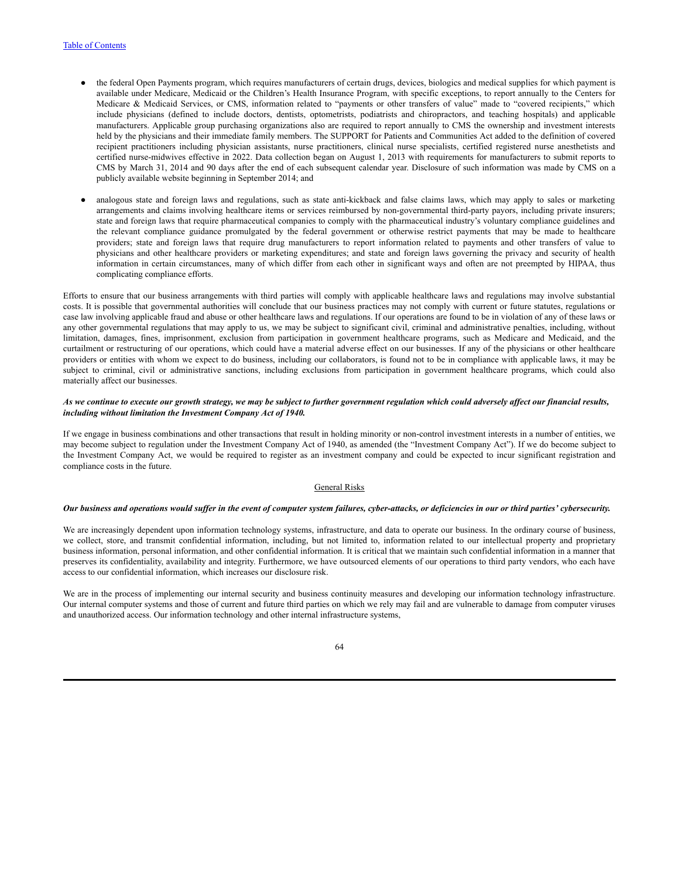- the federal Open Payments program, which requires manufacturers of certain drugs, devices, biologics and medical supplies for which payment is available under Medicare, Medicaid or the Children's Health Insurance Program, with specific exceptions, to report annually to the Centers for Medicare & Medicaid Services, or CMS, information related to "payments or other transfers of value" made to "covered recipients," which include physicians (defined to include doctors, dentists, optometrists, podiatrists and chiropractors, and teaching hospitals) and applicable manufacturers. Applicable group purchasing organizations also are required to report annually to CMS the ownership and investment interests held by the physicians and their immediate family members. The SUPPORT for Patients and Communities Act added to the definition of covered recipient practitioners including physician assistants, nurse practitioners, clinical nurse specialists, certified registered nurse anesthetists and certified nurse-midwives effective in 2022. Data collection began on August 1, 2013 with requirements for manufacturers to submit reports to CMS by March 31, 2014 and 90 days after the end of each subsequent calendar year. Disclosure of such information was made by CMS on a publicly available website beginning in September 2014; and
- analogous state and foreign laws and regulations, such as state anti-kickback and false claims laws, which may apply to sales or marketing arrangements and claims involving healthcare items or services reimbursed by non-governmental third-party payors, including private insurers; state and foreign laws that require pharmaceutical companies to comply with the pharmaceutical industry's voluntary compliance guidelines and the relevant compliance guidance promulgated by the federal government or otherwise restrict payments that may be made to healthcare providers; state and foreign laws that require drug manufacturers to report information related to payments and other transfers of value to physicians and other healthcare providers or marketing expenditures; and state and foreign laws governing the privacy and security of health information in certain circumstances, many of which differ from each other in significant ways and often are not preempted by HIPAA, thus complicating compliance efforts.

Efforts to ensure that our business arrangements with third parties will comply with applicable healthcare laws and regulations may involve substantial costs. It is possible that governmental authorities will conclude that our business practices may not comply with current or future statutes, regulations or case law involving applicable fraud and abuse or other healthcare laws and regulations. If our operations are found to be in violation of any of these laws or any other governmental regulations that may apply to us, we may be subject to significant civil, criminal and administrative penalties, including, without limitation, damages, fines, imprisonment, exclusion from participation in government healthcare programs, such as Medicare and Medicaid, and the curtailment or restructuring of our operations, which could have a material adverse effect on our businesses. If any of the physicians or other healthcare providers or entities with whom we expect to do business, including our collaborators, is found not to be in compliance with applicable laws, it may be subject to criminal, civil or administrative sanctions, including exclusions from participation in government healthcare programs, which could also materially affect our businesses.

## As we continue to execute our growth strategy, we may be subject to further government regulation which could adversely affect our financial results, *including without limitation the Investment Company Act of 1940.*

If we engage in business combinations and other transactions that result in holding minority or non-control investment interests in a number of entities, we may become subject to regulation under the Investment Company Act of 1940, as amended (the "Investment Company Act"). If we do become subject to the Investment Company Act, we would be required to register as an investment company and could be expected to incur significant registration and compliance costs in the future.

### General Risks

#### Our business and operations would suffer in the event of computer system failures, cyber-attacks, or deficiencies in our or third parties' cybersecurity.

We are increasingly dependent upon information technology systems, infrastructure, and data to operate our business. In the ordinary course of business, we collect, store, and transmit confidential information, including, but not limited to, information related to our intellectual property and proprietary business information, personal information, and other confidential information. It is critical that we maintain such confidential information in a manner that preserves its confidentiality, availability and integrity. Furthermore, we have outsourced elements of our operations to third party vendors, who each have access to our confidential information, which increases our disclosure risk.

We are in the process of implementing our internal security and business continuity measures and developing our information technology infrastructure. Our internal computer systems and those of current and future third parties on which we rely may fail and are vulnerable to damage from computer viruses and unauthorized access. Our information technology and other internal infrastructure systems,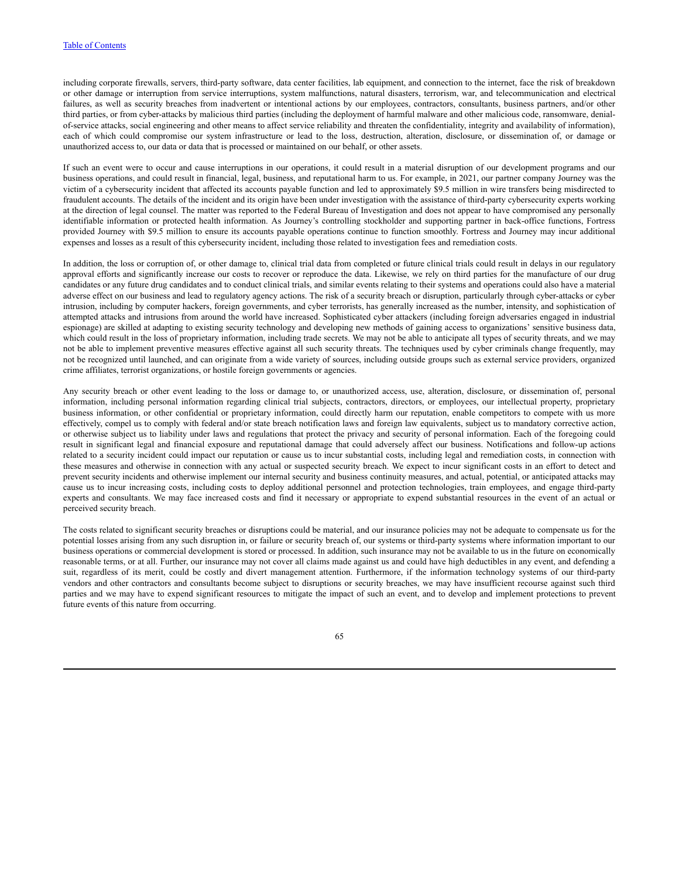including corporate firewalls, servers, third-party software, data center facilities, lab equipment, and connection to the internet, face the risk of breakdown or other damage or interruption from service interruptions, system malfunctions, natural disasters, terrorism, war, and telecommunication and electrical failures, as well as security breaches from inadvertent or intentional actions by our employees, contractors, consultants, business partners, and/or other third parties, or from cyber-attacks by malicious third parties (including the deployment of harmful malware and other malicious code, ransomware, denialof-service attacks, social engineering and other means to affect service reliability and threaten the confidentiality, integrity and availability of information), each of which could compromise our system infrastructure or lead to the loss, destruction, alteration, disclosure, or dissemination of, or damage or unauthorized access to, our data or data that is processed or maintained on our behalf, or other assets.

If such an event were to occur and cause interruptions in our operations, it could result in a material disruption of our development programs and our business operations, and could result in financial, legal, business, and reputational harm to us. For example, in 2021, our partner company Journey was the victim of a cybersecurity incident that affected its accounts payable function and led to approximately \$9.5 million in wire transfers being misdirected to fraudulent accounts. The details of the incident and its origin have been under investigation with the assistance of third-party cybersecurity experts working at the direction of legal counsel. The matter was reported to the Federal Bureau of Investigation and does not appear to have compromised any personally identifiable information or protected health information. As Journey's controlling stockholder and supporting partner in back-office functions, Fortress provided Journey with \$9.5 million to ensure its accounts payable operations continue to function smoothly. Fortress and Journey may incur additional expenses and losses as a result of this cybersecurity incident, including those related to investigation fees and remediation costs.

In addition, the loss or corruption of, or other damage to, clinical trial data from completed or future clinical trials could result in delays in our regulatory approval efforts and significantly increase our costs to recover or reproduce the data. Likewise, we rely on third parties for the manufacture of our drug candidates or any future drug candidates and to conduct clinical trials, and similar events relating to their systems and operations could also have a material adverse effect on our business and lead to regulatory agency actions. The risk of a security breach or disruption, particularly through cyber-attacks or cyber intrusion, including by computer hackers, foreign governments, and cyber terrorists, has generally increased as the number, intensity, and sophistication of attempted attacks and intrusions from around the world have increased. Sophisticated cyber attackers (including foreign adversaries engaged in industrial espionage) are skilled at adapting to existing security technology and developing new methods of gaining access to organizations' sensitive business data, which could result in the loss of proprietary information, including trade secrets. We may not be able to anticipate all types of security threats, and we may not be able to implement preventive measures effective against all such security threats. The techniques used by cyber criminals change frequently, may not be recognized until launched, and can originate from a wide variety of sources, including outside groups such as external service providers, organized crime affiliates, terrorist organizations, or hostile foreign governments or agencies.

Any security breach or other event leading to the loss or damage to, or unauthorized access, use, alteration, disclosure, or dissemination of, personal information, including personal information regarding clinical trial subjects, contractors, directors, or employees, our intellectual property, proprietary business information, or other confidential or proprietary information, could directly harm our reputation, enable competitors to compete with us more effectively, compel us to comply with federal and/or state breach notification laws and foreign law equivalents, subject us to mandatory corrective action, or otherwise subject us to liability under laws and regulations that protect the privacy and security of personal information. Each of the foregoing could result in significant legal and financial exposure and reputational damage that could adversely affect our business. Notifications and follow-up actions related to a security incident could impact our reputation or cause us to incur substantial costs, including legal and remediation costs, in connection with these measures and otherwise in connection with any actual or suspected security breach. We expect to incur significant costs in an effort to detect and prevent security incidents and otherwise implement our internal security and business continuity measures, and actual, potential, or anticipated attacks may cause us to incur increasing costs, including costs to deploy additional personnel and protection technologies, train employees, and engage third-party experts and consultants. We may face increased costs and find it necessary or appropriate to expend substantial resources in the event of an actual or perceived security breach.

The costs related to significant security breaches or disruptions could be material, and our insurance policies may not be adequate to compensate us for the potential losses arising from any such disruption in, or failure or security breach of, our systems or third-party systems where information important to our business operations or commercial development is stored or processed. In addition, such insurance may not be available to us in the future on economically reasonable terms, or at all. Further, our insurance may not cover all claims made against us and could have high deductibles in any event, and defending a suit, regardless of its merit, could be costly and divert management attention. Furthermore, if the information technology systems of our third-party vendors and other contractors and consultants become subject to disruptions or security breaches, we may have insufficient recourse against such third parties and we may have to expend significant resources to mitigate the impact of such an event, and to develop and implement protections to prevent future events of this nature from occurring.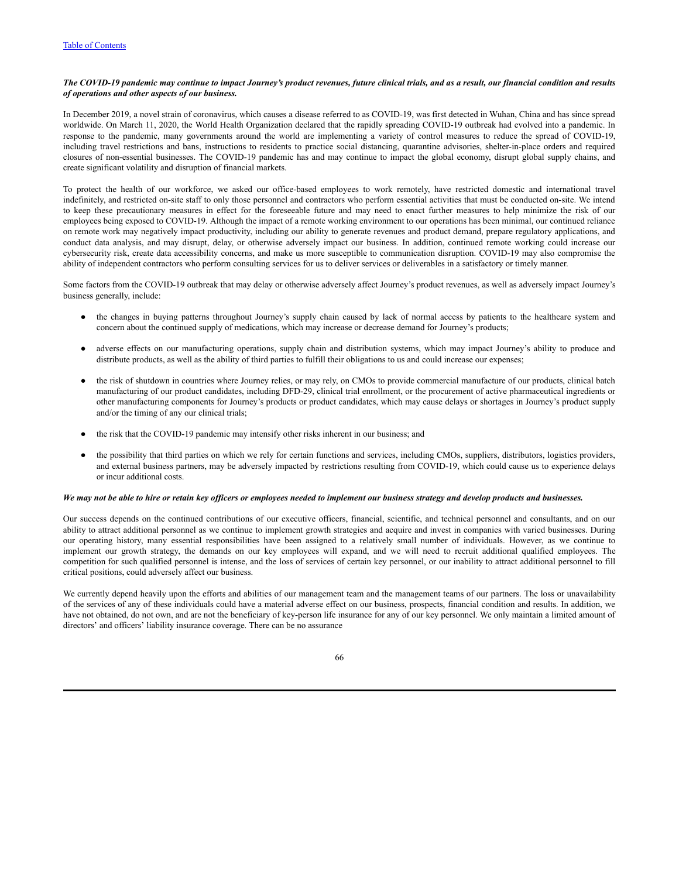## The COVID-19 pandemic may continue to impact Journey's product revenues, future clinical trials, and as a result, our financial condition and results *of operations and other aspects of our business.*

In December 2019, a novel strain of coronavirus, which causes a disease referred to as COVID-19, was first detected in Wuhan, China and has since spread worldwide. On March 11, 2020, the World Health Organization declared that the rapidly spreading COVID-19 outbreak had evolved into a pandemic. In response to the pandemic, many governments around the world are implementing a variety of control measures to reduce the spread of COVID-19, including travel restrictions and bans, instructions to residents to practice social distancing, quarantine advisories, shelter-in-place orders and required closures of non-essential businesses. The COVID-19 pandemic has and may continue to impact the global economy, disrupt global supply chains, and create significant volatility and disruption of financial markets.

To protect the health of our workforce, we asked our office-based employees to work remotely, have restricted domestic and international travel indefinitely, and restricted on-site staff to only those personnel and contractors who perform essential activities that must be conducted on-site. We intend to keep these precautionary measures in effect for the foreseeable future and may need to enact further measures to help minimize the risk of our employees being exposed to COVID-19. Although the impact of a remote working environment to our operations has been minimal, our continued reliance on remote work may negatively impact productivity, including our ability to generate revenues and product demand, prepare regulatory applications, and conduct data analysis, and may disrupt, delay, or otherwise adversely impact our business. In addition, continued remote working could increase our cybersecurity risk, create data accessibility concerns, and make us more susceptible to communication disruption. COVID-19 may also compromise the ability of independent contractors who perform consulting services for us to deliver services or deliverables in a satisfactory or timely manner.

Some factors from the COVID-19 outbreak that may delay or otherwise adversely affect Journey's product revenues, as well as adversely impact Journey's business generally, include:

- the changes in buying patterns throughout Journey's supply chain caused by lack of normal access by patients to the healthcare system and concern about the continued supply of medications, which may increase or decrease demand for Journey's products;
- adverse effects on our manufacturing operations, supply chain and distribution systems, which may impact Journey's ability to produce and distribute products, as well as the ability of third parties to fulfill their obligations to us and could increase our expenses;
- the risk of shutdown in countries where Journey relies, or may rely, on CMOs to provide commercial manufacture of our products, clinical batch manufacturing of our product candidates, including DFD-29, clinical trial enrollment, or the procurement of active pharmaceutical ingredients or other manufacturing components for Journey's products or product candidates, which may cause delays or shortages in Journey's product supply and/or the timing of any our clinical trials;
- the risk that the COVID-19 pandemic may intensify other risks inherent in our business; and
- the possibility that third parties on which we rely for certain functions and services, including CMOs, suppliers, distributors, logistics providers, and external business partners, may be adversely impacted by restrictions resulting from COVID-19, which could cause us to experience delays or incur additional costs.

### We may not be able to hire or retain key officers or employees needed to implement our business strategy and develop products and businesses.

Our success depends on the continued contributions of our executive officers, financial, scientific, and technical personnel and consultants, and on our ability to attract additional personnel as we continue to implement growth strategies and acquire and invest in companies with varied businesses. During our operating history, many essential responsibilities have been assigned to a relatively small number of individuals. However, as we continue to implement our growth strategy, the demands on our key employees will expand, and we will need to recruit additional qualified employees. The competition for such qualified personnel is intense, and the loss of services of certain key personnel, or our inability to attract additional personnel to fill critical positions, could adversely affect our business.

We currently depend heavily upon the efforts and abilities of our management team and the management teams of our partners. The loss or unavailability of the services of any of these individuals could have a material adverse effect on our business, prospects, financial condition and results. In addition, we have not obtained, do not own, and are not the beneficiary of key-person life insurance for any of our key personnel. We only maintain a limited amount of directors' and officers' liability insurance coverage. There can be no assurance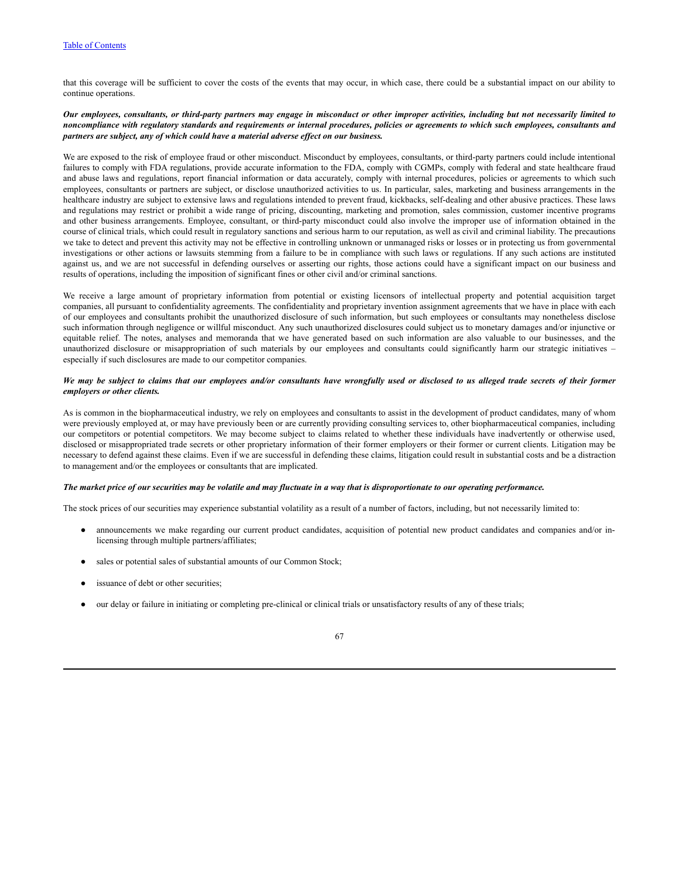that this coverage will be sufficient to cover the costs of the events that may occur, in which case, there could be a substantial impact on our ability to continue operations.

## Our employees, consultants, or third-party partners may engage in misconduct or other improper activities, including but not necessarily limited to noncompliance with regulatory standards and requirements or internal procedures, policies or agreements to which such employees, consultants and *partners are subject, any of which could have a material adverse ef ect on our business.*

We are exposed to the risk of employee fraud or other misconduct. Misconduct by employees, consultants, or third-party partners could include intentional failures to comply with FDA regulations, provide accurate information to the FDA, comply with CGMPs, comply with federal and state healthcare fraud and abuse laws and regulations, report financial information or data accurately, comply with internal procedures, policies or agreements to which such employees, consultants or partners are subject, or disclose unauthorized activities to us. In particular, sales, marketing and business arrangements in the healthcare industry are subject to extensive laws and regulations intended to prevent fraud, kickbacks, self-dealing and other abusive practices. These laws and regulations may restrict or prohibit a wide range of pricing, discounting, marketing and promotion, sales commission, customer incentive programs and other business arrangements. Employee, consultant, or third-party misconduct could also involve the improper use of information obtained in the course of clinical trials, which could result in regulatory sanctions and serious harm to our reputation, as well as civil and criminal liability. The precautions we take to detect and prevent this activity may not be effective in controlling unknown or unmanaged risks or losses or in protecting us from governmental investigations or other actions or lawsuits stemming from a failure to be in compliance with such laws or regulations. If any such actions are instituted against us, and we are not successful in defending ourselves or asserting our rights, those actions could have a significant impact on our business and results of operations, including the imposition of significant fines or other civil and/or criminal sanctions.

We receive a large amount of proprietary information from potential or existing licensors of intellectual property and potential acquisition target companies, all pursuant to confidentiality agreements. The confidentiality and proprietary invention assignment agreements that we have in place with each of our employees and consultants prohibit the unauthorized disclosure of such information, but such employees or consultants may nonetheless disclose such information through negligence or willful misconduct. Any such unauthorized disclosures could subject us to monetary damages and/or injunctive or equitable relief. The notes, analyses and memoranda that we have generated based on such information are also valuable to our businesses, and the unauthorized disclosure or misappropriation of such materials by our employees and consultants could significantly harm our strategic initiatives – especially if such disclosures are made to our competitor companies.

### We may be subject to claims that our employees and/or consultants have wrongfully used or disclosed to us alleged trade secrets of their former *employers or other clients.*

As is common in the biopharmaceutical industry, we rely on employees and consultants to assist in the development of product candidates, many of whom were previously employed at, or may have previously been or are currently providing consulting services to, other biopharmaceutical companies, including our competitors or potential competitors. We may become subject to claims related to whether these individuals have inadvertently or otherwise used, disclosed or misappropriated trade secrets or other proprietary information of their former employers or their former or current clients. Litigation may be necessary to defend against these claims. Even if we are successful in defending these claims, litigation could result in substantial costs and be a distraction to management and/or the employees or consultants that are implicated.

#### The market price of our securities may be volatile and may fluctuate in a way that is disproportionate to our operating performance.

The stock prices of our securities may experience substantial volatility as a result of a number of factors, including, but not necessarily limited to:

- announcements we make regarding our current product candidates, acquisition of potential new product candidates and companies and/or inlicensing through multiple partners/affiliates;
- sales or potential sales of substantial amounts of our Common Stock;
- issuance of debt or other securities;
- our delay or failure in initiating or completing pre-clinical or clinical trials or unsatisfactory results of any of these trials;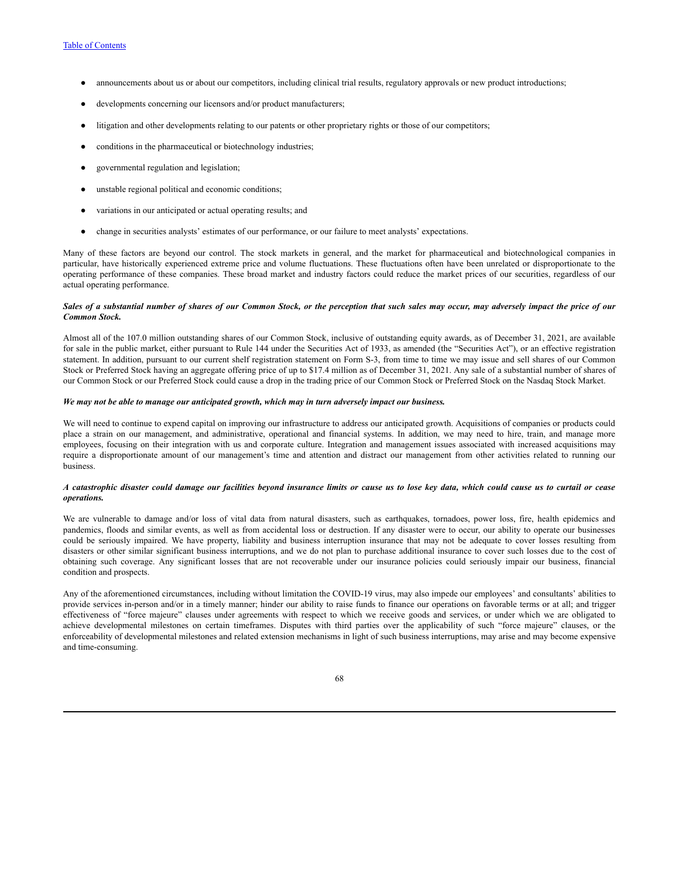- announcements about us or about our competitors, including clinical trial results, regulatory approvals or new product introductions;
- developments concerning our licensors and/or product manufacturers;
- litigation and other developments relating to our patents or other proprietary rights or those of our competitors;
- conditions in the pharmaceutical or biotechnology industries;
- governmental regulation and legislation;
- unstable regional political and economic conditions;
- variations in our anticipated or actual operating results; and
- change in securities analysts' estimates of our performance, or our failure to meet analysts' expectations.

Many of these factors are beyond our control. The stock markets in general, and the market for pharmaceutical and biotechnological companies in particular, have historically experienced extreme price and volume fluctuations. These fluctuations often have been unrelated or disproportionate to the operating performance of these companies. These broad market and industry factors could reduce the market prices of our securities, regardless of our actual operating performance.

#### Sales of a substantial number of shares of our Common Stock, or the perception that such sales may occur, may adversely impact the price of our *Common Stock.*

Almost all of the 107.0 million outstanding shares of our Common Stock, inclusive of outstanding equity awards, as of December 31, 2021, are available for sale in the public market, either pursuant to Rule 144 under the Securities Act of 1933, as amended (the "Securities Act"), or an effective registration statement. In addition, pursuant to our current shelf registration statement on Form S-3, from time to time we may issue and sell shares of our Common Stock or Preferred Stock having an aggregate offering price of up to \$17.4 million as of December 31, 2021. Any sale of a substantial number of shares of our Common Stock or our Preferred Stock could cause a drop in the trading price of our Common Stock or Preferred Stock on the Nasdaq Stock Market.

## We may not be able to manage our anticipated growth, which may in turn adversely impact our business.

We will need to continue to expend capital on improving our infrastructure to address our anticipated growth. Acquisitions of companies or products could place a strain on our management, and administrative, operational and financial systems. In addition, we may need to hire, train, and manage more employees, focusing on their integration with us and corporate culture. Integration and management issues associated with increased acquisitions may require a disproportionate amount of our management's time and attention and distract our management from other activities related to running our business.

#### A catastrophic disaster could damage our facilities beyond insurance limits or cause us to lose key data, which could cause us to curtail or cease *operations.*

We are vulnerable to damage and/or loss of vital data from natural disasters, such as earthquakes, tornadoes, power loss, fire, health epidemics and pandemics, floods and similar events, as well as from accidental loss or destruction. If any disaster were to occur, our ability to operate our businesses could be seriously impaired. We have property, liability and business interruption insurance that may not be adequate to cover losses resulting from disasters or other similar significant business interruptions, and we do not plan to purchase additional insurance to cover such losses due to the cost of obtaining such coverage. Any significant losses that are not recoverable under our insurance policies could seriously impair our business, financial condition and prospects.

Any of the aforementioned circumstances, including without limitation the COVID-19 virus, may also impede our employees' and consultants' abilities to provide services in-person and/or in a timely manner; hinder our ability to raise funds to finance our operations on favorable terms or at all; and trigger effectiveness of "force majeure" clauses under agreements with respect to which we receive goods and services, or under which we are obligated to achieve developmental milestones on certain timeframes. Disputes with third parties over the applicability of such "force majeure" clauses, or the enforceability of developmental milestones and related extension mechanisms in light of such business interruptions, may arise and may become expensive and time-consuming.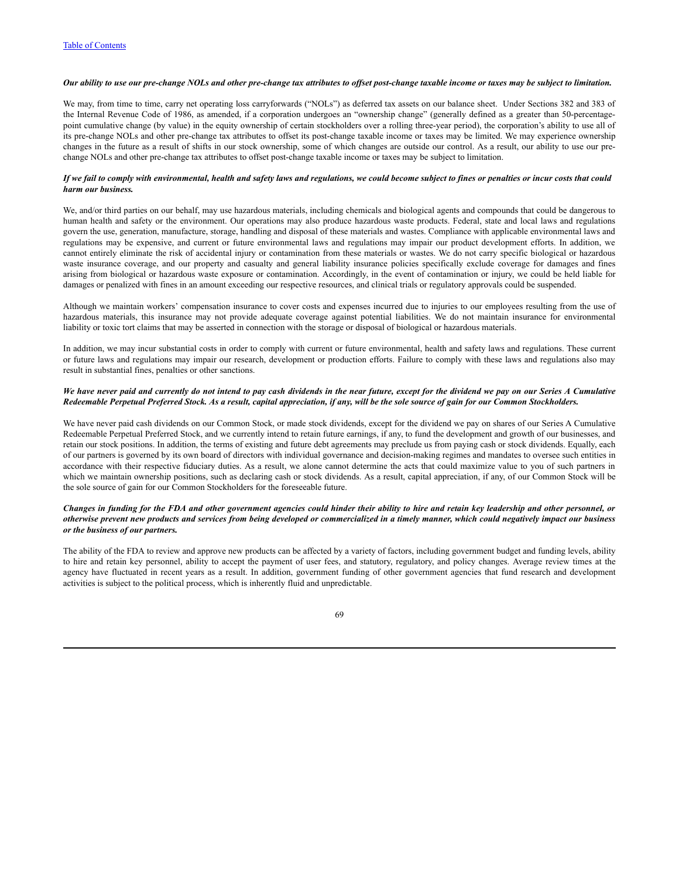#### Our ability to use our pre-change NOLs and other pre-change tax attributes to offset post-change taxable income or taxes may be subject to limitation.

We may, from time to time, carry net operating loss carryforwards ("NOLs") as deferred tax assets on our balance sheet. Under Sections 382 and 383 of the Internal Revenue Code of 1986, as amended, if a corporation undergoes an "ownership change" (generally defined as a greater than 50-percentagepoint cumulative change (by value) in the equity ownership of certain stockholders over a rolling three-year period), the corporation's ability to use all of its pre-change NOLs and other pre-change tax attributes to offset its post-change taxable income or taxes may be limited. We may experience ownership changes in the future as a result of shifts in our stock ownership, some of which changes are outside our control. As a result, our ability to use our prechange NOLs and other pre-change tax attributes to offset post-change taxable income or taxes may be subject to limitation.

## If we fail to comply with environmental, health and safety laws and regulations, we could become subject to fines or penalties or incur costs that could *harm our business.*

We, and/or third parties on our behalf, may use hazardous materials, including chemicals and biological agents and compounds that could be dangerous to human health and safety or the environment. Our operations may also produce hazardous waste products. Federal, state and local laws and regulations govern the use, generation, manufacture, storage, handling and disposal of these materials and wastes. Compliance with applicable environmental laws and regulations may be expensive, and current or future environmental laws and regulations may impair our product development efforts. In addition, we cannot entirely eliminate the risk of accidental injury or contamination from these materials or wastes. We do not carry specific biological or hazardous waste insurance coverage, and our property and casualty and general liability insurance policies specifically exclude coverage for damages and fines arising from biological or hazardous waste exposure or contamination. Accordingly, in the event of contamination or injury, we could be held liable for damages or penalized with fines in an amount exceeding our respective resources, and clinical trials or regulatory approvals could be suspended.

Although we maintain workers' compensation insurance to cover costs and expenses incurred due to injuries to our employees resulting from the use of hazardous materials, this insurance may not provide adequate coverage against potential liabilities. We do not maintain insurance for environmental liability or toxic tort claims that may be asserted in connection with the storage or disposal of biological or hazardous materials.

In addition, we may incur substantial costs in order to comply with current or future environmental, health and safety laws and regulations. These current or future laws and regulations may impair our research, development or production efforts. Failure to comply with these laws and regulations also may result in substantial fines, penalties or other sanctions.

#### We have never paid and currently do not intend to pay cash dividends in the near future, except for the dividend we pay on our Series A Cumulative Redeemable Perpetual Preferred Stock. As a result, capital appreciation, if any, will be the sole source of gain for our Common Stockholders.

We have never paid cash dividends on our Common Stock, or made stock dividends, except for the dividend we pay on shares of our Series A Cumulative Redeemable Perpetual Preferred Stock, and we currently intend to retain future earnings, if any, to fund the development and growth of our businesses, and retain our stock positions. In addition, the terms of existing and future debt agreements may preclude us from paying cash or stock dividends. Equally, each of our partners is governed by its own board of directors with individual governance and decision-making regimes and mandates to oversee such entities in accordance with their respective fiduciary duties. As a result, we alone cannot determine the acts that could maximize value to you of such partners in which we maintain ownership positions, such as declaring cash or stock dividends. As a result, capital appreciation, if any, of our Common Stock will be the sole source of gain for our Common Stockholders for the foreseeable future.

## Changes in funding for the FDA and other government agencies could hinder their ability to hire and retain key leadership and other personnel, or otherwise prevent new products and services from being developed or commercialized in a timely manner, which could negatively impact our business *or the business of our partners.*

The ability of the FDA to review and approve new products can be affected by a variety of factors, including government budget and funding levels, ability to hire and retain key personnel, ability to accept the payment of user fees, and statutory, regulatory, and policy changes. Average review times at the agency have fluctuated in recent years as a result. In addition, government funding of other government agencies that fund research and development activities is subject to the political process, which is inherently fluid and unpredictable.

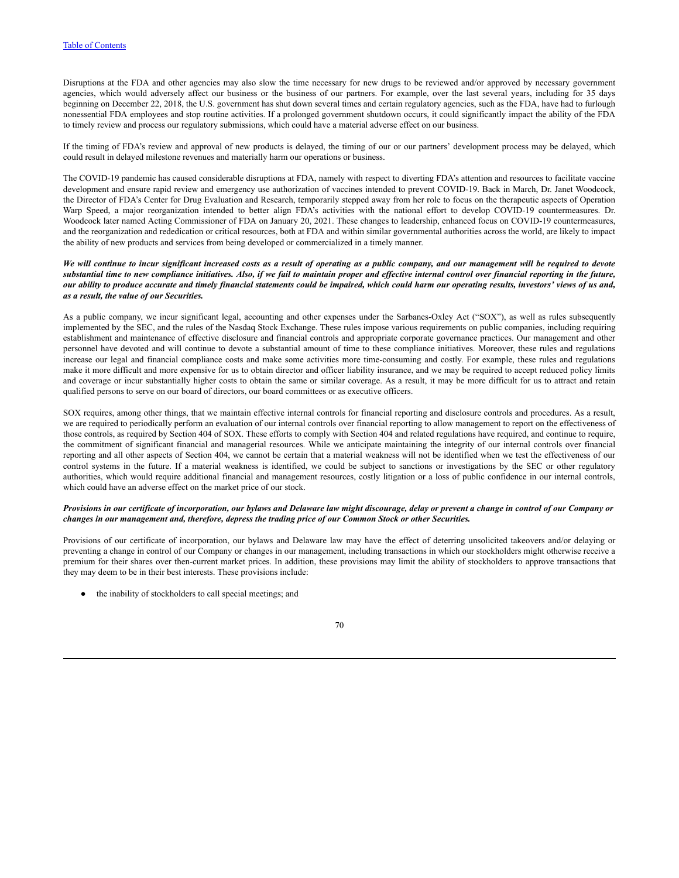Disruptions at the FDA and other agencies may also slow the time necessary for new drugs to be reviewed and/or approved by necessary government agencies, which would adversely affect our business or the business of our partners. For example, over the last several years, including for 35 days beginning on December 22, 2018, the U.S. government has shut down several times and certain regulatory agencies, such as the FDA, have had to furlough nonessential FDA employees and stop routine activities. If a prolonged government shutdown occurs, it could significantly impact the ability of the FDA to timely review and process our regulatory submissions, which could have a material adverse effect on our business.

If the timing of FDA's review and approval of new products is delayed, the timing of our or our partners' development process may be delayed, which could result in delayed milestone revenues and materially harm our operations or business.

The COVID-19 pandemic has caused considerable disruptions at FDA, namely with respect to diverting FDA's attention and resources to facilitate vaccine development and ensure rapid review and emergency use authorization of vaccines intended to prevent COVID-19. Back in March, Dr. Janet Woodcock, the Director of FDA's Center for Drug Evaluation and Research, temporarily stepped away from her role to focus on the therapeutic aspects of Operation Warp Speed, a major reorganization intended to better align FDA's activities with the national effort to develop COVID-19 countermeasures. Dr. Woodcock later named Acting Commissioner of FDA on January 20, 2021. These changes to leadership, enhanced focus on COVID-19 countermeasures, and the reorganization and rededication or critical resources, both at FDA and within similar governmental authorities across the world, are likely to impact the ability of new products and services from being developed or commercialized in a timely manner.

## We will continue to incur significant increased costs as a result of operating as a public company, and our management will be required to devote substantial time to new compliance initiatives. Also, if we fail to maintain proper and effective internal control over financial reporting in the future, our ability to produce accurate and timely financial statements could be impaired, which could harm our operating results, investors' views of us and, *as a result, the value of our Securities.*

As a public company, we incur significant legal, accounting and other expenses under the Sarbanes-Oxley Act ("SOX"), as well as rules subsequently implemented by the SEC, and the rules of the Nasdaq Stock Exchange. These rules impose various requirements on public companies, including requiring establishment and maintenance of effective disclosure and financial controls and appropriate corporate governance practices. Our management and other personnel have devoted and will continue to devote a substantial amount of time to these compliance initiatives. Moreover, these rules and regulations increase our legal and financial compliance costs and make some activities more time-consuming and costly. For example, these rules and regulations make it more difficult and more expensive for us to obtain director and officer liability insurance, and we may be required to accept reduced policy limits and coverage or incur substantially higher costs to obtain the same or similar coverage. As a result, it may be more difficult for us to attract and retain qualified persons to serve on our board of directors, our board committees or as executive officers.

SOX requires, among other things, that we maintain effective internal controls for financial reporting and disclosure controls and procedures. As a result, we are required to periodically perform an evaluation of our internal controls over financial reporting to allow management to report on the effectiveness of those controls, as required by Section 404 of SOX. These efforts to comply with Section 404 and related regulations have required, and continue to require, the commitment of significant financial and managerial resources. While we anticipate maintaining the integrity of our internal controls over financial reporting and all other aspects of Section 404, we cannot be certain that a material weakness will not be identified when we test the effectiveness of our control systems in the future. If a material weakness is identified, we could be subject to sanctions or investigations by the SEC or other regulatory authorities, which would require additional financial and management resources, costly litigation or a loss of public confidence in our internal controls, which could have an adverse effect on the market price of our stock.

## Provisions in our certificate of incorporation, our bylaws and Delaware law might discourage, delay or prevent a change in control of our Company or changes in our management and, therefore, depress the trading price of our Common Stock or other Securities.

Provisions of our certificate of incorporation, our bylaws and Delaware law may have the effect of deterring unsolicited takeovers and/or delaying or preventing a change in control of our Company or changes in our management, including transactions in which our stockholders might otherwise receive a premium for their shares over then-current market prices. In addition, these provisions may limit the ability of stockholders to approve transactions that they may deem to be in their best interests. These provisions include:

the inability of stockholders to call special meetings; and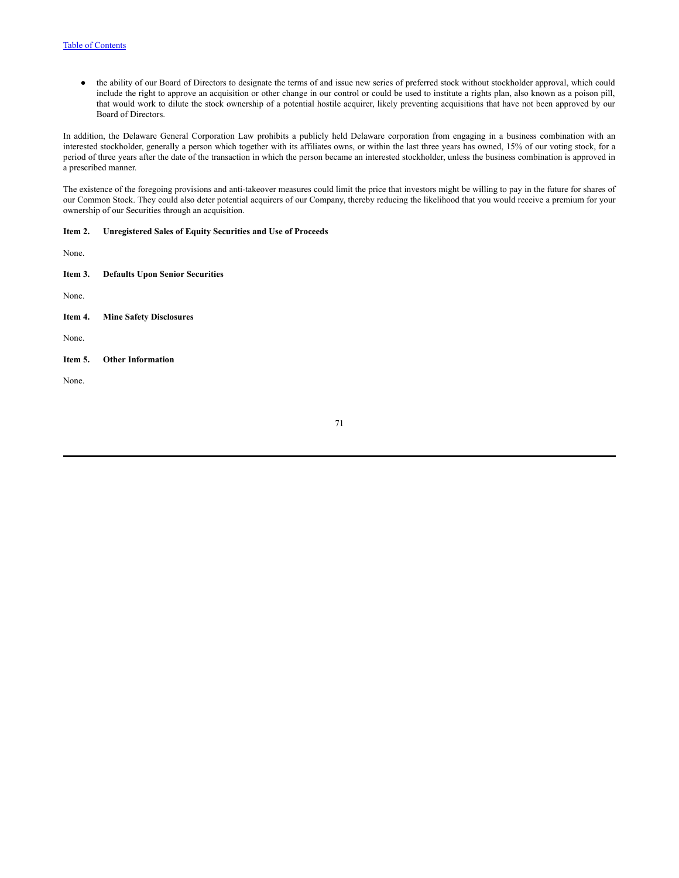● the ability of our Board of Directors to designate the terms of and issue new series of preferred stock without stockholder approval, which could include the right to approve an acquisition or other change in our control or could be used to institute a rights plan, also known as a poison pill, that would work to dilute the stock ownership of a potential hostile acquirer, likely preventing acquisitions that have not been approved by our Board of Directors.

In addition, the Delaware General Corporation Law prohibits a publicly held Delaware corporation from engaging in a business combination with an interested stockholder, generally a person which together with its affiliates owns, or within the last three years has owned, 15% of our voting stock, for a period of three years after the date of the transaction in which the person became an interested stockholder, unless the business combination is approved in a prescribed manner.

The existence of the foregoing provisions and anti-takeover measures could limit the price that investors might be willing to pay in the future for shares of our Common Stock. They could also deter potential acquirers of our Company, thereby reducing the likelihood that you would receive a premium for your ownership of our Securities through an acquisition.

# **Item 2. Unregistered Sales of Equity Securities and Use of Proceeds**

None. **Item 3. Defaults Upon Senior Securities** None. **Item 4. Mine Safety Disclosures** None. **Item 5. Other Information** None.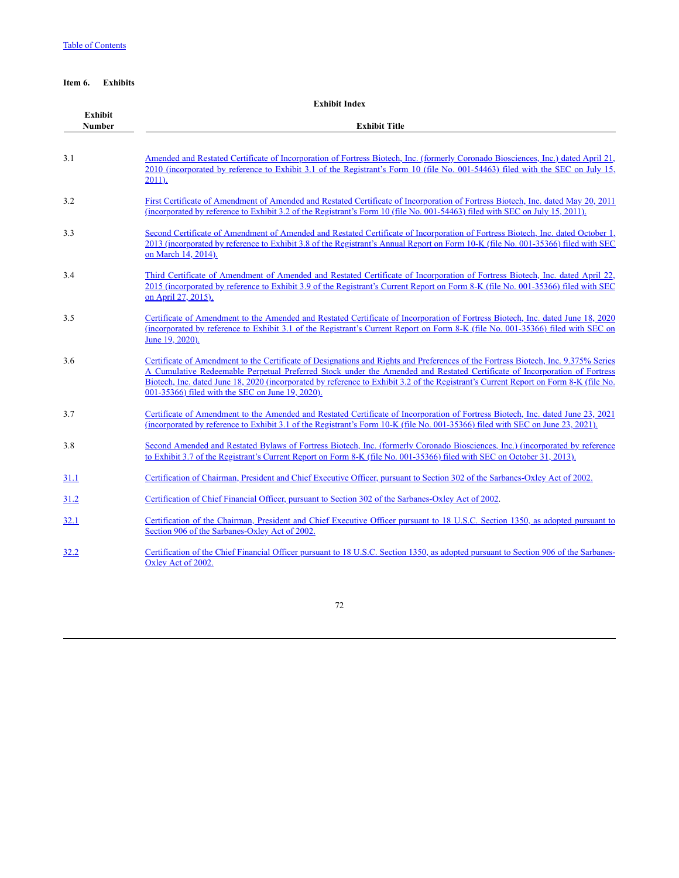# **Item 6. Exhibits**

| <b>Exhibit Index</b>            |                                                                                                                                                                                                                                                                                                                                                                                                                                                             |
|---------------------------------|-------------------------------------------------------------------------------------------------------------------------------------------------------------------------------------------------------------------------------------------------------------------------------------------------------------------------------------------------------------------------------------------------------------------------------------------------------------|
| <b>Exhibit</b><br><b>Number</b> | <b>Exhibit Title</b>                                                                                                                                                                                                                                                                                                                                                                                                                                        |
| 3.1                             | Amended and Restated Certificate of Incorporation of Fortress Biotech, Inc. (formerly Coronado Biosciences, Inc.) dated April 21,<br>2010 (incorporated by reference to Exhibit 3.1 of the Registrant's Form 10 (file No. 001-54463) filed with the SEC on July 15,<br>$2011$ ).                                                                                                                                                                            |
| 3.2                             | First Certificate of Amendment of Amended and Restated Certificate of Incorporation of Fortress Biotech, Inc. dated May 20, 2011<br>(incorporated by reference to Exhibit 3.2 of the Registrant's Form 10 (file No. 001-54463) filed with SEC on July 15, 2011).                                                                                                                                                                                            |
| 3.3                             | Second Certificate of Amendment of Amended and Restated Certificate of Incorporation of Fortress Biotech, Inc. dated October 1,<br>2013 (incorporated by reference to Exhibit 3.8 of the Registrant's Annual Report on Form 10-K (file No. 001-35366) filed with SEC<br>on March 14, 2014).                                                                                                                                                                 |
| 3.4                             | Third Certificate of Amendment of Amended and Restated Certificate of Incorporation of Fortress Biotech, Inc. dated April 22,<br>2015 (incorporated by reference to Exhibit 3.9 of the Registrant's Current Report on Form 8-K (file No. 001-35366) filed with SEC<br>on April 27, 2015).                                                                                                                                                                   |
| 3.5                             | Certificate of Amendment to the Amended and Restated Certificate of Incorporation of Fortress Biotech, Inc. dated June 18, 2020<br>(incorporated by reference to Exhibit 3.1 of the Registrant's Current Report on Form 8-K (file No. 001-35366) filed with SEC on<br>June 19, 2020).                                                                                                                                                                       |
| 3.6                             | Certificate of Amendment to the Certificate of Designations and Rights and Preferences of the Fortress Biotech, Inc. 9.375% Series<br>A Cumulative Redeemable Perpetual Preferred Stock under the Amended and Restated Certificate of Incorporation of Fortress<br>Biotech, Inc. dated June 18, 2020 (incorporated by reference to Exhibit 3.2 of the Registrant's Current Report on Form 8-K (file No.<br>001-35366) filed with the SEC on June 19, 2020). |
| 3.7                             | Certificate of Amendment to the Amended and Restated Certificate of Incorporation of Fortress Biotech, Inc. dated June 23, 2021<br>(incorporated by reference to Exhibit 3.1 of the Registrant's Form 10-K (file No. 001-35366) filed with SEC on June 23, 2021).                                                                                                                                                                                           |
| 3.8                             | Second Amended and Restated Bylaws of Fortress Biotech, Inc. (formerly Coronado Biosciences, Inc.) (incorporated by reference<br>to Exhibit 3.7 of the Registrant's Current Report on Form 8-K (file No. 001-35366) filed with SEC on October 31, 2013).                                                                                                                                                                                                    |
| <u>31.1</u>                     | Certification of Chairman, President and Chief Executive Officer, pursuant to Section 302 of the Sarbanes-Oxley Act of 2002.                                                                                                                                                                                                                                                                                                                                |
| 31.2                            | Certification of Chief Financial Officer, pursuant to Section 302 of the Sarbanes-Oxley Act of 2002.                                                                                                                                                                                                                                                                                                                                                        |
| 32.1                            | Certification of the Chairman, President and Chief Executive Officer pursuant to 18 U.S.C. Section 1350, as adopted pursuant to<br>Section 906 of the Sarbanes-Oxley Act of 2002.                                                                                                                                                                                                                                                                           |
| 32.2                            | Certification of the Chief Financial Officer pursuant to 18 U.S.C. Section 1350, as adopted pursuant to Section 906 of the Sarbanes-<br>Oxley Act of 2002.                                                                                                                                                                                                                                                                                                  |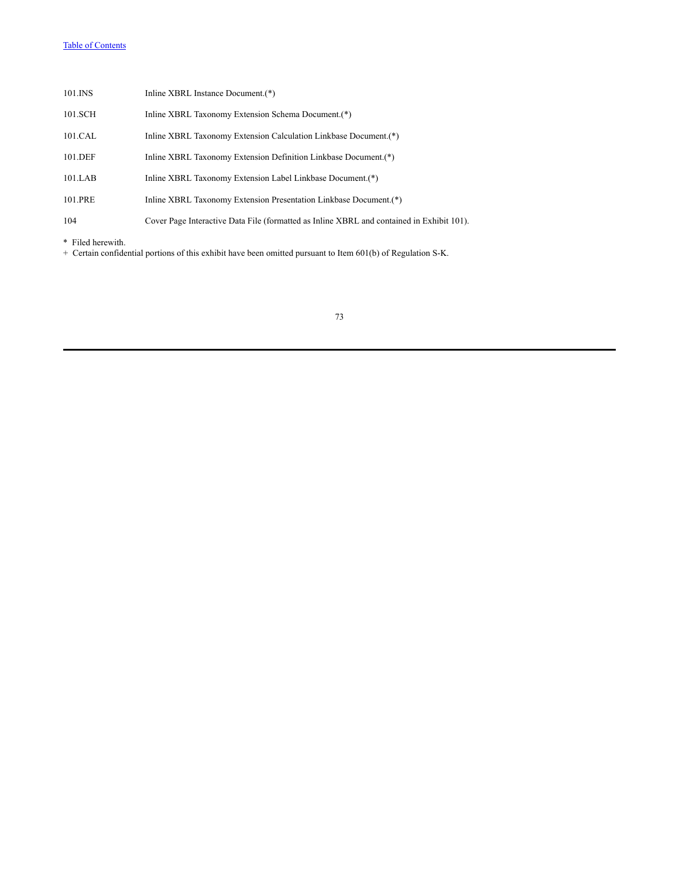# Table of [Contents](#page-1-0)

| 101.INS | Inline XBRL Instance Document.(*)                                                         |
|---------|-------------------------------------------------------------------------------------------|
| 101.SCH | Inline XBRL Taxonomy Extension Schema Document. <sup>(*)</sup>                            |
| 101.CAL | Inline XBRL Taxonomy Extension Calculation Linkbase Document. <sup>(*)</sup>              |
| 101.DEF | Inline XBRL Taxonomy Extension Definition Linkbase Document.(*)                           |
| 101.LAB | Inline XBRL Taxonomy Extension Label Linkbase Document.(*)                                |
| 101.PRE | Inline XBRL Taxonomy Extension Presentation Linkbase Document.(*)                         |
| 104     | Cover Page Interactive Data File (formatted as Inline XBRL and contained in Exhibit 101). |
|         |                                                                                           |

\* Filed herewith.

+ Certain confidential portions of this exhibit have been omitted pursuant to Item 601(b) of Regulation S-K.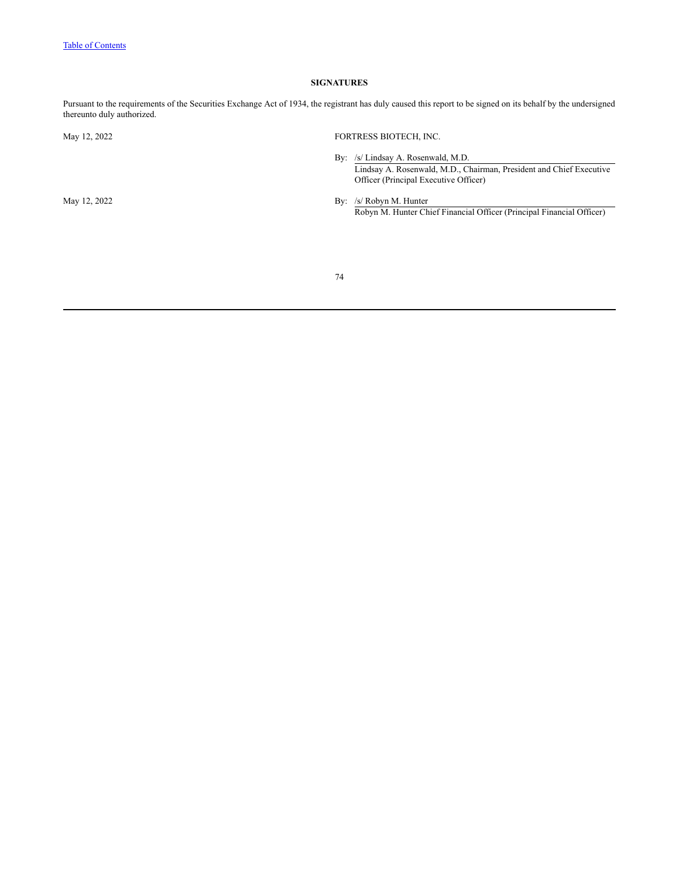# **SIGNATURES**

Pursuant to the requirements of the Securities Exchange Act of 1934, the registrant has duly caused this report to be signed on its behalf by the undersigned thereunto duly authorized.

May 12, 2022 FORTRESS BIOTECH, INC.

- By: /s/ Lindsay A. Rosenwald, M.D. Lindsay A. Rosenwald, M.D., Chairman, President and Chief Executive Officer (Principal Executive Officer)
- May 12, 2022 By: /s/ Robyn M. Hunter Robyn M. Hunter Chief Financial Officer (Principal Financial Officer)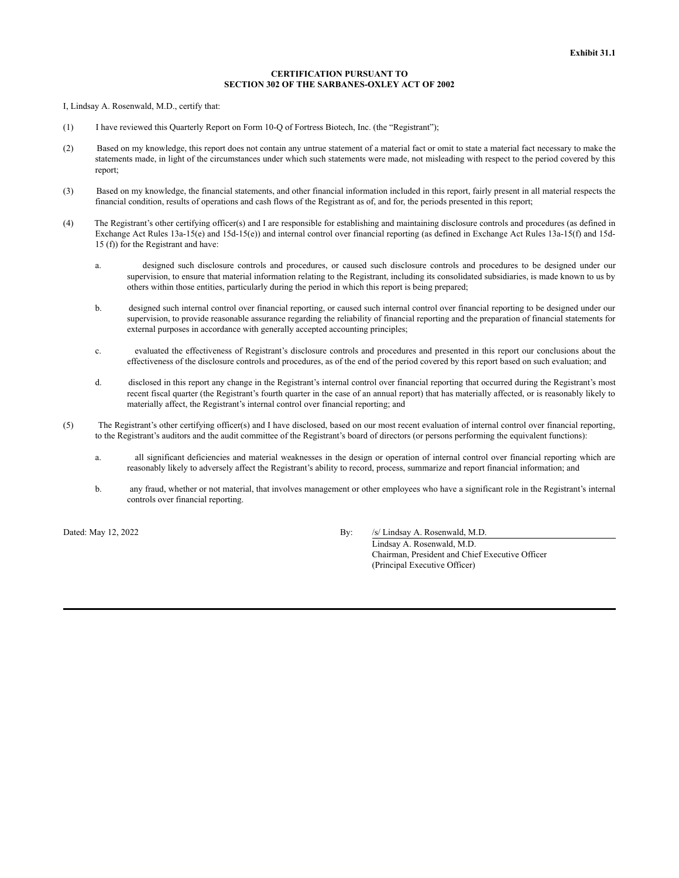# **CERTIFICATION PURSUANT TO SECTION 302 OF THE SARBANES-OXLEY ACT OF 2002**

I, Lindsay A. Rosenwald, M.D., certify that:

- (1) I have reviewed this Quarterly Report on Form 10-Q of Fortress Biotech, Inc. (the "Registrant");
- (2) Based on my knowledge, this report does not contain any untrue statement of a material fact or omit to state a material fact necessary to make the statements made, in light of the circumstances under which such statements were made, not misleading with respect to the period covered by this report;
- (3) Based on my knowledge, the financial statements, and other financial information included in this report, fairly present in all material respects the financial condition, results of operations and cash flows of the Registrant as of, and for, the periods presented in this report;
- (4) The Registrant's other certifying officer(s) and I are responsible for establishing and maintaining disclosure controls and procedures (as defined in Exchange Act Rules 13a-15(e) and 15d-15(e)) and internal control over financial reporting (as defined in Exchange Act Rules 13a-15(f) and 15d-15 (f)) for the Registrant and have:
	- a. designed such disclosure controls and procedures, or caused such disclosure controls and procedures to be designed under our supervision, to ensure that material information relating to the Registrant, including its consolidated subsidiaries, is made known to us by others within those entities, particularly during the period in which this report is being prepared;
	- b. designed such internal control over financial reporting, or caused such internal control over financial reporting to be designed under our supervision, to provide reasonable assurance regarding the reliability of financial reporting and the preparation of financial statements for external purposes in accordance with generally accepted accounting principles;
	- c. evaluated the effectiveness of Registrant's disclosure controls and procedures and presented in this report our conclusions about the effectiveness of the disclosure controls and procedures, as of the end of the period covered by this report based on such evaluation; and
	- d. disclosed in this report any change in the Registrant's internal control over financial reporting that occurred during the Registrant's most recent fiscal quarter (the Registrant's fourth quarter in the case of an annual report) that has materially affected, or is reasonably likely to materially affect, the Registrant's internal control over financial reporting; and
- (5) The Registrant's other certifying officer(s) and I have disclosed, based on our most recent evaluation of internal control over financial reporting, to the Registrant's auditors and the audit committee of the Registrant's board of directors (or persons performing the equivalent functions):
	- a. all significant deficiencies and material weaknesses in the design or operation of internal control over financial reporting which are reasonably likely to adversely affect the Registrant's ability to record, process, summarize and report financial information; and
	- b. any fraud, whether or not material, that involves management or other employees who have a significant role in the Registrant's internal controls over financial reporting.

Dated: May 12, 2022 By: /s/ Lindsay A. Rosenwald, M.D. Lindsay A. Rosenwald, M.D. Chairman, President and Chief Executive Officer (Principal Executive Officer)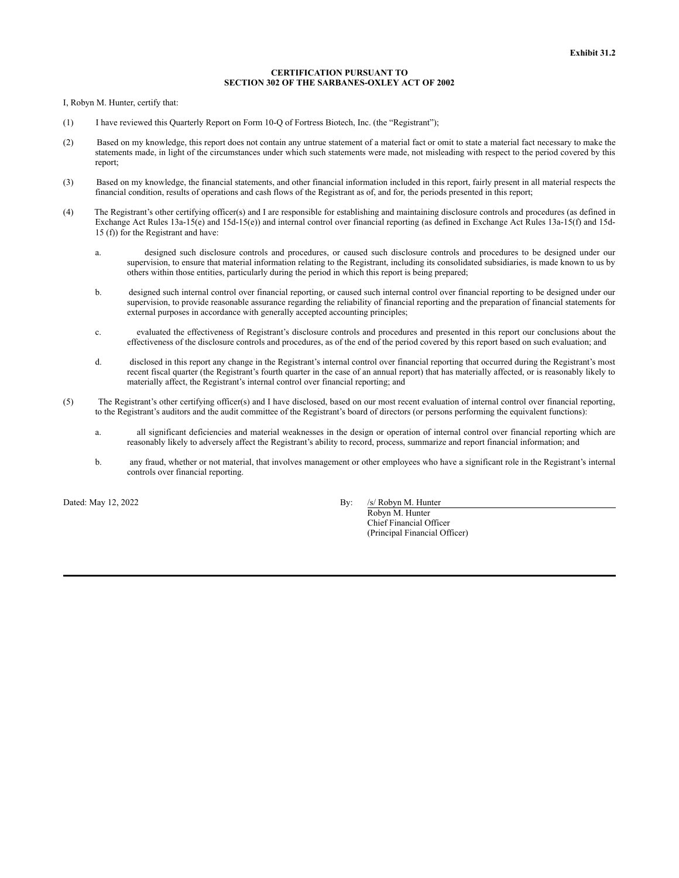## **CERTIFICATION PURSUANT TO SECTION 302 OF THE SARBANES-OXLEY ACT OF 2002**

I, Robyn M. Hunter, certify that:

- (1) I have reviewed this Quarterly Report on Form 10-Q of Fortress Biotech, Inc. (the "Registrant");
- (2) Based on my knowledge, this report does not contain any untrue statement of a material fact or omit to state a material fact necessary to make the statements made, in light of the circumstances under which such statements were made, not misleading with respect to the period covered by this report;
- (3) Based on my knowledge, the financial statements, and other financial information included in this report, fairly present in all material respects the financial condition, results of operations and cash flows of the Registrant as of, and for, the periods presented in this report;
- (4) The Registrant's other certifying officer(s) and I are responsible for establishing and maintaining disclosure controls and procedures (as defined in Exchange Act Rules 13a-15(e) and 15d-15(e)) and internal control over financial reporting (as defined in Exchange Act Rules 13a-15(f) and 15d-15 (f)) for the Registrant and have:
	- a. designed such disclosure controls and procedures, or caused such disclosure controls and procedures to be designed under our supervision, to ensure that material information relating to the Registrant, including its consolidated subsidiaries, is made known to us by others within those entities, particularly during the period in which this report is being prepared;
	- b. designed such internal control over financial reporting, or caused such internal control over financial reporting to be designed under our supervision, to provide reasonable assurance regarding the reliability of financial reporting and the preparation of financial statements for external purposes in accordance with generally accepted accounting principles;
	- c. evaluated the effectiveness of Registrant's disclosure controls and procedures and presented in this report our conclusions about the effectiveness of the disclosure controls and procedures, as of the end of the period covered by this report based on such evaluation; and
	- d. disclosed in this report any change in the Registrant's internal control over financial reporting that occurred during the Registrant's most recent fiscal quarter (the Registrant's fourth quarter in the case of an annual report) that has materially affected, or is reasonably likely to materially affect, the Registrant's internal control over financial reporting; and
- (5) The Registrant's other certifying officer(s) and I have disclosed, based on our most recent evaluation of internal control over financial reporting, to the Registrant's auditors and the audit committee of the Registrant's board of directors (or persons performing the equivalent functions):
	- a. all significant deficiencies and material weaknesses in the design or operation of internal control over financial reporting which are reasonably likely to adversely affect the Registrant's ability to record, process, summarize and report financial information; and
	- b. any fraud, whether or not material, that involves management or other employees who have a significant role in the Registrant's internal controls over financial reporting.

Dated: May 12, 2022 By: /s/ Robyn M. Hunter

Robyn M. Hunter Chief Financial Officer (Principal Financial Officer)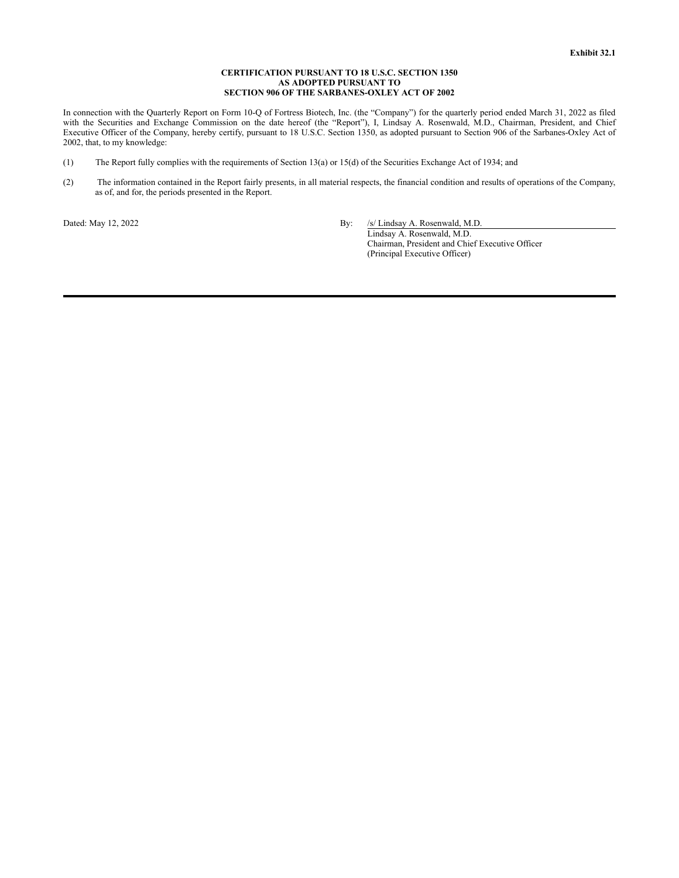# **CERTIFICATION PURSUANT TO 18 U.S.C. SECTION 1350 AS ADOPTED PURSUANT TO SECTION 906 OF THE SARBANES-OXLEY ACT OF 2002**

In connection with the Quarterly Report on Form 10-Q of Fortress Biotech, Inc. (the "Company") for the quarterly period ended March 31, 2022 as filed with the Securities and Exchange Commission on the date hereof (the "Report"), I, Lindsay A. Rosenwald, M.D., Chairman, President, and Chief Executive Officer of the Company, hereby certify, pursuant to 18 U.S.C. Section 1350, as adopted pursuant to Section 906 of the Sarbanes-Oxley Act of 2002, that, to my knowledge:

- (1) The Report fully complies with the requirements of Section 13(a) or 15(d) of the Securities Exchange Act of 1934; and
- (2) The information contained in the Report fairly presents, in all material respects, the financial condition and results of operations of the Company, as of, and for, the periods presented in the Report.

Dated: May 12, 2022 By: /s/ Lindsay A. Rosenwald, M.D.

Lindsay A. Rosenwald, M.D. Chairman, President and Chief Executive Officer

(Principal Executive Officer)